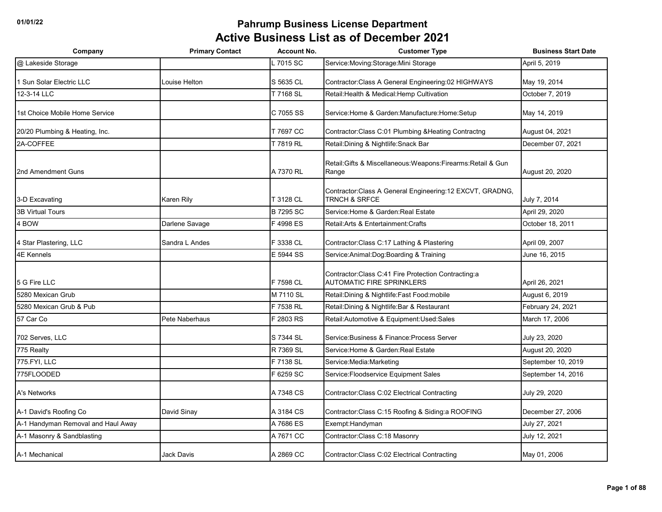| Company                            | <b>Primary Contact</b> | <b>Account No.</b> | <b>Customer Type</b>                                                                       | <b>Business Start Date</b> |
|------------------------------------|------------------------|--------------------|--------------------------------------------------------------------------------------------|----------------------------|
| @ Lakeside Storage                 |                        | 7015 SC            | Service: Moving: Storage: Mini Storage                                                     | April 5, 2019              |
| 1 Sun Solar Electric LLC           | Louise Helton          | S 5635 CL          | Contractor: Class A General Engineering: 02 HIGHWAYS                                       | May 19, 2014               |
| 12-3-14 LLC                        |                        | T 7168 SL          | Retail: Health & Medical: Hemp Cultivation                                                 | October 7, 2019            |
| 1st Choice Mobile Home Service     |                        | C 7055 SS          | Service: Home & Garden: Manufacture: Home: Setup                                           | May 14, 2019               |
| 20/20 Plumbing & Heating, Inc.     |                        | T 7697 CC          | Contractor: Class C:01 Plumbing & Heating Contractng                                       | August 04, 2021            |
| 2A-COFFEE                          |                        | T 7819 RL          | Retail: Dining & Nightlife: Snack Bar                                                      | December 07, 2021          |
| 2nd Amendment Guns                 |                        | A 7370 RL          | Retail: Gifts & Miscellaneous: Weapons: Firearms: Retail & Gun<br>Range                    | August 20, 2020            |
| 3-D Excavating                     | Karen Rily             | T 3128 CL          | Contractor: Class A General Engineering: 12 EXCVT, GRADNG,<br><b>TRNCH &amp; SRFCE</b>     | July 7, 2014               |
| <b>3B Virtual Tours</b>            |                        | <b>B 7295 SC</b>   | Service: Home & Garden: Real Estate                                                        | April 29, 2020             |
| 4 BOW                              | Darlene Savage         | F 4998 ES          | Retail: Arts & Entertainment: Crafts                                                       | October 18, 2011           |
| 4 Star Plastering, LLC             | Sandra L Andes         | F 3338 CL          | Contractor: Class C: 17 Lathing & Plastering                                               | April 09, 2007             |
| <b>4E Kennels</b>                  |                        | E 5944 SS          | Service: Animal: Dog: Boarding & Training                                                  | June 16, 2015              |
| 5 G Fire LLC                       |                        | F 7598 CL          | Contractor: Class C: 41 Fire Protection Contracting: a<br><b>AUTOMATIC FIRE SPRINKLERS</b> | April 26, 2021             |
| 5280 Mexican Grub                  |                        | M 7110 SL          | Retail: Dining & Nightlife: Fast Food: mobile                                              | August 6, 2019             |
| 5280 Mexican Grub & Pub            |                        | F 7538 RL          | Retail: Dining & Nightlife: Bar & Restaurant                                               | February 24, 2021          |
| 57 Car Co                          | Pete Naberhaus         | F 2803 RS          | Retail: Automotive & Equipment: Used: Sales                                                | March 17, 2006             |
| 702 Serves, LLC                    |                        | S 7344 SL          | Service: Business & Finance: Process Server                                                | July 23, 2020              |
| 775 Realty                         |                        | R 7369 SL          | Service: Home & Garden: Real Estate                                                        | August 20, 2020            |
| 775.FYI, LLC                       |                        | F 7138 SL          | Service: Media: Marketing                                                                  | September 10, 2019         |
| 775FLOODED                         |                        | F 6259 SC          | Service: Floodservice Equipment Sales                                                      | September 14, 2016         |
| A's Networks                       |                        | A 7348 CS          | Contractor: Class C:02 Electrical Contracting                                              | July 29, 2020              |
| A-1 David's Roofing Co             | David Sinay            | A 3184 CS          | Contractor: Class C:15 Roofing & Siding: a ROOFING                                         | December 27, 2006          |
| A-1 Handyman Removal and Haul Away |                        | A 7686 ES          | Exempt: Handyman                                                                           | July 27, 2021              |
| A-1 Masonry & Sandblasting         |                        | A 7671 CC          | Contractor: Class C: 18 Masonry                                                            | July 12, 2021              |
| A-1 Mechanical                     | <b>Jack Davis</b>      | A 2869 CC          | Contractor: Class C:02 Electrical Contracting                                              | May 01, 2006               |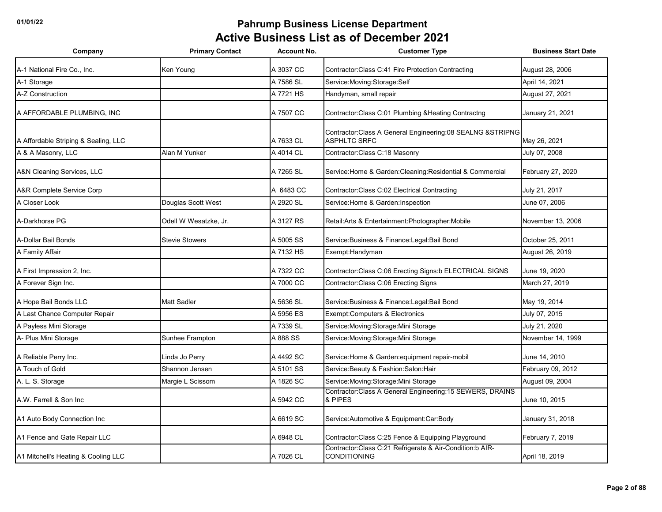| Company                              | <b>Primary Contact</b> | <b>Account No.</b> | <b>Customer Type</b>                                                                | <b>Business Start Date</b> |
|--------------------------------------|------------------------|--------------------|-------------------------------------------------------------------------------------|----------------------------|
| A-1 National Fire Co., Inc.          | Ken Young              | A 3037 CC          | Contractor: Class C:41 Fire Protection Contracting                                  | August 28, 2006            |
| A-1 Storage                          |                        | A 7586 SL          | Service: Moving: Storage: Self                                                      | April 14, 2021             |
| A-Z Construction                     |                        | A 7721 HS          | Handyman, small repair                                                              | August 27, 2021            |
| A AFFORDABLE PLUMBING, INC           |                        | A 7507 CC          | Contractor:Class C:01 Plumbing &Heating Contractng                                  | January 21, 2021           |
| A Affordable Striping & Sealing, LLC |                        | A 7633 CL          | Contractor: Class A General Engineering: 08 SEALNG & STRIPNG<br><b>ASPHLTC SRFC</b> | May 26, 2021               |
| A & A Masonry, LLC                   | Alan M Yunker          | A 4014 CL          | Contractor: Class C: 18 Masonry                                                     | July 07, 2008              |
| A&N Cleaning Services, LLC           |                        | A 7265 SL          | Service:Home & Garden:Cleaning:Residential & Commercial                             | February 27, 2020          |
| A&R Complete Service Corp            |                        | A 6483 CC          | Contractor: Class C:02 Electrical Contracting                                       | July 21, 2017              |
| A Closer Look                        | Douglas Scott West     | A 2920 SL          | Service: Home & Garden: Inspection                                                  | June 07, 2006              |
| A-Darkhorse PG                       | Odell W Wesatzke, Jr.  | A 3127 RS          | Retail: Arts & Entertainment: Photographer: Mobile                                  | November 13, 2006          |
| A-Dollar Bail Bonds                  | <b>Stevie Stowers</b>  | A 5005 SS          | Service: Business & Finance: Legal: Bail Bond                                       | October 25, 2011           |
| A Family Affair                      |                        | A 7132 HS          | Exempt: Handyman                                                                    | August 26, 2019            |
| A First Impression 2, Inc.           |                        | A 7322 CC          | Contractor: Class C:06 Erecting Signs:b ELECTRICAL SIGNS                            | June 19, 2020              |
| A Forever Sign Inc.                  |                        | A 7000 CC          | Contractor: Class C:06 Erecting Signs                                               | March 27, 2019             |
| A Hope Bail Bonds LLC                | <b>Matt Sadler</b>     | A 5636 SL          | Service: Business & Finance: Legal: Bail Bond                                       | May 19, 2014               |
| A Last Chance Computer Repair        |                        | A 5956 ES          | Exempt:Computers & Electronics                                                      | July 07, 2015              |
| A Payless Mini Storage               |                        | A 7339 SL          | Service: Moving: Storage: Mini Storage                                              | July 21, 2020              |
| A- Plus Mini Storage                 | Sunhee Frampton        | A 888 SS           | Service: Moving: Storage: Mini Storage                                              | November 14, 1999          |
| A Reliable Perry Inc.                | Linda Jo Perry         | A 4492 SC          | Service: Home & Garden: equipment repair-mobil                                      | June 14, 2010              |
| A Touch of Gold                      | Shannon Jensen         | A 5101 SS          | Service: Beauty & Fashion: Salon: Hair                                              | February 09, 2012          |
| A. L. S. Storage                     | Margie L Scissom       | A 1826 SC          | Service: Moving: Storage: Mini Storage                                              | August 09, 2004            |
| A.W. Farrell & Son Inc               |                        | A 5942 CC          | Contractor:Class A General Engineering:15 SEWERS, DRAINS<br>& PIPES                 | June 10, 2015              |
| A1 Auto Body Connection Inc          |                        | A 6619 SC          | Service: Automotive & Equipment: Car: Body                                          | January 31, 2018           |
| A1 Fence and Gate Repair LLC         |                        | A 6948 CL          | Contractor: Class C:25 Fence & Equipping Playground                                 | February 7, 2019           |
| A1 Mitchell's Heating & Cooling LLC  |                        | A 7026 CL          | Contractor: Class C:21 Refrigerate & Air-Condition: b AIR-<br><b>CONDITIONING</b>   | April 18, 2019             |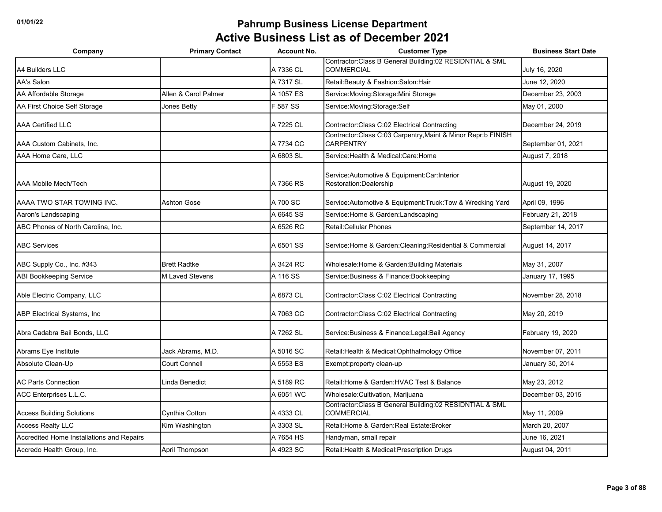| Company                                   | <b>Primary Contact</b> | <b>Account No.</b> | <b>Customer Type</b>                                                             | <b>Business Start Date</b> |
|-------------------------------------------|------------------------|--------------------|----------------------------------------------------------------------------------|----------------------------|
| A4 Builders LLC                           |                        | A 7336 CL          | Contractor: Class B General Building: 02 RESIDNTIAL & SML<br><b>COMMERCIAL</b>   | July 16, 2020              |
| <b>AA's Salon</b>                         |                        | A 7317 SL          | Retail: Beauty & Fashion: Salon: Hair                                            | June 12, 2020              |
| AA Affordable Storage                     | Allen & Carol Palmer   | A 1057 ES          | Service: Moving: Storage: Mini Storage                                           | December 23, 2003          |
| AA First Choice Self Storage              | Jones Betty            | F 587 SS           | Service: Moving: Storage: Self                                                   | May 01, 2000               |
| <b>AAA Certified LLC</b>                  |                        | A 7225 CL          | Contractor: Class C:02 Electrical Contracting                                    | December 24, 2019          |
| AAA Custom Cabinets, Inc.                 |                        | A 7734 CC          | Contractor:Class C:03 Carpentry, Maint & Minor Repr:b FINISH<br><b>CARPENTRY</b> | September 01, 2021         |
| AAA Home Care, LLC                        |                        | A 6803 SL          | Service: Health & Medical: Care: Home                                            | August 7, 2018             |
| AAA Mobile Mech/Tech                      |                        | A 7366 RS          | Service: Automotive & Equipment: Car: Interior<br>Restoration:Dealership         | August 19, 2020            |
| AAAA TWO STAR TOWING INC.                 | <b>Ashton Gose</b>     | A 700 SC           | Service: Automotive & Equipment: Truck: Tow & Wrecking Yard                      | April 09, 1996             |
| Aaron's Landscaping                       |                        | A 6645 SS          | Service: Home & Garden: Landscaping                                              | February 21, 2018          |
| ABC Phones of North Carolina, Inc.        |                        | A 6526 RC          | Retail: Cellular Phones                                                          | September 14, 2017         |
| <b>ABC Services</b>                       |                        | A 6501 SS          | Service: Home & Garden: Cleaning: Residential & Commercial                       | August 14, 2017            |
| ABC Supply Co., Inc. #343                 | <b>Brett Radtke</b>    | A 3424 RC          | Wholesale: Home & Garden: Building Materials                                     | May 31, 2007               |
| <b>ABI Bookkeeping Service</b>            | <b>M Laved Stevens</b> | A 116 SS           | Service: Business & Finance: Bookkeeping                                         | January 17, 1995           |
| Able Electric Company, LLC                |                        | A 6873 CL          | Contractor: Class C:02 Electrical Contracting                                    | November 28, 2018          |
| ABP Electrical Systems, Inc               |                        | A 7063 CC          | Contractor: Class C:02 Electrical Contracting                                    | May 20, 2019               |
| Abra Cadabra Bail Bonds, LLC              |                        | A 7262 SL          | Service: Business & Finance: Legal: Bail Agency                                  | February 19, 2020          |
| Abrams Eye Institute                      | Jack Abrams, M.D.      | A 5016 SC          | Retail: Health & Medical: Ophthalmology Office                                   | November 07, 2011          |
| Absolute Clean-Up                         | <b>Court Connell</b>   | A 5553 ES          | Exempt:property clean-up                                                         | January 30, 2014           |
| <b>AC Parts Connection</b>                | Linda Benedict         | A 5189 RC          | Retail: Home & Garden: HVAC Test & Balance                                       | May 23, 2012               |
| ACC Enterprises L.L.C.                    |                        | A 6051 WC          | Wholesale: Cultivation, Marijuana                                                | December 03, 2015          |
| <b>Access Building Solutions</b>          | Cynthia Cotton         | A 4333 CL          | Contractor:Class B General Building:02 RESIDNTIAL & SML<br><b>COMMERCIAL</b>     | May 11, 2009               |
| <b>Access Realty LLC</b>                  | Kim Washington         | A 3303 SL          | Retail: Home & Garden: Real Estate: Broker                                       | March 20, 2007             |
| Accredited Home Installations and Repairs |                        | A 7654 HS          | Handyman, small repair                                                           | June 16, 2021              |
| Accredo Health Group, Inc.                | April Thompson         | A 4923 SC          | Retail: Health & Medical: Prescription Drugs                                     | August 04, 2011            |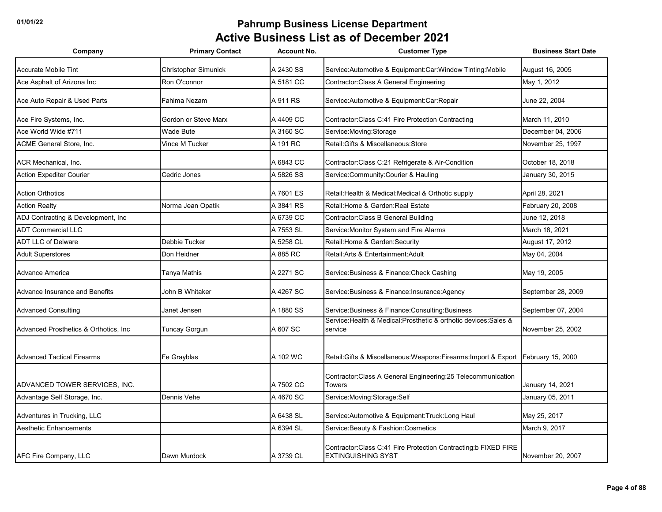| Company                                | <b>Primary Contact</b>      | <b>Account No.</b> | <b>Customer Type</b>                                                                          | <b>Business Start Date</b> |
|----------------------------------------|-----------------------------|--------------------|-----------------------------------------------------------------------------------------------|----------------------------|
| <b>Accurate Mobile Tint</b>            | <b>Christopher Simunick</b> | A 2430 SS          | Service:Automotive & Equipment:Car:Window Tinting:Mobile                                      | August 16, 2005            |
| Ace Asphalt of Arizona Inc             | Ron O'connor                | A 5181 CC          | Contractor: Class A General Engineering                                                       | May 1, 2012                |
| Ace Auto Repair & Used Parts           | Fahima Nezam                | A 911 RS           | Service: Automotive & Equipment: Car: Repair                                                  | June 22, 2004              |
| Ace Fire Systems, Inc.                 | Gordon or Steve Marx        | A 4409 CC          | Contractor: Class C: 41 Fire Protection Contracting                                           | March 11, 2010             |
| Ace World Wide #711                    | Wade Bute                   | A 3160 SC          | Service: Moving: Storage                                                                      | December 04, 2006          |
| <b>ACME General Store, Inc.</b>        | Vince M Tucker              | A 191 RC           | Retail: Gifts & Miscellaneous: Store                                                          | November 25, 1997          |
| <b>ACR Mechanical, Inc.</b>            |                             | A 6843 CC          | Contractor: Class C:21 Refrigerate & Air-Condition                                            | October 18, 2018           |
| <b>Action Expediter Courier</b>        | Cedric Jones                | A 5826 SS          | Service: Community: Courier & Hauling                                                         | January 30, 2015           |
| <b>Action Orthotics</b>                |                             | A 7601 ES          | Retail: Health & Medical: Medical & Orthotic supply                                           | April 28, 2021             |
| <b>Action Realty</b>                   | Norma Jean Opatik           | A 3841 RS          | Retail: Home & Garden: Real Estate                                                            | February 20, 2008          |
| ADJ Contracting & Development, Inc     |                             | A 6739 CC          | Contractor: Class B General Building                                                          | June 12, 2018              |
| <b>ADT Commercial LLC</b>              |                             | A 7553 SL          | Service: Monitor System and Fire Alarms                                                       | March 18, 2021             |
| <b>ADT LLC of Delware</b>              | Debbie Tucker               | A 5258 CL          | Retail: Home & Garden: Security                                                               | August 17, 2012            |
| <b>Adult Superstores</b>               | Don Heidner                 | A 885 RC           | Retail: Arts & Entertainment: Adult                                                           | May 04, 2004               |
| Advance America                        | Tanya Mathis                | A 2271 SC          | Service: Business & Finance: Check Cashing                                                    | May 19, 2005               |
| Advance Insurance and Benefits         | John B Whitaker             | A 4267 SC          | Service: Business & Finance: Insurance: Agency                                                | September 28, 2009         |
| <b>Advanced Consulting</b>             | Janet Jensen                | A 1880 SS          | Service: Business & Finance: Consulting: Business                                             | September 07, 2004         |
| Advanced Prosthetics & Orthotics, Inc. | Tuncay Gorgun               | A 607 SC           | Service:Health & Medical:Prosthetic & orthotic devices:Sales &<br>service                     | November 25, 2002          |
| <b>Advanced Tactical Firearms</b>      | Fe Grayblas                 | A 102 WC           | Retail:Gifts & Miscellaneous:Weapons:Firearms:Import & Export                                 | February 15, 2000          |
| ADVANCED TOWER SERVICES, INC.          |                             | A 7502 CC          | Contractor: Class A General Engineering: 25 Telecommunication<br><b>Towers</b>                | January 14, 2021           |
| Advantage Self Storage, Inc.           | Dennis Vehe                 | A 4670 SC          | Service: Moving: Storage: Self                                                                | January 05, 2011           |
| Adventures in Trucking, LLC            |                             | A 6438 SL          | Service: Automotive & Equipment: Truck: Long Haul                                             | May 25, 2017               |
| <b>Aesthetic Enhancements</b>          |                             | A 6394 SL          | Service: Beauty & Fashion: Cosmetics                                                          | March 9, 2017              |
| AFC Fire Company, LLC                  | Dawn Murdock                | A 3739 CL          | Contractor: Class C:41 Fire Protection Contracting: b FIXED FIRE<br><b>EXTINGUISHING SYST</b> | November 20, 2007          |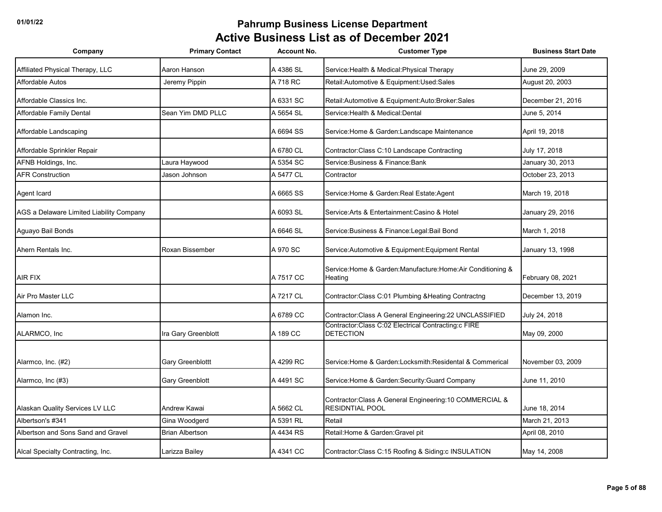| Company                                  | <b>Primary Contact</b> | <b>Account No.</b> | <b>Customer Type</b>                                                               | <b>Business Start Date</b> |
|------------------------------------------|------------------------|--------------------|------------------------------------------------------------------------------------|----------------------------|
| Affiliated Physical Therapy, LLC         | Aaron Hanson           | A 4386 SL          | Service: Health & Medical: Physical Therapy                                        | June 29, 2009              |
| <b>Affordable Autos</b>                  | Jeremy Pippin          | A 718 RC           | Retail:Automotive & Equipment:Used:Sales                                           | August 20, 2003            |
| Affordable Classics Inc.                 |                        | A 6331 SC          | Retail:Automotive & Equipment:Auto:Broker:Sales                                    | December 21, 2016          |
| Affordable Family Dental                 | Sean Yim DMD PLLC      | A 5654 SL          | Service: Health & Medical: Dental                                                  | June 5, 2014               |
| Affordable Landscaping                   |                        | A 6694 SS          | Service: Home & Garden: Landscape Maintenance                                      | April 19, 2018             |
| Affordable Sprinkler Repair              |                        | A 6780 CL          | Contractor: Class C:10 Landscape Contracting                                       | July 17, 2018              |
| AFNB Holdings, Inc.                      | Laura Haywood          | A 5354 SC          | Service: Business & Finance: Bank                                                  | January 30, 2013           |
| <b>AFR Construction</b>                  | Jason Johnson          | A 5477 CL          | Contractor                                                                         | October 23, 2013           |
| Agent Icard                              |                        | A 6665 SS          | Service: Home & Garden: Real Estate: Agent                                         | March 19, 2018             |
| AGS a Delaware Limited Liability Company |                        | A 6093 SL          | Service: Arts & Entertainment: Casino & Hotel                                      | January 29, 2016           |
| Aguayo Bail Bonds                        |                        | A 6646 SL          | Service: Business & Finance: Legal: Bail Bond                                      | March 1, 2018              |
| Ahern Rentals Inc.                       | Roxan Bissember        | A 970 SC           | Service: Automotive & Equipment: Equipment Rental                                  | January 13, 1998           |
| <b>AIR FIX</b>                           |                        | A 7517 CC          | Service: Home & Garden: Manufacture: Home: Air Conditioning &<br>Heating           | February 08, 2021          |
| Air Pro Master LLC                       |                        | A 7217 CL          | Contractor: Class C:01 Plumbing & Heating Contractng                               | December 13, 2019          |
| Alamon Inc.                              |                        | A 6789 CC          | Contractor: Class A General Engineering: 22 UNCLASSIFIED                           | July 24, 2018              |
| ALARMCO, Inc.                            | Ira Gary Greenblott    | A 189 CC           | Contractor:Class C:02 Electrical Contracting:c FIRE<br><b>DETECTION</b>            | May 09, 2000               |
| Alarmco, Inc. (#2)                       | Gary Greenblottt       | A 4299 RC          | Service: Home & Garden: Locksmith: Residental & Commerical                         | November 03, 2009          |
| Alarmco, Inc (#3)                        | Gary Greenblott        | A 4491 SC          | Service: Home & Garden: Security: Guard Company                                    | June 11, 2010              |
| Alaskan Quality Services LV LLC          | Andrew Kawai           | A 5662 CL          | Contractor: Class A General Engineering: 10 COMMERCIAL &<br><b>RESIDNTIAL POOL</b> | June 18, 2014              |
| Albertson's #341                         | Gina Woodgerd          | A 5391 RL          | Retail                                                                             | March 21, 2013             |
| Albertson and Sons Sand and Gravel       | <b>Brian Albertson</b> | A 4434 RS          | Retail: Home & Garden: Gravel pit                                                  | April 08, 2010             |
| Alcal Specialty Contracting, Inc.        | Larizza Bailey         | A 4341 CC          | Contractor: Class C:15 Roofing & Siding: c INSULATION                              | May 14, 2008               |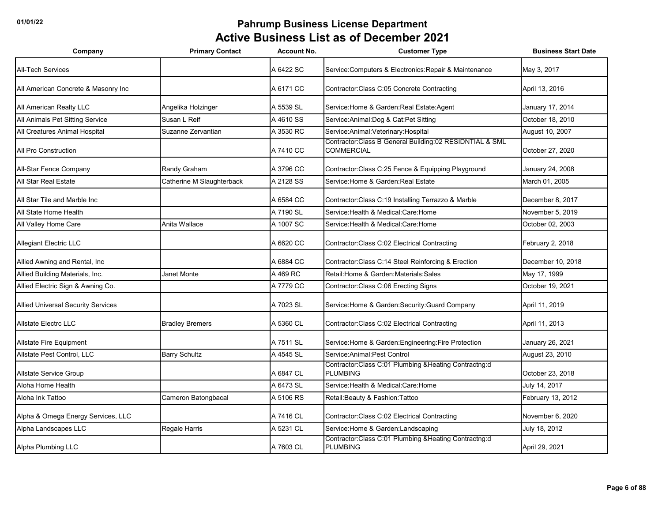| Company                                   | <b>Primary Contact</b>    | <b>Account No.</b> | <b>Customer Type</b>                                                           | <b>Business Start Date</b> |
|-------------------------------------------|---------------------------|--------------------|--------------------------------------------------------------------------------|----------------------------|
| <b>All-Tech Services</b>                  |                           | A 6422 SC          | Service: Computers & Electronics: Repair & Maintenance                         | May 3, 2017                |
| All American Concrete & Masonry Inc       |                           | A 6171 CC          | Contractor: Class C:05 Concrete Contracting                                    | April 13, 2016             |
| All American Realty LLC                   | Angelika Holzinger        | A 5539 SL          | Service: Home & Garden: Real Estate: Agent                                     | January 17, 2014           |
| All Animals Pet Sitting Service           | Susan L Reif              | A 4610 SS          | Service: Animal: Dog & Cat: Pet Sitting                                        | October 18, 2010           |
| All Creatures Animal Hospital             | Suzanne Zervantian        | A 3530 RC          | Service: Animal: Veterinary: Hospital                                          | August 10, 2007            |
| All Pro Construction                      |                           | A 7410 CC          | Contractor: Class B General Building: 02 RESIDNTIAL & SML<br><b>COMMERCIAL</b> | October 27, 2020           |
| All-Star Fence Company                    | Randy Graham              | A 3796 CC          | Contractor: Class C:25 Fence & Equipping Playground                            | January 24, 2008           |
| All Star Real Estate                      | Catherine M Slaughterback | A 2128 SS          | Service: Home & Garden: Real Estate                                            | March 01, 2005             |
| All Star Tile and Marble Inc              |                           | A 6584 CC          | Contractor: Class C:19 Installing Terrazzo & Marble                            | December 8, 2017           |
| All State Home Health                     |                           | A 7190 SL          | Service:Health & Medical:Care:Home                                             | November 5, 2019           |
| All Valley Home Care                      | Anita Wallace             | A 1007 SC          | Service: Health & Medical: Care: Home                                          | October 02, 2003           |
| Allegiant Electric LLC                    |                           | A 6620 CC          | Contractor: Class C:02 Electrical Contracting                                  | February 2, 2018           |
| Allied Awning and Rental, Inc             |                           | A 6884 CC          | Contractor: Class C:14 Steel Reinforcing & Erection                            | December 10, 2018          |
| Allied Building Materials, Inc.           | Janet Monte               | A 469 RC           | Retail: Home & Garden: Materials: Sales                                        | May 17, 1999               |
| Allied Electric Sign & Awning Co.         |                           | A 7779 CC          | Contractor: Class C:06 Erecting Signs                                          | October 19, 2021           |
| <b>Allied Universal Security Services</b> |                           | A 7023 SL          | Service: Home & Garden: Security: Guard Company                                | April 11, 2019             |
| <b>Allstate Electrc LLC</b>               | <b>Bradley Bremers</b>    | A 5360 CL          | Contractor: Class C:02 Electrical Contracting                                  | April 11, 2013             |
| <b>Allstate Fire Equipment</b>            |                           | A 7511 SL          | Service:Home & Garden:Engineering:Fire Protection                              | January 26, 2021           |
| Allstate Pest Control, LLC                | <b>Barry Schultz</b>      | A 4545 SL          | Service: Animal: Pest Control                                                  | August 23, 2010            |
| <b>Allstate Service Group</b>             |                           | A 6847 CL          | Contractor: Class C:01 Plumbing & Heating Contractng:d<br><b>PLUMBING</b>      | October 23, 2018           |
| Aloha Home Health                         |                           | A 6473 SL          | Service: Health & Medical: Care: Home                                          | July 14, 2017              |
| Aloha Ink Tattoo                          | Cameron Batongbacal       | A 5106 RS          | Retail: Beauty & Fashion: Tattoo                                               | February 13, 2012          |
| Alpha & Omega Energy Services, LLC        |                           | A 7416 CL          | Contractor: Class C:02 Electrical Contracting                                  | November 6, 2020           |
| Alpha Landscapes LLC                      | Regale Harris             | A 5231 CL          | Service: Home & Garden: Landscaping                                            | July 18, 2012              |
| Alpha Plumbing LLC                        |                           | A 7603 CL          | Contractor:Class C:01 Plumbing &Heating Contractng:d<br><b>PLUMBING</b>        | April 29, 2021             |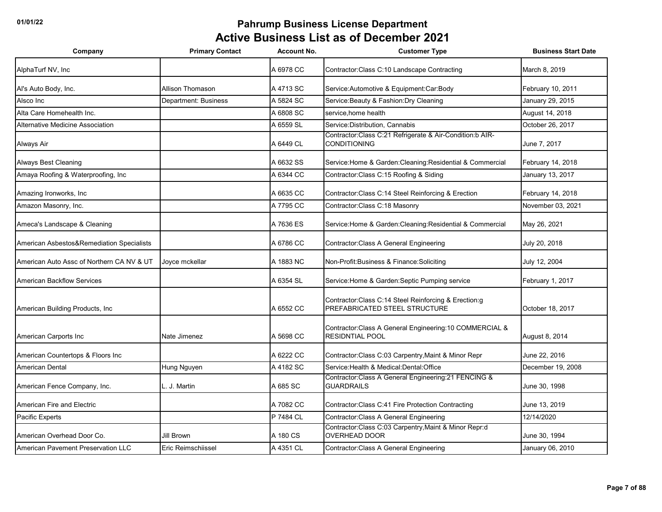| Company                                   | <b>Primary Contact</b> | <b>Account No.</b> | <b>Customer Type</b>                                                                   | <b>Business Start Date</b> |
|-------------------------------------------|------------------------|--------------------|----------------------------------------------------------------------------------------|----------------------------|
| AlphaTurf NV, Inc.                        |                        | A 6978 CC          | Contractor: Class C:10 Landscape Contracting                                           | March 8, 2019              |
| Al's Auto Body, Inc.                      | Allison Thomason       | A 4713 SC          | Service: Automotive & Equipment: Car: Body                                             | February 10, 2011          |
| Alsco Inc                                 | Department: Business   | A 5824 SC          | Service: Beauty & Fashion: Dry Cleaning                                                | January 29, 2015           |
| Alta Care Homehealth Inc.                 |                        | A 6808 SC          | service, home health                                                                   | August 14, 2018            |
| Alternative Medicine Association          |                        | A 6559 SL          | Service: Distribution, Cannabis                                                        | October 26, 2017           |
| Always Air                                |                        | A 6449 CL          | Contractor: Class C:21 Refrigerate & Air-Condition: b AIR-<br><b>CONDITIONING</b>      | June 7, 2017               |
| <b>Always Best Cleaning</b>               |                        | A 6632 SS          | Service: Home & Garden: Cleaning: Residential & Commercial                             | February 14, 2018          |
| Amaya Roofing & Waterproofing, Inc        |                        | A 6344 CC          | Contractor: Class C: 15 Roofing & Siding                                               | January 13, 2017           |
| Amazing Ironworks, Inc                    |                        | A 6635 CC          | Contractor: Class C:14 Steel Reinforcing & Erection                                    | February 14, 2018          |
| Amazon Masonry, Inc.                      |                        | A 7795 CC          | Contractor: Class C: 18 Masonry                                                        | November 03, 2021          |
| Ameca's Landscape & Cleaning              |                        | A 7636 ES          | Service: Home & Garden: Cleaning: Residential & Commercial                             | May 26, 2021               |
| American Asbestos&Remediation Specialists |                        | A 6786 CC          | Contractor: Class A General Engineering                                                | July 20, 2018              |
| American Auto Assc of Northern CA NV & UT | Joyce mckellar         | A 1883 NC          | Non-Profit:Business & Finance:Soliciting                                               | July 12, 2004              |
| <b>American Backflow Services</b>         |                        | A 6354 SL          | Service: Home & Garden: Septic Pumping service                                         | February 1, 2017           |
| American Building Products, Inc           |                        | A 6552 CC          | Contractor: Class C:14 Steel Reinforcing & Erection:g<br>PREFABRICATED STEEL STRUCTURE | October 18, 2017           |
| American Carports Inc                     | Nate Jimenez           | A 5698 CC          | Contractor: Class A General Engineering: 10 COMMERCIAL &<br><b>RESIDNTIAL POOL</b>     | August 8, 2014             |
| American Countertops & Floors Inc         |                        | A 6222 CC          | Contractor: Class C:03 Carpentry, Maint & Minor Repr                                   | June 22, 2016              |
| American Dental                           | Hung Nguyen            | A 4182 SC          | Service: Health & Medical: Dental: Office                                              | December 19, 2008          |
| American Fence Company, Inc.              | J. Martin              | A 685 SC           | Contractor: Class A General Engineering: 21 FENCING &<br><b>GUARDRAILS</b>             | June 30, 1998              |
| American Fire and Electric                |                        | A 7082 CC          | Contractor: Class C: 41 Fire Protection Contracting                                    | June 13, 2019              |
| Pacific Experts                           |                        | P 7484 CL          | Contractor: Class A General Engineering                                                | 12/14/2020                 |
| American Overhead Door Co.                | Jill Brown             | A 180 CS           | Contractor:Class C:03 Carpentry, Maint & Minor Repr:d<br><b>OVERHEAD DOOR</b>          | June 30, 1994              |
| American Pavement Preservation LLC        | Eric Reimschiissel     | A 4351 CL          | Contractor: Class A General Engineering                                                | January 06, 2010           |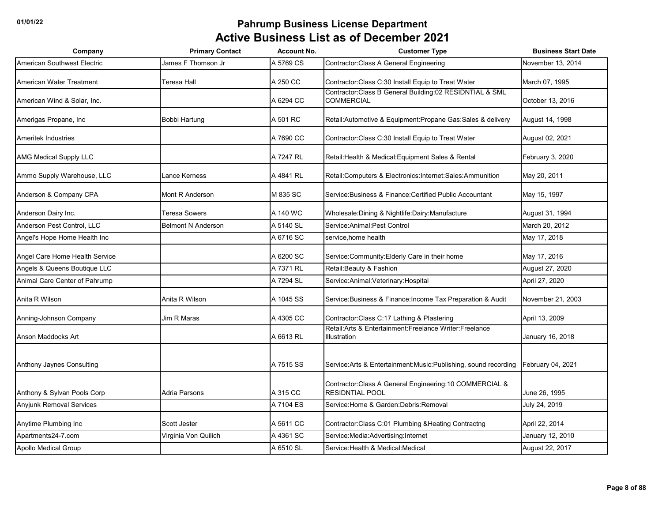| Company                         | <b>Primary Contact</b>    | <b>Account No.</b> | <b>Customer Type</b>                                                               | <b>Business Start Date</b> |
|---------------------------------|---------------------------|--------------------|------------------------------------------------------------------------------------|----------------------------|
| American Southwest Electric     | James F Thomson Jr        | A 5769 CS          | Contractor: Class A General Engineering                                            | November 13, 2014          |
| American Water Treatment        | Teresa Hall               | A 250 CC           | Contractor: Class C:30 Install Equip to Treat Water                                | March 07, 1995             |
| American Wind & Solar, Inc.     |                           | A 6294 CC          | Contractor:Class B General Building:02 RESIDNTIAL & SML<br><b>COMMERCIAL</b>       | October 13, 2016           |
| Amerigas Propane, Inc           | Bobbi Hartung             | A 501 RC           | Retail: Automotive & Equipment: Propane Gas: Sales & delivery                      | August 14, 1998            |
| <b>Ameritek Industries</b>      |                           | A 7690 CC          | Contractor: Class C:30 Install Equip to Treat Water                                | August 02, 2021            |
| <b>AMG Medical Supply LLC</b>   |                           | A 7247 RL          | Retail: Health & Medical: Equipment Sales & Rental                                 | February 3, 2020           |
| Ammo Supply Warehouse, LLC      | Lance Kerness             | A 4841 RL          | Retail: Computers & Electronics: Internet: Sales: Ammunition                       | May 20, 2011               |
| Anderson & Company CPA          | Mont R Anderson           | M 835 SC           | Service: Business & Finance: Certified Public Accountant                           | May 15, 1997               |
| Anderson Dairy Inc.             | Teresa Sowers             | A 140 WC           | Wholesale: Dining & Nightlife: Dairy: Manufacture                                  | August 31, 1994            |
| Anderson Pest Control, LLC      | <b>Belmont N Anderson</b> | A 5140 SL          | Service: Animal: Pest Control                                                      | March 20, 2012             |
| Angel's Hope Home Health Inc    |                           | A 6716 SC          | service, home health                                                               | May 17, 2018               |
| Angel Care Home Health Service  |                           | A 6200 SC          | Service: Community: Elderly Care in their home                                     | May 17, 2016               |
| Angels & Queens Boutique LLC    |                           | A 7371 RL          | Retail: Beauty & Fashion                                                           | August 27, 2020            |
| Animal Care Center of Pahrump   |                           | A 7294 SL          | Service: Animal: Veterinary: Hospital                                              | April 27, 2020             |
| Anita R Wilson                  | Anita R Wilson            | A 1045 SS          | Service: Business & Finance: Income Tax Preparation & Audit                        | November 21, 2003          |
| Anning-Johnson Company          | Jim R Maras               | A 4305 CC          | Contractor: Class C:17 Lathing & Plastering                                        | April 13, 2009             |
| <b>Anson Maddocks Art</b>       |                           | A 6613 RL          | Retail: Arts & Entertainment: Freelance Writer: Freelance<br>Illustration          | January 16, 2018           |
| Anthony Jaynes Consulting       |                           | A 7515 SS          | Service: Arts & Entertainment: Music: Publishing, sound recording                  | February 04, 2021          |
| Anthony & Sylvan Pools Corp     | Adria Parsons             | A 315 CC           | Contractor: Class A General Engineering: 10 COMMERCIAL &<br><b>RESIDNTIAL POOL</b> | June 26, 1995              |
| <b>Anyjunk Removal Services</b> |                           | A 7104 ES          | Service: Home & Garden: Debris: Removal                                            | July 24, 2019              |
| Anytime Plumbing Inc            | Scott Jester              | A 5611 CC          | Contractor: Class C:01 Plumbing & Heating Contractng                               | April 22, 2014             |
| Apartments24-7.com              | Virginia Von Quilich      | A 4361 SC          | Service: Media: Advertising: Internet                                              | January 12, 2010           |
| Apollo Medical Group            |                           | A 6510 SL          | Service: Health & Medical: Medical                                                 | August 22, 2017            |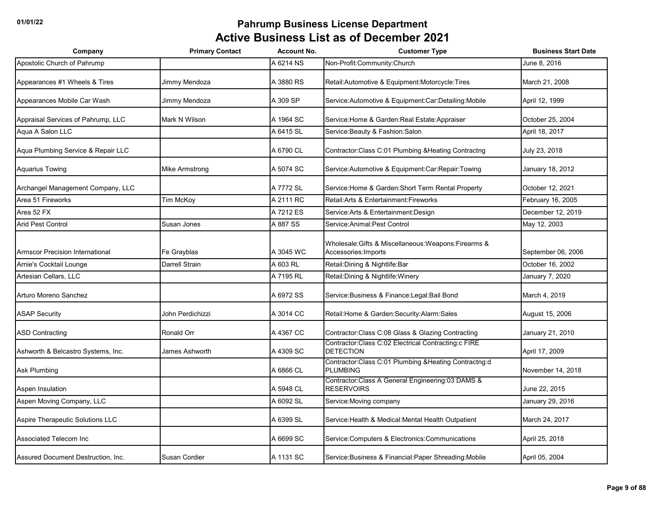| Company                                | <b>Primary Contact</b> | <b>Account No.</b> | <b>Customer Type</b>                                                          | <b>Business Start Date</b> |
|----------------------------------------|------------------------|--------------------|-------------------------------------------------------------------------------|----------------------------|
| Apostolic Church of Pahrump            |                        | A 6214 NS          | Non-Profit:Community:Church                                                   | June 8, 2016               |
| Appearances #1 Wheels & Tires          | Jimmy Mendoza          | A 3880 RS          | Retail: Automotive & Equipment: Motorcycle: Tires                             | March 21, 2008             |
| Appearances Mobile Car Wash            | Jimmy Mendoza          | A 309 SP           | Service: Automotive & Equipment: Car: Detailing: Mobile                       | April 12, 1999             |
| Appraisal Services of Pahrump, LLC     | Mark N Wilson          | A 1964 SC          | Service: Home & Garden: Real Estate: Appraiser                                | October 25, 2004           |
| Aqua A Salon LLC                       |                        | A 6415 SL          | Service: Beauty & Fashion: Salon                                              | April 18, 2017             |
| Aqua Plumbing Service & Repair LLC     |                        | A 6790 CL          | Contractor:Class C:01 Plumbing & Heating Contractng                           | July 23, 2018              |
| <b>Aquarius Towing</b>                 | Mike Armstrong         | A 5074 SC          | Service: Automotive & Equipment: Car: Repair: Towing                          | January 18, 2012           |
| Archangel Management Company, LLC      |                        | A 7772 SL          | Service: Home & Garden: Short Term Rental Property                            | October 12, 2021           |
| Area 51 Fireworks                      | Tim McKoy              | A 2111 RC          | Retail: Arts & Entertainment: Fireworks                                       | February 16, 2005          |
| Area 52 FX                             |                        | A 7212 ES          | Service: Arts & Entertainment: Design                                         | December 12, 2019          |
| <b>Arid Pest Control</b>               | Susan Jones            | A 887 SS           | Service: Animal: Pest Control                                                 | May 12, 2003               |
| <b>Armscor Precision International</b> | Fe Grayblas            | A 3045 WC          | Wholesale: Gifts & Miscellaneous: Weapons: Firearms &<br>Accessories: Imports | September 06, 2006         |
| Arnie's Cocktail Lounge                | Darrell Strain         | A 603 RL           | Retail: Dining & Nightlife: Bar                                               | October 16, 2002           |
| Artesian Cellars, LLC                  |                        | A 7195 RL          | Retail: Dining & Nightlife: Winery                                            | January 7, 2020            |
| Arturo Moreno Sanchez                  |                        | A 6972 SS          | Service: Business & Finance: Legal: Bail Bond                                 | March 4, 2019              |
| <b>ASAP Security</b>                   | John Perdichizzi       | A 3014 CC          | Retail: Home & Garden: Security: Alarm: Sales                                 | August 15, 2006            |
| <b>ASD Contracting</b>                 | Ronald Orr             | A 4367 CC          | Contractor: Class C:08 Glass & Glazing Contracting                            | January 21, 2010           |
| Ashworth & Belcastro Systems, Inc.     | James Ashworth         | A 4309 SC          | Contractor:Class C:02 Electrical Contracting:c FIRE<br><b>DETECTION</b>       | April 17, 2009             |
| <b>Ask Plumbing</b>                    |                        | A 6866 CL          | Contractor:Class C:01 Plumbing &Heating Contractng:d<br><b>PLUMBING</b>       | November 14, 2018          |
| Aspen Insulation                       |                        | A 5948 CL          | Contractor: Class A General Engineering: 03 DAMS &<br><b>RESERVOIRS</b>       | June 22, 2015              |
| Aspen Moving Company, LLC              |                        | A 6092 SL          | Service: Moving company                                                       | January 29, 2016           |
| Aspire Therapeutic Solutions LLC       |                        | A 6399 SL          | Service: Health & Medical: Mental Health Outpatient                           | March 24, 2017             |
| Associated Telecom Inc                 |                        | A 6699 SC          | Service: Computers & Electronics: Communications                              | April 25, 2018             |
| Assured Document Destruction, Inc.     | Susan Cordier          | A 1131 SC          | Service: Business & Financial: Paper Shreading: Mobile                        | April 05, 2004             |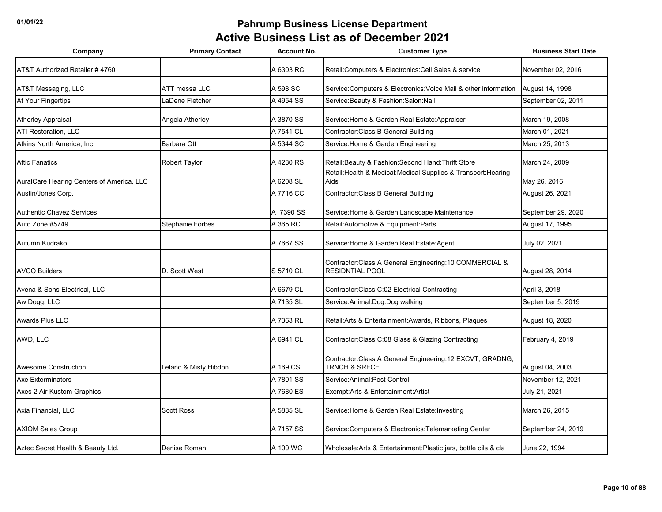| Company                                   | <b>Primary Contact</b>  | <b>Account No.</b> | <b>Customer Type</b>                                                               | <b>Business Start Date</b> |
|-------------------------------------------|-------------------------|--------------------|------------------------------------------------------------------------------------|----------------------------|
| AT&T Authorized Retailer #4760            |                         | A 6303 RC          | Retail: Computers & Electronics: Cell: Sales & service                             | November 02, 2016          |
| AT&T Messaging, LLC                       | ATT messa LLC           | A 598 SC           | Service: Computers & Electronics: Voice Mail & other information                   | August 14, 1998            |
| At Your Fingertips                        | LaDene Fletcher         | A 4954 SS          | Service: Beauty & Fashion: Salon: Nail                                             | September 02, 2011         |
| <b>Atherley Appraisal</b>                 | Angela Atherley         | A 3870 SS          | Service: Home & Garden: Real Estate: Appraiser                                     | March 19, 2008             |
| <b>ATI Restoration, LLC</b>               |                         | A 7541 CL          | Contractor: Class B General Building                                               | March 01, 2021             |
| Atkins North America, Inc.                | <b>Barbara Ott</b>      | A 5344 SC          | Service: Home & Garden: Engineering                                                | March 25, 2013             |
| <b>Attic Fanatics</b>                     | Robert Taylor           | A 4280 RS          | Retail: Beauty & Fashion: Second Hand: Thrift Store                                | March 24, 2009             |
| AuralCare Hearing Centers of America, LLC |                         | A 6208 SL          | Retail: Health & Medical: Medical Supplies & Transport: Hearing<br>Aids            | May 26, 2016               |
| Austin/Jones Corp.                        |                         | A 7716 CC          | <b>Contractor: Class B General Building</b>                                        | August 26, 2021            |
| <b>Authentic Chavez Services</b>          |                         | A 7390 SS          | Service: Home & Garden: Landscape Maintenance                                      | September 29, 2020         |
| Auto Zone #5749                           | <b>Stephanie Forbes</b> | A 365 RC           | Retail: Automotive & Equipment: Parts                                              | August 17, 1995            |
| Autumn Kudrako                            |                         | A 7667 SS          | Service: Home & Garden: Real Estate: Agent                                         | July 02, 2021              |
| <b>AVCO Builders</b>                      | D. Scott West           | S 5710 CL          | Contractor: Class A General Engineering: 10 COMMERCIAL &<br><b>RESIDNTIAL POOL</b> | August 28, 2014            |
| Avena & Sons Electrical, LLC              |                         | A 6679 CL          | Contractor: Class C:02 Electrical Contracting                                      | April 3, 2018              |
| Aw Dogg, LLC                              |                         | A 7135 SL          | Service: Animal: Dog: Dog walking                                                  | September 5, 2019          |
| <b>Awards Plus LLC</b>                    |                         | A 7363 RL          | Retail: Arts & Entertainment: Awards, Ribbons, Plaques                             | August 18, 2020            |
| AWD, LLC                                  |                         | A 6941 CL          | Contractor: Class C:08 Glass & Glazing Contracting                                 | February 4, 2019           |
| <b>Awesome Construction</b>               | Leland & Misty Hibdon   | A 169 CS           | Contractor: Class A General Engineering: 12 EXCVT, GRADNG,<br>TRNCH & SRFCE        | August 04, 2003            |
| <b>Axe Exterminators</b>                  |                         | A 7801 SS          | Service: Animal: Pest Control                                                      | November 12, 2021          |
| Axes 2 Air Kustom Graphics                |                         | A 7680 ES          | Exempt:Arts & Entertainment:Artist                                                 | July 21, 2021              |
| Axia Financial, LLC                       | <b>Scott Ross</b>       | A 5885 SL          | Service: Home & Garden: Real Estate: Investing                                     | March 26, 2015             |
| <b>AXIOM Sales Group</b>                  |                         | A 7157 SS          | Service: Computers & Electronics: Telemarketing Center                             | September 24, 2019         |
| Aztec Secret Health & Beauty Ltd.         | Denise Roman            | A 100 WC           | Wholesale:Arts & Entertainment:Plastic jars, bottle oils & cla                     | June 22, 1994              |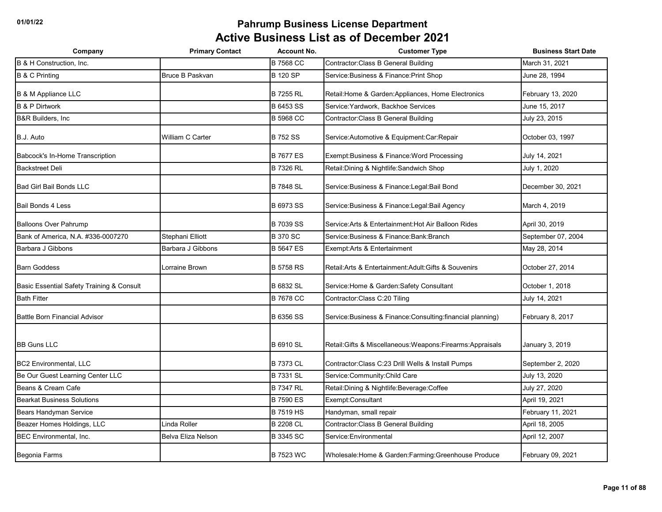| Company                                   | <b>Primary Contact</b> | <b>Account No.</b> | <b>Customer Type</b>                                         | <b>Business Start Date</b> |
|-------------------------------------------|------------------------|--------------------|--------------------------------------------------------------|----------------------------|
| B & H Construction, Inc.                  |                        | <b>B 7568 CC</b>   | Contractor: Class B General Building                         | March 31, 2021             |
| <b>B &amp; C Printing</b>                 | Bruce B Paskvan        | <b>B 120 SP</b>    | Service: Business & Finance: Print Shop                      | June 28, 1994              |
| <b>B &amp; M Appliance LLC</b>            |                        | <b>B 7255 RL</b>   | Retail: Home & Garden: Appliances, Home Electronics          | February 13, 2020          |
| <b>B &amp; P Dirtwork</b>                 |                        | B 6453 SS          | Service: Yardwork, Backhoe Services                          | June 15, 2017              |
| <b>B&amp;R Builders, Inc.</b>             |                        | <b>B 5968 CC</b>   | Contractor: Class B General Building                         | July 23, 2015              |
| B.J. Auto                                 | William C Carter       | <b>B752 SS</b>     | Service: Automotive & Equipment: Car: Repair                 | October 03, 1997           |
| Babcock's In-Home Transcription           |                        | <b>B 7677 ES</b>   | Exempt: Business & Finance: Word Processing                  | July 14, 2021              |
| <b>Backstreet Deli</b>                    |                        | <b>B 7326 RL</b>   | Retail: Dining & Nightlife: Sandwich Shop                    | July 1, 2020               |
| <b>Bad Girl Bail Bonds LLC</b>            |                        | <b>B 7848 SL</b>   | Service: Business & Finance: Legal: Bail Bond                | December 30, 2021          |
| <b>Bail Bonds 4 Less</b>                  |                        | <b>B 6973 SS</b>   | Service: Business & Finance: Legal: Bail Agency              | March 4, 2019              |
| <b>Balloons Over Pahrump</b>              |                        | <b>B 7039 SS</b>   | Service: Arts & Entertainment: Hot Air Balloon Rides         | April 30, 2019             |
| Bank of America, N.A. #336-0007270        | Stephani Elliott       | <b>B370 SC</b>     | Service: Business & Finance: Bank: Branch                    | September 07, 2004         |
| Barbara J Gibbons                         | Barbara J Gibbons      | <b>B 5647 ES</b>   | Exempt: Arts & Entertainment                                 | May 28, 2014               |
| <b>Barn Goddess</b>                       | <b>Lorraine Brown</b>  | <b>B 5758 RS</b>   | Retail: Arts & Entertainment: Adult: Gifts & Souvenirs       | October 27, 2014           |
| Basic Essential Safety Training & Consult |                        | <b>B 6832 SL</b>   | Service: Home & Garden: Safety Consultant                    | October 1, 2018            |
| <b>Bath Fitter</b>                        |                        | <b>B 7678 CC</b>   | Contractor:Class C:20 Tiling                                 | July 14, 2021              |
| <b>Battle Born Financial Advisor</b>      |                        | <b>B 6356 SS</b>   | Service: Business & Finance: Consulting: financial planning) | February 8, 2017           |
| <b>BB Guns LLC</b>                        |                        | <b>B 6910 SL</b>   | Retail: Gifts & Miscellaneous: Weapons: Firearms: Appraisals | January 3, 2019            |
| <b>BC2 Environmental, LLC</b>             |                        | <b>B 7373 CL</b>   | Contractor: Class C: 23 Drill Wells & Install Pumps          | September 2, 2020          |
| Be Our Guest Learning Center LLC          |                        | <b>B 7331 SL</b>   | Service: Community: Child Care                               | July 13, 2020              |
| Beans & Cream Cafe                        |                        | <b>B 7347 RL</b>   | Retail: Dining & Nightlife: Beverage: Coffee                 | July 27, 2020              |
| <b>Bearkat Business Solutions</b>         |                        | <b>B 7590 ES</b>   | Exempt:Consultant                                            | April 19, 2021             |
| Bears Handyman Service                    |                        | <b>B 7519 HS</b>   | Handyman, small repair                                       | February 11, 2021          |
| Beazer Homes Holdings, LLC                | Linda Roller           | <b>B 2208 CL</b>   | Contractor: Class B General Building                         | April 18, 2005             |
| <b>BEC Environmental, Inc.</b>            | Belva Eliza Nelson     | <b>B 3345 SC</b>   | Service: Environmental                                       | April 12, 2007             |
| Begonia Farms                             |                        | <b>B 7523 WC</b>   | Wholesale: Home & Garden: Farming: Greenhouse Produce        | February 09, 2021          |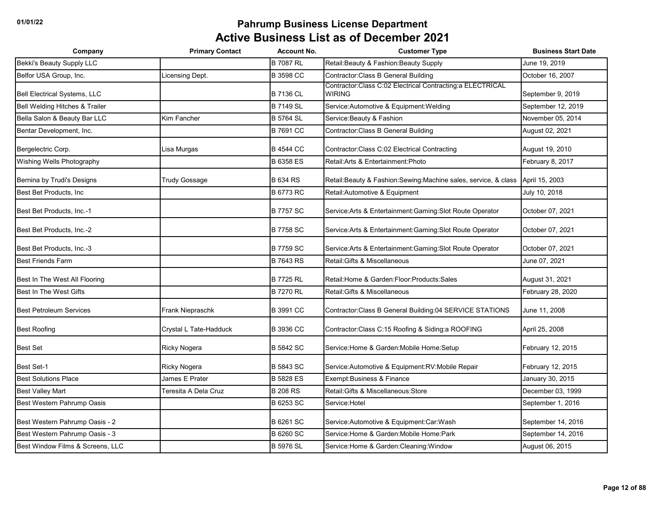| Company                          | <b>Primary Contact</b> | <b>Account No.</b> | <b>Customer Type</b>                                                       | <b>Business Start Date</b> |
|----------------------------------|------------------------|--------------------|----------------------------------------------------------------------------|----------------------------|
| <b>Bekki's Beauty Supply LLC</b> |                        | <b>B 7087 RL</b>   | Retail: Beauty & Fashion: Beauty Supply                                    | June 19, 2019              |
| Belfor USA Group, Inc.           | Licensing Dept.        | <b>B</b> 3598 CC   | Contractor: Class B General Building                                       | October 16, 2007           |
| Bell Electrical Systems, LLC     |                        | <b>B 7136 CL</b>   | Contractor:Class C:02 Electrical Contracting:a ELECTRICAL<br><b>WIRING</b> | September 9, 2019          |
| Bell Welding Hitches & Trailer   |                        | <b>B 7149 SL</b>   | Service:Automotive & Equipment:Welding                                     | September 12, 2019         |
| Bella Salon & Beauty Bar LLC     | Kim Fancher            | <b>B 5764 SL</b>   | Service: Beauty & Fashion                                                  | November 05, 2014          |
| Bentar Development, Inc.         |                        | B 7691 CC          | Contractor: Class B General Building                                       | August 02, 2021            |
| Bergelectric Corp.               | Lisa Murgas            | <b>B 4544 CC</b>   | Contractor: Class C:02 Electrical Contracting                              | August 19, 2010            |
| Wishing Wells Photography        |                        | <b>B 6358 ES</b>   | Retail: Arts & Entertainment: Photo                                        | February 8, 2017           |
| Bernina by Trudi's Designs       | <b>Trudy Gossage</b>   | <b>B 634 RS</b>    | Retail:Beauty & Fashion:Sewing:Machine sales, service, & class             | April 15, 2003             |
| Best Bet Products, Inc.          |                        | <b>B 6773 RC</b>   | Retail: Automotive & Equipment                                             | July 10, 2018              |
| Best Bet Products, Inc.-1        |                        | <b>B 7757 SC</b>   | Service: Arts & Entertainment: Gaming: Slot Route Operator                 | October 07, 2021           |
| Best Bet Products, Inc.-2        |                        | <b>B 7758 SC</b>   | Service: Arts & Entertainment: Gaming: Slot Route Operator                 | October 07, 2021           |
| Best Bet Products, Inc.-3        |                        | <b>B 7759 SC</b>   | Service: Arts & Entertainment: Gaming: Slot Route Operator                 | October 07, 2021           |
| <b>Best Friends Farm</b>         |                        | <b>B7643RS</b>     | Retail: Gifts & Miscellaneous                                              | June 07, 2021              |
| Best In The West All Flooring    |                        | <b>B 7725 RL</b>   | Retail: Home & Garden: Floor: Products: Sales                              | August 31, 2021            |
| Best In The West Gifts           |                        | <b>B 7270 RL</b>   | Retail: Gifts & Miscellaneous                                              | February 28, 2020          |
| <b>Best Petroleum Services</b>   | Frank Niepraschk       | <b>B</b> 3991 CC   | Contractor: Class B General Building: 04 SERVICE STATIONS                  | June 11, 2008              |
| <b>Best Roofing</b>              | Crystal L Tate-Hadduck | <b>B</b> 3936 CC   | Contractor: Class C:15 Roofing & Siding: a ROOFING                         | April 25, 2008             |
| <b>Best Set</b>                  | Ricky Nogera           | <b>B 5842 SC</b>   | Service: Home & Garden: Mobile Home: Setup                                 | February 12, 2015          |
| <b>Best Set-1</b>                | Ricky Nogera           | <b>B 5843 SC</b>   | Service: Automotive & Equipment: RV: Mobile Repair                         | February 12, 2015          |
| <b>Best Solutions Place</b>      | James E Prater         | <b>B 5828 ES</b>   | Exempt: Business & Finance                                                 | January 30, 2015           |
| <b>Best Valley Mart</b>          | Teresita A Dela Cruz   | <b>B 208 RS</b>    | Retail: Gifts & Miscellaneous: Store                                       | December 03, 1999          |
| Best Western Pahrump Oasis       |                        | <b>B 6253 SC</b>   | Service: Hotel                                                             | September 1, 2016          |
| Best Western Pahrump Oasis - 2   |                        | <b>B 6261 SC</b>   | Service: Automotive & Equipment: Car: Wash                                 | September 14, 2016         |
| Best Western Pahrump Oasis - 3   |                        | <b>B 6260 SC</b>   | Service: Home & Garden: Mobile Home: Park                                  | September 14, 2016         |
| Best Window Films & Screens, LLC |                        | <b>B 5976 SL</b>   | Service: Home & Garden: Cleaning: Window                                   | August 06, 2015            |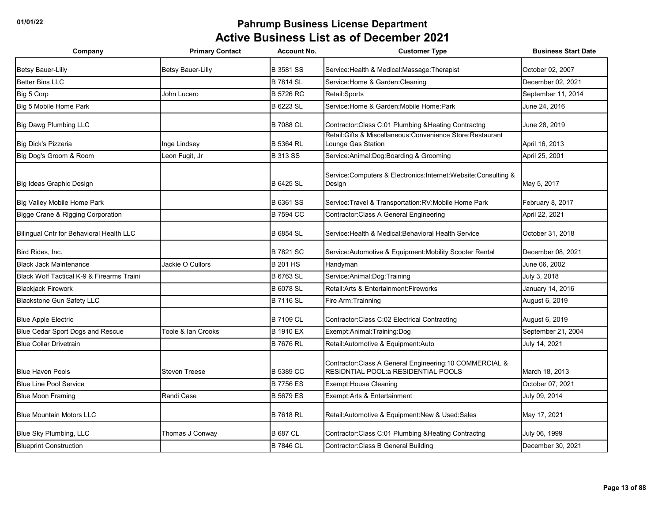| Company                                              | <b>Primary Contact</b> | <b>Account No.</b> | <b>Customer Type</b>                                                                             | <b>Business Start Date</b> |
|------------------------------------------------------|------------------------|--------------------|--------------------------------------------------------------------------------------------------|----------------------------|
| <b>Betsy Bauer-Lilly</b>                             | Betsy Bauer-Lilly      | <b>B</b> 3581 SS   | Service: Health & Medical: Massage: Therapist                                                    | October 02, 2007           |
| <b>Better Bins LLC</b>                               |                        | <b>B 7814 SL</b>   | Service: Home & Garden: Cleaning                                                                 | December 02, 2021          |
| Big 5 Corp                                           | John Lucero            | <b>B 5726 RC</b>   | Retail:Sports                                                                                    | September 11, 2014         |
| Big 5 Mobile Home Park                               |                        | <b>B 6223 SL</b>   | Service: Home & Garden: Mobile Home: Park                                                        | June 24, 2016              |
| Big Dawg Plumbing LLC                                |                        | <b>B 7088 CL</b>   | Contractor: Class C:01 Plumbing & Heating Contractng                                             | June 28, 2019              |
| Big Dick's Pizzeria                                  | Inge Lindsey           | <b>B 5364 RL</b>   | Retail: Gifts & Miscellaneous: Convenience Store: Restaurant<br>Lounge Gas Station               | April 16, 2013             |
| Big Dog's Groom & Room                               | Leon Fugit, Jr         | <b>B 313 SS</b>    | Service: Animal: Dog: Boarding & Grooming                                                        | April 25, 2001             |
| Big Ideas Graphic Design                             |                        | <b>B 6425 SL</b>   | Service:Computers & Electronics:Internet:Website:Consulting &<br>Design                          | May 5, 2017                |
| Big Valley Mobile Home Park                          |                        | B 6361 SS          | Service: Travel & Transportation: RV: Mobile Home Park                                           | February 8, 2017           |
| Bigge Crane & Rigging Corporation                    |                        | <b>B 7594 CC</b>   | Contractor: Class A General Engineering                                                          | April 22, 2021             |
| Bilingual Cntr for Behavioral Health LLC             |                        | <b>B</b> 6854 SL   | Service: Health & Medical: Behavioral Health Service                                             | October 31, 2018           |
| Bird Rides, Inc.                                     |                        | <b>B</b> 7821 SC   | Service: Automotive & Equipment: Mobility Scooter Rental                                         | December 08, 2021          |
| <b>Black Jack Maintenance</b>                        | Jackie O Cullors       | <b>B 201 HS</b>    | Handyman                                                                                         | June 06, 2002              |
| <b>Black Wolf Tactical K-9 &amp; Firearms Traini</b> |                        | <b>B 6763 SL</b>   | Service: Animal: Dog: Training                                                                   | July 3, 2018               |
| <b>Blackjack Firework</b>                            |                        | <b>B</b> 6078 SL   | Retail: Arts & Entertainment: Fireworks                                                          | January 14, 2016           |
| <b>Blackstone Gun Safety LLC</b>                     |                        | <b>B 7116 SL</b>   | Fire Arm; Trainning                                                                              | August 6, 2019             |
| <b>Blue Apple Electric</b>                           |                        | <b>B 7109 CL</b>   | Contractor: Class C:02 Electrical Contracting                                                    | August 6, 2019             |
| Blue Cedar Sport Dogs and Rescue                     | Toole & Ian Crooks     | <b>B 1910 EX</b>   | Exempt:Animal:Training:Dog                                                                       | September 21, 2004         |
| <b>Blue Collar Drivetrain</b>                        |                        | <b>B 7676 RL</b>   | Retail: Automotive & Equipment: Auto                                                             | July 14, 2021              |
| <b>Blue Haven Pools</b>                              | <b>Steven Treese</b>   | <b>B 5389 CC</b>   | Contractor: Class A General Engineering: 10 COMMERCIAL &<br>RESIDNTIAL POOL: a RESIDENTIAL POOLS | March 18, 2013             |
| <b>Blue Line Pool Service</b>                        |                        | <b>B 7756 ES</b>   | <b>Exempt: House Cleaning</b>                                                                    | October 07, 2021           |
| <b>Blue Moon Framing</b>                             | Randi Case             | <b>B 5679 ES</b>   | Exempt: Arts & Entertainment                                                                     | July 09, 2014              |
| <b>Blue Mountain Motors LLC</b>                      |                        | <b>B 7618 RL</b>   | Retail:Automotive & Equipment:New & Used:Sales                                                   | May 17, 2021               |
| Blue Sky Plumbing, LLC                               | Thomas J Conway        | <b>B 687 CL</b>    | Contractor: Class C:01 Plumbing & Heating Contractng                                             | July 06, 1999              |
| <b>Blueprint Construction</b>                        |                        | <b>B 7846 CL</b>   | Contractor: Class B General Building                                                             | December 30, 2021          |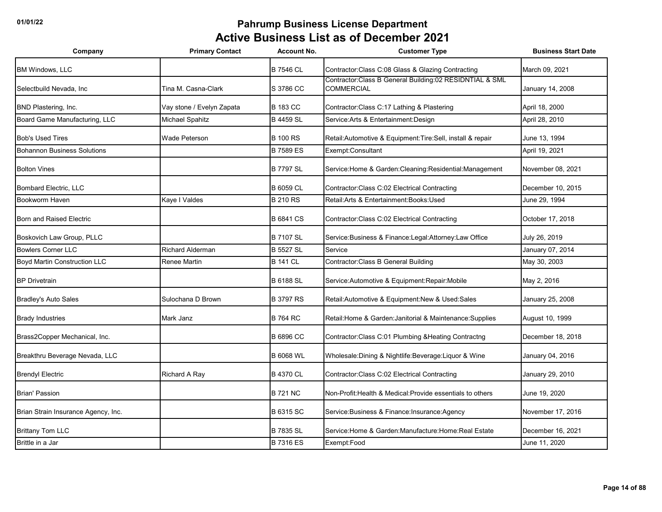| Company                             | <b>Primary Contact</b>    | <b>Account No.</b> | <b>Customer Type</b>                                                         | <b>Business Start Date</b> |
|-------------------------------------|---------------------------|--------------------|------------------------------------------------------------------------------|----------------------------|
| <b>BM Windows, LLC</b>              |                           | <b>B 7546 CL</b>   | Contractor: Class C:08 Glass & Glazing Contracting                           | March 09, 2021             |
| Selectbuild Nevada, Inc.            | Tina M. Casna-Clark       | S 3786 CC          | Contractor:Class B General Building:02 RESIDNTIAL & SML<br><b>COMMERCIAL</b> | January 14, 2008           |
| BND Plastering, Inc.                | Vay stone / Evelyn Zapata | <b>B</b> 183 CC    | Contractor: Class C: 17 Lathing & Plastering                                 | April 18, 2000             |
| Board Game Manufacturing, LLC       | Michael Spahitz           | <b>B</b> 4459 SL   | Service: Arts & Entertainment: Design                                        | April 28, 2010             |
| <b>Bob's Used Tires</b>             | Wade Peterson             | <b>B</b> 100 RS    | Retail: Automotive & Equipment: Tire: Sell, install & repair                 | June 13, 1994              |
| <b>Bohannon Business Solutions</b>  |                           | <b>B 7589 ES</b>   | Exempt:Consultant                                                            | April 19, 2021             |
| <b>Bolton Vines</b>                 |                           | <b>B 7797 SL</b>   | Service: Home & Garden: Cleaning: Residential: Management                    | November 08, 2021          |
| Bombard Electric, LLC               |                           | <b>B</b> 6059 CL   | Contractor: Class C:02 Electrical Contracting                                | December 10, 2015          |
| Bookworm Haven                      | Kaye I Valdes             | <b>B 210 RS</b>    | Retail:Arts & Entertainment:Books:Used                                       | June 29, 1994              |
| Born and Raised Electric            |                           | <b>B</b> 6841 CS   | Contractor: Class C:02 Electrical Contracting                                | October 17, 2018           |
| Boskovich Law Group, PLLC           |                           | <b>B 7107 SL</b>   | Service: Business & Finance: Legal: Attorney: Law Office                     | July 26, 2019              |
| <b>Bowlers Corner LLC</b>           | <b>Richard Alderman</b>   | <b>B 5527 SL</b>   | Service                                                                      | January 07, 2014           |
| <b>Boyd Martin Construction LLC</b> | Renee Martin              | <b>B 141 CL</b>    | Contractor: Class B General Building                                         | May 30, 2003               |
| <b>BP Drivetrain</b>                |                           | <b>B</b> 6188 SL   | Service: Automotive & Equipment: Repair: Mobile                              | May 2, 2016                |
| <b>Bradley's Auto Sales</b>         | Sulochana D Brown         | <b>B</b> 3797 RS   | Retail: Automotive & Equipment: New & Used: Sales                            | January 25, 2008           |
| <b>Brady Industries</b>             | Mark Janz                 | <b>B 764 RC</b>    | Retail: Home & Garden: Janitorial & Maintenance: Supplies                    | August 10, 1999            |
| Brass2Copper Mechanical, Inc.       |                           | <b>B</b> 6896 CC   | Contractor: Class C:01 Plumbing & Heating Contractng                         | December 18, 2018          |
| Breakthru Beverage Nevada, LLC      |                           | <b>B 6068 WL</b>   | Wholesale: Dining & Nightlife: Beverage: Liquor & Wine                       | January 04, 2016           |
| <b>Brendyl Electric</b>             | Richard A Ray             | <b>B 4370 CL</b>   | Contractor: Class C:02 Electrical Contracting                                | January 29, 2010           |
| <b>Brian' Passion</b>               |                           | <b>B 721 NC</b>    | Non-Profit: Health & Medical: Provide essentials to others                   | June 19, 2020              |
| Brian Strain Insurance Agency, Inc. |                           | <b>B 6315 SC</b>   | Service: Business & Finance: Insurance: Agency                               | November 17, 2016          |
| <b>Brittany Tom LLC</b>             |                           | <b>B 7835 SL</b>   | Service: Home & Garden: Manufacture: Home: Real Estate                       | December 16, 2021          |
| Brittle in a Jar                    |                           | <b>B7316 ES</b>    | Exempt:Food                                                                  | June 11, 2020              |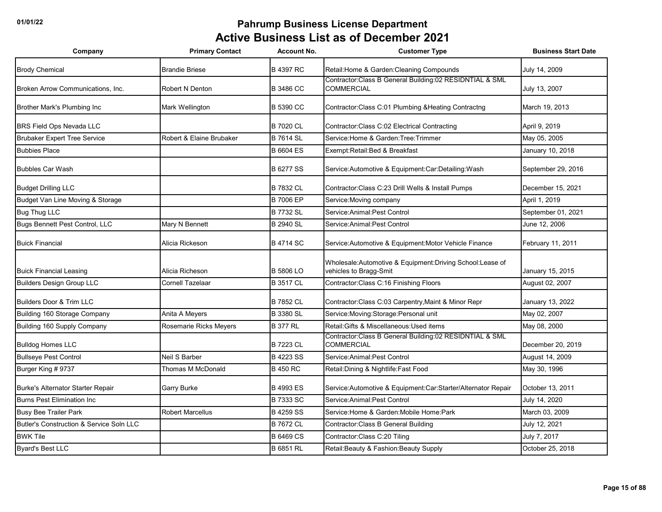| Company                                  | <b>Primary Contact</b>   | <b>Account No.</b> | <b>Customer Type</b>                                                               | <b>Business Start Date</b> |
|------------------------------------------|--------------------------|--------------------|------------------------------------------------------------------------------------|----------------------------|
| <b>Brody Chemical</b>                    | <b>Brandie Briese</b>    | <b>B 4397 RC</b>   | Retail: Home & Garden: Cleaning Compounds                                          | July 14, 2009              |
| Broken Arrow Communications, Inc.        | <b>Robert N Denton</b>   | <b>B 3486 CC</b>   | Contractor:Class B General Building:02 RESIDNTIAL & SML<br><b>COMMERCIAL</b>       | July 13, 2007              |
| Brother Mark's Plumbing Inc              | Mark Wellington          | <b>B 5390 CC</b>   | Contractor: Class C:01 Plumbing & Heating Contractng                               | March 19, 2013             |
| <b>BRS Field Ops Nevada LLC</b>          |                          | <b>B 7020 CL</b>   | Contractor: Class C:02 Electrical Contracting                                      | April 9, 2019              |
| <b>Brubaker Expert Tree Service</b>      | Robert & Elaine Brubaker | <b>B 7614 SL</b>   | Service: Home & Garden: Tree: Trimmer                                              | May 05, 2005               |
| <b>Bubbies Place</b>                     |                          | <b>B 6604 ES</b>   | Exempt: Retail: Bed & Breakfast                                                    | January 10, 2018           |
| <b>Bubbles Car Wash</b>                  |                          | <b>B 6277 SS</b>   | Service: Automotive & Equipment: Car: Detailing: Wash                              | September 29, 2016         |
| <b>Budget Drilling LLC</b>               |                          | <b>B 7832 CL</b>   | Contractor: Class C:23 Drill Wells & Install Pumps                                 | December 15, 2021          |
| Budget Van Line Moving & Storage         |                          | <b>B 7006 EP</b>   | Service: Moving company                                                            | April 1, 2019              |
| <b>Bug Thug LLC</b>                      |                          | <b>B 7732 SL</b>   | Service: Animal: Pest Control                                                      | September 01, 2021         |
| Bugs Bennett Pest Control, LLC           | Mary N Bennett           | <b>B 2940 SL</b>   | Service: Animal: Pest Control                                                      | June 12, 2006              |
| <b>Buick Financial</b>                   | Alicia Rickeson          | <b>B 4714 SC</b>   | Service: Automotive & Equipment: Motor Vehicle Finance                             | February 11, 2011          |
| <b>Buick Financial Leasing</b>           | Alicia Richeson          | <b>B 5806 LO</b>   | Wholesale:Automotive & Equipment:Driving School:Lease of<br>vehicles to Bragg-Smit | January 15, 2015           |
| <b>Builders Design Group LLC</b>         | Cornell Tazelaar         | <b>B</b> 3517 CL   | Contractor: Class C: 16 Finishing Floors                                           | August 02, 2007            |
| <b>Builders Door &amp; Trim LLC</b>      |                          | <b>B 7852 CL</b>   | Contractor: Class C:03 Carpentry, Maint & Minor Repr                               | January 13, 2022           |
| Building 160 Storage Company             | Anita A Meyers           | <b>B 3380 SL</b>   | Service: Moving: Storage: Personal unit                                            | May 02, 2007               |
| Building 160 Supply Company              | Rosemarie Ricks Meyers   | <b>B 377 RL</b>    | Retail: Gifts & Miscellaneous: Used items                                          | May 08, 2000               |
| <b>Bulldog Homes LLC</b>                 |                          | <b>B 7223 CL</b>   | Contractor:Class B General Building:02 RESIDNTIAL & SML<br><b>COMMERCIAL</b>       | December 20, 2019          |
| <b>Bullseye Pest Control</b>             | Neil S Barber            | <b>B 4223 SS</b>   | Service: Animal: Pest Control                                                      | August 14, 2009            |
| Burger King # 9737                       | Thomas M McDonald        | <b>B 450 RC</b>    | Retail: Dining & Nightlife: Fast Food                                              | May 30, 1996               |
| <b>Burke's Alternator Starter Repair</b> | Garry Burke              | <b>B 4993 ES</b>   | Service: Automotive & Equipment: Car: Starter/Alternator Repair                    | October 13, 2011           |
| <b>Burns Pest Elimination Inc</b>        |                          | <b>B 7333 SC</b>   | Service: Animal: Pest Control                                                      | July 14, 2020              |
| <b>Busy Bee Trailer Park</b>             | <b>Robert Marcellus</b>  | <b>B 4259 SS</b>   | Service: Home & Garden: Mobile Home: Park                                          | March 03, 2009             |
| Butler's Construction & Service Soln LLC |                          | <b>B 7672 CL</b>   | Contractor: Class B General Building                                               | July 12, 2021              |
| <b>BWK Tile</b>                          |                          | <b>B 6469 CS</b>   | Contractor:Class C:20 Tiling                                                       | July 7, 2017               |
| <b>Byard's Best LLC</b>                  |                          | <b>B 6851 RL</b>   | Retail: Beauty & Fashion: Beauty Supply                                            | October 25, 2018           |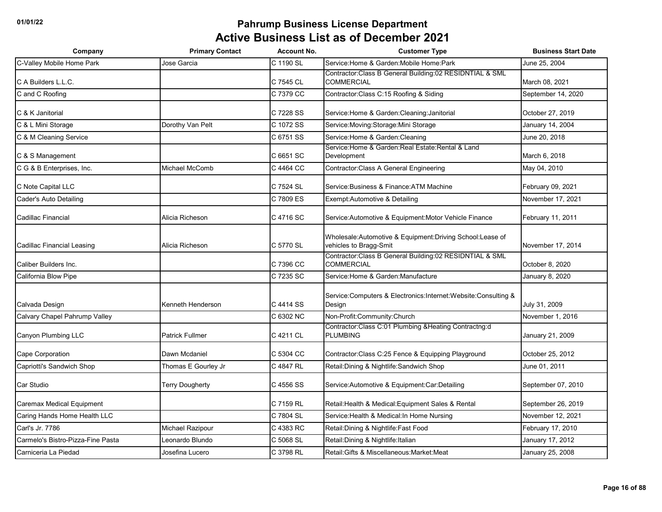| Company                           | <b>Primary Contact</b> | <b>Account No.</b> | <b>Customer Type</b>                                                               | <b>Business Start Date</b> |
|-----------------------------------|------------------------|--------------------|------------------------------------------------------------------------------------|----------------------------|
| C-Valley Mobile Home Park         | Jose Garcia            | C 1190 SL          | Service: Home & Garden: Mobile Home: Park                                          | June 25, 2004              |
| C A Builders L.L.C.               |                        | C 7545 CL          | Contractor: Class B General Building: 02 RESIDNTIAL & SML<br><b>COMMERCIAL</b>     | March 08, 2021             |
| C and C Roofing                   |                        | C 7379 CC          | Contractor: Class C: 15 Roofing & Siding                                           | September 14, 2020         |
| C & K Janitorial                  |                        | C 7228 SS          | Service: Home & Garden: Cleaning: Janitorial                                       | October 27, 2019           |
| C & L Mini Storage                | Dorothy Van Pelt       | C 1072 SS          | Service: Moving: Storage: Mini Storage                                             | January 14, 2004           |
| C & M Cleaning Service            |                        | C 6751 SS          | Service: Home & Garden: Cleaning                                                   | June 20, 2018              |
| C & S Management                  |                        | C 6651 SC          | Service: Home & Garden: Real Estate: Rental & Land<br>Development                  | March 6, 2018              |
| C G & B Enterprises, Inc.         | Michael McComb         | C 4464 CC          | Contractor: Class A General Engineering                                            | May 04, 2010               |
| C Note Capital LLC                |                        | C 7524 SL          | Service: Business & Finance: ATM Machine                                           | February 09, 2021          |
| Cader's Auto Detailing            |                        | C 7809 ES          | Exempt: Automotive & Detailing                                                     | November 17, 2021          |
| Cadillac Financial                | Alicia Richeson        | C 4716 SC          | Service: Automotive & Equipment: Motor Vehicle Finance                             | February 11, 2011          |
| Cadillac Financial Leasing        | Alicia Richeson        | C 5770 SL          | Wholesale:Automotive & Equipment:Driving School:Lease of<br>vehicles to Bragg-Smit | November 17, 2014          |
| Caliber Builders Inc.             |                        | C 7396 CC          | Contractor: Class B General Building: 02 RESIDNTIAL & SML<br><b>COMMERCIAL</b>     | October 8, 2020            |
| California Blow Pipe              |                        | C 7235 SC          | Service: Home & Garden: Manufacture                                                | January 8, 2020            |
| Calvada Design                    | Kenneth Henderson      | C 4414 SS          | Service: Computers & Electronics: Internet: Website: Consulting &<br>Design        | July 31, 2009              |
| Calvary Chapel Pahrump Valley     |                        | C 6302 NC          | Non-Profit:Community:Church                                                        | November 1, 2016           |
| Canyon Plumbing LLC               | <b>Patrick Fullmer</b> | C 4211 CL          | Contractor: Class C:01 Plumbing & Heating Contractng:d<br><b>PLUMBING</b>          | January 21, 2009           |
| <b>Cape Corporation</b>           | Dawn Mcdaniel          | C 5304 CC          | Contractor: Class C:25 Fence & Equipping Playground                                | October 25, 2012           |
| Capriotti's Sandwich Shop         | Thomas E Gourley Jr    | C 4847 RL          | Retail: Dining & Nightlife: Sandwich Shop                                          | June 01, 2011              |
| Car Studio                        | <b>Terry Dougherty</b> | C 4556 SS          | Service: Automotive & Equipment: Car: Detailing                                    | September 07, 2010         |
| Caremax Medical Equipment         |                        | C 7159 RL          | Retail: Health & Medical: Equipment Sales & Rental                                 | September 26, 2019         |
| Caring Hands Home Health LLC      |                        | C 7804 SL          | Service: Health & Medical: In Home Nursing                                         | November 12, 2021          |
| Carl's Jr. 7786                   | Michael Razipour       | C 4383 RC          | Retail: Dining & Nightlife: Fast Food                                              | February 17, 2010          |
| Carmelo's Bistro-Pizza-Fine Pasta | eonardo Blundo         | C 5068 SL          | Retail: Dining & Nightlife: Italian                                                | January 17, 2012           |
| Carniceria La Piedad              | Josefina Lucero        | C 3798 RL          | Retail: Gifts & Miscellaneous: Market: Meat                                        | January 25, 2008           |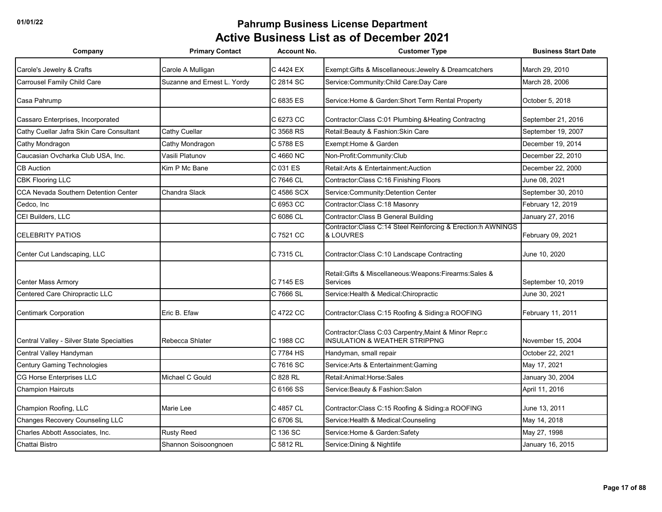| Company                                   | <b>Primary Contact</b>      | <b>Account No.</b> | <b>Customer Type</b>                                                                               | <b>Business Start Date</b> |
|-------------------------------------------|-----------------------------|--------------------|----------------------------------------------------------------------------------------------------|----------------------------|
| Carole's Jewelry & Crafts                 | Carole A Mulligan           | C 4424 EX          | Exempt: Gifts & Miscellaneous: Jewelry & Dreamcatchers                                             | March 29, 2010             |
| <b>Carrousel Family Child Care</b>        | Suzanne and Ernest L. Yordy | C 2814 SC          | Service: Community: Child Care: Day Care                                                           | March 28, 2006             |
| Casa Pahrump                              |                             | C 6835 ES          | Service: Home & Garden: Short Term Rental Property                                                 | October 5, 2018            |
| Cassaro Enterprises, Incorporated         |                             | C 6273 CC          | Contractor: Class C:01 Plumbing & Heating Contractng                                               | September 21, 2016         |
| Cathy Cuellar Jafra Skin Care Consultant  | Cathy Cuellar               | C 3568 RS          | Retail: Beauty & Fashion: Skin Care                                                                | September 19, 2007         |
| Cathy Mondragon                           | Cathy Mondragon             | C 5788 ES          | Exempt: Home & Garden                                                                              | December 19, 2014          |
| Caucasian Ovcharka Club USA, Inc.         | Vasili Platunov             | C 4660 NC          | Non-Profit:Community:Club                                                                          | December 22, 2010          |
| <b>CB Auction</b>                         | Kim P Mc Bane               | C 031 ES           | Retail: Arts & Entertainment: Auction                                                              | December 22, 2000          |
| <b>CBK Flooring LLC</b>                   |                             | C 7646 CL          | Contractor: Class C: 16 Finishing Floors                                                           | June 08, 2021              |
| CCA Nevada Southern Detention Center      | Chandra Slack               | C 4586 SCX         | Service: Community: Detention Center                                                               | September 30, 2010         |
| Cedco, Inc                                |                             | C 6953 CC          | Contractor:Class C:18 Masonry                                                                      | February 12, 2019          |
| CEI Builders, LLC                         |                             | C 6086 CL          | Contractor: Class B General Building                                                               | January 27, 2016           |
| <b>CELEBRITY PATIOS</b>                   |                             | C 7521 CC          | Contractor:Class C:14 Steel Reinforcing & Erection:h AWNINGS<br>& LOUVRES                          | February 09, 2021          |
| Center Cut Landscaping, LLC               |                             | C 7315 CL          | Contractor: Class C:10 Landscape Contracting                                                       | June 10, 2020              |
| <b>Center Mass Armory</b>                 |                             | C 7145 ES          | Retail: Gifts & Miscellaneous: Weapons: Firearms: Sales &<br>Services                              | September 10, 2019         |
| Centered Care Chiropractic LLC            |                             | C 7666 SL          | Service: Health & Medical: Chiropractic                                                            | June 30, 2021              |
| <b>Centimark Corporation</b>              | Eric B. Efaw                | C 4722 CC          | Contractor: Class C:15 Roofing & Siding: a ROOFING                                                 | February 11, 2011          |
| Central Valley - Silver State Specialties | Rebecca Shlater             | C 1988 CC          | Contractor: Class C:03 Carpentry, Maint & Minor Repr:c<br><b>INSULATION &amp; WEATHER STRIPPNG</b> | November 15, 2004          |
| Central Valley Handyman                   |                             | C 7784 HS          | Handyman, small repair                                                                             | October 22, 2021           |
| <b>Century Gaming Technologies</b>        |                             | C 7616 SC          | Service: Arts & Entertainment: Gaming                                                              | May 17, 2021               |
| <b>CG Horse Enterprises LLC</b>           | Michael C Gould             | C 828 RL           | Retail:Animal:Horse:Sales                                                                          | January 30, 2004           |
| <b>Champion Haircuts</b>                  |                             | C 6166 SS          | Service: Beauty & Fashion: Salon                                                                   | April 11, 2016             |
| Champion Roofing, LLC                     | <b>Marie Lee</b>            | C 4857 CL          | Contractor: Class C:15 Roofing & Siding: a ROOFING                                                 | June 13, 2011              |
| <b>Changes Recovery Counseling LLC</b>    |                             | C 6706 SL          | Service: Health & Medical: Counseling                                                              | May 14, 2018               |
| Charles Abbott Associates, Inc.           | <b>Rusty Reed</b>           | C 136 SC           | Service: Home & Garden: Safety                                                                     | May 27, 1998               |
| Chattai Bistro                            | Shannon Soisoongnoen        | C 5812 RL          | Service: Dining & Nightlife                                                                        | January 16, 2015           |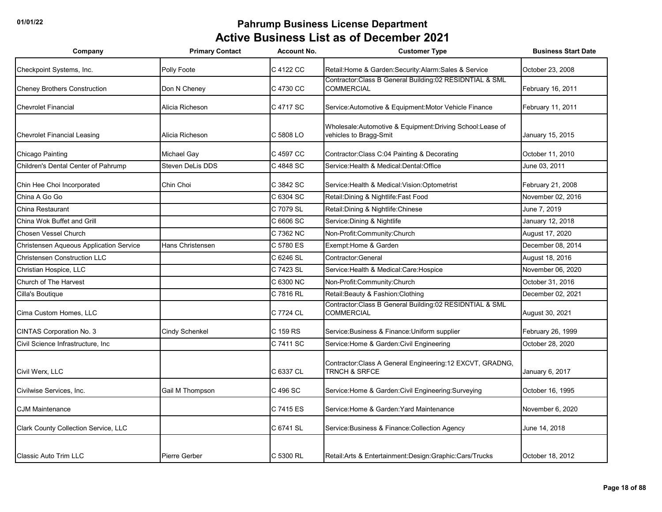| Company                                        | <b>Primary Contact</b> | <b>Account No.</b> | <b>Customer Type</b>                                                                 | <b>Business Start Date</b> |
|------------------------------------------------|------------------------|--------------------|--------------------------------------------------------------------------------------|----------------------------|
| Checkpoint Systems, Inc.                       | Polly Foote            | C 4122 CC          | Retail: Home & Garden: Security: Alarm: Sales & Service                              | October 23, 2008           |
| <b>Cheney Brothers Construction</b>            | Don N Cheney           | C 4730 CC          | Contractor: Class B General Building: 02 RESIDNTIAL & SML<br><b>COMMERCIAL</b>       | February 16, 2011          |
| <b>Chevrolet Financial</b>                     | Alicia Richeson        | C 4717 SC          | Service: Automotive & Equipment: Motor Vehicle Finance                               | February 11, 2011          |
| <b>Chevrolet Financial Leasing</b>             | Alicia Richeson        | C 5808 LO          | Wholesale:Automotive & Equipment:Driving School:Lease of<br>vehicles to Bragg-Smit   | January 15, 2015           |
| Chicago Painting                               | Michael Gay            | C 4597 CC          | Contractor: Class C:04 Painting & Decorating                                         | October 11, 2010           |
| Children's Dental Center of Pahrump            | Steven DeLis DDS       | C 4848 SC          | Service: Health & Medical: Dental: Office                                            | June 03, 2011              |
| Chin Hee Choi Incorporated                     | Chin Choi              | C 3842 SC          | Service: Health & Medical: Vision: Optometrist                                       | February 21, 2008          |
| China A Go Go                                  |                        | C 6304 SC          | Retail: Dining & Nightlife: Fast Food                                                | November 02, 2016          |
| China Restaurant                               |                        | C 7079 SL          | Retail: Dining & Nightlife: Chinese                                                  | June 7, 2019               |
| China Wok Buffet and Grill                     |                        | C 6606 SC          | Service: Dining & Nightlife                                                          | January 12, 2018           |
| Chosen Vessel Church                           |                        | C 7362 NC          | Non-Profit:Community:Church                                                          | August 17, 2020            |
| <b>Christensen Aqueous Application Service</b> | Hans Christensen       | C 5780 ES          | Exempt: Home & Garden                                                                | December 08, 2014          |
| <b>Christensen Construction LLC</b>            |                        | C 6246 SL          | Contractor:General                                                                   | August 18, 2016            |
| Christian Hospice, LLC                         |                        | C 7423 SL          | Service: Health & Medical: Care: Hospice                                             | November 06, 2020          |
| Church of The Harvest                          |                        | C 6300 NC          | Non-Profit:Community:Church                                                          | October 31, 2016           |
| Cilla's Boutique                               |                        | C 7816 RL          | Retail: Beauty & Fashion: Clothing                                                   | December 02, 2021          |
| Cima Custom Homes, LLC                         |                        | C 7724 CL          | Contractor:Class B General Building:02 RESIDNTIAL & SML<br><b>COMMERCIAL</b>         | August 30, 2021            |
| <b>CINTAS Corporation No. 3</b>                | Cindy Schenkel         | C 159 RS           | Service: Business & Finance: Uniform supplier                                        | February 26, 1999          |
| Civil Science Infrastructure, Inc              |                        | C 7411 SC          | Service: Home & Garden: Civil Engineering                                            | October 28, 2020           |
| Civil Werx, LLC                                |                        | C 6337 CL          | Contractor:Class A General Engineering:12 EXCVT, GRADNG,<br><b>TRNCH &amp; SRFCE</b> | January 6, 2017            |
| Civilwise Services, Inc.                       | Gail M Thompson        | C 496 SC           | Service: Home & Garden: Civil Engineering: Surveying                                 | October 16, 1995           |
| <b>CJM Maintenance</b>                         |                        | C 7415 ES          | Service: Home & Garden: Yard Maintenance                                             | November 6, 2020           |
| Clark County Collection Service, LLC           |                        | C 6741 SL          | Service: Business & Finance: Collection Agency                                       | June 14, 2018              |
| <b>Classic Auto Trim LLC</b>                   | Pierre Gerber          | C 5300 RL          | Retail: Arts & Entertainment: Design: Graphic: Cars/Trucks                           | October 18, 2012           |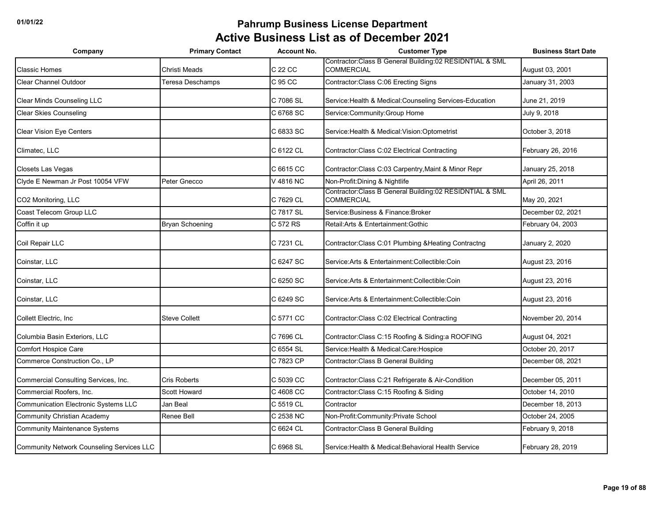| Company                                     | <b>Primary Contact</b> | <b>Account No.</b> | <b>Customer Type</b>                                                           | <b>Business Start Date</b> |
|---------------------------------------------|------------------------|--------------------|--------------------------------------------------------------------------------|----------------------------|
| <b>Classic Homes</b>                        | Christi Meads          | C 22 CC            | Contractor: Class B General Building: 02 RESIDNTIAL & SML<br><b>COMMERCIAL</b> | August 03, 2001            |
| <b>Clear Channel Outdoor</b>                | Teresa Deschamps       | C 95 CC            | Contractor: Class C:06 Erecting Signs                                          | January 31, 2003           |
| Clear Minds Counseling LLC                  |                        | C 7086 SL          | Service: Health & Medical: Counseling Services-Education                       | June 21, 2019              |
| <b>Clear Skies Counseling</b>               |                        | C 6768 SC          | Service: Community: Group Home                                                 | July 9, 2018               |
| Clear Vision Eye Centers                    |                        | C 6833 SC          | Service: Health & Medical: Vision: Optometrist                                 | October 3, 2018            |
| Climatec, LLC                               |                        | C 6122 CL          | Contractor: Class C:02 Electrical Contracting                                  | February 26, 2016          |
| <b>Closets Las Vegas</b>                    |                        | C 6615 CC          | Contractor: Class C:03 Carpentry, Maint & Minor Repr                           | January 25, 2018           |
| Clyde E Newman Jr Post 10054 VFW            | Peter Gnecco           | V 4816 NC          | Non-Profit: Dining & Nightlife                                                 | April 26, 2011             |
| CO2 Monitoring, LLC                         |                        | C 7629 CL          | Contractor: Class B General Building: 02 RESIDNTIAL & SML<br><b>COMMERCIAL</b> | May 20, 2021               |
| Coast Telecom Group LLC                     |                        | C 7817 SL          | Service: Business & Finance: Broker                                            | December 02, 2021          |
| Coffin it up                                | <b>Bryan Schoening</b> | C 572 RS           | Retail: Arts & Entertainment: Gothic                                           | February 04, 2003          |
| Coil Repair LLC                             |                        | C 7231 CL          | Contractor: Class C:01 Plumbing & Heating Contractng                           | January 2, 2020            |
| Coinstar, LLC                               |                        | C 6247 SC          | Service: Arts & Entertainment: Collectible: Coin                               | August 23, 2016            |
| Coinstar, LLC                               |                        | C 6250 SC          | Service: Arts & Entertainment: Collectible: Coin                               | August 23, 2016            |
| Coinstar, LLC                               |                        | C 6249 SC          | Service: Arts & Entertainment: Collectible: Coin                               | August 23, 2016            |
| Collett Electric, Inc.                      | <b>Steve Collett</b>   | C 5771 CC          | Contractor: Class C:02 Electrical Contracting                                  | November 20, 2014          |
| Columbia Basin Exteriors, LLC               |                        | C 7696 CL          | Contractor: Class C: 15 Roofing & Siding: a ROOFING                            | August 04, 2021            |
| Comfort Hospice Care                        |                        | C 6554 SL          | Service: Health & Medical: Care: Hospice                                       | October 20, 2017           |
| Commerce Construction Co., LP               |                        | C 7823 CP          | Contractor: Class B General Building                                           | December 08, 2021          |
| Commercial Consulting Services, Inc.        | Cris Roberts           | C 5039 CC          | Contractor: Class C:21 Refrigerate & Air-Condition                             | December 05, 2011          |
| Commercial Roofers, Inc.                    | <b>Scott Howard</b>    | C 4608 CC          | Contractor: Class C: 15 Roofing & Siding                                       | October 14, 2010           |
| <b>Communication Electronic Systems LLC</b> | Jan Beal               | C 5519 CL          | Contractor                                                                     | December 18, 2013          |
| <b>Community Christian Academy</b>          | <b>Renee Bell</b>      | C 2538 NC          | Non-Profit:Community:Private School                                            | October 24, 2005           |
| <b>Community Maintenance Systems</b>        |                        | C 6624 CL          | Contractor: Class B General Building                                           | February 9, 2018           |
| Community Network Counseling Services LLC   |                        | C 6968 SL          | Service: Health & Medical: Behavioral Health Service                           | February 28, 2019          |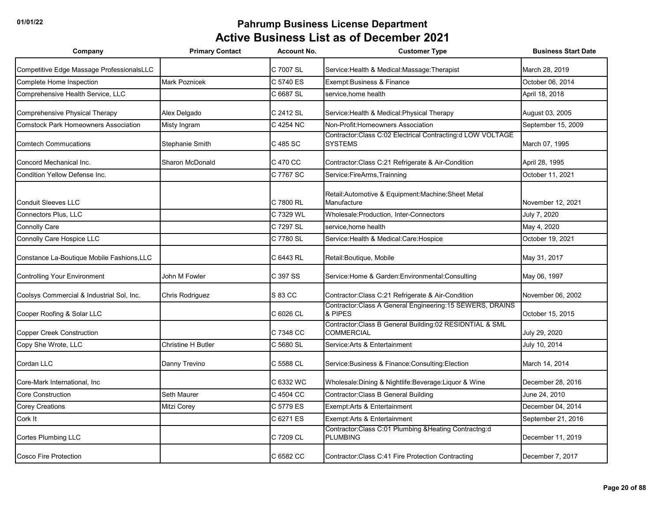| Company                                     | <b>Primary Contact</b>    | <b>Account No.</b> | <b>Customer Type</b>                                                         | <b>Business Start Date</b> |
|---------------------------------------------|---------------------------|--------------------|------------------------------------------------------------------------------|----------------------------|
| Competitive Edge Massage ProfessionalsLLC   |                           | C 7007 SL          | Service: Health & Medical: Massage: Therapist                                | March 28, 2019             |
| Complete Home Inspection                    | <b>Mark Poznicek</b>      | C 5740 ES          | Exempt: Business & Finance                                                   | October 06, 2014           |
| Comprehensive Health Service, LLC           |                           | C 6687 SL          | service, home health                                                         | April 18, 2018             |
| Comprehensive Physical Therapy              | Alex Delgado              | C 2412 SL          | Service: Health & Medical: Physical Therapy                                  | August 03, 2005            |
| <b>Comstock Park Homeowners Association</b> | Misty Ingram              | C 4254 NC          | Non-Profit: Homeowners Association                                           | September 15, 2009         |
| <b>Comtech Commucations</b>                 | Stephanie Smith           | C 485 SC           | Contractor:Class C:02 Electrical Contracting:d LOW VOLTAGE<br><b>SYSTEMS</b> | March 07, 1995             |
| Concord Mechanical Inc.                     | <b>Sharon McDonald</b>    | C 470 CC           | Contractor: Class C:21 Refrigerate & Air-Condition                           | April 28, 1995             |
| Condition Yellow Defense Inc.               |                           | C 7767 SC          | Service:FireArms,Trainning                                                   | October 11, 2021           |
| <b>Conduit Sleeves LLC</b>                  |                           | C 7800 RL          | Retail: Automotive & Equipment: Machine: Sheet Metal<br>Manufacture          | November 12, 2021          |
| <b>Connectors Plus, LLC</b>                 |                           | C 7329 WL          | Wholesale: Production, Inter-Connectors                                      | July 7, 2020               |
| <b>Connolly Care</b>                        |                           | C 7297 SL          | service, home health                                                         | May 4, 2020                |
| Connolly Care Hospice LLC                   |                           | C 7780 SL          | Service: Health & Medical: Care: Hospice                                     | October 19, 2021           |
| Constance La-Boutique Mobile Fashions, LLC  |                           | C 6443 RL          | Retail: Boutique, Mobile                                                     | May 31, 2017               |
| <b>Controlling Your Environment</b>         | John M Fowler             | C 397 SS           | Service: Home & Garden: Environmental: Consulting                            | May 06, 1997               |
| Coolsys Commercial & Industrial Sol, Inc.   | Chris Rodriguez           | S 83 CC            | Contractor: Class C:21 Refrigerate & Air-Condition                           | November 06, 2002          |
| Cooper Roofing & Solar LLC                  |                           | C 6026 CL          | Contractor:Class A General Engineering:15 SEWERS, DRAINS<br>& PIPES          | October 15, 2015           |
| <b>Copper Creek Construction</b>            |                           | C 7348 CC          | Contractor:Class B General Building:02 RESIDNTIAL & SML<br><b>COMMERCIAL</b> | July 29, 2020              |
| Copy She Wrote, LLC                         | <b>Christine H Butler</b> | C 5680 SL          | Service: Arts & Entertainment                                                | July 10, 2014              |
| Cordan LLC                                  | Danny Trevino             | C 5588 CL          | Service: Business & Finance: Consulting: Election                            | March 14, 2014             |
| Core-Mark International, Inc                |                           | C 6332 WC          | Wholesale: Dining & Nightlife: Beverage: Liquor & Wine                       | December 28, 2016          |
| <b>Core Construction</b>                    | Seth Maurer               | C 4504 CC          | Contractor: Class B General Building                                         | June 24, 2010              |
| <b>Corey Creations</b>                      | <b>Mitzi Corey</b>        | C 5779 ES          | Exempt: Arts & Entertainment                                                 | December 04, 2014          |
| Cork It                                     |                           | C 6271 ES          | Exempt: Arts & Entertainment                                                 | September 21, 2016         |
| Cortes Plumbing LLC                         |                           | C 7209 CL          | Contractor: Class C:01 Plumbing & Heating Contractng:d<br><b>PLUMBING</b>    | December 11, 2019          |
| <b>Cosco Fire Protection</b>                |                           | C 6582 CC          | Contractor: Class C: 41 Fire Protection Contracting                          | December 7, 2017           |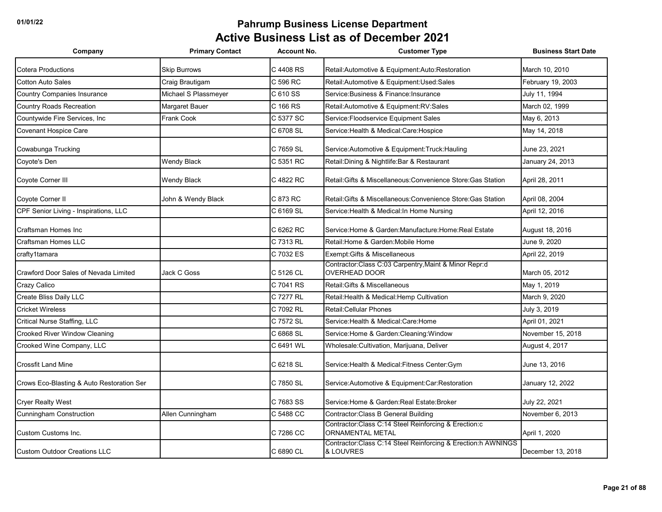| Company                                   | <b>Primary Contact</b> | <b>Account No.</b> | <b>Customer Type</b>                                                            | <b>Business Start Date</b> |
|-------------------------------------------|------------------------|--------------------|---------------------------------------------------------------------------------|----------------------------|
| <b>Cotera Productions</b>                 | <b>Skip Burrows</b>    | C 4408 RS          | Retail: Automotive & Equipment: Auto: Restoration                               | March 10, 2010             |
| <b>Cotton Auto Sales</b>                  | Craig Brautigam        | C 596 RC           | Retail:Automotive & Equipment:Used:Sales                                        | February 19, 2003          |
| <b>Country Companies Insurance</b>        | Michael S Plassmeyer   | C 610 SS           | Service: Business & Finance: Insurance                                          | July 11, 1994              |
| <b>Country Roads Recreation</b>           | Margaret Bauer         | C 166 RS           | Retail: Automotive & Equipment: RV: Sales                                       | March 02. 1999             |
| Countywide Fire Services, Inc             | Frank Cook             | C 5377 SC          | Service: Floodservice Equipment Sales                                           | May 6, 2013                |
| <b>Covenant Hospice Care</b>              |                        | C 6708 SL          | Service: Health & Medical: Care: Hospice                                        | May 14, 2018               |
| Cowabunga Trucking                        |                        | C 7659 SL          | Service: Automotive & Equipment: Truck: Hauling                                 | June 23, 2021              |
| Coyote's Den                              | <b>Wendy Black</b>     | C 5351 RC          | Retail: Dining & Nightlife: Bar & Restaurant                                    | January 24, 2013           |
| Coyote Corner III                         | <b>Wendy Black</b>     | C 4822 RC          | Retail: Gifts & Miscellaneous: Convenience Store: Gas Station                   | April 28, 2011             |
| Coyote Corner II                          | John & Wendy Black     | C 873 RC           | Retail: Gifts & Miscellaneous: Convenience Store: Gas Station                   | April 08, 2004             |
| CPF Senior Living - Inspirations, LLC     |                        | C 6169 SL          | Service: Health & Medical: In Home Nursing                                      | April 12, 2016             |
| Craftsman Homes Inc                       |                        | C 6262 RC          | Service: Home & Garden: Manufacture: Home: Real Estate                          | August 18, 2016            |
| Craftsman Homes LLC                       |                        | C 7313 RL          | Retail: Home & Garden: Mobile Home                                              | June 9, 2020               |
| crafty1tamara                             |                        | C 7032 ES          | Exempt: Gifts & Miscellaneous                                                   | April 22, 2019             |
| Crawford Door Sales of Nevada Limited     | Jack C Goss            | C 5126 CL          | Contractor:Class C:03 Carpentry, Maint & Minor Repr:d<br>OVERHEAD DOOR          | March 05, 2012             |
| Crazy Calico                              |                        | C 7041 RS          | Retail: Gifts & Miscellaneous                                                   | May 1, 2019                |
| Create Bliss Daily LLC                    |                        | C 7277 RL          | Retail: Health & Medical: Hemp Cultivation                                      | March 9. 2020              |
| <b>Cricket Wireless</b>                   |                        | C 7092 RL          | Retail: Cellular Phones                                                         | July 3, 2019               |
| Critical Nurse Staffing, LLC              |                        | C 7572 SL          | Service: Health & Medical: Care: Home                                           | April 01, 2021             |
| Crooked River Window Cleaning             |                        | C 6868 SL          | Service: Home & Garden: Cleaning: Window                                        | November 15, 2018          |
| Crooked Wine Company, LLC                 |                        | C 6491 WL          | Wholesale: Cultivation, Marijuana, Deliver                                      | August 4, 2017             |
| <b>Crossfit Land Mine</b>                 |                        | C 6218 SL          | Service: Health & Medical: Fitness Center: Gym                                  | June 13, 2016              |
| Crows Eco-Blasting & Auto Restoration Ser |                        | C 7850 SL          | Service: Automotive & Equipment: Car: Restoration                               | January 12, 2022           |
| <b>Cryer Realty West</b>                  |                        | C 7683 SS          | Service: Home & Garden: Real Estate: Broker                                     | July 22, 2021              |
| Cunningham Construction                   | Allen Cunningham       | C 5488 CC          | Contractor: Class B General Building                                            | November 6, 2013           |
| Custom Customs Inc.                       |                        | C 7286 CC          | Contractor:Class C:14 Steel Reinforcing & Erection:c<br><b>ORNAMENTAL METAL</b> | April 1, 2020              |
| <b>Custom Outdoor Creations LLC</b>       |                        | C 6890 CL          | Contractor:Class C:14 Steel Reinforcing & Erection:h AWNINGS<br>& LOUVRES       | December 13, 2018          |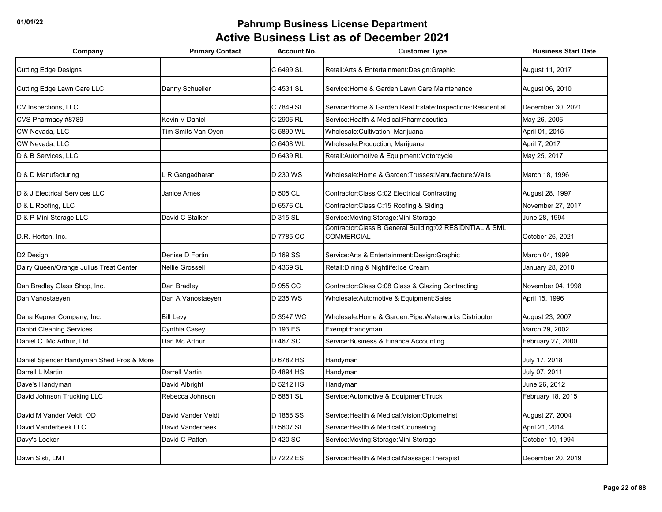| Company                                  | <b>Primary Contact</b> | <b>Account No.</b> | <b>Customer Type</b>                                                           | <b>Business Start Date</b> |
|------------------------------------------|------------------------|--------------------|--------------------------------------------------------------------------------|----------------------------|
| <b>Cutting Edge Designs</b>              |                        | C 6499 SL          | Retail: Arts & Entertainment: Design: Graphic                                  | August 11, 2017            |
| Cutting Edge Lawn Care LLC               | Danny Schueller        | C 4531 SL          | Service: Home & Garden: Lawn Care Maintenance                                  | August 06, 2010            |
| CV Inspections, LLC                      |                        | C 7849 SL          | Service: Home & Garden: Real Estate: Inspections: Residential                  | December 30, 2021          |
| CVS Pharmacy #8789                       | Kevin V Daniel         | C 2906 RL          | Service: Health & Medical: Pharmaceutical                                      | May 26, 2006               |
| CW Nevada, LLC                           | Tim Smits Van Oyen     | C 5890 WL          | Wholesale: Cultivation, Marijuana                                              | April 01, 2015             |
| CW Nevada, LLC                           |                        | C 6408 WL          | Wholesale: Production, Marijuana                                               | April 7, 2017              |
| D & B Services, LLC                      |                        | D 6439 RL          | Retail:Automotive & Equipment:Motorcycle                                       | May 25, 2017               |
| D & D Manufacturing                      | R Gangadharan          | D 230 WS           | Wholesale: Home & Garden: Trusses: Manufacture: Walls                          | March 18, 1996             |
| D & J Electrical Services LLC            | <b>Janice Ames</b>     | D 505 CL           | Contractor: Class C:02 Electrical Contracting                                  | August 28, 1997            |
| D & L Roofing, LLC                       |                        | D 6576 CL          | Contractor: Class C: 15 Roofing & Siding                                       | November 27, 2017          |
| D & P Mini Storage LLC                   | David C Stalker        | D 315 SL           | Service: Moving: Storage: Mini Storage                                         | June 28, 1994              |
| D.R. Horton, Inc.                        |                        | D 7785 CC          | Contractor: Class B General Building: 02 RESIDNTIAL & SML<br><b>COMMERCIAL</b> | October 26, 2021           |
| D <sub>2</sub> Design                    | Denise D Fortin        | D 169 SS           | Service: Arts & Entertainment: Design: Graphic                                 | March 04, 1999             |
| Dairy Queen/Orange Julius Treat Center   | <b>Nellie Grossell</b> | D 4369 SL          | Retail: Dining & Nightlife: Ice Cream                                          | January 28, 2010           |
| Dan Bradley Glass Shop, Inc.             | Dan Bradley            | D 955 CC           | Contractor: Class C:08 Glass & Glazing Contracting                             | November 04, 1998          |
| Dan Vanostaeyen                          | Dan A Vanostaeyen      | D 235 WS           | Wholesale: Automotive & Equipment: Sales                                       | April 15, 1996             |
| Dana Kepner Company, Inc.                | <b>Bill Levy</b>       | D 3547 WC          | Wholesale: Home & Garden: Pipe: Waterworks Distributor                         | August 23, 2007            |
| Danbri Cleaning Services                 | Cynthia Casey          | D 193 ES           | Exempt: Handyman                                                               | March 29, 2002             |
| Daniel C. Mc Arthur, Ltd                 | Dan Mc Arthur          | D 467 SC           | Service: Business & Finance: Accounting                                        | February 27, 2000          |
| Daniel Spencer Handyman Shed Pros & More |                        | D 6782 HS          | Handyman                                                                       | July 17, 2018              |
| Darrell L Martin                         | Darrell Martin         | D 4894 HS          | Handyman                                                                       | July 07, 2011              |
| Dave's Handyman                          | David Albright         | D 5212 HS          | Handyman                                                                       | June 26, 2012              |
| David Johnson Trucking LLC               | Rebecca Johnson        | D 5851 SL          | Service: Automotive & Equipment: Truck                                         | February 18, 2015          |
| David M Vander Veldt, OD                 | David Vander Veldt     | D 1858 SS          | Service: Health & Medical: Vision: Optometrist                                 | August 27, 2004            |
| David Vanderbeek LLC                     | David Vanderbeek       | D 5607 SL          | Service: Health & Medical: Counseling                                          | April 21, 2014             |
| Davy's Locker                            | David C Patten         | D 420 SC           | Service: Moving: Storage: Mini Storage                                         | October 10, 1994           |
| Dawn Sisti, LMT                          |                        | D 7222 ES          | Service: Health & Medical: Massage: Therapist                                  | December 20, 2019          |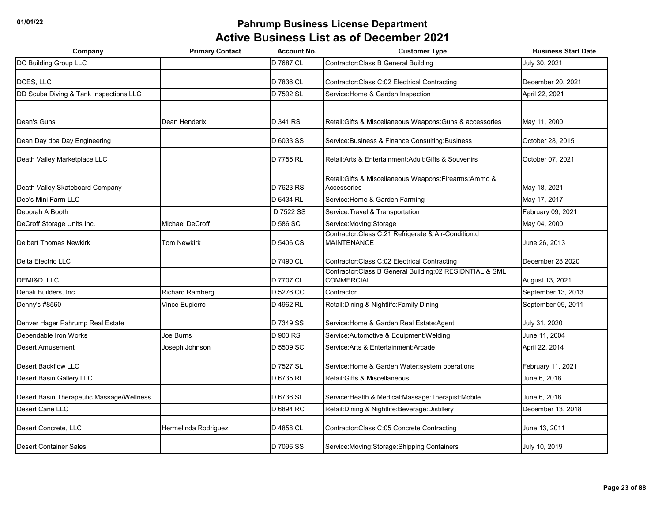| Company                                   | <b>Primary Contact</b> | <b>Account No.</b> | <b>Customer Type</b>                                                         | <b>Business Start Date</b> |
|-------------------------------------------|------------------------|--------------------|------------------------------------------------------------------------------|----------------------------|
| DC Building Group LLC                     |                        | D 7687 CL          | Contractor: Class B General Building                                         | July 30, 2021              |
| DCES. LLC                                 |                        | D 7836 CL          | Contractor: Class C:02 Electrical Contracting                                | December 20, 2021          |
| DD Scuba Diving & Tank Inspections LLC    |                        | D 7592 SL          | Service: Home & Garden: Inspection                                           | April 22, 2021             |
|                                           |                        |                    |                                                                              |                            |
| Dean's Guns                               | Dean Henderix          | D 341 RS           | Retail: Gifts & Miscellaneous: Weapons: Guns & accessories                   | May 11, 2000               |
| Dean Day dba Day Engineering              |                        | D 6033 SS          | Service: Business & Finance: Consulting: Business                            | October 28, 2015           |
| Death Valley Marketplace LLC              |                        | D 7755 RL          | Retail: Arts & Entertainment: Adult: Gifts & Souvenirs                       | October 07, 2021           |
| Death Valley Skateboard Company           |                        | D 7623 RS          | Retail: Gifts & Miscellaneous: Weapons: Firearms: Ammo &<br>Accessories      | May 18, 2021               |
| Deb's Mini Farm LLC                       |                        | D 6434 RL          | Service: Home & Garden: Farming                                              | May 17, 2017               |
| Deborah A Booth                           |                        | D 7522 SS          | Service: Travel & Transportation                                             | February 09, 2021          |
| DeCroff Storage Units Inc.                | Michael DeCroff        | D 586 SC           | Service: Moving: Storage                                                     | May 04, 2000               |
| <b>Delbert Thomas Newkirk</b>             | <b>Tom Newkirk</b>     | D 5406 CS          | Contractor:Class C:21 Refrigerate & Air-Condition:d<br><b>MAINTENANCE</b>    | June 26, 2013              |
| Delta Electric LLC                        |                        | D 7490 CL          | Contractor: Class C:02 Electrical Contracting                                | December 28 2020           |
| DEMI&D, LLC                               |                        | D 7707 CL          | Contractor:Class B General Building:02 RESIDNTIAL & SML<br><b>COMMERCIAL</b> | August 13, 2021            |
| Denali Builders, Inc                      | <b>Richard Ramberg</b> | D 5276 CC          | Contractor                                                                   | September 13, 2013         |
| Denny's #8560                             | Vince Eupierre         | D 4962 RL          | Retail: Dining & Nightlife: Family Dining                                    | September 09, 2011         |
| Denver Hager Pahrump Real Estate          |                        | D 7349 SS          | Service: Home & Garden: Real Estate: Agent                                   | July 31, 2020              |
| Dependable Iron Works                     | Joe Burns              | D 903 RS           | Service:Automotive & Equipment:Welding                                       | June 11, 2004              |
| <b>Desert Amusement</b>                   | Joseph Johnson         | D 5509 SC          | Service: Arts & Entertainment: Arcade                                        | April 22, 2014             |
| Desert Backflow LLC                       |                        | D 7527 SL          | Service: Home & Garden: Water: system operations                             | February 11, 2021          |
| Desert Basin Gallery LLC                  |                        | D 6735 RL          | Retail: Gifts & Miscellaneous                                                | June 6, 2018               |
| Desert Basin Therapeutic Massage/Wellness |                        | D 6736 SL          | Service: Health & Medical: Massage: Therapist: Mobile                        | June 6, 2018               |
| Desert Cane LLC                           |                        | D 6894 RC          | Retail: Dining & Nightlife: Beverage: Distillery                             | December 13, 2018          |
| Desert Concrete, LLC                      | Hermelinda Rodriguez   | D 4858 CL          | Contractor: Class C:05 Concrete Contracting                                  | June 13, 2011              |
| Desert Container Sales                    |                        | D 7096 SS          | Service: Moving: Storage: Shipping Containers                                | July 10, 2019              |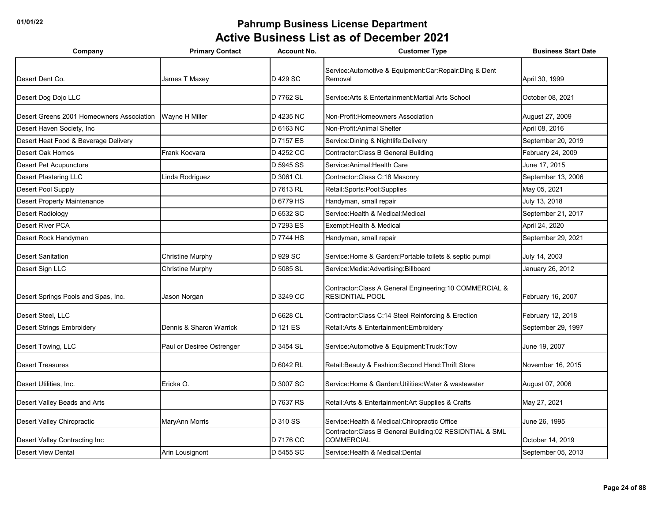| Company                                   | <b>Primary Contact</b>    | <b>Account No.</b> | <b>Customer Type</b>                                                               | <b>Business Start Date</b> |
|-------------------------------------------|---------------------------|--------------------|------------------------------------------------------------------------------------|----------------------------|
| Desert Dent Co.                           | James T Maxey             | D 429 SC           | Service: Automotive & Equipment: Car: Repair: Ding & Dent<br>Removal               | April 30, 1999             |
| Desert Dog Dojo LLC                       |                           | D 7762 SL          | Service: Arts & Entertainment: Martial Arts School                                 | October 08, 2021           |
| Desert Greens 2001 Homeowners Association | Wayne H Miller            | D 4235 NC          | Non-Profit: Homeowners Association                                                 | August 27, 2009            |
| Desert Haven Society, Inc.                |                           | D 6163 NC          | Non-Profit: Animal Shelter                                                         | April 08, 2016             |
| Desert Heat Food & Beverage Delivery      |                           | D 7157 ES          | Service: Dining & Nightlife: Delivery                                              | September 20, 2019         |
| Desert Oak Homes                          | Frank Kocvara             | D 4252 CC          | Contractor: Class B General Building                                               | February 24, 2009          |
| <b>Desert Pet Acupuncture</b>             |                           | D 5945 SS          | Service: Animal: Health Care                                                       | June 17, 2015              |
| Desert Plastering LLC                     | Linda Rodriguez           | D 3061 CL          | Contractor:Class C:18 Masonry                                                      | September 13, 2006         |
| Desert Pool Supply                        |                           | D 7613 RL          | Retail:Sports:Pool:Supplies                                                        | May 05, 2021               |
| <b>Desert Property Maintenance</b>        |                           | D 6779 HS          | Handyman, small repair                                                             | July 13, 2018              |
| <b>Desert Radiology</b>                   |                           | D 6532 SC          | Service: Health & Medical: Medical                                                 | September 21, 2017         |
| Desert River PCA                          |                           | D 7293 ES          | Exempt: Health & Medical                                                           | April 24, 2020             |
| Desert Rock Handyman                      |                           | D 7744 HS          | Handyman, small repair                                                             | September 29, 2021         |
| <b>Desert Sanitation</b>                  | <b>Christine Murphy</b>   | D 929 SC           | Service: Home & Garden: Portable toilets & septic pumpi                            | July 14, 2003              |
| Desert Sign LLC                           | <b>Christine Murphy</b>   | D 5085 SL          | Service: Media: Advertising: Billboard                                             | January 26, 2012           |
| Desert Springs Pools and Spas, Inc.       | Jason Norgan              | D 3249 CC          | Contractor: Class A General Engineering: 10 COMMERCIAL &<br><b>RESIDNTIAL POOL</b> | February 16, 2007          |
| Desert Steel, LLC                         |                           | D 6628 CL          | Contractor: Class C: 14 Steel Reinforcing & Erection                               | February 12, 2018          |
| <b>Desert Strings Embroidery</b>          | Dennis & Sharon Warrick   | D 121 ES           | Retail: Arts & Entertainment: Embroidery                                           | September 29, 1997         |
| Desert Towing, LLC                        | Paul or Desiree Ostrenger | D 3454 SL          | Service: Automotive & Equipment: Truck: Tow                                        | June 19, 2007              |
| <b>Desert Treasures</b>                   |                           | D 6042 RL          | Retail: Beauty & Fashion: Second Hand: Thrift Store                                | November 16, 2015          |
| Desert Utilities, Inc.                    | Ericka O.                 | D 3007 SC          | Service:Home & Garden:Utilities:Water & wastewater                                 | August 07, 2006            |
| Desert Valley Beads and Arts              |                           | D 7637 RS          | Retail: Arts & Entertainment: Art Supplies & Crafts                                | May 27, 2021               |
| Desert Valley Chiropractic                | MaryAnn Morris            | D 310 SS           | Service: Health & Medical: Chiropractic Office                                     | June 26, 1995              |
| Desert Valley Contracting Inc             |                           | D 7176 CC          | Contractor: Class B General Building: 02 RESIDNTIAL & SML<br><b>COMMERCIAL</b>     | October 14, 2019           |
| <b>Desert View Dental</b>                 | Arin Lousignont           | D 5455 SC          | Service: Health & Medical: Dental                                                  | September 05, 2013         |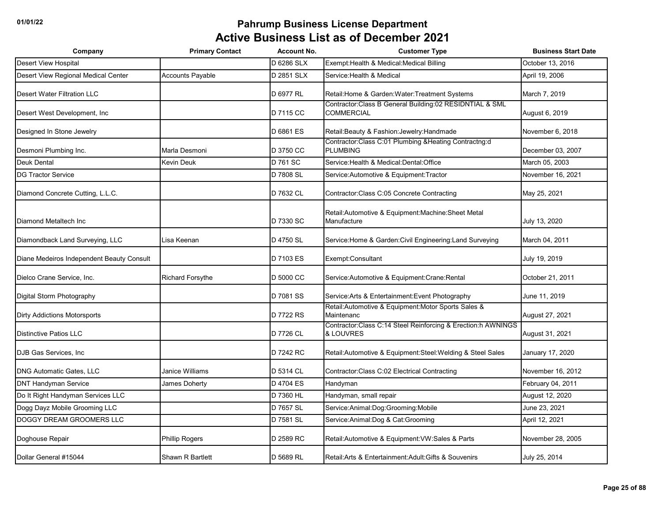| Company                                   | <b>Primary Contact</b>  | <b>Account No.</b> | <b>Customer Type</b>                                                           | <b>Business Start Date</b> |
|-------------------------------------------|-------------------------|--------------------|--------------------------------------------------------------------------------|----------------------------|
| <b>Desert View Hospital</b>               |                         | D 6286 SLX         | Exempt: Health & Medical: Medical Billing                                      | October 13, 2016           |
| Desert View Regional Medical Center       | Accounts Payable        | D 2851 SLX         | Service: Health & Medical                                                      | April 19, 2006             |
| <b>Desert Water Filtration LLC</b>        |                         | D 6977 RL          | Retail: Home & Garden: Water: Treatment Systems                                | March 7, 2019              |
| Desert West Development, Inc.             |                         | D 7115 CC          | Contractor: Class B General Building: 02 RESIDNTIAL & SML<br><b>COMMERCIAL</b> | August 6, 2019             |
| Designed In Stone Jewelry                 |                         | D 6861 ES          | Retail: Beauty & Fashion: Jewelry: Handmade                                    | November 6, 2018           |
| Desmoni Plumbing Inc.                     | Marla Desmoni           | D 3750 CC          | Contractor:Class C:01 Plumbing &Heating Contractng:d<br><b>PLUMBING</b>        | December 03, 2007          |
| <b>Deuk Dental</b>                        | Kevin Deuk              | D 761 SC           | Service: Health & Medical: Dental: Office                                      | March 05, 2003             |
| <b>DG Tractor Service</b>                 |                         | D 7808 SL          | Service: Automotive & Equipment: Tractor                                       | November 16, 2021          |
| Diamond Concrete Cutting, L.L.C.          |                         | D 7632 CL          | Contractor: Class C:05 Concrete Contracting                                    | May 25, 2021               |
| Diamond Metaltech Inc                     |                         | D 7330 SC          | Retail: Automotive & Equipment: Machine: Sheet Metal<br>Manufacture            | July 13, 2020              |
| Diamondback Land Surveying, LLC           | Lisa Keenan             | D 4750 SL          | Service: Home & Garden: Civil Engineering: Land Surveying                      | March 04, 2011             |
| Diane Medeiros Independent Beauty Consult |                         | D 7103 ES          | Exempt:Consultant                                                              | July 19, 2019              |
| Dielco Crane Service, Inc.                | <b>Richard Forsythe</b> | D 5000 CC          | Service: Automotive & Equipment: Crane: Rental                                 | October 21, 2011           |
| Digital Storm Photography                 |                         | D 7081 SS          | Service: Arts & Entertainment: Event Photography                               | June 11, 2019              |
| <b>Dirty Addictions Motorsports</b>       |                         | D 7722 RS          | Retail: Automotive & Equipment: Motor Sports Sales &<br>Maintenanc             | August 27, 2021            |
| <b>Distinctive Patios LLC</b>             |                         | D 7726 CL          | Contractor:Class C:14 Steel Reinforcing & Erection:h AWNINGS<br>& LOUVRES      | August 31, 2021            |
| DJB Gas Services, Inc.                    |                         | D 7242 RC          | Retail: Automotive & Equipment: Steel: Welding & Steel Sales                   | January 17, 2020           |
| DNG Automatic Gates, LLC                  | Janice Williams         | D 5314 CL          | Contractor: Class C:02 Electrical Contracting                                  | November 16, 2012          |
| <b>DNT Handyman Service</b>               | James Doherty           | D 4704 ES          | Handyman                                                                       | February 04, 2011          |
| Do It Right Handyman Services LLC         |                         | D 7360 HL          | Handyman, small repair                                                         | August 12, 2020            |
| Dogg Dayz Mobile Grooming LLC             |                         | D 7657 SL          | Service:Animal:Dog:Grooming:Mobile                                             | June 23, 2021              |
| <b>DOGGY DREAM GROOMERS LLC</b>           |                         | D 7581 SL          | Service: Animal: Dog & Cat: Grooming                                           | April 12, 2021             |
| Doghouse Repair                           | <b>Phillip Rogers</b>   | D 2589 RC          | Retail: Automotive & Equipment: VW: Sales & Parts                              | November 28, 2005          |
| Dollar General #15044                     | Shawn R Bartlett        | D 5689 RL          | Retail: Arts & Entertainment: Adult: Gifts & Souvenirs                         | July 25, 2014              |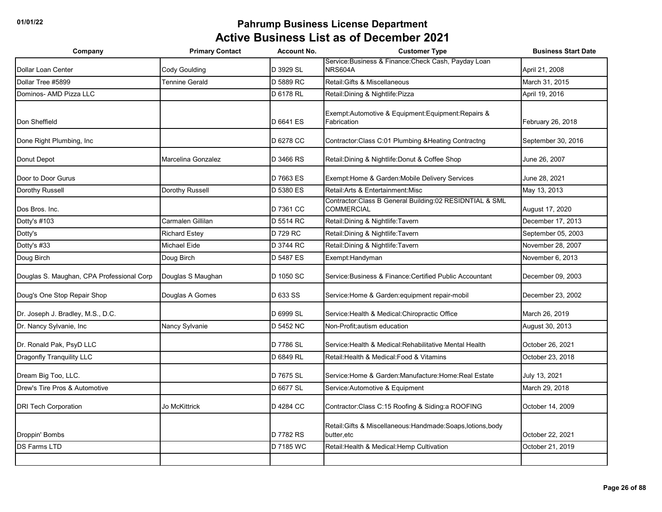| Company                                   | <b>Primary Contact</b> | <b>Account No.</b> | <b>Customer Type</b>                                                         | <b>Business Start Date</b> |
|-------------------------------------------|------------------------|--------------------|------------------------------------------------------------------------------|----------------------------|
| Dollar Loan Center                        | <b>Cody Goulding</b>   | D 3929 SL          | Service: Business & Finance: Check Cash, Payday Loan<br>NRS604A              | April 21, 2008             |
| Dollar Tree #5899                         | Tennine Gerald         | D 5889 RC          | Retail: Gifts & Miscellaneous                                                | March 31, 2015             |
| Dominos- AMD Pizza LLC                    |                        | D 6178 RL          | Retail: Dining & Nightlife: Pizza                                            | April 19, 2016             |
| Don Sheffield                             |                        | D 6641 ES          | Exempt:Automotive & Equipment:Equipment:Repairs &<br>Fabrication             | February 26, 2018          |
| Done Right Plumbing, Inc                  |                        | D 6278 CC          | Contractor:Class C:01 Plumbing & Heating Contractng                          | September 30, 2016         |
| Donut Depot                               | Marcelina Gonzalez     | D 3466 RS          | Retail: Dining & Nightlife: Donut & Coffee Shop                              | June 26, 2007              |
| Door to Door Gurus                        |                        | D 7663 ES          | Exempt: Home & Garden: Mobile Delivery Services                              | June 28, 2021              |
| Dorothy Russell                           | Dorothy Russell        | D 5380 ES          | Retail: Arts & Entertainment: Misc                                           | May 13, 2013               |
| Dos Bros, Inc.                            |                        | D 7361 CC          | Contractor:Class B General Building:02 RESIDNTIAL & SML<br><b>COMMERCIAL</b> | August 17, 2020            |
| Dotty's #103                              | Carmalen Gillilan      | D 5514 RC          | Retail: Dining & Nightlife: Tavern                                           | December 17, 2013          |
| Dotty's                                   | <b>Richard Estey</b>   | D 729 RC           | Retail: Dining & Nightlife: Tavern                                           | September 05, 2003         |
| Dotty's #33                               | Michael Eide           | D 3744 RC          | Retail: Dining & Nightlife: Tavern                                           | November 28, 2007          |
| Doug Birch                                | Doug Birch             | D 5487 ES          | Exempt:Handyman                                                              | November 6, 2013           |
| Douglas S. Maughan, CPA Professional Corp | Douglas S Maughan      | D 1050 SC          | Service: Business & Finance: Certified Public Accountant                     | December 09, 2003          |
| Doug's One Stop Repair Shop               | Douglas A Gomes        | D 633 SS           | Service: Home & Garden: equipment repair-mobil                               | December 23, 2002          |
| Dr. Joseph J. Bradley, M.S., D.C.         |                        | D 6999 SL          | Service: Health & Medical: Chiropractic Office                               | March 26, 2019             |
| Dr. Nancy Sylvanie, Inc                   | Nancy Sylvanie         | D 5452 NC          | Non-Profit; autism education                                                 | August 30, 2013            |
| Dr. Ronald Pak, PsyD LLC                  |                        | D 7786 SL          | Service:Health & Medical:Rehabilitative Mental Health                        | October 26, 2021           |
| Dragonfly Tranquility LLC                 |                        | D 6849 RL          | Retail: Health & Medical: Food & Vitamins                                    | October 23, 2018           |
| Dream Big Too, LLC.                       |                        | D 7675 SL          | Service:Home & Garden:Manufacture:Home:Real Estate                           | July 13, 2021              |
| Drew's Tire Pros & Automotive             |                        | D 6677 SL          | Service: Automotive & Equipment                                              | March 29, 2018             |
| <b>DRI Tech Corporation</b>               | Jo McKittrick          | D 4284 CC          | Contractor: Class C:15 Roofing & Siding: a ROOFING                           | October 14, 2009           |
| Droppin' Bombs                            |                        | D 7782 RS          | Retail: Gifts & Miscellaneous: Handmade: Soaps, lotions, body<br>butter, etc | October 22, 2021           |
| <b>DS Farms LTD</b>                       |                        | D 7185 WC          | Retail: Health & Medical: Hemp Cultivation                                   | October 21, 2019           |
|                                           |                        |                    |                                                                              |                            |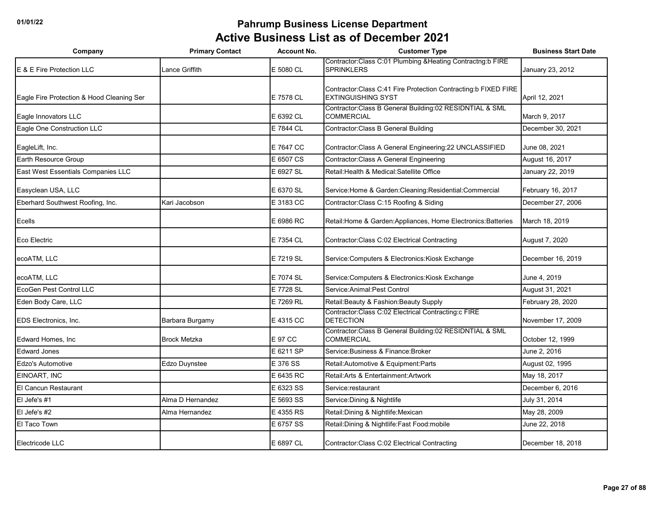| Company                                   | <b>Primary Contact</b> | <b>Account No.</b> | <b>Customer Type</b>                                                                          | <b>Business Start Date</b> |
|-------------------------------------------|------------------------|--------------------|-----------------------------------------------------------------------------------------------|----------------------------|
| E & E Fire Protection LLC                 | Lance Griffith         | E 5080 CL          | Contractor:Class C:01 Plumbing &Heating Contractng:b FIRE<br><b>SPRINKLERS</b>                | January 23, 2012           |
| Eagle Fire Protection & Hood Cleaning Ser |                        | E 7578 CL          | Contractor: Class C:41 Fire Protection Contracting: b FIXED FIRE<br><b>EXTINGUISHING SYST</b> | April 12, 2021             |
| Eagle Innovators LLC                      |                        | E 6392 CL          | Contractor: Class B General Building: 02 RESIDNTIAL & SML<br><b>COMMERCIAL</b>                | March 9, 2017              |
| Eagle One Construction LLC                |                        | E 7844 CL          | Contractor: Class B General Building                                                          | December 30, 2021          |
| EagleLift, Inc.                           |                        | E 7647 CC          | Contractor: Class A General Engineering: 22 UNCLASSIFIED                                      | June 08, 2021              |
| Earth Resource Group                      |                        | E 6507 CS          | Contractor: Class A General Engineering                                                       | August 16, 2017            |
| East West Essentials Companies LLC        |                        | E 6927 SL          | Retail: Health & Medical: Satellite Office                                                    | January 22, 2019           |
| Easyclean USA, LLC                        |                        | E 6370 SL          | Service: Home & Garden: Cleaning: Residential: Commercial                                     | February 16, 2017          |
| Eberhard Southwest Roofing, Inc.          | Kari Jacobson          | E 3183 CC          | Contractor: Class C: 15 Roofing & Siding                                                      | December 27, 2006          |
| Ecells                                    |                        | E 6986 RC          | Retail: Home & Garden: Appliances, Home Electronics: Batteries                                | March 18, 2019             |
| Eco Electric                              |                        | E 7354 CL          | Contractor: Class C:02 Electrical Contracting                                                 | August 7, 2020             |
| ecoATM, LLC                               |                        | E 7219 SL          | Service: Computers & Electronics: Kiosk Exchange                                              | December 16, 2019          |
| ecoATM, LLC                               |                        | E 7074 SL          | Service: Computers & Electronics: Kiosk Exchange                                              | June 4, 2019               |
| EcoGen Pest Control LLC                   |                        | E 7728 SL          | Service: Animal: Pest Control                                                                 | August 31, 2021            |
| Eden Body Care, LLC                       |                        | E 7269 RL          | Retail: Beauty & Fashion: Beauty Supply                                                       | February 28, 2020          |
| EDS Electronics, Inc.                     | Barbara Burgamy        | E 4315 CC          | Contractor:Class C:02 Electrical Contracting:c FIRE<br><b>DETECTION</b>                       | November 17, 2009          |
| Edward Homes, Inc                         | <b>Brock Metzka</b>    | E 97 CC            | Contractor: Class B General Building: 02 RESIDNTIAL & SML<br><b>COMMERCIAL</b>                | October 12, 1999           |
| <b>Edward Jones</b>                       |                        | E 6211 SP          | Service: Business & Finance: Broker                                                           | June 2, 2016               |
| <b>Edzo's Automotive</b>                  | Edzo Duynstee          | E 376 SS           | Retail:Automotive & Equipment:Parts                                                           | August 02, 1995            |
| EINOART, INC                              |                        | E 6435 RC          | Retail: Arts & Entertainment: Artwork                                                         | May 18, 2017               |
| El Cancun Restaurant                      |                        | E 6323 SS          | Service:restaurant                                                                            | December 6, 2016           |
| El Jefe's #1                              | Alma D Hernandez       | E 5693 SS          | Service: Dining & Nightlife                                                                   | July 31, 2014              |
| El Jefe's #2                              | Alma Hernandez         | E 4355 RS          | Retail: Dining & Nightlife: Mexican                                                           | May 28, 2009               |
| El Taco Town                              |                        | E 6757 SS          | Retail: Dining & Nightlife: Fast Food: mobile                                                 | June 22, 2018              |
| Electricode LLC                           |                        | E 6897 CL          | Contractor: Class C:02 Electrical Contracting                                                 | December 18, 2018          |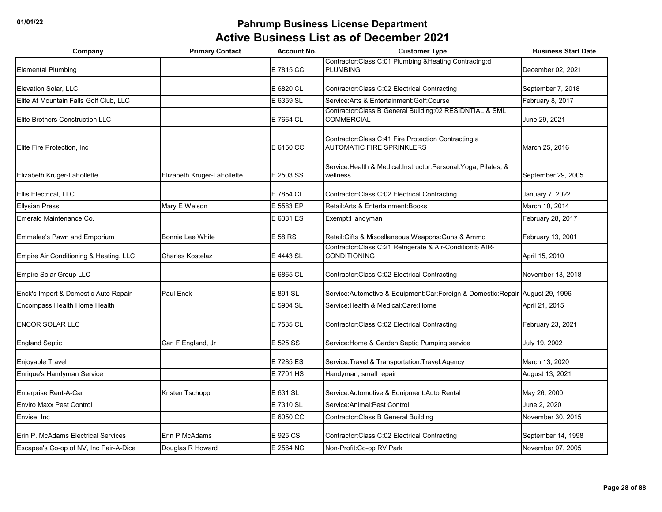| Company                                | <b>Primary Contact</b>      | <b>Account No.</b> | <b>Customer Type</b>                                                                      | <b>Business Start Date</b> |
|----------------------------------------|-----------------------------|--------------------|-------------------------------------------------------------------------------------------|----------------------------|
| <b>Elemental Plumbing</b>              |                             | E 7815 CC          | Contractor: Class C:01 Plumbing & Heating Contractng:d<br><b>PLUMBING</b>                 | December 02, 2021          |
| Elevation Solar, LLC                   |                             | E 6820 CL          | Contractor: Class C:02 Electrical Contracting                                             | September 7, 2018          |
| Elite At Mountain Falls Golf Club, LLC |                             | E 6359 SL          | Service: Arts & Entertainment: Golf: Course                                               | February 8, 2017           |
| Elite Brothers Construction LLC        |                             | E 7664 CL          | Contractor:Class B General Building:02 RESIDNTIAL & SML<br><b>COMMERCIAL</b>              | June 29, 2021              |
| Elite Fire Protection, Inc.            |                             | E 6150 CC          | Contractor: Class C:41 Fire Protection Contracting: a<br><b>AUTOMATIC FIRE SPRINKLERS</b> | March 25, 2016             |
| Elizabeth Kruger-LaFollette            | Elizabeth Kruger-LaFollette | E 2503 SS          | Service: Health & Medical: Instructor: Personal: Yoga, Pilates, &<br>wellness             | September 29, 2005         |
| Ellis Electrical, LLC                  |                             | E 7854 CL          | Contractor: Class C:02 Electrical Contracting                                             | January 7, 2022            |
| <b>Ellysian Press</b>                  | Mary E Welson               | E 5583 EP          | Retail: Arts & Entertainment: Books                                                       | March 10, 2014             |
| Emerald Maintenance Co.                |                             | E 6381 ES          | Exempt:Handyman                                                                           | February 28, 2017          |
| Emmalee's Pawn and Emporium            | Bonnie Lee White            | E 58 RS            | Retail: Gifts & Miscellaneous: Weapons: Guns & Ammo                                       | February 13, 2001          |
| Empire Air Conditioning & Heating, LLC | <b>Charles Kostelaz</b>     | E 4443 SL          | Contractor:Class C:21 Refrigerate & Air-Condition:b AIR-<br><b>CONDITIONING</b>           | April 15, 2010             |
| Empire Solar Group LLC                 |                             | E 6865 CL          | Contractor: Class C:02 Electrical Contracting                                             | November 13, 2018          |
| Enck's Import & Domestic Auto Repair   | Paul Enck                   | E 891 SL           | Service: Automotive & Equipment: Car: Foreign & Domestic: Repair August 29, 1996          |                            |
| Encompass Health Home Health           |                             | E 5904 SL          | Service: Health & Medical: Care: Home                                                     | April 21, 2015             |
| <b>ENCOR SOLAR LLC</b>                 |                             | E 7535 CL          | Contractor: Class C:02 Electrical Contracting                                             | February 23, 2021          |
| <b>England Septic</b>                  | Carl F England, Jr          | E 525 SS           | Service: Home & Garden: Septic Pumping service                                            | July 19, 2002              |
| Enjoyable Travel                       |                             | E 7285 ES          | Service: Travel & Transportation: Travel: Agency                                          | March 13, 2020             |
| Enrique's Handyman Service             |                             | E 7701 HS          | Handyman, small repair                                                                    | August 13, 2021            |
| Enterprise Rent-A-Car                  | Kristen Tschopp             | E 631 SL           | Service: Automotive & Equipment: Auto Rental                                              | May 26, 2000               |
| <b>Enviro Maxx Pest Control</b>        |                             | E 7310 SL          | Service: Animal: Pest Control                                                             | June 2, 2020               |
| Envise, Inc.                           |                             | E 6050 CC          | Contractor: Class B General Building                                                      | November 30, 2015          |
| Erin P. McAdams Electrical Services    | Erin P McAdams              | E 925 CS           | Contractor: Class C:02 Electrical Contracting                                             | September 14, 1998         |
| Escapee's Co-op of NV, Inc Pair-A-Dice | Douglas R Howard            | E 2564 NC          | Non-Profit: Co-op RV Park                                                                 | November 07, 2005          |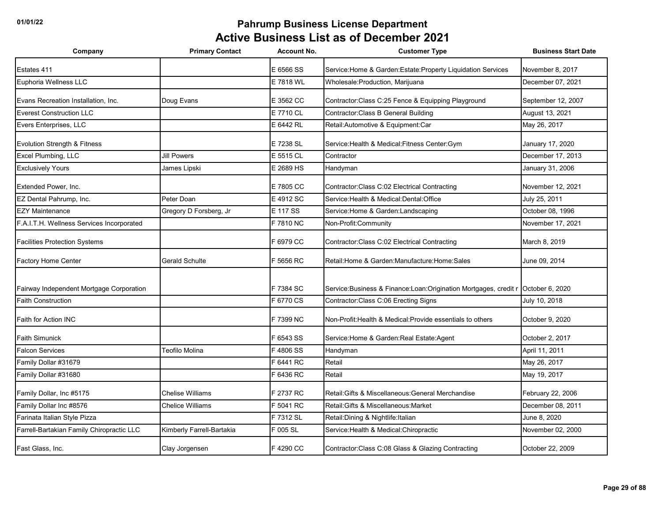| Company                                   | <b>Primary Contact</b>    | <b>Account No.</b> | <b>Customer Type</b>                                               | <b>Business Start Date</b> |
|-------------------------------------------|---------------------------|--------------------|--------------------------------------------------------------------|----------------------------|
| Estates 411                               |                           | E 6566 SS          | Service: Home & Garden: Estate: Property Liquidation Services      | November 8, 2017           |
| Euphoria Wellness LLC                     |                           | E 7818 WL          | Wholesale: Production, Marijuana                                   | December 07, 2021          |
| Evans Recreation Installation, Inc.       | Doug Evans                | E 3562 CC          | Contractor: Class C:25 Fence & Equipping Playground                | September 12, 2007         |
| <b>Everest Construction LLC</b>           |                           | E 7710 CL          | Contractor: Class B General Building                               | August 13, 2021            |
| Evers Enterprises, LLC                    |                           | E 6442 RL          | Retail: Automotive & Equipment: Car                                | May 26, 2017               |
| Evolution Strength & Fitness              |                           | E 7238 SL          | Service: Health & Medical: Fitness Center: Gym                     | January 17, 2020           |
| Excel Plumbing, LLC                       | <b>Jill Powers</b>        | E 5515 CL          | Contractor                                                         | December 17, 2013          |
| <b>Exclusively Yours</b>                  | James Lipski              | E 2689 HS          | Handyman                                                           | January 31, 2006           |
| Extended Power, Inc.                      |                           | E 7805 CC          | Contractor: Class C:02 Electrical Contracting                      | November 12, 2021          |
| EZ Dental Pahrump, Inc.                   | Peter Doan                | E 4912 SC          | Service: Health & Medical: Dental: Office                          | July 25, 2011              |
| <b>EZY Maintenance</b>                    | Gregory D Forsberg, Jr    | E 117 SS           | Service: Home & Garden: Landscaping                                | October 08, 1996           |
| F.A.I.T.H. Wellness Services Incorporated |                           | F 7810 NC          | Non-Profit:Community                                               | November 17, 2021          |
| <b>Facilities Protection Systems</b>      |                           | F 6979 CC          | Contractor: Class C:02 Electrical Contracting                      | March 8, 2019              |
| <b>Factory Home Center</b>                | Gerald Schulte            | F 5656 RC          | Retail: Home & Garden: Manufacture: Home: Sales                    | June 09, 2014              |
| Fairway Independent Mortgage Corporation  |                           | F 7384 SC          | Service: Business & Finance: Loan: Origination Mortgages, credit r | October 6, 2020            |
| <b>Faith Construction</b>                 |                           | F 6770 CS          | Contractor: Class C:06 Erecting Signs                              | July 10, 2018              |
| Faith for Action INC                      |                           | F 7399 NC          | Non-Profit: Health & Medical: Provide essentials to others         | October 9, 2020            |
| <b>Faith Simunick</b>                     |                           | F 6543 SS          | Service: Home & Garden: Real Estate: Agent                         | October 2, 2017            |
| <b>Falcon Services</b>                    | Teofilo Molina            | F4806 SS           | Handyman                                                           | April 11, 2011             |
| Family Dollar #31679                      |                           | F 6441 RC          | Retail                                                             | May 26, 2017               |
| Family Dollar #31680                      |                           | F 6436 RC          | Retail                                                             | May 19, 2017               |
| Family Dollar, Inc #5175                  | <b>Chelise Williams</b>   | F 2737 RC          | Retail: Gifts & Miscellaneous: General Merchandise                 | February 22, 2006          |
| Family Dollar Inc #8576                   | Chelice Williams          | F 5041 RC          | Retail: Gifts & Miscellaneous: Market                              | December 08, 2011          |
| Farinata Italian Style Pizza              |                           | F 7312 SL          | Retail: Dining & Nightlife: Italian                                | June 8, 2020               |
| Farrell-Bartakian Family Chiropractic LLC | Kimberly Farrell-Bartakia | F 005 SL           | Service: Health & Medical: Chiropractic                            | November 02, 2000          |
| Fast Glass, Inc.                          | Clay Jorgensen            | F 4290 CC          | Contractor: Class C:08 Glass & Glazing Contracting                 | October 22, 2009           |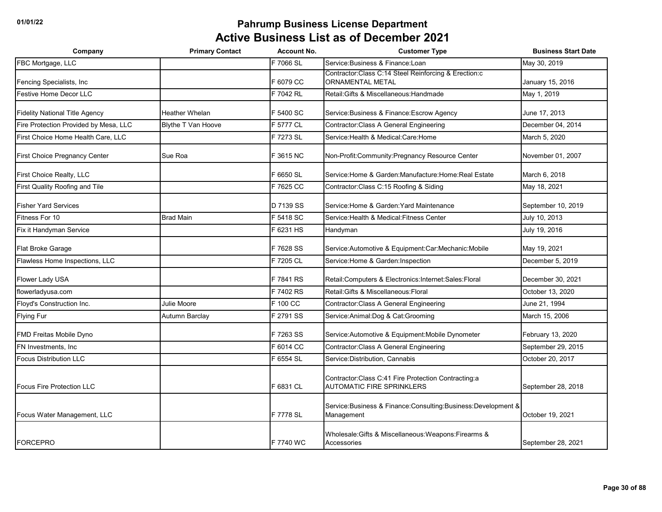| Company                               | <b>Primary Contact</b>    | <b>Account No.</b> | <b>Customer Type</b>                                                                     | <b>Business Start Date</b> |
|---------------------------------------|---------------------------|--------------------|------------------------------------------------------------------------------------------|----------------------------|
| FBC Mortgage, LLC                     |                           | F 7066 SL          | Service: Business & Finance: Loan                                                        | May 30, 2019               |
| Fencing Specialists, Inc.             |                           | F 6079 CC          | Contractor: Class C:14 Steel Reinforcing & Erection: c<br><b>ORNAMENTAL METAL</b>        | January 15, 2016           |
| <b>Festive Home Decor LLC</b>         |                           | F 7042 RL          | Retail: Gifts & Miscellaneous: Handmade                                                  | May 1, 2019                |
| <b>Fidelity National Title Agency</b> | <b>Heather Whelan</b>     | F 5400 SC          | Service: Business & Finance: Escrow Agency                                               | June 17, 2013              |
| Fire Protection Provided by Mesa, LLC | <b>Blythe T Van Hoove</b> | F 5777 CL          | Contractor: Class A General Engineering                                                  | December 04, 2014          |
| First Choice Home Health Care, LLC    |                           | F 7273 SL          | Service: Health & Medical: Care: Home                                                    | March 5, 2020              |
| First Choice Pregnancy Center         | Sue Roa                   | F 3615 NC          | Non-Profit: Community: Pregnancy Resource Center                                         | November 01, 2007          |
| First Choice Realty, LLC              |                           | F 6650 SL          | Service: Home & Garden: Manufacture: Home: Real Estate                                   | March 6, 2018              |
| First Quality Roofing and Tile        |                           | F 7625 CC          | Contractor: Class C:15 Roofing & Siding                                                  | May 18, 2021               |
| <b>Fisher Yard Services</b>           |                           | D 7139 SS          | Service: Home & Garden: Yard Maintenance                                                 | September 10, 2019         |
| Fitness For 10                        | <b>Brad Main</b>          | F 5418 SC          | Service: Health & Medical: Fitness Center                                                | July 10, 2013              |
| Fix it Handyman Service               |                           | F 6231 HS          | Handyman                                                                                 | July 19, 2016              |
| Flat Broke Garage                     |                           | F 7628 SS          | Service: Automotive & Equipment: Car: Mechanic: Mobile                                   | May 19, 2021               |
| Flawless Home Inspections, LLC        |                           | F 7205 CL          | Service: Home & Garden: Inspection                                                       | December 5, 2019           |
| Flower Lady USA                       |                           | F 7841 RS          | Retail:Computers & Electronics:Internet:Sales:Floral                                     | December 30, 2021          |
| flowerladyusa.com                     |                           | F 7402 RS          | Retail: Gifts & Miscellaneous: Floral                                                    | October 13, 2020           |
| Floyd's Construction Inc.             | Julie Moore               | F 100 CC           | Contractor: Class A General Engineering                                                  | June 21, 1994              |
| <b>Flying Fur</b>                     | Autumn Barclay            | F 2791 SS          | Service: Animal: Dog & Cat: Grooming                                                     | March 15, 2006             |
| FMD Freitas Mobile Dyno               |                           | F 7263 SS          | Service: Automotive & Equipment: Mobile Dynometer                                        | February 13, 2020          |
| FN Investments, Inc                   |                           | F 6014 CC          | Contractor: Class A General Engineering                                                  | September 29, 2015         |
| <b>Focus Distribution LLC</b>         |                           | F 6554 SL          | Service: Distribution, Cannabis                                                          | October 20, 2017           |
| <b>Focus Fire Protection LLC</b>      |                           | F 6831 CL          | Contractor: Class C:41 Fire Protection Contracting:a<br><b>AUTOMATIC FIRE SPRINKLERS</b> | September 28, 2018         |
| Focus Water Management, LLC           |                           | F 7778 SL          | Service:Business & Finance:Consulting:Business:Development &<br>Management               | October 19, 2021           |
| <b>FORCEPRO</b>                       |                           | F 7740 WC          | Wholesale: Gifts & Miscellaneous: Weapons: Firearms &<br>Accessories                     | September 28, 2021         |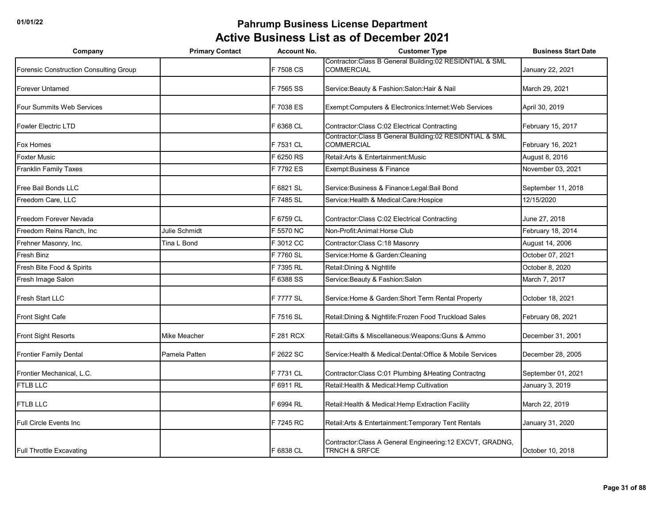| Company                                | <b>Primary Contact</b> | <b>Account No.</b> | <b>Customer Type</b>                                                                   | <b>Business Start Date</b> |
|----------------------------------------|------------------------|--------------------|----------------------------------------------------------------------------------------|----------------------------|
| Forensic Construction Consulting Group |                        | F 7508 CS          | Contractor: Class B General Building: 02 RESIDNTIAL & SML<br><b>COMMERCIAL</b>         | January 22, 2021           |
| <b>Forever Untamed</b>                 |                        | F 7565 SS          | Service: Beauty & Fashion: Salon: Hair & Nail                                          | March 29, 2021             |
| <b>Four Summits Web Services</b>       |                        | F 7038 ES          | Exempt:Computers & Electronics:Internet:Web Services                                   | April 30, 2019             |
| <b>Fowler Electric LTD</b>             |                        | F 6368 CL          | Contractor: Class C:02 Electrical Contracting                                          | February 15, 2017          |
| Fox Homes                              |                        | F 7531 CL          | Contractor: Class B General Building: 02 RESIDNTIAL & SML<br><b>COMMERCIAL</b>         | February 16, 2021          |
| <b>Foxter Music</b>                    |                        | F 6250 RS          | Retail: Arts & Entertainment: Music                                                    | August 8, 2016             |
| <b>Franklin Family Taxes</b>           |                        | F 7792 ES          | Exempt: Business & Finance                                                             | November 03, 2021          |
| Free Bail Bonds LLC                    |                        | F 6821 SL          | Service: Business & Finance: Legal: Bail Bond                                          | September 11, 2018         |
| Freedom Care, LLC                      |                        | F 7485 SL          | Service: Health & Medical: Care: Hospice                                               | 12/15/2020                 |
| Freedom Forever Nevada                 |                        | F 6759 CL          | Contractor: Class C:02 Electrical Contracting                                          | June 27, 2018              |
| Freedom Reins Ranch, Inc               | Julie Schmidt          | F 5570 NC          | Non-Profit: Animal: Horse Club                                                         | February 18, 2014          |
| Frehner Masonry, Inc.                  | Tina L Bond            | F 3012 CC          | Contractor:Class C:18 Masonry                                                          | August 14, 2006            |
| Fresh Binz                             |                        | F 7760 SL          | Service: Home & Garden: Cleaning                                                       | October 07, 2021           |
| Fresh Bite Food & Spirits              |                        | F 7395 RL          | Retail: Dining & Nightlife                                                             | October 8, 2020            |
| Fresh Image Salon                      |                        | F 6388 SS          | Service: Beauty & Fashion: Salon                                                       | March 7, 2017              |
| Fresh Start LLC                        |                        | F 7777 SL          | Service: Home & Garden: Short Term Rental Property                                     | October 18, 2021           |
| Front Sight Cafe                       |                        | F 7516 SL          | Retail: Dining & Nightlife: Frozen Food Truckload Sales                                | February 08, 2021          |
| <b>Front Sight Resorts</b>             | <b>Mike Meacher</b>    | F 281 RCX          | Retail: Gifts & Miscellaneous: Weapons: Guns & Ammo                                    | December 31, 2001          |
| <b>Frontier Family Dental</b>          | Pamela Patten          | F 2622 SC          | Service: Health & Medical: Dental: Office & Mobile Services                            | December 28, 2005          |
| Frontier Mechanical, L.C.              |                        | F 7731 CL          | Contractor:Class C:01 Plumbing & Heating Contractng                                    | September 01, 2021         |
| <b>FTLB LLC</b>                        |                        | F 6911 RL          | Retail: Health & Medical: Hemp Cultivation                                             | January 3, 2019            |
| FTLB LLC                               |                        | F 6994 RL          | Retail: Health & Medical: Hemp Extraction Facility                                     | March 22, 2019             |
| Full Circle Events Inc                 |                        | F 7245 RC          | Retail: Arts & Entertainment: Temporary Tent Rentals                                   | January 31, 2020           |
| <b>Full Throttle Excavating</b>        |                        | F 6838 CL          | Contractor: Class A General Engineering: 12 EXCVT, GRADNG,<br><b>TRNCH &amp; SRFCE</b> | October 10, 2018           |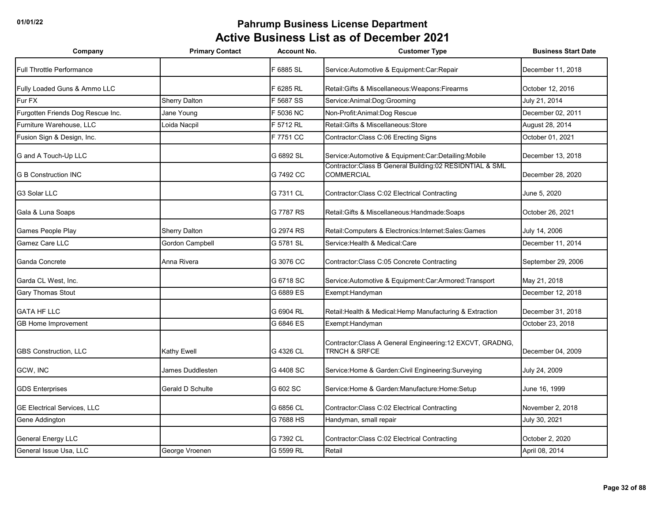| Company                            | <b>Primary Contact</b> | <b>Account No.</b> | <b>Customer Type</b>                                                                   | <b>Business Start Date</b> |
|------------------------------------|------------------------|--------------------|----------------------------------------------------------------------------------------|----------------------------|
| <b>Full Throttle Performance</b>   |                        | F 6885 SL          | Service: Automotive & Equipment: Car: Repair                                           | December 11, 2018          |
| Fully Loaded Guns & Ammo LLC       |                        | F 6285 RL          | Retail: Gifts & Miscellaneous: Weapons: Firearms                                       | October 12, 2016           |
| Fur FX                             | <b>Sherry Dalton</b>   | F 5687 SS          | Service:Animal:Dog:Grooming                                                            | July 21, 2014              |
| Furgotten Friends Dog Rescue Inc.  | Jane Young             | F 5036 NC          | Non-Profit: Animal: Dog Rescue                                                         | December 02, 2011          |
| Furniture Warehouse, LLC           | Loida Nacpil           | F 5712 RL          | Retail: Gifts & Miscellaneous: Store                                                   | August 28, 2014            |
| Fusion Sign & Design, Inc.         |                        | F 7751 CC          | Contractor: Class C:06 Erecting Signs                                                  | October 01, 2021           |
| G and A Touch-Up LLC               |                        | G 6892 SL          | Service: Automotive & Equipment: Car: Detailing: Mobile                                | December 13, 2018          |
| <b>G B Construction INC</b>        |                        | G 7492 CC          | Contractor:Class B General Building:02 RESIDNTIAL & SML<br><b>COMMERCIAL</b>           | December 28, 2020          |
| G3 Solar LLC                       |                        | G 7311 CL          | Contractor: Class C:02 Electrical Contracting                                          | June 5, 2020               |
| Gala & Luna Soaps                  |                        | G 7787 RS          | Retail: Gifts & Miscellaneous: Handmade: Soaps                                         | October 26, 2021           |
| Games People Play                  | <b>Sherry Dalton</b>   | G 2974 RS          | Retail:Computers & Electronics:Internet:Sales:Games                                    | July 14, 2006              |
| Gamez Care LLC                     | <b>Gordon Campbell</b> | G 5781 SL          | Service: Health & Medical: Care                                                        | December 11, 2014          |
| Ganda Concrete                     | Anna Rivera            | G 3076 CC          | Contractor: Class C:05 Concrete Contracting                                            | September 29, 2006         |
| Garda CL West, Inc.                |                        | G 6718 SC          | Service: Automotive & Equipment: Car: Armored: Transport                               | May 21, 2018               |
| <b>Gary Thomas Stout</b>           |                        | G 6889 ES          | Exempt: Handyman                                                                       | December 12, 2018          |
| <b>GATA HF LLC</b>                 |                        | G 6904 RL          | Retail: Health & Medical: Hemp Manufacturing & Extraction                              | December 31, 2018          |
| <b>GB Home Improvement</b>         |                        | G 6846 ES          | Exempt: Handyman                                                                       | October 23, 2018           |
| <b>GBS Construction, LLC</b>       | <b>Kathy Ewell</b>     | G 4326 CL          | Contractor: Class A General Engineering: 12 EXCVT, GRADNG,<br><b>TRNCH &amp; SRFCE</b> | December 04, 2009          |
| GCW, INC                           | James Duddlesten       | G 4408 SC          | Service: Home & Garden: Civil Engineering: Surveying                                   | July 24, 2009              |
| <b>GDS Enterprises</b>             | Gerald D Schulte       | G 602 SC           | Service: Home & Garden: Manufacture: Home: Setup                                       | June 16, 1999              |
| <b>GE Electrical Services, LLC</b> |                        | G 6856 CL          | Contractor: Class C:02 Electrical Contracting                                          | November 2, 2018           |
| Gene Addington                     |                        | G 7688 HS          | Handyman, small repair                                                                 | July 30, 2021              |
| <b>General Energy LLC</b>          |                        | G 7392 CL          | Contractor: Class C:02 Electrical Contracting                                          | October 2, 2020            |
| General Issue Usa, LLC             | George Vroenen         | G 5599 RL          | Retail                                                                                 | April 08, 2014             |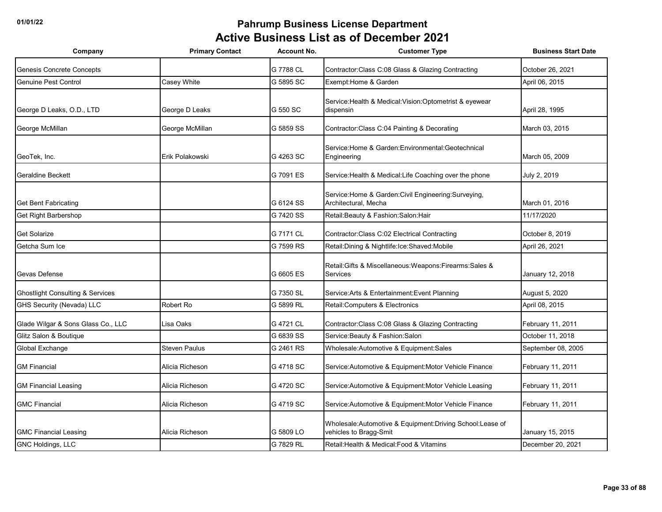| Company                                     | <b>Primary Contact</b> | <b>Account No.</b> | <b>Customer Type</b>                                                               | <b>Business Start Date</b> |
|---------------------------------------------|------------------------|--------------------|------------------------------------------------------------------------------------|----------------------------|
| Genesis Concrete Concepts                   |                        | G 7788 CL          | Contractor: Class C:08 Glass & Glazing Contracting                                 | October 26, 2021           |
| <b>Genuine Pest Control</b>                 | Casey White            | G 5895 SC          | Exempt: Home & Garden                                                              | April 06, 2015             |
| George D Leaks, O.D., LTD                   | George D Leaks         | G 550 SC           | Service: Health & Medical: Vision: Optometrist & eyewear<br>dispensin              | April 28, 1995             |
| George McMillan                             | George McMillan        | G 5859 SS          | Contractor: Class C:04 Painting & Decorating                                       | March 03, 2015             |
| GeoTek, Inc.                                | Erik Polakowski        | G 4263 SC          | Service: Home & Garden: Environmental: Geotechnical<br>Engineering                 | March 05, 2009             |
| Geraldine Beckett                           |                        | G 7091 ES          | Service: Health & Medical: Life Coaching over the phone                            | July 2, 2019               |
| <b>Get Bent Fabricating</b>                 |                        | G 6124 SS          | Service: Home & Garden: Civil Engineering: Surveying,<br>Architectural, Mecha      | March 01, 2016             |
| Get Right Barbershop                        |                        | G 7420 SS          | Retail: Beauty & Fashion: Salon: Hair                                              | 11/17/2020                 |
| <b>Get Solarize</b>                         |                        | G 7171 CL          | Contractor: Class C:02 Electrical Contracting                                      | October 8, 2019            |
| Getcha Sum Ice                              |                        | G 7599 RS          | Retail:Dining & Nightlife:Ice:Shaved:Mobile                                        | April 26, 2021             |
| Gevas Defense                               |                        | G 6605 ES          | Retail: Gifts & Miscellaneous: Weapons: Firearms: Sales &<br>Services              | January 12, 2018           |
| <b>Ghostlight Consulting &amp; Services</b> |                        | G 7350 SL          | Service: Arts & Entertainment: Event Planning                                      | August 5, 2020             |
| <b>GHS Security (Nevada) LLC</b>            | Robert Ro              | G 5899 RL          | Retail: Computers & Electronics                                                    | April 08, 2015             |
| Glade Wilgar & Sons Glass Co., LLC          | Lisa Oaks              | G 4721 CL          | Contractor: Class C:08 Glass & Glazing Contracting                                 | February 11, 2011          |
| Glitz Salon & Boutique                      |                        | G 6839 SS          | Service: Beauty & Fashion: Salon                                                   | October 11, 2018           |
| Global Exchange                             | <b>Steven Paulus</b>   | G 2461 RS          | Wholesale:Automotive & Equipment:Sales                                             | September 08, 2005         |
| <b>GM Financial</b>                         | Alicia Richeson        | G 4718 SC          | Service: Automotive & Equipment: Motor Vehicle Finance                             | February 11, 2011          |
| <b>GM Financial Leasing</b>                 | Alicia Richeson        | G 4720 SC          | Service: Automotive & Equipment: Motor Vehicle Leasing                             | February 11, 2011          |
| <b>GMC Financial</b>                        | Alicia Richeson        | G 4719 SC          | Service: Automotive & Equipment: Motor Vehicle Finance                             | February 11, 2011          |
| <b>GMC Financial Leasing</b>                | Alicia Richeson        | G 5809 LO          | Wholesale:Automotive & Equipment:Driving School:Lease of<br>vehicles to Bragg-Smit | January 15, 2015           |
| GNC Holdings, LLC                           |                        | G 7829 RL          | Retail: Health & Medical: Food & Vitamins                                          | December 20, 2021          |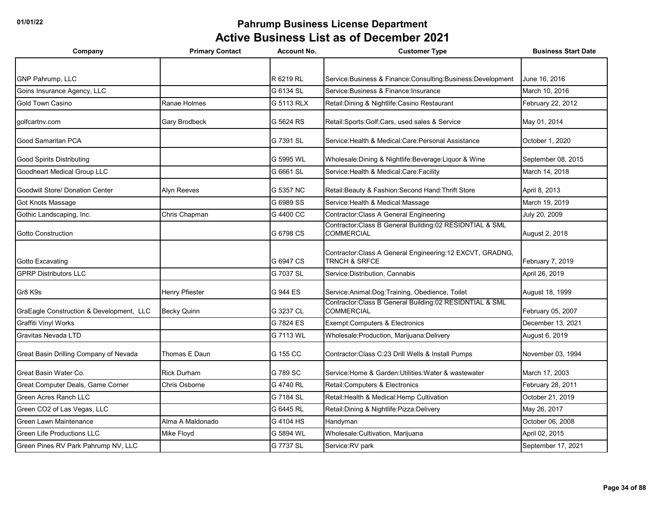| Company                                  | <b>Primary Contact</b> | <b>Account No.</b> | <b>Customer Type</b>                                                                   | <b>Business Start Date</b> |
|------------------------------------------|------------------------|--------------------|----------------------------------------------------------------------------------------|----------------------------|
|                                          |                        |                    |                                                                                        |                            |
| GNP Pahrump, LLC                         |                        | R 6219 RL          | Service: Business & Finance: Consulting: Business: Development                         | June 16, 2016              |
| Goins Insurance Agency, LLC              |                        | G 6134 SL          | Service: Business & Finance: Insurance                                                 | March 10, 2016             |
| Gold Town Casino                         | Ranae Holmes           | G 5113 RLX         | Retail: Dining & Nightlife: Casino Restaurant                                          | February 22, 2012          |
| golfcartnv.com                           | <b>Gary Brodbeck</b>   | G 5624 RS          | Retail:Sports:Golf:Cars, used sales & Service                                          | May 01, 2014               |
| Good Samaritan PCA                       |                        | G 7391 SL          | Service: Health & Medical: Care: Personal Assistance                                   | October 1, 2020            |
| <b>Good Spirits Distributing</b>         |                        | G 5995 WL          | Wholesale: Dining & Nightlife: Beverage: Liquor & Wine                                 | September 08, 2015         |
| <b>Goodheart Medical Group LLC</b>       |                        | G 6661 SL          | Service: Health & Medical: Care: Facility                                              | March 14, 2018             |
| <b>Goodwill Store/ Donation Center</b>   | Alyn Reeves            | G 5357 NC          | Retail: Beauty & Fashion: Second Hand: Thrift Store                                    | April 8, 2013              |
| <b>Got Knots Massage</b>                 |                        | G 6989 SS          | Service: Health & Medical: Massage                                                     | March 19, 2019             |
| Gothic Landscaping, Inc.                 | Chris Chapman          | G 4400 CC          | Contractor: Class A General Engineering                                                | July 20, 2009              |
| <b>Gotto Construction</b>                |                        | G 6798 CS          | Contractor:Class B General Building:02 RESIDNTIAL & SML<br><b>COMMERCIAL</b>           | August 2, 2018             |
| Gotto Excavating                         |                        | G 6947 CS          | Contractor: Class A General Engineering: 12 EXCVT, GRADNG,<br><b>TRNCH &amp; SRFCE</b> | February 7, 2019           |
| <b>GPRP Distributors LLC</b>             |                        | G 7037 SL          | Service: Distribution, Cannabis                                                        | April 26, 2019             |
| Gr8 K9s                                  | <b>Henry Pfiester</b>  | G 944 ES           | Service: Animal: Dog: Training, Obedience, Toilet                                      | August 18, 1999            |
| GraEagle Construction & Development, LLC | <b>Becky Quinn</b>     | G 3237 CL          | Contractor: Class B General Building: 02 RESIDNTIAL & SML<br><b>COMMERCIAL</b>         | February 05, 2007          |
| <b>Graffiti Vinyl Works</b>              |                        | G 7824 ES          | Exempt:Computers & Electronics                                                         | December 13, 2021          |
| Gravitas Nevada LTD                      |                        | G 7113 WL          | Wholesale: Production, Marijuana: Delivery                                             | August 6, 2019             |
| Great Basin Drilling Company of Nevada   | Thomas E Daun          | G 155 CC           | Contractor: Class C:23 Drill Wells & Install Pumps                                     | November 03, 1994          |
| Great Basin Water Co.                    | <b>Rick Durham</b>     | G 789 SC           | Service: Home & Garden: Utilities: Water & wastewater                                  | March 17, 2003             |
| Great Computer Deals, Game Corner        | Chris Osborne          | G 4740 RL          | Retail: Computers & Electronics                                                        | February 28, 2011          |
| <b>Green Acres Ranch LLC</b>             |                        | G 7184 SL          | Retail: Health & Medical: Hemp Cultivation                                             | October 21, 2019           |
| Green CO2 of Las Vegas, LLC              |                        | G 6445 RL          | Retail: Dining & Nightlife: Pizza: Delivery                                            | May 26, 2017               |
| Green Lawn Maintenance                   | Alma A Maldonado       | G 4104 HS          | Handyman                                                                               | October 06, 2008           |
| <b>Green Life Productions LLC</b>        | Mike Floyd             | G 5894 WL          | Wholesale: Cultivation, Marijuana                                                      | April 02, 2015             |
| Green Pines RV Park Pahrump NV, LLC      |                        | G 7737 SL          | Service:RV park                                                                        | September 17, 2021         |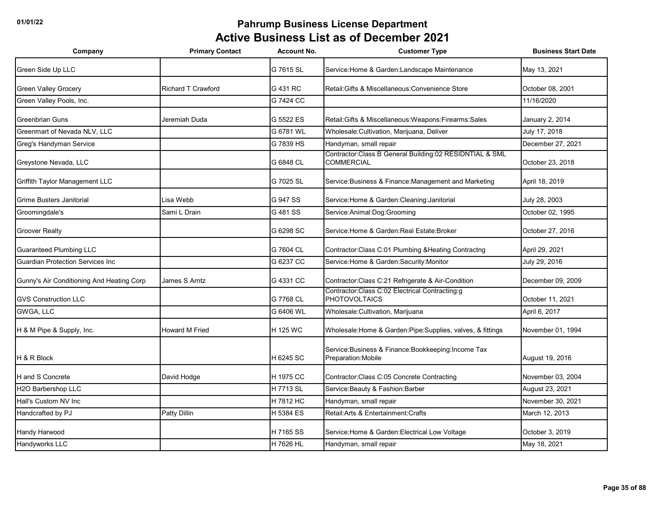| Company                                   | <b>Primary Contact</b> | <b>Account No.</b> | <b>Customer Type</b>                                                           | <b>Business Start Date</b> |
|-------------------------------------------|------------------------|--------------------|--------------------------------------------------------------------------------|----------------------------|
| Green Side Up LLC                         |                        | G 7615 SL          | Service: Home & Garden: Landscape Maintenance                                  | May 13, 2021               |
| Green Valley Grocery                      | Richard T Crawford     | G 431 RC           | Retail: Gifts & Miscellaneous: Convenience Store                               | October 08, 2001           |
| Green Valley Pools, Inc.                  |                        | G 7424 CC          |                                                                                | 11/16/2020                 |
| Greenbrian Guns                           | Jeremiah Duda          | G 5522 ES          | Retail: Gifts & Miscellaneous: Weapons: Firearms: Sales                        | January 2, 2014            |
| Greenmart of Nevada NLV, LLC              |                        | G 6781 WL          | Wholesale: Cultivation, Marijuana, Deliver                                     | July 17, 2018              |
| Greg's Handyman Service                   |                        | G 7839 HS          | Handyman, small repair                                                         | December 27, 2021          |
| Greystone Nevada, LLC                     |                        | G 6848 CL          | Contractor: Class B General Building: 02 RESIDNTIAL & SML<br><b>COMMERCIAL</b> | October 23, 2018           |
| Griffith Taylor Management LLC            |                        | G 7025 SL          | Service: Business & Finance: Management and Marketing                          | April 18, 2019             |
| Grime Busters Janitorial                  | Lisa Webb              | G 947 SS           | Service: Home & Garden: Cleaning: Janitorial                                   | July 28, 2003              |
| Groomingdale's                            | Sami L Drain           | G 481 SS           | Service: Animal: Dog: Grooming                                                 | October 02, 1995           |
| <b>Groover Realty</b>                     |                        | G 6298 SC          | Service: Home & Garden: Real Estate: Broker                                    | October 27, 2016           |
| <b>Guaranteed Plumbing LLC</b>            |                        | G 7604 CL          | Contractor: Class C:01 Plumbing & Heating Contractng                           | April 29, 2021             |
| <b>Guardian Protection Services Inc.</b>  |                        | G 6237 CC          | Service: Home & Garden: Security: Monitor                                      | July 29, 2016              |
| Gunny's Air Conditioning And Heating Corp | James S Arntz          | G 4331 CC          | Contractor: Class C:21 Refrigerate & Air-Condition                             | December 09, 2009          |
| <b>GVS Construction LLC</b>               |                        | G 7768 CL          | Contractor: Class C:02 Electrical Contracting:g<br><b>PHOTOVOLTAICS</b>        | October 11, 2021           |
| GWGA, LLC                                 |                        | G 6406 WL          | Wholesale: Cultivation, Marijuana                                              | April 6, 2017              |
| H & M Pipe & Supply, Inc.                 | Howard M Fried         | H 125 WC           | Wholesale: Home & Garden: Pipe: Supplies, valves, & fittings                   | November 01, 1994          |
| H & R Block                               |                        | H 6245 SC          | Service: Business & Finance: Bookkeeping: Income Tax<br>Preparation: Mobile    | August 19, 2016            |
| H and S Concrete                          | David Hodge            | H 1975 CC          | Contractor: Class C:05 Concrete Contracting                                    | November 03, 2004          |
| H2O Barbershop LLC                        |                        | H 7713 SL          | Service: Beauty & Fashion: Barber                                              | August 23, 2021            |
| Hall's Custom NV Inc.                     |                        | H 7812 HC          | Handyman, small repair                                                         | November 30, 2021          |
| Handcrafted by PJ                         | <b>Patty Dillin</b>    | H 5384 ES          | Retail: Arts & Entertainment: Crafts                                           | March 12, 2013             |
| Handy Harwood                             |                        | H 7165 SS          | Service: Home & Garden: Electrical Low Voltage                                 | October 3, 2019            |
| Handyworks LLC                            |                        | H 7626 HL          | Handyman, small repair                                                         | May 18, 2021               |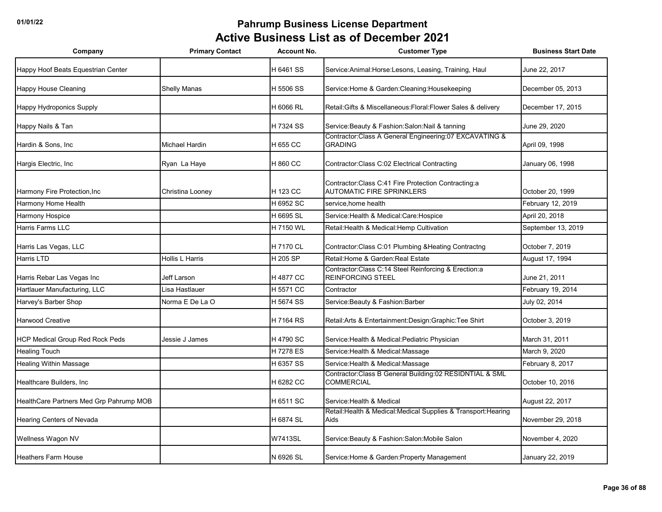| Company                                 | <b>Primary Contact</b> | <b>Account No.</b> | <b>Customer Type</b>                                                                     | <b>Business Start Date</b> |
|-----------------------------------------|------------------------|--------------------|------------------------------------------------------------------------------------------|----------------------------|
| Happy Hoof Beats Equestrian Center      |                        | H 6461 SS          | Service: Animal: Horse: Lesons, Leasing, Training, Haul                                  | June 22, 2017              |
| <b>Happy House Cleaning</b>             | <b>Shelly Manas</b>    | H 5506 SS          | Service: Home & Garden: Cleaning: Housekeeping                                           | December 05, 2013          |
| Happy Hydroponics Supply                |                        | H 6066 RL          | Retail: Gifts & Miscellaneous: Floral: Flower Sales & delivery                           | December 17, 2015          |
| Happy Nails & Tan                       |                        | H 7324 SS          | Service: Beauty & Fashion: Salon: Nail & tanning                                         | June 29, 2020              |
| Hardin & Sons, Inc                      | <b>Michael Hardin</b>  | H 655 CC           | Contractor:Class A General Engineering:07 EXCAVATING &<br><b>GRADING</b>                 | April 09, 1998             |
| Hargis Electric, Inc                    | Ryan La Haye           | H 860 CC           | Contractor: Class C:02 Electrical Contracting                                            | January 06, 1998           |
| Harmony Fire Protection, Inc            | Christina Looney       | H 123 CC           | Contractor: Class C:41 Fire Protection Contracting:a<br><b>AUTOMATIC FIRE SPRINKLERS</b> | October 20, 1999           |
| Harmony Home Health                     |                        | H 6952 SC          | service, home health                                                                     | February 12, 2019          |
| Harmony Hospice                         |                        | H 6695 SL          | Service: Health & Medical: Care: Hospice                                                 | April 20, 2018             |
| Harris Farms LLC                        |                        | H 7150 WL          | Retail: Health & Medical: Hemp Cultivation                                               | September 13, 2019         |
| Harris Las Vegas, LLC                   |                        | H 7170 CL          | Contractor:Class C:01 Plumbing & Heating Contractng                                      | October 7, 2019            |
| Harris LTD                              | Hollis L Harris        | H 205 SP           | Retail: Home & Garden: Real Estate                                                       | August 17, 1994            |
| Harris Rebar Las Vegas Inc              | Jeff Larson            | H 4877 CC          | Contractor: Class C:14 Steel Reinforcing & Erection:a<br><b>REINFORCING STEEL</b>        | June 21, 2011              |
| Hartlauer Manufacturing, LLC            | Lisa Hastlauer         | H 5571 CC          | Contractor                                                                               | February 19, 2014          |
| Harvey's Barber Shop                    | Norma E De La O        | H 5674 SS          | Service: Beauty & Fashion: Barber                                                        | July 02, 2014              |
| <b>Harwood Creative</b>                 |                        | H 7164 RS          | Retail: Arts & Entertainment: Design: Graphic: Tee Shirt                                 | October 3, 2019            |
| <b>HCP Medical Group Red Rock Peds</b>  | Jessie J James         | H 4790 SC          | Service: Health & Medical: Pediatric Physician                                           | March 31, 2011             |
| <b>Healing Touch</b>                    |                        | H 7278 ES          | Service: Health & Medical: Massage                                                       | March 9, 2020              |
| Healing Within Massage                  |                        | H 6357 SS          | Service: Health & Medical: Massage                                                       | February 8, 2017           |
| Healthcare Builders, Inc                |                        | H 6282 CC          | Contractor: Class B General Building: 02 RESIDNTIAL & SML<br><b>COMMERCIAL</b>           | October 10, 2016           |
| HealthCare Partners Med Grp Pahrump MOB |                        | H 6511 SC          | Service: Health & Medical                                                                | August 22, 2017            |
| Hearing Centers of Nevada               |                        | H 6874 SL          | Retail: Health & Medical: Medical Supplies & Transport: Hearing<br>Aids                  | November 29, 2018          |
| Wellness Wagon NV                       |                        | <b>W7413SL</b>     | Service: Beauty & Fashion: Salon: Mobile Salon                                           | November 4, 2020           |
| <b>Heathers Farm House</b>              |                        | N 6926 SL          | Service: Home & Garden: Property Management                                              | January 22, 2019           |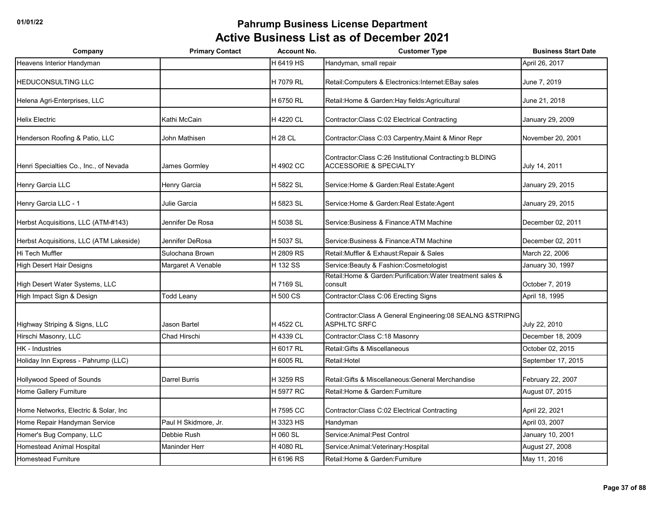| Company                                 | <b>Primary Contact</b> | <b>Account No.</b> | <b>Customer Type</b>                                                                            | <b>Business Start Date</b> |
|-----------------------------------------|------------------------|--------------------|-------------------------------------------------------------------------------------------------|----------------------------|
| Heavens Interior Handyman               |                        | H 6419 HS          | Handyman, small repair                                                                          | April 26, 2017             |
| <b>HEDUCONSULTING LLC</b>               |                        | H 7079 RL          | Retail: Computers & Electronics: Internet: EBay sales                                           | June 7, 2019               |
| Helena Agri-Enterprises, LLC            |                        | H 6750 RL          | Retail: Home & Garden: Hay fields: Agricultural                                                 | June 21, 2018              |
| <b>Helix Electric</b>                   | Kathi McCain           | H 4220 CL          | Contractor: Class C:02 Electrical Contracting                                                   | January 29, 2009           |
| Henderson Roofing & Patio, LLC          | John Mathisen          | <b>H28 CL</b>      | Contractor: Class C:03 Carpentry, Maint & Minor Repr                                            | November 20, 2001          |
| Henri Specialties Co., Inc., of Nevada  | James Gormley          | H 4902 CC          | Contractor: Class C:26 Institutional Contracting: b BLDING<br><b>ACCESSORIE &amp; SPECIALTY</b> | July 14, 2011              |
| Henry Garcia LLC                        | Henry Garcia           | H 5822 SL          | Service: Home & Garden: Real Estate: Agent                                                      | January 29, 2015           |
| Henry Garcia LLC - 1                    | Julie Garcia           | H 5823 SL          | Service: Home & Garden: Real Estate: Agent                                                      | January 29, 2015           |
| Herbst Acquisitions, LLC (ATM-#143)     | Jennifer De Rosa       | H 5038 SL          | Service: Business & Finance: ATM Machine                                                        | December 02, 2011          |
| Herbst Acquisitions, LLC (ATM Lakeside) | Jennifer DeRosa        | H 5037 SL          | Service: Business & Finance: ATM Machine                                                        | December 02, 2011          |
| Hi Tech Muffler                         | Sulochana Brown        | H 2809 RS          | Retail: Muffler & Exhaust: Repair & Sales                                                       | March 22, 2006             |
| High Desert Hair Designs                | Margaret A Venable     | H 132 SS           | Service: Beauty & Fashion: Cosmetologist                                                        | January 30, 1997           |
| High Desert Water Systems, LLC          |                        | H 7169 SL          | Retail: Home & Garden: Purification: Water treatment sales &<br>consult                         | October 7, 2019            |
| High Impact Sign & Design               | <b>Todd Leany</b>      | H 500 CS           | Contractor: Class C:06 Erecting Signs                                                           | April 18, 1995             |
| Highway Striping & Signs, LLC           | <b>Jason Bartel</b>    | H 4522 CL          | Contractor: Class A General Engineering: 08 SEALNG & STRIPNG<br><b>ASPHLTC SRFC</b>             | July 22, 2010              |
| Hirschi Masonry, LLC                    | <b>Chad Hirschi</b>    | H 4339 CL          | Contractor: Class C: 18 Masonry                                                                 | December 18, 2009          |
| HK - Industries                         |                        | H 6017 RL          | Retail: Gifts & Miscellaneous                                                                   | October 02, 2015           |
| Holiday Inn Express - Pahrump (LLC)     |                        | H 6005 RL          | Retail: Hotel                                                                                   | September 17, 2015         |
| Hollywood Speed of Sounds               | <b>Darrel Burris</b>   | H 3259 RS          | Retail: Gifts & Miscellaneous: General Merchandise                                              | February 22, 2007          |
| Home Gallery Furniture                  |                        | H 5977 RC          | Retail: Home & Garden: Furniture                                                                | August 07, 2015            |
| Home Networks, Electric & Solar, Inc    |                        | H 7595 CC          | Contractor: Class C:02 Electrical Contracting                                                   | April 22, 2021             |
| Home Repair Handyman Service            | Paul H Skidmore, Jr.   | H 3323 HS          | Handyman                                                                                        | April 03, 2007             |
| Homer's Bug Company, LLC                | Debbie Rush            | H 060 SL           | Service: Animal: Pest Control                                                                   | January 10, 2001           |
| <b>Homestead Animal Hospital</b>        | <b>Maninder Herr</b>   | H 4080 RL          | Service: Animal: Veterinary: Hospital                                                           | August 27, 2008            |
| <b>Homestead Furniture</b>              |                        | H 6196 RS          | Retail: Home & Garden: Furniture                                                                | May 11, 2016               |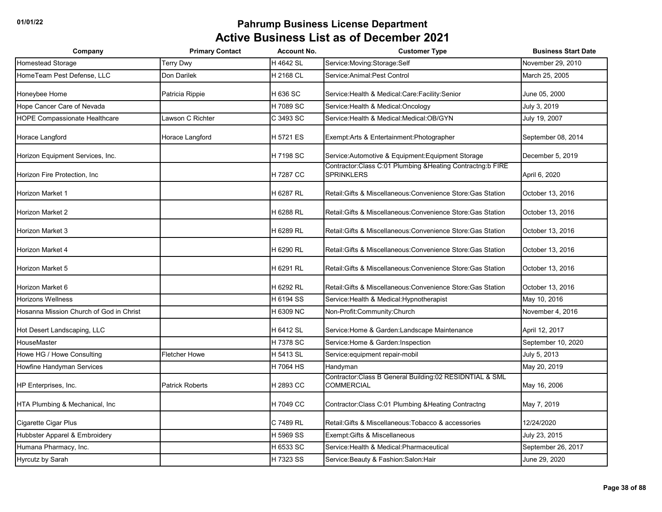| Company                                 | <b>Primary Contact</b> | <b>Account No.</b> | <b>Customer Type</b>                                                           | <b>Business Start Date</b> |
|-----------------------------------------|------------------------|--------------------|--------------------------------------------------------------------------------|----------------------------|
| Homestead Storage                       | Terry Dwy              | H 4642 SL          | Service:Moving:Storage:Self                                                    | November 29, 2010          |
| HomeTeam Pest Defense, LLC              | Don Darilek            | H 2168 CL          | Service: Animal: Pest Control                                                  | March 25, 2005             |
| Honeybee Home                           | Patricia Rippie        | H 636 SC           | Service: Health & Medical: Care: Facility: Senior                              | June 05, 2000              |
| Hope Cancer Care of Nevada              |                        | H 7089 SC          | Service: Health & Medical: Oncology                                            | July 3, 2019               |
| <b>HOPE Compassionate Healthcare</b>    | Lawson C Richter       | C 3493 SC          | Service: Health & Medical: Medical: OB/GYN                                     | July 19, 2007              |
| Horace Langford                         | Horace Langford        | H 5721 ES          | Exempt: Arts & Entertainment: Photographer                                     | September 08, 2014         |
| Horizon Equipment Services, Inc.        |                        | H 7198 SC          | Service: Automotive & Equipment: Equipment Storage                             | December 5, 2019           |
| Horizon Fire Protection, Inc.           |                        | H 7287 CC          | Contractor:Class C:01 Plumbing &Heating Contractng:b FIRE<br><b>SPRINKLERS</b> | April 6, 2020              |
| Horizon Market 1                        |                        | H 6287 RL          | Retail: Gifts & Miscellaneous: Convenience Store: Gas Station                  | October 13, 2016           |
| Horizon Market 2                        |                        | H 6288 RL          | Retail: Gifts & Miscellaneous: Convenience Store: Gas Station                  | October 13, 2016           |
| Horizon Market 3                        |                        | H 6289 RL          | Retail: Gifts & Miscellaneous: Convenience Store: Gas Station                  | October 13, 2016           |
| Horizon Market 4                        |                        | H 6290 RL          | Retail: Gifts & Miscellaneous: Convenience Store: Gas Station                  | October 13, 2016           |
| Horizon Market 5                        |                        | H 6291 RL          | Retail: Gifts & Miscellaneous: Convenience Store: Gas Station                  | October 13, 2016           |
| Horizon Market 6                        |                        | H 6292 RL          | Retail: Gifts & Miscellaneous: Convenience Store: Gas Station                  | October 13, 2016           |
| <b>Horizons Wellness</b>                |                        | H 6194 SS          | Service: Health & Medical: Hypnotherapist                                      | May 10, 2016               |
| Hosanna Mission Church of God in Christ |                        | H 6309 NC          | Non-Profit:Community:Church                                                    | November 4, 2016           |
| Hot Desert Landscaping, LLC             |                        | H 6412 SL          | Service: Home & Garden: Landscape Maintenance                                  | April 12, 2017             |
| <b>HouseMaster</b>                      |                        | H 7378 SC          | Service: Home & Garden: Inspection                                             | September 10, 2020         |
| Howe HG / Howe Consulting               | <b>Fletcher Howe</b>   | H 5413 SL          | Service: equipment repair-mobil                                                | July 5, 2013               |
| Howfine Handyman Services               |                        | H 7064 HS          | Handyman                                                                       | May 20, 2019               |
| HP Enterprises, Inc.                    | <b>Patrick Roberts</b> | H 2893 CC          | Contractor: Class B General Building: 02 RESIDNTIAL & SML<br><b>COMMERCIAL</b> | May 16, 2006               |
| HTA Plumbing & Mechanical, Inc.         |                        | H 7049 CC          | Contractor:Class C:01 Plumbing & Heating Contractng                            | May 7, 2019                |
| Cigarette Cigar Plus                    |                        | C 7489 RL          | Retail: Gifts & Miscellaneous: Tobacco & accessories                           | 12/24/2020                 |
| Hubbster Apparel & Embroidery           |                        | H 5969 SS          | Exempt: Gifts & Miscellaneous                                                  | July 23, 2015              |
| Humana Pharmacy, Inc.                   |                        | H 6533 SC          | Service: Health & Medical: Pharmaceutical                                      | September 26, 2017         |
| Hyrcutz by Sarah                        |                        | H 7323 SS          | Service: Beauty & Fashion: Salon: Hair                                         | June 29, 2020              |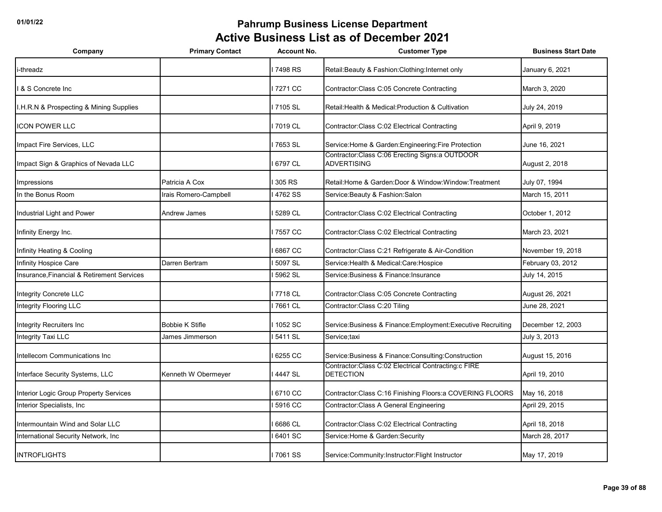| Company                                    | <b>Primary Contact</b> | <b>Account No.</b> | <b>Customer Type</b>                                                    | <b>Business Start Date</b> |
|--------------------------------------------|------------------------|--------------------|-------------------------------------------------------------------------|----------------------------|
| i-threadz                                  |                        | 7498 RS            | Retail: Beauty & Fashion: Clothing: Internet only                       | January 6, 2021            |
| & S Concrete Inc                           |                        | 7271 CC            | Contractor: Class C:05 Concrete Contracting                             | March 3, 2020              |
| I.H.R.N & Prospecting & Mining Supplies    |                        | 7105 SL            | Retail: Health & Medical: Production & Cultivation                      | July 24, 2019              |
| <b>ICON POWER LLC</b>                      |                        | 7019 CL            | Contractor: Class C:02 Electrical Contracting                           | April 9, 2019              |
| Impact Fire Services, LLC                  |                        | 7653 SL            | Service: Home & Garden: Engineering: Fire Protection                    | June 16, 2021              |
| Impact Sign & Graphics of Nevada LLC       |                        | 6797 CL            | Contractor:Class C:06 Erecting Signs:a OUTDOOR<br><b>ADVERTISING</b>    | August 2, 2018             |
| Impressions                                | Patricia A Cox         | 305 RS             | Retail: Home & Garden: Door & Window: Window: Treatment                 | July 07, 1994              |
| In the Bonus Room                          | Irais Romero-Campbell  | 4762 SS            | Service: Beauty & Fashion: Salon                                        | March 15, 2011             |
| Industrial Light and Power                 | Andrew James           | 5289 CL            | Contractor: Class C:02 Electrical Contracting                           | October 1, 2012            |
| Infinity Energy Inc.                       |                        | 7557 CC            | Contractor: Class C:02 Electrical Contracting                           | March 23, 2021             |
| Infinity Heating & Cooling                 |                        | 6867 CC            | Contractor: Class C:21 Refrigerate & Air-Condition                      | November 19, 2018          |
| Infinity Hospice Care                      | Darren Bertram         | 5097 SL            | Service: Health & Medical: Care: Hospice                                | February 03, 2012          |
| Insurance, Financial & Retirement Services |                        | 5962 SL            | Service:Business & Finance:Insurance                                    | July 14, 2015              |
| <b>Integrity Concrete LLC</b>              |                        | 7718 CL            | Contractor: Class C:05 Concrete Contracting                             | August 26, 2021            |
| Integrity Flooring LLC                     |                        | 7661 CL            | Contractor: Class C: 20 Tiling                                          | June 28, 2021              |
| Integrity Recruiters Inc                   | <b>Bobbie K Stifle</b> | 1052 SC            | Service: Business & Finance: Employment: Executive Recruiting           | December 12, 2003          |
| Integrity Taxi LLC                         | James Jimmerson        | 5411 SL            | Service;taxi                                                            | July 3, 2013               |
| Intellecom Communications Inc              |                        | 6255 CC            | Service: Business & Finance: Consulting: Construction                   | August 15, 2016            |
| Interface Security Systems, LLC            | Kenneth W Obermeyer    | 4447 SL            | Contractor:Class C:02 Electrical Contracting:c FIRE<br><b>DETECTION</b> | April 19, 2010             |
| Interior Logic Group Property Services     |                        | 6710 CC            | Contractor:Class C:16 Finishing Floors:a COVERING FLOORS                | May 16, 2018               |
| Interior Specialists, Inc.                 |                        | 5916 CC            | Contractor: Class A General Engineering                                 | April 29, 2015             |
| Intermountain Wind and Solar LLC           |                        | 6686 CL            | Contractor: Class C:02 Electrical Contracting                           | April 18, 2018             |
| International Security Network, Inc.       |                        | 6401 SC            | Service: Home & Garden: Security                                        | March 28, 2017             |
| <b>INTROFLIGHTS</b>                        |                        | 7061 SS            | Service: Community: Instructor: Flight Instructor                       | May 17, 2019               |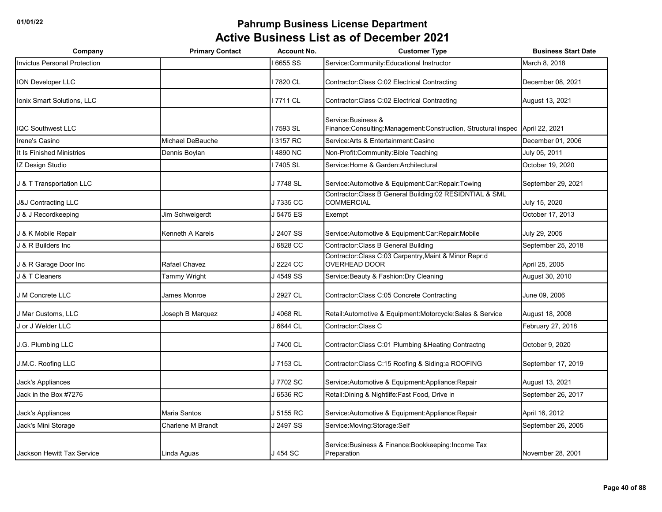| Company                             | <b>Primary Contact</b> | <b>Account No.</b> | <b>Customer Type</b>                                                                    | <b>Business Start Date</b> |
|-------------------------------------|------------------------|--------------------|-----------------------------------------------------------------------------------------|----------------------------|
| <b>Invictus Personal Protection</b> |                        | 6655 SS            | Service:Community:Educational Instructor                                                | March 8, 2018              |
| <b>ION Developer LLC</b>            |                        | 7820 CL            | Contractor: Class C:02 Electrical Contracting                                           | December 08, 2021          |
| Ionix Smart Solutions, LLC          |                        | 7711 CL            | Contractor:Class C:02 Electrical Contracting                                            | August 13, 2021            |
| <b>IQC Southwest LLC</b>            |                        | 7593 SL            | Service: Business &<br>Finance: Consulting: Management: Construction, Structural inspec | April 22, 2021             |
| Irene's Casino                      | Michael DeBauche       | 3157 RC            | Service:Arts & Entertainment:Casino                                                     | December 01, 2006          |
| It Is Finished Ministries           | Dennis Boylan          | 4890 NC            | Non-Profit:Community:Bible Teaching                                                     | July 05, 2011              |
| IZ Design Studio                    |                        | 7405 SL            | Service: Home & Garden: Architectural                                                   | October 19, 2020           |
| J & T Transportation LLC            |                        | J 7748 SL          | Service: Automotive & Equipment: Car: Repair: Towing                                    | September 29, 2021         |
| <b>J&amp;J Contracting LLC</b>      |                        | J 7335 CC          | Contractor:Class B General Building:02 RESIDNTIAL & SML<br><b>COMMERCIAL</b>            | July 15, 2020              |
| J & J Recordkeeping                 | Jim Schweigerdt        | J 5475 ES          | Exempt                                                                                  | October 17, 2013           |
| J & K Mobile Repair                 | Kenneth A Karels       | J 2407 SS          | Service: Automotive & Equipment: Car: Repair: Mobile                                    | July 29, 2005              |
| J & R Builders Inc                  |                        | J 6828 CC          | Contractor: Class B General Building                                                    | September 25, 2018         |
| J & R Garage Door Inc               | Rafael Chavez          | J 2224 CC          | Contractor: Class C:03 Carpentry, Maint & Minor Repr:d<br><b>OVERHEAD DOOR</b>          | April 25, 2005             |
| J & T Cleaners                      | Tammy Wright           | J 4549 SS          | Service: Beauty & Fashion: Dry Cleaning                                                 | August 30, 2010            |
| J M Concrete LLC                    | James Monroe           | J 2927 CL          | Contractor: Class C:05 Concrete Contracting                                             | June 09, 2006              |
| J Mar Customs, LLC                  | Joseph B Marquez       | J 4068 RL          | Retail: Automotive & Equipment: Motorcycle: Sales & Service                             | August 18, 2008            |
| J or J Welder LLC                   |                        | J 6644 CL          | Contractor: Class C                                                                     | February 27, 2018          |
| J.G. Plumbing LLC                   |                        | J 7400 CL          | Contractor:Class C:01 Plumbing & Heating Contractng                                     | October 9, 2020            |
| J.M.C. Roofing LLC                  |                        | J 7153 CL          | Contractor: Class C: 15 Roofing & Siding: a ROOFING                                     | September 17, 2019         |
| Jack's Appliances                   |                        | J 7702 SC          | Service: Automotive & Equipment: Appliance: Repair                                      | August 13, 2021            |
| Jack in the Box #7276               |                        | J 6536 RC          | Retail: Dining & Nightlife: Fast Food, Drive in                                         | September 26, 2017         |
| Jack's Appliances                   | Maria Santos           | J 5155 RC          | Service: Automotive & Equipment: Appliance: Repair                                      | April 16, 2012             |
| Jack's Mini Storage                 | Charlene M Brandt      | J 2497 SS          | Service: Moving: Storage: Self                                                          | September 26, 2005         |
| Jackson Hewitt Tax Service          | Linda Aguas            | J 454 SC           | Service: Business & Finance: Bookkeeping: Income Tax<br>Preparation                     | November 28, 2001          |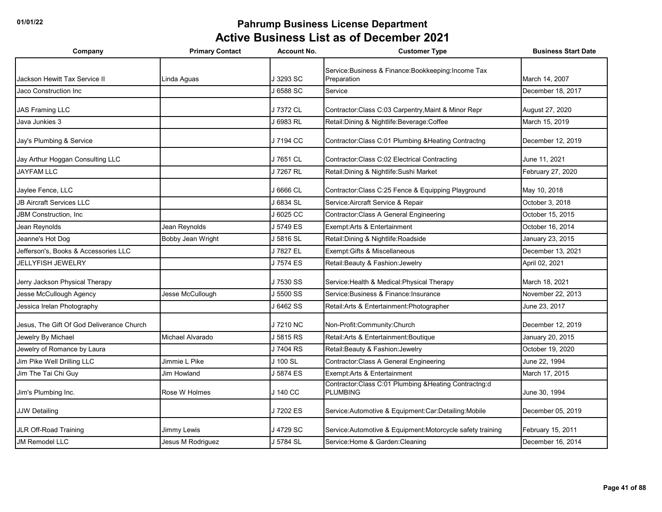| Company                                   | <b>Primary Contact</b> | <b>Account No.</b> | <b>Customer Type</b>                                                      | <b>Business Start Date</b> |
|-------------------------------------------|------------------------|--------------------|---------------------------------------------------------------------------|----------------------------|
|                                           |                        |                    | Service: Business & Finance: Bookkeeping: Income Tax                      |                            |
| Jackson Hewitt Tax Service II             | Linda Aguas            | J 3293 SC          | Preparation                                                               | March 14, 2007             |
| Jaco Construction Inc                     |                        | J 6588 SC          | Service                                                                   | December 18, 2017          |
| <b>JAS Framing LLC</b>                    |                        | J 7372 CL          | Contractor: Class C:03 Carpentry, Maint & Minor Repr                      | August 27, 2020            |
| Java Junkies 3                            |                        | J 6983 RL          | Retail: Dining & Nightlife: Beverage: Coffee                              | March 15, 2019             |
| Jay's Plumbing & Service                  |                        | J 7194 CC          | Contractor: Class C:01 Plumbing & Heating Contractng                      | December 12, 2019          |
| Jay Arthur Hoggan Consulting LLC          |                        | J 7651 CL          | Contractor: Class C:02 Electrical Contracting                             | June 11, 2021              |
| <b>JAYFAM LLC</b>                         |                        | J 7267 RL          | Retail: Dining & Nightlife: Sushi Market                                  | February 27, 2020          |
| Jaylee Fence, LLC                         |                        | J 6666 CL          | Contractor: Class C:25 Fence & Equipping Playground                       | May 10, 2018               |
| <b>JB Aircraft Services LLC</b>           |                        | J 6834 SL          | Service: Aircraft Service & Repair                                        | October 3, 2018            |
| <b>JBM Construction, Inc.</b>             |                        | J6025 CC           | Contractor: Class A General Engineering                                   | October 15, 2015           |
| Jean Reynolds                             | Jean Reynolds          | J 5749 ES          | Exempt:Arts & Entertainment                                               | October 16, 2014           |
| Jeanne's Hot Dog                          | Bobby Jean Wright      | J 5816 SL          | Retail: Dining & Nightlife: Roadside                                      | January 23, 2015           |
| Jefferson's, Books & Accessories LLC      |                        | J 7827 EL          | Exempt: Gifts & Miscellaneous                                             | December 13, 2021          |
| <b>JELLYFISH JEWELRY</b>                  |                        | J 7574 ES          | Retail: Beauty & Fashion: Jewelry                                         | April 02, 2021             |
| Jerry Jackson Physical Therapy            |                        | J 7530 SS          | Service: Health & Medical: Physical Therapy                               | March 18, 2021             |
| Jesse McCullough Agency                   | Jesse McCullough       | J 5500 SS          | Service: Business & Finance: Insurance                                    | November 22, 2013          |
| Jessica Irelan Photography                |                        | J 6462 SS          | Retail: Arts & Entertainment: Photographer                                | June 23, 2017              |
| Jesus, The Gift Of God Deliverance Church |                        | J7210 NC           | Non-Profit:Community:Church                                               | December 12, 2019          |
| Jewelry By Michael                        | Michael Alvarado       | J 5815 RS          | Retail: Arts & Entertainment: Boutique                                    | January 20, 2015           |
| Jewelry of Romance by Laura               |                        | J 7404 RS          | Retail: Beauty & Fashion: Jewelry                                         | October 19, 2020           |
| Jim Pike Well Drilling LLC                | Jimmie L Pike          | J 100 SL           | Contractor: Class A General Engineering                                   | June 22, 1994              |
| Jim The Tai Chi Guy                       | <b>Jim Howland</b>     | J 5874 ES          | Exempt: Arts & Entertainment                                              | March 17, 2015             |
| Jim's Plumbing Inc.                       | Rose W Holmes          | J 140 CC           | Contractor: Class C:01 Plumbing & Heating Contractng:d<br><b>PLUMBING</b> | June 30, 1994              |
| <b>JJW Detailing</b>                      |                        | J7202 ES           | Service: Automotive & Equipment: Car: Detailing: Mobile                   | December 05, 2019          |
| <b>JLR Off-Road Training</b>              | Jimmy Lewis            | J 4729 SC          | Service:Automotive & Equipment:Motorcycle safety training                 | February 15, 2011          |
| <b>JM Remodel LLC</b>                     | Jesus M Rodriguez      | J 5784 SL          | Service: Home & Garden: Cleaning                                          | December 16, 2014          |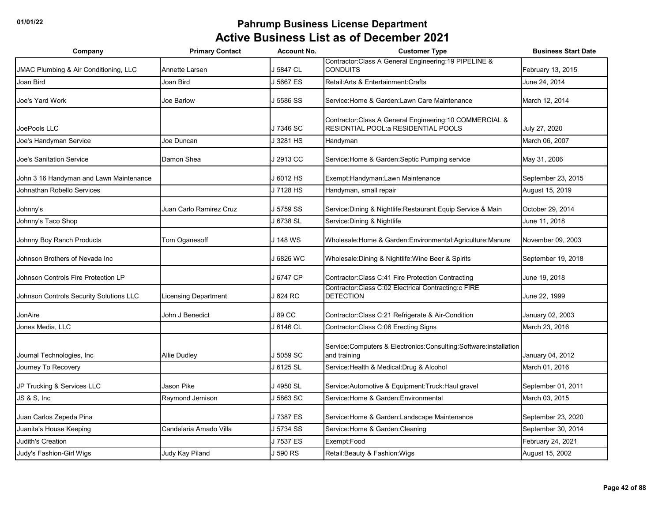| Company                                 | <b>Primary Contact</b>      | <b>Account No.</b> | <b>Customer Type</b>                                                                             | <b>Business Start Date</b> |
|-----------------------------------------|-----------------------------|--------------------|--------------------------------------------------------------------------------------------------|----------------------------|
| JMAC Plumbing & Air Conditioning, LLC   | Annette Larsen              | J 5847 CL          | Contractor: Class A General Engineering: 19 PIPELINE &<br><b>CONDUITS</b>                        | February 13, 2015          |
| Joan Bird                               | Joan Bird                   | J 5667 ES          | Retail: Arts & Entertainment: Crafts                                                             | June 24, 2014              |
| Joe's Yard Work                         | Joe Barlow                  | J 5586 SS          | Service: Home & Garden: Lawn Care Maintenance                                                    | March 12, 2014             |
| JoePools LLC                            |                             | J 7346 SC          | Contractor: Class A General Engineering: 10 COMMERCIAL &<br>RESIDNTIAL POOL: a RESIDENTIAL POOLS | July 27, 2020              |
| Joe's Handyman Service                  | Joe Duncan                  | J 3281 HS          | Handyman                                                                                         | March 06, 2007             |
| Joe's Sanitation Service                | Damon Shea                  | J 2913 CC          | Service: Home & Garden: Septic Pumping service                                                   | May 31, 2006               |
| John 3 16 Handyman and Lawn Maintenance |                             | J 6012 HS          | Exempt:Handyman:Lawn Maintenance                                                                 | September 23, 2015         |
| Johnathan Robello Services              |                             | J 7128 HS          | Handyman, small repair                                                                           | August 15, 2019            |
| Johnny's                                | Juan Carlo Ramirez Cruz     | J 5759 SS          | Service: Dining & Nightlife: Restaurant Equip Service & Main                                     | October 29, 2014           |
| Johnny's Taco Shop                      |                             | J 6738 SL          | Service: Dining & Nightlife                                                                      | June 11, 2018              |
| Johnny Boy Ranch Products               | Tom Oganesoff               | J 148 WS           | Wholesale:Home & Garden:Environmental:Agriculture:Manure                                         | November 09, 2003          |
| Johnson Brothers of Nevada Inc          |                             | J 6826 WC          | Wholesale: Dining & Nightlife: Wine Beer & Spirits                                               | September 19, 2018         |
| Johnson Controls Fire Protection LP     |                             | J 6747 CP          | Contractor: Class C:41 Fire Protection Contracting                                               | June 19, 2018              |
| Johnson Controls Security Solutions LLC | <b>Licensing Department</b> | l 624 RC           | Contractor:Class C:02 Electrical Contracting:c FIRE<br><b>DETECTION</b>                          | June 22, 1999              |
| JonAire                                 | John J Benedict             | J 89 CC            | Contractor: Class C:21 Refrigerate & Air-Condition                                               | January 02, 2003           |
| Jones Media, LLC                        |                             | J 6146 CL          | Contractor: Class C:06 Erecting Signs                                                            | March 23, 2016             |
| Journal Technologies, Inc               | <b>Allie Dudley</b>         | J 5059 SC          | Service:Computers & Electronics:Consulting:Software:installation<br>and training                 | January 04, 2012           |
| Journey To Recovery                     |                             | J 6125 SL          | Service: Health & Medical: Drug & Alcohol                                                        | March 01, 2016             |
| JP Trucking & Services LLC              | Jason Pike                  | J 4950 SL          | Service: Automotive & Equipment: Truck: Haul gravel                                              | September 01, 2011         |
| JS & S, Inc                             | Raymond Jemison             | J 5863 SC          | Service: Home & Garden: Environmental                                                            | March 03, 2015             |
| Juan Carlos Zepeda Pina                 |                             | J 7387 ES          | Service: Home & Garden: Landscape Maintenance                                                    | September 23, 2020         |
| Juanita's House Keeping                 | Candelaria Amado Villa      | J 5734 SS          | Service: Home & Garden: Cleaning                                                                 | September 30, 2014         |
| <b>Judith's Creation</b>                |                             | J7537 ES           | Exempt:Food                                                                                      | February 24, 2021          |
| Judy's Fashion-Girl Wigs                | Judy Kay Piland             | J 590 RS           | Retail: Beauty & Fashion: Wigs                                                                   | August 15, 2002            |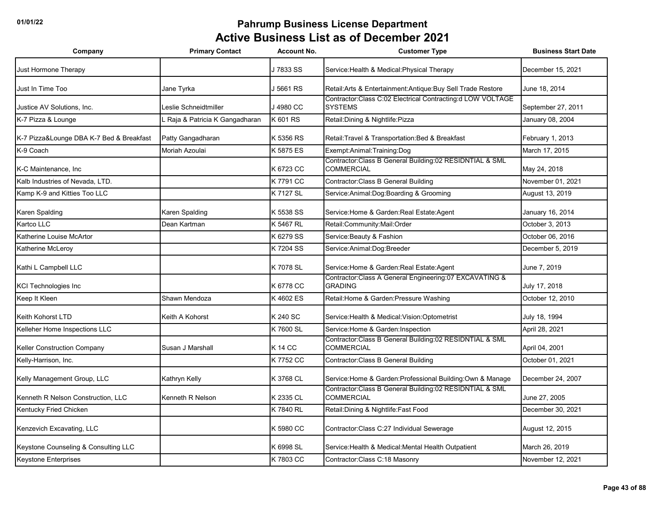| Company                                  | <b>Primary Contact</b>        | <b>Account No.</b> | <b>Customer Type</b>                                                           | <b>Business Start Date</b> |
|------------------------------------------|-------------------------------|--------------------|--------------------------------------------------------------------------------|----------------------------|
| Just Hormone Therapy                     |                               | J 7833 SS          | Service: Health & Medical: Physical Therapy                                    | December 15, 2021          |
| Just In Time Too                         | Jane Tyrka                    | J 5661 RS          | Retail: Arts & Entertainment: Antique: Buy Sell Trade Restore                  | June 18, 2014              |
| Justice AV Solutions, Inc.               | eslie Schneidtmiller          | J 4980 CC          | Contractor:Class C:02 Electrical Contracting:d LOW VOLTAGE<br><b>SYSTEMS</b>   | September 27, 2011         |
| K-7 Pizza & Lounge                       | Raja & Patricia K Gangadharan | K 601 RS           | Retail: Dining & Nightlife: Pizza                                              | January 08, 2004           |
| K-7 Pizza&Lounge DBA K-7 Bed & Breakfast | Patty Gangadharan             | K 5356 RS          | Retail: Travel & Transportation: Bed & Breakfast                               | February 1, 2013           |
| K-9 Coach                                | Moriah Azoulai                | K 5875 ES          | Exempt:Animal:Training:Dog                                                     | March 17, 2015             |
| K-C Maintenance, Inc.                    |                               | K 6723 CC          | Contractor: Class B General Building: 02 RESIDNTIAL & SML<br><b>COMMERCIAL</b> | May 24, 2018               |
| Kalb Industries of Nevada, LTD.          |                               | K 7791 CC          | Contractor: Class B General Building                                           | November 01, 2021          |
| Kamp K-9 and Kitties Too LLC             |                               | K 7127 SL          | Service: Animal: Dog: Boarding & Grooming                                      | August 13, 2019            |
| Karen Spalding                           | Karen Spalding                | K 5538 SS          | Service: Home & Garden: Real Estate: Agent                                     | January 16, 2014           |
| Kartco LLC                               | Dean Kartman                  | K 5467 RL          | Retail:Community:Mail:Order                                                    | October 3, 2013            |
| Katherine Louise McArtor                 |                               | K 6279 SS          | Service: Beauty & Fashion                                                      | October 06, 2016           |
| Katherine McLeroy                        |                               | K 7204 SS          | Service: Animal: Dog: Breeder                                                  | December 5, 2019           |
| Kathi L Campbell LLC                     |                               | K 7078 SL          | Service: Home & Garden: Real Estate: Agent                                     | June 7, 2019               |
| <b>KCI Technologies Inc</b>              |                               | K 6778 CC          | Contractor: Class A General Engineering: 07 EXCAVATING &<br><b>GRADING</b>     | July 17, 2018              |
| Keep It Kleen                            | Shawn Mendoza                 | K4602 ES           | Retail: Home & Garden: Pressure Washing                                        | October 12, 2010           |
| Keith Kohorst LTD                        | Keith A Kohorst               | K 240 SC           | Service: Health & Medical: Vision: Optometrist                                 | July 18, 1994              |
| Kelleher Home Inspections LLC            |                               | K 7600 SL          | Service: Home & Garden: Inspection                                             | April 28, 2021             |
| <b>Keller Construction Company</b>       | Susan J Marshall              | <b>K14 CC</b>      | Contractor:Class B General Building:02 RESIDNTIAL & SML<br><b>COMMERCIAL</b>   | April 04, 2001             |
| Kelly-Harrison, Inc.                     |                               | K 7752 CC          | Contractor: Class B General Building                                           | October 01, 2021           |
| Kelly Management Group, LLC              | Kathryn Kelly                 | K 3768 CL          | Service: Home & Garden: Professional Building: Own & Manage                    | December 24, 2007          |
| Kenneth R Nelson Construction, LLC       | Kenneth R Nelson              | K 2335 CL          | Contractor:Class B General Building:02 RESIDNTIAL & SML<br><b>COMMERCIAL</b>   | June 27, 2005              |
| Kentucky Fried Chicken                   |                               | K 7840 RL          | Retail: Dining & Nightlife: Fast Food                                          | December 30, 2021          |
| Kenzevich Excavating, LLC                |                               | K 5980 CC          | Contractor: Class C:27 Individual Sewerage                                     | August 12, 2015            |
| Keystone Counseling & Consulting LLC     |                               | K 6998 SL          | Service: Health & Medical: Mental Health Outpatient                            | March 26, 2019             |
| <b>Keystone Enterprises</b>              |                               | K 7803 CC          | Contractor:Class C:18 Masonry                                                  | November 12, 2021          |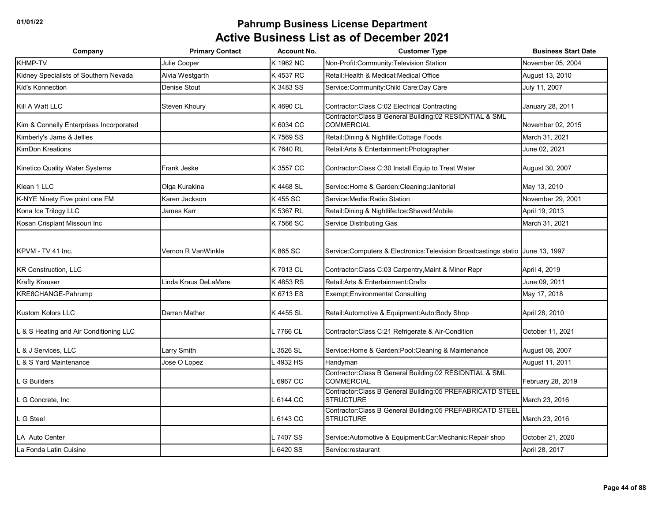| Company                                 | <b>Primary Contact</b> | <b>Account No.</b> | <b>Customer Type</b>                                                            | <b>Business Start Date</b> |
|-----------------------------------------|------------------------|--------------------|---------------------------------------------------------------------------------|----------------------------|
| KHMP-TV                                 | Julie Cooper           | K 1962 NC          | Non-Profit:Community:Television Station                                         | November 05, 2004          |
| Kidney Specialists of Southern Nevada   | Alvia Westgarth        | K 4537 RC          | Retail: Health & Medical: Medical Office                                        | August 13, 2010            |
| Kid's Konnection                        | Denise Stout           | K 3483 SS          | Service: Community: Child Care: Day Care                                        | July 11, 2007              |
| Kill A Watt LLC                         | Steven Khoury          | K 4690 CL          | Contractor:Class C:02 Electrical Contracting                                    | January 28, 2011           |
| Kim & Connelly Enterprises Incorporated |                        | K 6034 CC          | Contractor:Class B General Building:02 RESIDNTIAL & SML<br><b>COMMERCIAL</b>    | November 02, 2015          |
| Kimberly's Jams & Jellies               |                        | K 7569 SS          | Retail: Dining & Nightlife: Cottage Foods                                       | March 31, 2021             |
| <b>KimDon Kreations</b>                 |                        | K 7640 RL          | Retail: Arts & Entertainment: Photographer                                      | June 02, 2021              |
| Kinetico Quality Water Systems          | Frank Jeske            | K 3557 CC          | Contractor: Class C:30 Install Equip to Treat Water                             | August 30, 2007            |
| Klean 1 LLC                             | Olga Kurakina          | K 4468 SL          | Service: Home & Garden: Cleaning: Janitorial                                    | May 13, 2010               |
| K-NYE Ninety Five point one FM          | Karen Jackson          | K 455 SC           | Service: Media: Radio Station                                                   | November 29, 2001          |
| Kona Ice Trilogy LLC                    | James Karr             | K 5367 RL          | Retail: Dining & Nightlife: Ice: Shaved: Mobile                                 | April 19, 2013             |
| Kosan Crisplant Missouri Inc            |                        | K 7566 SC          | Service Distributing Gas                                                        | March 31, 2021             |
| KPVM - TV 41 Inc.                       | Vernon R VanWinkle     | K 865 SC           | Service: Computers & Electronics: Television Broadcastings statio June 13, 1997 |                            |
| <b>KR Construction, LLC</b>             |                        | K 7013 CL          | Contractor: Class C:03 Carpentry, Maint & Minor Repr                            | April 4, 2019              |
| <b>Krafty Krauser</b>                   | Linda Kraus DeLaMare   | K 4853 RS          | Retail: Arts & Entertainment: Crafts                                            | June 09, 2011              |
| KRE8CHANGE-Pahrump                      |                        | K 6713 ES          | Exempt; Environmental Consulting                                                | May 17, 2018               |
| <b>Kustom Kolors LLC</b>                | Darren Mather          | K 4455 SL          | Retail: Automotive & Equipment: Auto: Body Shop                                 | April 28, 2010             |
| L & S Heating and Air Conditioning LLC  |                        | . 7766 CL          | Contractor: Class C:21 Refrigerate & Air-Condition                              | October 11, 2021           |
| . & J Services, LLC                     | Larry Smith            | 3526 SL            | Service: Home & Garden: Pool: Cleaning & Maintenance                            | August 08, 2007            |
| . & S Yard Maintenance                  | Jose O Lopez           | 4932 HS            | Handyman                                                                        | August 11, 2011            |
| <b>G</b> Builders                       |                        | 6967 CC            | Contractor: Class B General Building: 02 RESIDNTIAL & SML<br><b>COMMERCIAL</b>  | February 28, 2019          |
| G Concrete, Inc.                        |                        | 6144 CC            | Contractor:Class B General Building:05 PREFABRICATD STEEL<br><b>STRUCTURE</b>   | March 23, 2016             |
| G Steel                                 |                        | 6143 CC            | Contractor: Class B General Building: 05 PREFABRICATD STEEL<br><b>STRUCTURE</b> | March 23, 2016             |
| LA Auto Center                          |                        | 7407 SS            | Service:Automotive & Equipment:Car:Mechanic:Repair shop                         | October 21, 2020           |
| La Fonda Latin Cuisine                  |                        | 6420 SS            | Service:restaurant                                                              | April 28, 2017             |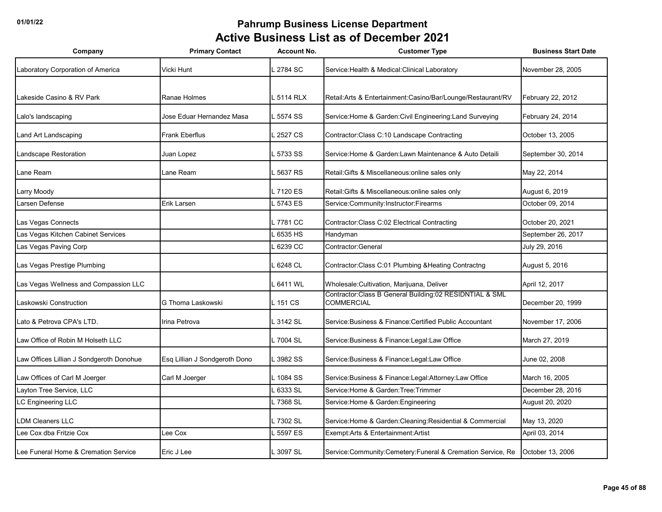| Company                                  | <b>Primary Contact</b>        | <b>Account No.</b> | <b>Customer Type</b>                                                         | <b>Business Start Date</b> |
|------------------------------------------|-------------------------------|--------------------|------------------------------------------------------------------------------|----------------------------|
| Laboratory Corporation of America        | Vicki Hunt                    | 2784 SC            | Service: Health & Medical: Clinical Laboratory                               | November 28, 2005          |
|                                          |                               |                    |                                                                              |                            |
| Lakeside Casino & RV Park                | Ranae Holmes                  | .5114 RLX          | Retail:Arts & Entertainment:Casino/Bar/Lounge/Restaurant/RV                  | February 22, 2012          |
| Lalo's landscaping                       | Jose Eduar Hernandez Masa     | 5574 SS            | Service: Home & Garden: Civil Engineering: Land Surveying                    | February 24, 2014          |
| Land Art Landscaping                     | <b>Frank Eberflus</b>         | 2527 CS            | Contractor: Class C:10 Landscape Contracting                                 | October 13, 2005           |
| Landscape Restoration                    | Juan Lopez                    | 5733 SS            | Service: Home & Garden: Lawn Maintenance & Auto Detaili                      | September 30, 2014         |
| Lane Ream                                | Lane Ream                     | 5637 RS            | Retail: Gifts & Miscellaneous: online sales only                             | May 22, 2014               |
| Larry Moody                              |                               | .7120 ES           | Retail: Gifts & Miscellaneous: online sales only                             | August 6, 2019             |
| Larsen Defense                           | Erik Larsen                   | 5743 ES            | Service:Community:Instructor:Firearms                                        | October 09, 2014           |
| Las Vegas Connects                       |                               | .7781 CC           | Contractor: Class C:02 Electrical Contracting                                | October 20, 2021           |
| Las Vegas Kitchen Cabinet Services       |                               | 6535 HS            | Handyman                                                                     | September 26, 2017         |
| Las Vegas Paving Corp                    |                               | 6239 CC            | Contractor: General                                                          | July 29, 2016              |
| Las Vegas Prestige Plumbing              |                               | 6248 CL            | Contractor:Class C:01 Plumbing & Heating Contractng                          | August 5, 2016             |
| Las Vegas Wellness and Compassion LLC    |                               | 6411 WL            | Wholesale: Cultivation, Marijuana, Deliver                                   | April 12, 2017             |
| Laskowski Construction                   | G Thoma Laskowski             | $-151$ CS          | Contractor:Class B General Building:02 RESIDNTIAL & SML<br><b>COMMERCIAL</b> | December 20, 1999          |
| Lato & Petrova CPA's LTD.                | Irina Petrova                 | 3142 SL            | Service: Business & Finance: Certified Public Accountant                     | November 17, 2006          |
| Law Office of Robin M Holseth LLC        |                               | . 7004 SL          | Service: Business & Finance: Legal: Law Office                               | March 27, 2019             |
| Law Offices Lillian J Sondgeroth Donohue | Esq Lillian J Sondgeroth Dono | 3982 SS            | Service: Business & Finance: Legal: Law Office                               | June 02, 2008              |
| Law Offices of Carl M Joerger            | Carl M Joerger                | 1084 SS            | Service: Business & Finance: Legal: Attorney: Law Office                     | March 16, 2005             |
| Layton Tree Service, LLC                 |                               | 6333 SL            | Service: Home & Garden: Tree: Trimmer                                        | December 28, 2016          |
| LC Engineering LLC                       |                               | 7368 SL            | Service: Home & Garden: Engineering                                          | August 20, 2020            |
| <b>LDM Cleaners LLC</b>                  |                               | 7302 SL            | Service: Home & Garden: Cleaning: Residential & Commercial                   | May 13, 2020               |
| Lee Cox dba Fritzie Cox                  | Lee Cox                       | 5597 ES            | Exempt: Arts & Entertainment: Artist                                         | April 03, 2014             |
| Lee Funeral Home & Cremation Service     | Eric J Lee                    | 3097 SL            | Service:Community:Cemetery:Funeral & Cremation Service, Re                   | October 13, 2006           |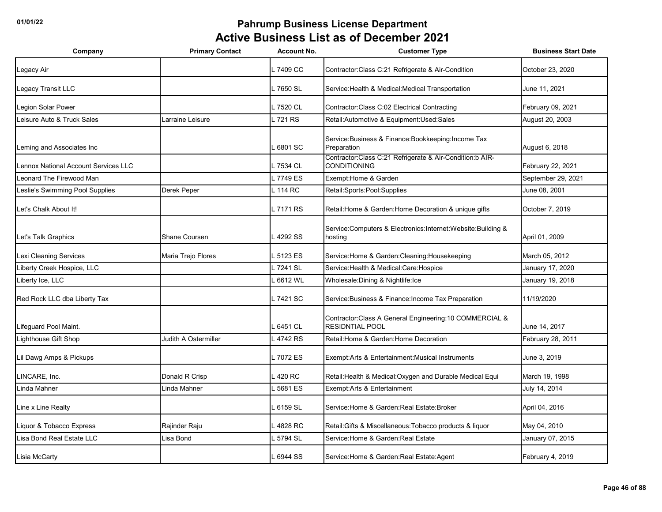| Company                              | <b>Primary Contact</b> | <b>Account No.</b> | <b>Customer Type</b>                                                               | <b>Business Start Date</b> |
|--------------------------------------|------------------------|--------------------|------------------------------------------------------------------------------------|----------------------------|
| Legacy Air                           |                        | L 7409 CC          | Contractor:Class C:21 Refrigerate & Air-Condition                                  | October 23, 2020           |
| Legacy Transit LLC                   |                        | L 7650 SL          | Service: Health & Medical: Medical Transportation                                  | June 11, 2021              |
| egion Solar Power                    |                        | L 7520 CL          | Contractor: Class C:02 Electrical Contracting                                      | February 09, 2021          |
| eisure Auto & Truck Sales            | arraine Leisure        | L 721 RS           | Retail:Automotive & Equipment:Used:Sales                                           | August 20, 2003            |
| Leming and Associates Inc            |                        | 6801 SC            | Service: Business & Finance: Bookkeeping: Income Tax<br>Preparation                | August 6, 2018             |
| Lennox National Account Services LLC |                        | .7534 CL           | Contractor:Class C:21 Refrigerate & Air-Condition:b AIR-<br><b>CONDITIONING</b>    | February 22, 2021          |
| Leonard The Firewood Man             |                        | L 7749 ES          | Exempt: Home & Garden                                                              | September 29, 2021         |
| Leslie's Swimming Pool Supplies      | Derek Peper            | L 114 RC           | Retail:Sports:Pool:Supplies                                                        | June 08, 2001              |
| Let's Chalk About It!                |                        | L 7171 RS          | Retail: Home & Garden: Home Decoration & unique gifts                              | October 7, 2019            |
| Let's Talk Graphics                  | Shane Coursen          | 4292 SS            | Service: Computers & Electronics: Internet: Website: Building &<br>hosting         | April 01, 2009             |
| Lexi Cleaning Services               | Maria Trejo Flores     | 5123 ES            | Service: Home & Garden: Cleaning: Housekeeping                                     | March 05, 2012             |
| Liberty Creek Hospice, LLC           |                        | L 7241 SL          | Service: Health & Medical: Care: Hospice                                           | January 17, 2020           |
| Liberty Ice, LLC                     |                        | $-6612$ WL         | Wholesale: Dining & Nightlife: Ice                                                 | January 19, 2018           |
| Red Rock LLC dba Liberty Tax         |                        | L 7421 SC          | Service: Business & Finance: Income Tax Preparation                                | 11/19/2020                 |
| Lifeguard Pool Maint.                |                        | 6451 CL            | Contractor: Class A General Engineering: 10 COMMERCIAL &<br><b>RESIDNTIAL POOL</b> | June 14, 2017              |
| Lighthouse Gift Shop                 | Judith A Ostermiller   | L 4742 RS          | Retail: Home & Garden: Home Decoration                                             | February 28, 2011          |
| Lil Dawg Amps & Pickups              |                        | L 7072 ES          | Exempt:Arts & Entertainment:Musical Instruments                                    | June 3, 2019               |
| INCARE, Inc.                         | Donald R Crisp         | 420 RC             | Retail: Health & Medical: Oxygen and Durable Medical Equi                          | March 19, 1998             |
| Linda Mahner                         | Linda Mahner           | 5681 ES            | Exempt: Arts & Entertainment                                                       | July 14, 2014              |
| Line x Line Realty                   |                        | 6159 SL            | Service: Home & Garden: Real Estate: Broker                                        | April 04, 2016             |
| Liquor & Tobacco Express             | Rajinder Raju          | 4828 RC            | Retail: Gifts & Miscellaneous: Tobacco products & liquor                           | May 04, 2010               |
| Lisa Bond Real Estate LLC            | Lisa Bond              | 5794 SL            | Service: Home & Garden: Real Estate                                                | January 07, 2015           |
| Lisia McCarty                        |                        | 6944 SS            | Service: Home & Garden: Real Estate: Agent                                         | February 4, 2019           |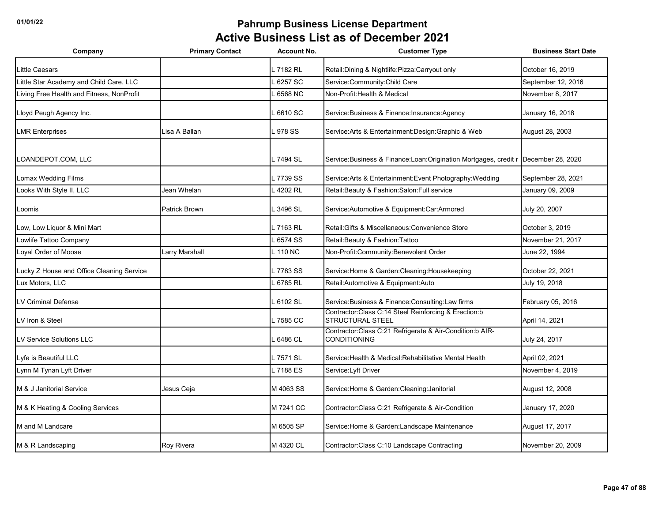| Company                                   | <b>Primary Contact</b> | <b>Account No.</b> | <b>Customer Type</b>                                                              | <b>Business Start Date</b> |
|-------------------------------------------|------------------------|--------------------|-----------------------------------------------------------------------------------|----------------------------|
| Little Caesars                            |                        | .7182 RL           | Retail: Dining & Nightlife: Pizza: Carryout only                                  | October 16, 2019           |
| Little Star Academy and Child Care, LLC   |                        | 6257 SC            | Service:Community:Child Care                                                      | September 12, 2016         |
| Living Free Health and Fitness, NonProfit |                        | 6568 NC            | Non-Profit: Health & Medical                                                      | November 8, 2017           |
| Lloyd Peugh Agency Inc.                   |                        | .6610 SC           | Service: Business & Finance: Insurance: Agency                                    | January 16, 2018           |
| <b>LMR Enterprises</b>                    | Lisa A Ballan          | 978 SS             | Service: Arts & Entertainment: Design: Graphic & Web                              | August 28, 2003            |
| LOANDEPOT.COM, LLC                        |                        | - 7494 SL          | Service: Business & Finance: Loan: Origination Mortgages, credit r                | December 28, 2020          |
| Lomax Wedding Films                       |                        | 7739 SS            | Service: Arts & Entertainment: Event Photography: Wedding                         | September 28, 2021         |
| Looks With Style II, LLC                  | Jean Whelan            | 4202 RL            | Retail: Beauty & Fashion: Salon: Full service                                     | January 09, 2009           |
| Loomis                                    | <b>Patrick Brown</b>   | 3496 SL            | Service: Automotive & Equipment: Car: Armored                                     | July 20, 2007              |
| Low, Low Liquor & Mini Mart               |                        | .7163 RL           | Retail: Gifts & Miscellaneous: Convenience Store                                  | October 3, 2019            |
| Lowlife Tattoo Company                    |                        | 6574 SS            | Retail: Beauty & Fashion: Tattoo                                                  | November 21, 2017          |
| Loyal Order of Moose                      | Larry Marshall         | $L$ 110 NC         | Non-Profit:Community:Benevolent Order                                             | June 22, 1994              |
| Lucky Z House and Office Cleaning Service |                        | 7783 SS            | Service: Home & Garden: Cleaning: Housekeeping                                    | October 22, 2021           |
| Lux Motors, LLC                           |                        | 6785 RL            | Retail: Automotive & Equipment: Auto                                              | July 19, 2018              |
| <b>LV Criminal Defense</b>                |                        | .6102 SL           | Service: Business & Finance: Consulting: Law firms                                | February 05, 2016          |
| LV Iron & Steel                           |                        | .7585 CC           | Contractor: Class C:14 Steel Reinforcing & Erection: b<br><b>STRUCTURAL STEEL</b> | April 14, 2021             |
| LV Service Solutions LLC                  |                        | 6486 CL            | Contractor:Class C:21 Refrigerate & Air-Condition:b AIR-<br><b>CONDITIONING</b>   | July 24, 2017              |
| Lyfe is Beautiful LLC                     |                        | _7571 SL           | Service: Health & Medical: Rehabilitative Mental Health                           | April 02, 2021             |
| Lynn M Tynan Lyft Driver                  |                        | L 7188 ES          | Service: Lyft Driver                                                              | November 4, 2019           |
| M & J Janitorial Service                  | Jesus Ceja             | M 4063 SS          | Service: Home & Garden: Cleaning: Janitorial                                      | August 12, 2008            |
| M & K Heating & Cooling Services          |                        | M 7241 CC          | Contractor: Class C:21 Refrigerate & Air-Condition                                | January 17, 2020           |
| M and M Landcare                          |                        | M 6505 SP          | Service: Home & Garden: Landscape Maintenance                                     | August 17, 2017            |
| M & R Landscaping                         | Roy Rivera             | M 4320 CL          | Contractor: Class C:10 Landscape Contracting                                      | November 20, 2009          |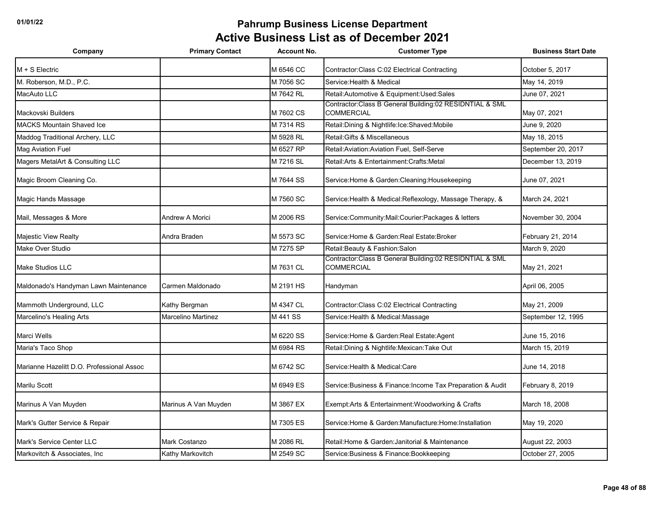| Company                                   | <b>Primary Contact</b>    | <b>Account No.</b> | <b>Customer Type</b>                                                           | <b>Business Start Date</b> |
|-------------------------------------------|---------------------------|--------------------|--------------------------------------------------------------------------------|----------------------------|
| $M + S$ Electric                          |                           | M 6546 CC          | Contractor: Class C:02 Electrical Contracting                                  | October 5, 2017            |
| M. Roberson, M.D., P.C.                   |                           | M 7056 SC          | Service: Health & Medical                                                      | May 14, 2019               |
| MacAuto LLC                               |                           | M 7642 RL          | Retail:Automotive & Equipment:Used:Sales                                       | June 07, 2021              |
| Mackovski Builders                        |                           | M 7602 CS          | Contractor: Class B General Building: 02 RESIDNTIAL & SML<br><b>COMMERCIAL</b> | May 07, 2021               |
| <b>MACKS Mountain Shaved Ice</b>          |                           | M 7314 RS          | Retail: Dining & Nightlife: Ice: Shaved: Mobile                                | June 9, 2020               |
| Maddog Traditional Archery, LLC           |                           | M 5928 RL          | Retail: Gifts & Miscellaneous                                                  | May 18, 2015               |
| <b>Mag Aviation Fuel</b>                  |                           | M 6527 RP          | Retail: Aviation: Aviation Fuel. Self-Serve                                    | September 20, 2017         |
| Magers MetalArt & Consulting LLC          |                           | M 7216 SL          | Retail: Arts & Entertainment: Crafts: Metal                                    | December 13, 2019          |
| Magic Broom Cleaning Co.                  |                           | M 7644 SS          | Service: Home & Garden: Cleaning: Housekeeping                                 | June 07, 2021              |
| Magic Hands Massage                       |                           | M 7560 SC          | Service: Health & Medical: Reflexology, Massage Therapy, &                     | March 24, 2021             |
| Mail, Messages & More                     | Andrew A Morici           | M 2006 RS          | Service:Community:Mail:Courier:Packages & letters                              | November 30, 2004          |
| Majestic View Realty                      | Andra Braden              | M 5573 SC          | Service: Home & Garden: Real Estate: Broker                                    | February 21, 2014          |
| Make Over Studio                          |                           | M 7275 SP          | Retail: Beauty & Fashion: Salon                                                | March 9. 2020              |
| <b>Make Studios LLC</b>                   |                           | M 7631 CL          | Contractor: Class B General Building: 02 RESIDNTIAL & SML<br>COMMERCIAL        | May 21, 2021               |
| Maldonado's Handyman Lawn Maintenance     | Carmen Maldonado          | M 2191 HS          | Handyman                                                                       | April 06, 2005             |
| Mammoth Underground, LLC                  | Kathy Bergman             | M 4347 CL          | Contractor: Class C:02 Electrical Contracting                                  | May 21, 2009               |
| Marcelino's Healing Arts                  | <b>Marcelino Martinez</b> | M 441 SS           | Service: Health & Medical: Massage                                             | September 12, 1995         |
| Marci Wells                               |                           | M 6220 SS          | Service: Home & Garden: Real Estate: Agent                                     | June 15, 2016              |
| Maria's Taco Shop                         |                           | M 6984 RS          | Retail: Dining & Nightlife: Mexican: Take Out                                  | March 15, 2019             |
| Marianne Hazelitt D.O. Professional Assoc |                           | M 6742 SC          | Service: Health & Medical: Care                                                | June 14, 2018              |
| <b>Marilu Scott</b>                       |                           | M 6949 ES          | Service: Business & Finance: Income Tax Preparation & Audit                    | February 8, 2019           |
| Marinus A Van Muyden                      | Marinus A Van Muyden      | M 3867 EX          | Exempt: Arts & Entertainment: Woodworking & Crafts                             | March 18, 2008             |
| Mark's Gutter Service & Repair            |                           | M 7305 ES          | Service: Home & Garden: Manufacture: Home: Installation                        | May 19, 2020               |
| Mark's Service Center LLC                 | Mark Costanzo             | M 2086 RL          | Retail: Home & Garden: Janitorial & Maintenance                                | August 22, 2003            |
| Markovitch & Associates, Inc.             | Kathy Markovitch          | M 2549 SC          | Service: Business & Finance: Bookkeeping                                       | October 27, 2005           |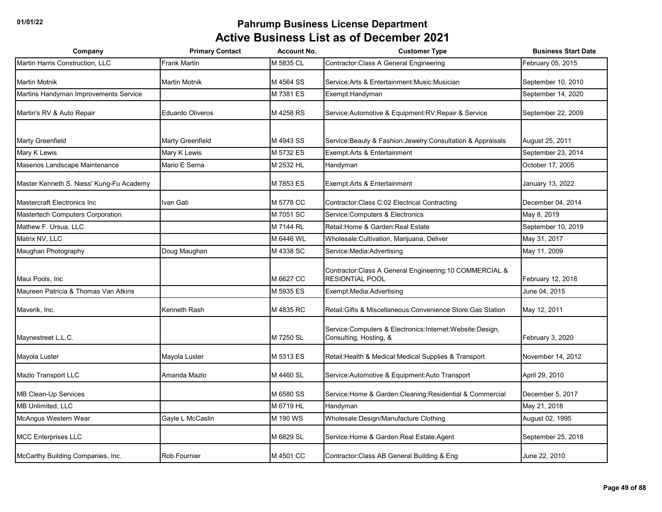| Company                                  | <b>Primary Contact</b>  | <b>Account No.</b> | <b>Customer Type</b>                                                               | <b>Business Start Date</b> |
|------------------------------------------|-------------------------|--------------------|------------------------------------------------------------------------------------|----------------------------|
| Martin Harris Construction, LLC          | Frank Martin            | M 5835 CL          | Contractor: Class A General Engineering                                            | February 05, 2015          |
| <b>Martin Motnik</b>                     | Martin Motnik           | M 4564 SS          | Service: Arts & Entertainment: Music: Musician                                     | September 10, 2010         |
| Martins Handyman Improvements Service    |                         | M 7381 ES          | Exempt:Handyman                                                                    | September 14, 2020         |
| Martin's RV & Auto Repair                | <b>Eduardo Oliveros</b> | M 4258 RS          | Service: Automotive & Equipment: RV: Repair & Service                              | September 22, 2009         |
| <b>Marty Greenfield</b>                  | Marty Greenfield        | M 4943 SS          | Service: Beauty & Fashion: Jewelry: Consultation & Appraisals                      | August 25, 2011            |
| Mary K Lewis                             | Mary K Lewis            | M 5732 ES          | Exempt: Arts & Entertainment                                                       | September 23, 2014         |
| Maserios Landscape Maintenance           | Mario E Serna           | M 2532 HL          | Handyman                                                                           | October 17, 2005           |
| Master Kenneth S. Niess' Kung-Fu Academy |                         | M 7853 ES          | Exempt: Arts & Entertainment                                                       | January 13, 2022           |
| <b>Mastercraft Electronics Inc</b>       | Ivan Gati               | M 5778 CC          | Contractor: Class C:02 Electrical Contracting                                      | December 04, 2014          |
| Mastertech Computers Corporation         |                         | M 7051 SC          | Service: Computers & Electronics                                                   | May 8, 2019                |
| Mathew F. Ursua, LLC                     |                         | M 7144 RL          | Retail: Home & Garden: Real Estate                                                 | September 10, 2019         |
| Matrix NV, LLC                           |                         | M 6446 WL          | Wholesale: Cultivation, Marijuana, Deliver                                         | May 31, 2017               |
| Maughan Photography                      | Doug Maughan            | M 4338 SC          | Service: Media: Advertising                                                        | May 11, 2009               |
| Maui Pools, Inc.                         |                         | M 6627 CC          | Contractor: Class A General Engineering: 10 COMMERCIAL &<br><b>RESIDNTIAL POOL</b> | February 12, 2018          |
| Maureen Patricia & Thomas Van Atkins     |                         | M 5935 ES          | Exempt:Media:Advertising                                                           | June 04, 2015              |
| Maverik, Inc.                            | Kenneth Rash            | M 4835 RC          | Retail: Gifts & Miscellaneous: Convenience Store: Gas Station                      | May 12, 2011               |
| Maynestreet L.L.C.                       |                         | M 7250 SL          | Service:Computers & Electronics:Internet:Website:Design,<br>Consulting, Hosting, & | February 3, 2020           |
| Mayola Luster                            | Mayola Luster           | M 5313 ES          | Retail: Health & Medical: Medical Supplies & Transport                             | November 14, 2012          |
| Mazlo Transport LLC                      | Amanda Mazlo            | M 4460 SL          | Service: Automotive & Equipment: Auto Transport                                    | April 29, 2010             |
| MB Clean-Up Services                     |                         | M 6580 SS          | Service: Home & Garden: Cleaning: Residential & Commercial                         | December 5, 2017           |
| MB Unlimited, LLC                        |                         | M 6719 HL          | Handyman                                                                           | May 21, 2018               |
| McAngus Western Wear                     | Gayle L McCaslin        | M 190 WS           | Wholesale:Design/Manufacture Clothing                                              | August 02, 1995            |
| <b>MCC Enterprises LLC</b>               |                         | M 6829 SL          | Service: Home & Garden: Real Estate: Agent                                         | September 25, 2018         |
| McCarthy Building Companies, Inc.        | Rob Fournier            | M 4501 CC          | Contractor: Class AB General Building & Eng                                        | June 22, 2010              |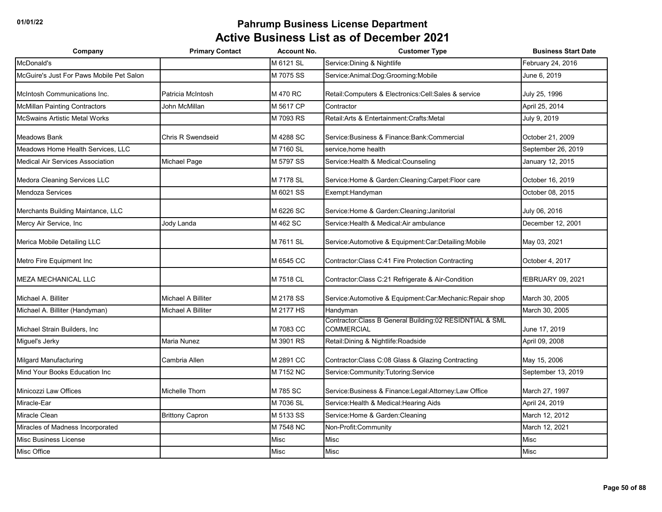| Company                                  | <b>Primary Contact</b>   | <b>Account No.</b> | <b>Customer Type</b>                                                         | <b>Business Start Date</b> |
|------------------------------------------|--------------------------|--------------------|------------------------------------------------------------------------------|----------------------------|
| McDonald's                               |                          | M 6121 SL          | Service: Dining & Nightlife                                                  | February 24, 2016          |
| McGuire's Just For Paws Mobile Pet Salon |                          | M 7075 SS          | Service:Animal:Dog:Grooming:Mobile                                           | June 6, 2019               |
| McIntosh Communications Inc.             | Patricia McIntosh        | M 470 RC           | Retail: Computers & Electronics: Cell: Sales & service                       | July 25, 1996              |
| <b>McMillan Painting Contractors</b>     | John McMillan            | M 5617 CP          | Contractor                                                                   | April 25, 2014             |
| <b>McSwains Artistic Metal Works</b>     |                          | M 7093 RS          | Retail: Arts & Entertainment: Crafts: Metal                                  | July 9, 2019               |
| Meadows Bank                             | <b>Chris R Swendseid</b> | M 4288 SC          | Service: Business & Finance: Bank: Commercial                                | October 21, 2009           |
| Meadows Home Health Services, LLC        |                          | M 7160 SL          | service, home health                                                         | September 26, 2019         |
| <b>Medical Air Services Association</b>  | Michael Page             | M 5797 SS          | Service: Health & Medical: Counseling                                        | January 12, 2015           |
| Medora Cleaning Services LLC             |                          | M 7178 SL          | Service: Home & Garden: Cleaning: Carpet: Floor care                         | October 16, 2019           |
| <b>Mendoza Services</b>                  |                          | M 6021 SS          | Exempt: Handyman                                                             | October 08, 2015           |
| Merchants Building Maintance, LLC        |                          | M 6226 SC          | Service: Home & Garden: Cleaning: Janitorial                                 | July 06, 2016              |
| Mercy Air Service, Inc                   | Jody Landa               | M 462 SC           | Service: Health & Medical: Air ambulance                                     | December 12, 2001          |
| Merica Mobile Detailing LLC              |                          | M 7611 SL          | Service: Automotive & Equipment: Car: Detailing: Mobile                      | May 03, 2021               |
| Metro Fire Equipment Inc                 |                          | M 6545 CC          | Contractor: Class C:41 Fire Protection Contracting                           | October 4, 2017            |
| <b>MEZA MECHANICAL LLC</b>               |                          | M 7518 CL          | Contractor: Class C:21 Refrigerate & Air-Condition                           | fEBRUARY 09, 2021          |
| Michael A. Billiter                      | Michael A Billiter       | M 2178 SS          | Service: Automotive & Equipment: Car: Mechanic: Repair shop                  | March 30, 2005             |
| Michael A. Billiter (Handyman)           | Michael A Billiter       | M 2177 HS          | Handyman                                                                     | March 30, 2005             |
| Michael Strain Builders, Inc.            |                          | M 7083 CC          | Contractor:Class B General Building:02 RESIDNTIAL & SML<br><b>COMMERCIAL</b> | June 17, 2019              |
| Miguel's Jerky                           | Maria Nunez              | M 3901 RS          | Retail: Dining & Nightlife: Roadside                                         | April 09, 2008             |
| <b>Milgard Manufacturing</b>             | Cambria Allen            | M 2891 CC          | Contractor: Class C:08 Glass & Glazing Contracting                           | May 15, 2006               |
| Mind Your Books Education Inc            |                          | M 7152 NC          | Service:Community:Tutoring:Service                                           | September 13, 2019         |
| Minicozzi Law Offices                    | Michelle Thorn           | M 785 SC           | Service: Business & Finance: Legal: Attorney: Law Office                     | March 27, 1997             |
| Miracle-Ear                              |                          | M 7036 SL          | Service: Health & Medical: Hearing Aids                                      | April 24, 2019             |
| Miracle Clean                            | <b>Brittony Capron</b>   | M 5133 SS          | Service: Home & Garden: Cleaning                                             | March 12, 2012             |
| Miracles of Madness Incorporated         |                          | M 7548 NC          | Non-Profit:Community                                                         | March 12, 2021             |
| Misc Business License                    |                          | Misc               | <b>Misc</b>                                                                  | <b>Misc</b>                |
| Misc Office                              |                          | Misc               | Misc                                                                         | <b>Misc</b>                |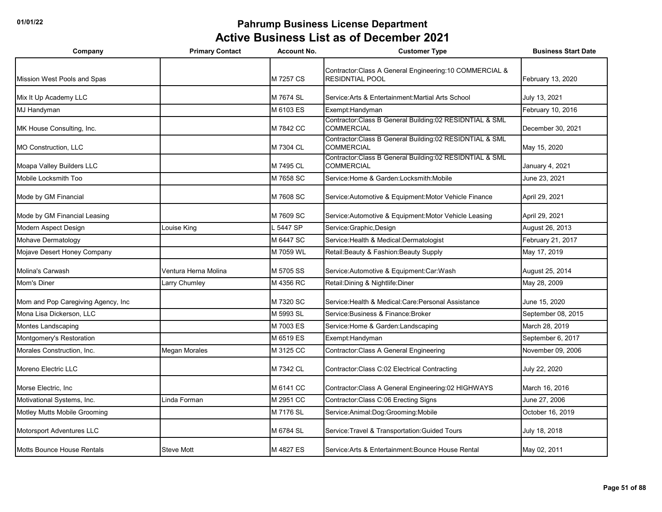| Company                            | <b>Primary Contact</b> | <b>Account No.</b> | <b>Customer Type</b>                                                               | <b>Business Start Date</b> |
|------------------------------------|------------------------|--------------------|------------------------------------------------------------------------------------|----------------------------|
| Mission West Pools and Spas        |                        | M 7257 CS          | Contractor: Class A General Engineering: 10 COMMERCIAL &<br><b>RESIDNTIAL POOL</b> | February 13, 2020          |
| Mix It Up Academy LLC              |                        | M 7674 SL          | Service:Arts & Entertainment:Martial Arts School                                   | July 13, 2021              |
| MJ Handyman                        |                        | M 6103 ES          | Exempt: Handyman                                                                   | February 10, 2016          |
| MK House Consulting, Inc.          |                        | M 7842 CC          | Contractor: Class B General Building: 02 RESIDNTIAL & SML<br><b>COMMERCIAL</b>     | December 30, 2021          |
| <b>MO Construction, LLC</b>        |                        | M 7304 CL          | Contractor: Class B General Building: 02 RESIDNTIAL & SML<br>COMMERCIAL            | May 15, 2020               |
| Moapa Valley Builders LLC          |                        | M 7495 CL          | Contractor: Class B General Building: 02 RESIDNTIAL & SML<br><b>COMMERCIAL</b>     | January 4, 2021            |
| Mobile Locksmith Too               |                        | M 7658 SC          | Service: Home & Garden: Locksmith: Mobile                                          | June 23, 2021              |
| Mode by GM Financial               |                        | M 7608 SC          | Service: Automotive & Equipment: Motor Vehicle Finance                             | April 29, 2021             |
| Mode by GM Financial Leasing       |                        | M 7609 SC          | Service: Automotive & Equipment: Motor Vehicle Leasing                             | April 29, 2021             |
| Modern Aspect Design               | Louise King            | 5447 SP            | Service: Graphic, Design                                                           | August 26, 2013            |
| Mohave Dermatology                 |                        | M 6447 SC          | Service: Health & Medical: Dermatologist                                           | February 21, 2017          |
| Mojave Desert Honey Company        |                        | M 7059 WL          | Retail: Beauty & Fashion: Beauty Supply                                            | May 17, 2019               |
| Molina's Carwash                   | Ventura Herna Molina   | M 5705 SS          | Service: Automotive & Equipment: Car: Wash                                         | August 25, 2014            |
| Mom's Diner                        | Larry Chumley          | M 4356 RC          | Retail: Dining & Nightlife: Diner                                                  | May 28, 2009               |
| Mom and Pop Caregiving Agency, Inc |                        | M 7320 SC          | Service: Health & Medical: Care: Personal Assistance                               | June 15, 2020              |
| Mona Lisa Dickerson, LLC           |                        | M 5993 SL          | Service: Business & Finance: Broker                                                | September 08, 2015         |
| Montes Landscaping                 |                        | M 7003 ES          | Service: Home & Garden: Landscaping                                                | March 28, 2019             |
| Montgomery's Restoration           |                        | M 6519 ES          | Exempt:Handyman                                                                    | September 6, 2017          |
| Morales Construction, Inc.         | <b>Megan Morales</b>   | M 3125 CC          | Contractor: Class A General Engineering                                            | November 09, 2006          |
| Moreno Electric LLC                |                        | M 7342 CL          | Contractor: Class C:02 Electrical Contracting                                      | July 22, 2020              |
| Morse Electric, Inc.               |                        | M 6141 CC          | Contractor: Class A General Engineering: 02 HIGHWAYS                               | March 16, 2016             |
| Motivational Systems, Inc.         | Linda Forman           | M 2951 CC          | Contractor: Class C:06 Erecting Signs                                              | June 27, 2006              |
| Motley Mutts Mobile Grooming       |                        | M 7176 SL          | Service: Animal: Dog: Grooming: Mobile                                             | October 16, 2019           |
| Motorsport Adventures LLC          |                        | M 6784 SL          | Service: Travel & Transportation: Guided Tours                                     | July 18, 2018              |
| Motts Bounce House Rentals         | <b>Steve Mott</b>      | M 4827 ES          | Service: Arts & Entertainment: Bounce House Rental                                 | May 02, 2011               |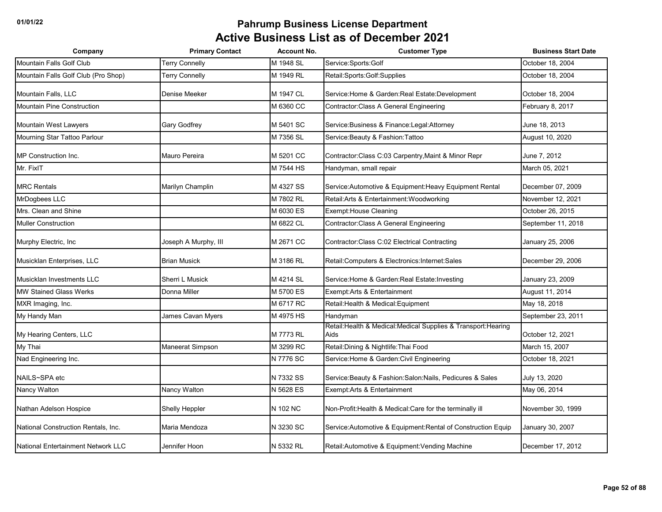| Company                             | <b>Primary Contact</b> | <b>Account No.</b> | <b>Customer Type</b>                                                    | <b>Business Start Date</b> |
|-------------------------------------|------------------------|--------------------|-------------------------------------------------------------------------|----------------------------|
| Mountain Falls Golf Club            | <b>Terry Connelly</b>  | M 1948 SL          | Service:Sports:Golf                                                     | October 18, 2004           |
| Mountain Falls Golf Club (Pro Shop) | Terry Connelly         | M 1949 RL          | Retail:Sports:Golf:Supplies                                             | October 18, 2004           |
| Mountain Falls, LLC                 | Denise Meeker          | M 1947 CL          | Service: Home & Garden: Real Estate: Development                        | October 18, 2004           |
| <b>Mountain Pine Construction</b>   |                        | M 6360 CC          | Contractor: Class A General Engineering                                 | February 8, 2017           |
| Mountain West Lawyers               | <b>Gary Godfrey</b>    | M 5401 SC          | Service: Business & Finance: Legal: Attorney                            | June 18, 2013              |
| Mourning Star Tattoo Parlour        |                        | M 7356 SL          | Service: Beauty & Fashion: Tattoo                                       | August 10, 2020            |
| <b>MP</b> Construction Inc.         | Mauro Pereira          | M 5201 CC          | Contractor: Class C:03 Carpentry, Maint & Minor Repr                    | June 7, 2012               |
| Mr. FixIT                           |                        | M 7544 HS          | Handyman, small repair                                                  | March 05, 2021             |
| <b>MRC Rentals</b>                  | Marilyn Champlin       | M 4327 SS          | Service: Automotive & Equipment: Heavy Equipment Rental                 | December 07, 2009          |
| MrDogbees LLC                       |                        | M 7802 RL          | Retail: Arts & Entertainment: Woodworking                               | November 12, 2021          |
| Mrs. Clean and Shine                |                        | M 6030 ES          | Exempt: House Cleaning                                                  | October 26, 2015           |
| <b>Muller Construction</b>          |                        | M 6822 CL          | Contractor: Class A General Engineering                                 | September 11, 2018         |
| Murphy Electric, Inc.               | Joseph A Murphy, III   | M 2671 CC          | Contractor: Class C:02 Electrical Contracting                           | January 25, 2006           |
| Musicklan Enterprises, LLC          | <b>Brian Musick</b>    | M 3186 RL          | Retail: Computers & Electronics: Internet: Sales                        | December 29, 2006          |
| Musicklan Investments LLC           | Sherri L Musick        | M 4214 SL          | Service: Home & Garden: Real Estate: Investing                          | January 23, 2009           |
| <b>MW Stained Glass Werks</b>       | Donna Miller           | M 5700 ES          | Exempt: Arts & Entertainment                                            | August 11, 2014            |
| MXR Imaging, Inc.                   |                        | M 6717 RC          | Retail: Health & Medical: Equipment                                     | May 18, 2018               |
| My Handy Man                        | James Cavan Myers      | M 4975 HS          | Handyman                                                                | September 23, 2011         |
| My Hearing Centers, LLC             |                        | M 7773 RL          | Retail: Health & Medical: Medical Supplies & Transport: Hearing<br>Aids | October 12, 2021           |
| My Thai                             | Maneerat Simpson       | M 3299 RC          | Retail: Dining & Nightlife: Thai Food                                   | March 15, 2007             |
| Nad Engineering Inc.                |                        | N 7776 SC          | Service: Home & Garden: Civil Engineering                               | October 18, 2021           |
| NAILS~SPA etc                       |                        | N 7332 SS          | Service: Beauty & Fashion: Salon: Nails, Pedicures & Sales              | July 13, 2020              |
| Nancy Walton                        | Nancy Walton           | N 5628 ES          | Exempt:Arts & Entertainment                                             | May 06, 2014               |
| Nathan Adelson Hospice              | Shelly Heppler         | N 102 NC           | Non-Profit: Health & Medical: Care for the terminally ill               | November 30, 1999          |
| National Construction Rentals, Inc. | Maria Mendoza          | N 3230 SC          | Service: Automotive & Equipment: Rental of Construction Equip           | January 30, 2007           |
| National Entertainment Network LLC  | Jennifer Hoon          | N 5332 RL          | Retail: Automotive & Equipment: Vending Machine                         | December 17, 2012          |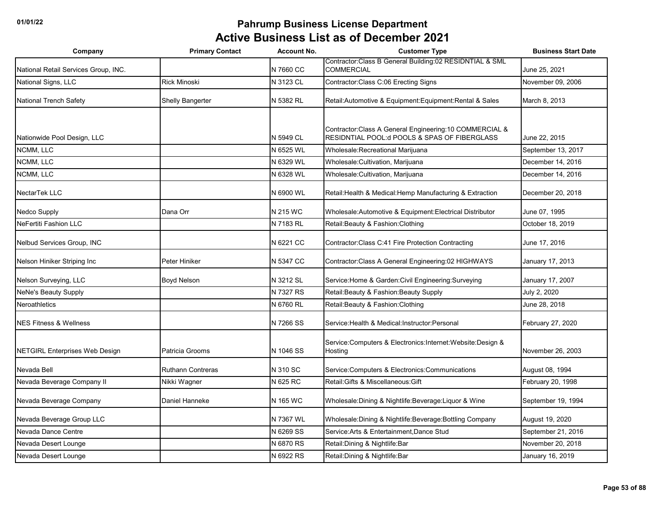| Company                               | <b>Primary Contact</b>   | <b>Account No.</b> | <b>Customer Type</b>                                                                                      | <b>Business Start Date</b> |
|---------------------------------------|--------------------------|--------------------|-----------------------------------------------------------------------------------------------------------|----------------------------|
| National Retail Services Group, INC.  |                          | N 7660 CC          | Contractor: Class B General Building: 02 RESIDNTIAL & SML<br><b>COMMERCIAL</b>                            | June 25, 2021              |
| National Signs, LLC                   | <b>Rick Minoski</b>      | N 3123 CL          | Contractor: Class C:06 Erecting Signs                                                                     | November 09, 2006          |
| <b>National Trench Safety</b>         | Shelly Bangerter         | N 5382 RL          | Retail: Automotive & Equipment: Equipment: Rental & Sales                                                 | March 8, 2013              |
| Nationwide Pool Design, LLC           |                          | N 5949 CL          | Contractor: Class A General Engineering: 10 COMMERCIAL &<br>RESIDNTIAL POOL: d POOLS & SPAS OF FIBERGLASS | June 22, 2015              |
| NCMM, LLC                             |                          | N 6525 WL          | Wholesale: Recreational Marijuana                                                                         | September 13, 2017         |
| NCMM, LLC                             |                          | N 6329 WL          | Wholesale: Cultivation, Marijuana                                                                         | December 14, 2016          |
| NCMM, LLC                             |                          | N 6328 WL          | Wholesale: Cultivation, Marijuana                                                                         | December 14, 2016          |
| NectarTek LLC                         |                          | N 6900 WL          | Retail: Health & Medical: Hemp Manufacturing & Extraction                                                 | December 20, 2018          |
| Nedco Supply                          | Dana Orr                 | N 215 WC           | Wholesale:Automotive & Equipment:Electrical Distributor                                                   | June 07, 1995              |
| <b>NeFertiti Fashion LLC</b>          |                          | N 7183 RL          | Retail: Beauty & Fashion: Clothing                                                                        | October 18, 2019           |
| Nelbud Services Group, INC            |                          | N 6221 CC          | Contractor: Class C:41 Fire Protection Contracting                                                        | June 17, 2016              |
| Nelson Hiniker Striping Inc           | Peter Hiniker            | N 5347 CC          | Contractor: Class A General Engineering: 02 HIGHWAYS                                                      | January 17, 2013           |
| Nelson Surveying, LLC                 | <b>Boyd Nelson</b>       | N 3212 SL          | Service: Home & Garden: Civil Engineering: Surveying                                                      | January 17, 2007           |
| <b>NeNe's Beauty Supply</b>           |                          | N 7327 RS          | Retail: Beauty & Fashion: Beauty Supply                                                                   | July 2, 2020               |
| Neroathletics                         |                          | N 6760 RL          | Retail: Beauty & Fashion: Clothing                                                                        | June 28, 2018              |
| <b>NES Fitness &amp; Wellness</b>     |                          | N 7266 SS          | Service: Health & Medical: Instructor: Personal                                                           | February 27, 2020          |
| <b>NETGIRL Enterprises Web Design</b> | Patricia Grooms          | N 1046 SS          | Service: Computers & Electronics: Internet: Website: Design &<br>Hostina                                  | November 26, 2003          |
| Nevada Bell                           | <b>Ruthann Contreras</b> | N 310 SC           | Service: Computers & Electronics: Communications                                                          | August 08, 1994            |
| Nevada Beverage Company II            | Nikki Wagner             | N 625 RC           | Retail: Gifts & Miscellaneous: Gift                                                                       | February 20, 1998          |
| Nevada Beverage Company               | Daniel Hanneke           | N 165 WC           | Wholesale: Dining & Nightlife: Beverage: Liquor & Wine                                                    | September 19, 1994         |
| Nevada Beverage Group LLC             |                          | N 7367 WL          | Wholesale: Dining & Nightlife: Beverage: Bottling Company                                                 | August 19, 2020            |
| Nevada Dance Centre                   |                          | N 6269 SS          | Service: Arts & Entertainment, Dance Stud                                                                 | September 21, 2016         |
| Nevada Desert Lounge                  |                          | N 6870 RS          | Retail: Dining & Nightlife: Bar                                                                           | November 20, 2018          |
| Nevada Desert Lounge                  |                          | N 6922 RS          | Retail: Dining & Nightlife: Bar                                                                           | January 16, 2019           |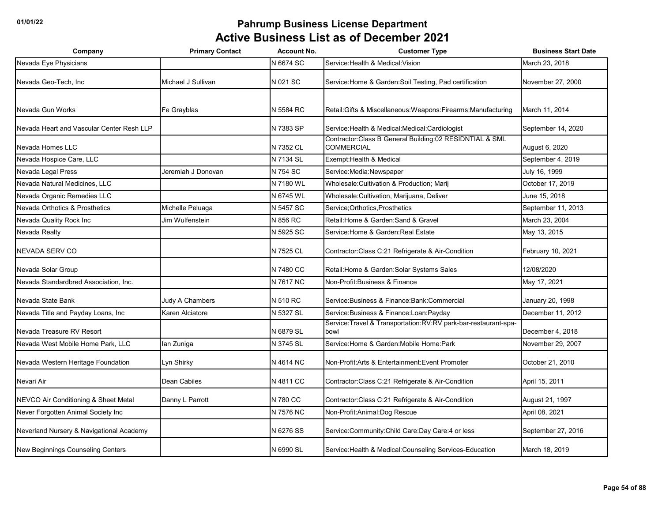| Company                                   | <b>Primary Contact</b> | <b>Account No.</b> | <b>Customer Type</b>                                                           | <b>Business Start Date</b> |
|-------------------------------------------|------------------------|--------------------|--------------------------------------------------------------------------------|----------------------------|
| Nevada Eye Physicians                     |                        | N 6674 SC          | Service: Health & Medical: Vision                                              | March 23, 2018             |
| Nevada Geo-Tech. Inc                      | Michael J Sullivan     | N 021 SC           | Service: Home & Garden: Soil Testing, Pad certification                        | November 27, 2000          |
| Nevada Gun Works                          | Fe Grayblas            | N 5584 RC          | Retail: Gifts & Miscellaneous: Weapons: Firearms: Manufacturing                | March 11, 2014             |
| Nevada Heart and Vascular Center Resh LLP |                        | N 7383 SP          | Service: Health & Medical: Medical: Cardiologist                               | September 14, 2020         |
| Nevada Homes LLC                          |                        | N 7352 CL          | Contractor: Class B General Building: 02 RESIDNTIAL & SML<br><b>COMMERCIAL</b> | August 6, 2020             |
| Nevada Hospice Care, LLC                  |                        | N 7134 SL          | Exempt: Health & Medical                                                       | September 4, 2019          |
| Nevada Legal Press                        | Jeremiah J Donovan     | N 754 SC           | Service: Media: Newspaper                                                      | July 16, 1999              |
| Nevada Natural Medicines, LLC             |                        | N 7180 WL          | Wholesale: Cultivation & Production; Marij                                     | October 17, 2019           |
| Nevada Organic Remedies LLC               |                        | N 6745 WL          | Wholesale: Cultivation, Marijuana, Deliver                                     | June 15, 2018              |
| Nevada Orthotics & Prosthetics            | Michelle Peluaga       | N 5457 SC          | Service; Orthotics, Prosthetics                                                | September 11, 2013         |
| Nevada Quality Rock Inc                   | Jim Wulfenstein        | N 856 RC           | Retail: Home & Garden: Sand & Gravel                                           | March 23, 2004             |
| Nevada Realty                             |                        | N 5925 SC          | Service: Home & Garden: Real Estate                                            | May 13, 2015               |
| <b>NEVADA SERV CO</b>                     |                        | N 7525 CL          | Contractor: Class C:21 Refrigerate & Air-Condition                             | February 10, 2021          |
| Nevada Solar Group                        |                        | N 7480 CC          | Retail: Home & Garden: Solar Systems Sales                                     | 12/08/2020                 |
| Nevada Standardbred Association, Inc.     |                        | N 7617 NC          | Non-Profit: Business & Finance                                                 | May 17, 2021               |
| Nevada State Bank                         | Judy A Chambers        | N 510 RC           | Service: Business & Finance: Bank: Commercial                                  | January 20, 1998           |
| Nevada Title and Payday Loans, Inc        | Karen Alciatore        | N 5327 SL          | Service: Business & Finance: Loan: Payday                                      | December 11, 2012          |
| Nevada Treasure RV Resort                 |                        | N 6879 SL          | Service: Travel & Transportation: RV: RV park-bar-restaurant-spa-<br>bowl      | December 4, 2018           |
| Nevada West Mobile Home Park, LLC         | lan Zuniga             | N 3745 SL          | Service: Home & Garden: Mobile Home: Park                                      | November 29, 2007          |
| Nevada Western Heritage Foundation        | Lyn Shirky             | N 4614 NC          | Non-Profit: Arts & Entertainment: Event Promoter                               | October 21, 2010           |
| Nevari Air                                | Dean Cabiles           | N 4811 CC          | Contractor: Class C:21 Refrigerate & Air-Condition                             | April 15, 2011             |
| NEVCO Air Conditioning & Sheet Metal      | Danny L Parrott        | N 780 CC           | Contractor: Class C:21 Refrigerate & Air-Condition                             | August 21, 1997            |
| Never Forgotten Animal Society Inc        |                        | N 7576 NC          | Non-Profit: Animal: Dog Rescue                                                 | April 08, 2021             |
| Neverland Nursery & Navigational Academy  |                        | N 6276 SS          | Service: Community: Child Care: Day Care: 4 or less                            | September 27, 2016         |
| New Beginnings Counseling Centers         |                        | N 6990 SL          | Service: Health & Medical: Counseling Services-Education                       | March 18, 2019             |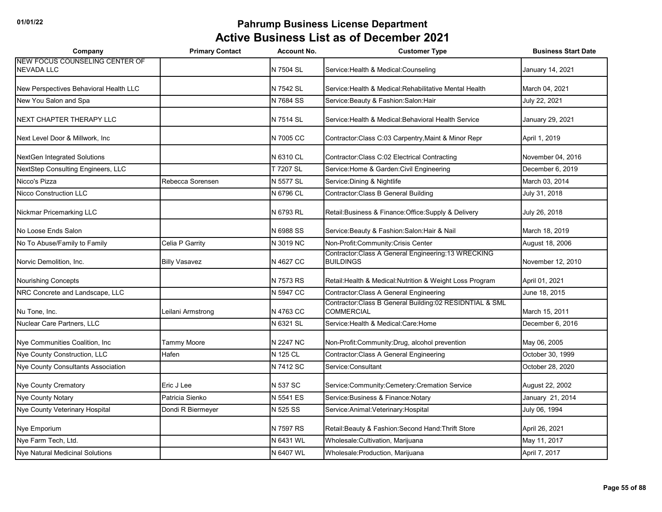| Company                                             | <b>Primary Contact</b> | <b>Account No.</b> | <b>Customer Type</b>                                                         | <b>Business Start Date</b> |
|-----------------------------------------------------|------------------------|--------------------|------------------------------------------------------------------------------|----------------------------|
| NEW FOCUS COUNSELING CENTER OF<br><b>NEVADA LLC</b> |                        | N 7504 SL          | Service: Health & Medical: Counseling                                        | January 14, 2021           |
| New Perspectives Behavioral Health LLC              |                        | N 7542 SL          | Service: Health & Medical: Rehabilitative Mental Health                      | March 04, 2021             |
| New You Salon and Spa                               |                        | N 7684 SS          | Service: Beauty & Fashion: Salon: Hair                                       | July 22, 2021              |
| NEXT CHAPTER THERAPY LLC                            |                        | N 7514 SL          | Service: Health & Medical: Behavioral Health Service                         | January 29, 2021           |
| Next Level Door & Millwork, Inc                     |                        | N 7005 CC          | Contractor: Class C:03 Carpentry, Maint & Minor Repr                         | April 1, 2019              |
| NextGen Integrated Solutions                        |                        | N 6310 CL          | Contractor: Class C:02 Electrical Contracting                                | November 04, 2016          |
| NextStep Consulting Engineers, LLC                  |                        | T 7207 SL          | Service: Home & Garden: Civil Engineering                                    | December 6, 2019           |
| Nicco's Pizza                                       | Rebecca Sorensen       | N 5577 SL          | Service: Dining & Nightlife                                                  | March 03, 2014             |
| Nicco Construction LLC                              |                        | N 6796 CL          | Contractor: Class B General Building                                         | July 31, 2018              |
| Nickmar Pricemarking LLC                            |                        | N 6793 RL          | Retail: Business & Finance: Office: Supply & Delivery                        | July 26, 2018              |
| No Loose Ends Salon                                 |                        | N 6988 SS          | Service: Beauty & Fashion: Salon: Hair & Nail                                | March 18, 2019             |
| No To Abuse/Family to Family                        | Celia P Garrity        | N 3019 NC          | Non-Profit:Community:Crisis Center                                           | August 18, 2006            |
| Norvic Demolition, Inc.                             | <b>Billy Vasavez</b>   | N 4627 CC          | Contractor: Class A General Engineering: 13 WRECKING<br><b>BUILDINGS</b>     | November 12, 2010          |
| Nourishing Concepts                                 |                        | N 7573 RS          | Retail: Health & Medical: Nutrition & Weight Loss Program                    | April 01, 2021             |
| NRC Concrete and Landscape, LLC                     |                        | N 5947 CC          | Contractor: Class A General Engineering                                      | June 18, 2015              |
| Nu Tone, Inc.                                       | Leilani Armstrong      | N 4763 CC          | Contractor:Class B General Building:02 RESIDNTIAL & SML<br><b>COMMERCIAL</b> | March 15, 2011             |
| Nuclear Care Partners, LLC                          |                        | N 6321 SL          | Service: Health & Medical: Care: Home                                        | December 6, 2016           |
| Nye Communities Coalition, Inc                      | Tammy Moore            | N 2247 NC          | Non-Profit:Community:Drug, alcohol prevention                                | May 06, 2005               |
| Nye County Construction, LLC                        | Hafen                  | N 125 CL           | Contractor: Class A General Engineering                                      | October 30, 1999           |
| Nye County Consultants Association                  |                        | N 7412 SC          | Service:Consultant                                                           | October 28, 2020           |
| Nye County Crematory                                | Eric J Lee             | N 537 SC           | Service:Community:Cemetery:Cremation Service                                 | August 22, 2002            |
| <b>Nye County Notary</b>                            | Patricia Sienko        | N 5541 ES          | Service: Business & Finance: Notary                                          | January 21, 2014           |
| Nye County Veterinary Hospital                      | Dondi R Biermeyer      | N 525 SS           | Service: Animal: Veterinary: Hospital                                        | July 06, 1994              |
| Nye Emporium                                        |                        | N 7597 RS          | Retail: Beauty & Fashion: Second Hand: Thrift Store                          | April 26, 2021             |
| Nye Farm Tech, Ltd.                                 |                        | N 6431 WL          | Wholesale: Cultivation, Marijuana                                            | May 11, 2017               |
| Nye Natural Medicinal Solutions                     |                        | N 6407 WL          | Wholesale: Production, Marijuana                                             | April 7, 2017              |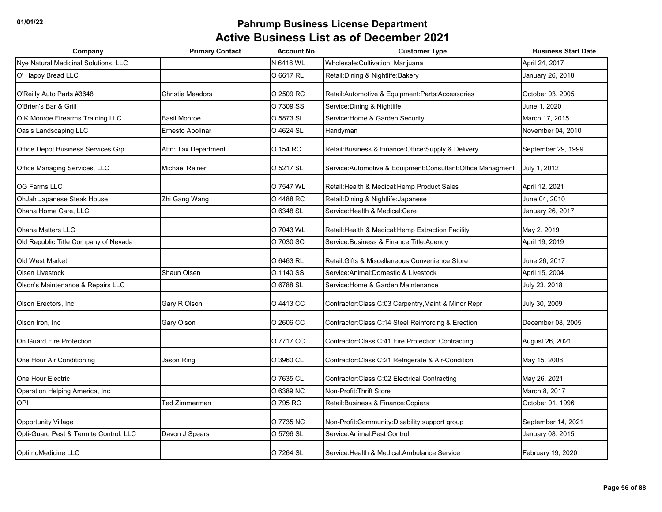| Company                                | <b>Primary Contact</b>  | <b>Account No.</b> | <b>Customer Type</b>                                          | <b>Business Start Date</b> |
|----------------------------------------|-------------------------|--------------------|---------------------------------------------------------------|----------------------------|
| Nye Natural Medicinal Solutions, LLC   |                         | N 6416 WL          | Wholesale: Cultivation, Marijuana                             | April 24, 2017             |
| O' Happy Bread LLC                     |                         | O 6617 RL          | Retail: Dining & Nightlife: Bakery                            | January 26, 2018           |
| O'Reilly Auto Parts #3648              | <b>Christie Meadors</b> | O 2509 RC          | Retail: Automotive & Equipment: Parts: Accessories            | October 03, 2005           |
| O'Brien's Bar & Grill                  |                         | O 7309 SS          | Service: Dining & Nightlife                                   | June 1, 2020               |
| O K Monroe Firearms Training LLC       | <b>Basil Monroe</b>     | O 5873 SL          | Service: Home & Garden: Security                              | March 17, 2015             |
| Oasis Landscaping LLC                  | Ernesto Apolinar        | O 4624 SL          | Handyman                                                      | November 04, 2010          |
| Office Depot Business Services Grp     | Attn: Tax Department    | O 154 RC           | Retail: Business & Finance: Office: Supply & Delivery         | September 29, 1999         |
| Office Managing Services, LLC          | <b>Michael Reiner</b>   | O 5217 SL          | Service: Automotive & Equipment: Consultant: Office Managment | July 1, 2012               |
| OG Farms LLC                           |                         | O 7547 WL          | Retail: Health & Medical: Hemp Product Sales                  | April 12, 2021             |
| OhJah Japanese Steak House             | Zhi Gang Wang           | O 4488 RC          | Retail: Dining & Nightlife: Japanese                          | June 04, 2010              |
| Ohana Home Care, LLC                   |                         | O 6348 SL          | Service: Health & Medical: Care                               | January 26, 2017           |
| <b>Ohana Matters LLC</b>               |                         | O 7043 WL          | Retail: Health & Medical: Hemp Extraction Facility            | May 2, 2019                |
| Old Republic Title Company of Nevada   |                         | O 7030 SC          | Service: Business & Finance: Title: Agency                    | April 19, 2019             |
| Old West Market                        |                         | O 6463 RL          | Retail: Gifts & Miscellaneous: Convenience Store              | June 26, 2017              |
| Olsen Livestock                        | Shaun Olsen             | O 1140 SS          | Service: Animal: Domestic & Livestock                         | April 15, 2004             |
| Olson's Maintenance & Repairs LLC      |                         | O 6788 SL          | Service: Home & Garden: Maintenance                           | July 23, 2018              |
| Olson Erectors, Inc.                   | Gary R Olson            | O 4413 CC          | Contractor: Class C:03 Carpentry, Maint & Minor Repr          | July 30, 2009              |
| Olson Iron, Inc                        | <b>Gary Olson</b>       | O 2606 CC          | Contractor: Class C: 14 Steel Reinforcing & Erection          | December 08, 2005          |
| On Guard Fire Protection               |                         | O 7717 CC          | Contractor: Class C: 41 Fire Protection Contracting           | August 26, 2021            |
| One Hour Air Conditioning              | Jason Ring              | O 3960 CL          | Contractor: Class C:21 Refrigerate & Air-Condition            | May 15, 2008               |
| One Hour Electric                      |                         | O 7635 CL          | Contractor: Class C:02 Electrical Contracting                 | May 26, 2021               |
| Operation Helping America, Inc         |                         | O 6389 NC          | Non-Profit: Thrift Store                                      | March 8, 2017              |
| OPI                                    | Ted Zimmerman           | O 795 RC           | Retail: Business & Finance: Copiers                           | October 01, 1996           |
| Opportunity Village                    |                         | O 7735 NC          | Non-Profit:Community:Disability support group                 | September 14, 2021         |
| Opti-Guard Pest & Termite Control, LLC | Davon J Spears          | O 5796 SL          | Service: Animal: Pest Control                                 | January 08, 2015           |
| OptimuMedicine LLC                     |                         | O 7264 SL          | Service: Health & Medical: Ambulance Service                  | February 19, 2020          |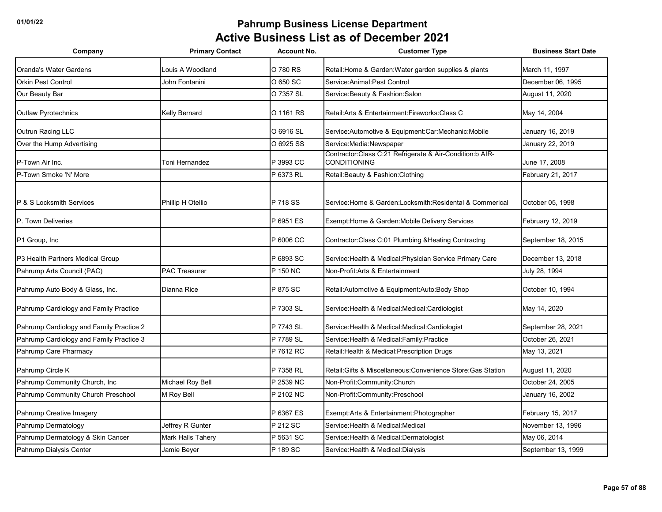| Company                                  | <b>Primary Contact</b> | <b>Account No.</b> | <b>Customer Type</b>                                                            | <b>Business Start Date</b> |
|------------------------------------------|------------------------|--------------------|---------------------------------------------------------------------------------|----------------------------|
| Oranda's Water Gardens                   | Louis A Woodland       | O 780 RS           | Retail: Home & Garden: Water garden supplies & plants                           | March 11, 1997             |
| <b>Orkin Pest Control</b>                | John Fontanini         | O 650 SC           | Service: Animal: Pest Control                                                   | December 06, 1995          |
| Our Beauty Bar                           |                        | O 7357 SL          | Service: Beauty & Fashion: Salon                                                | August 11, 2020            |
| <b>Outlaw Pyrotechnics</b>               | Kelly Bernard          | O 1161 RS          | Retail: Arts & Entertainment: Fireworks: Class C                                | May 14, 2004               |
| Outrun Racing LLC                        |                        | O 6916 SL          | Service: Automotive & Equipment: Car: Mechanic: Mobile                          | January 16, 2019           |
| Over the Hump Advertising                |                        | O 6925 SS          | Service:Media:Newspaper                                                         | January 22, 2019           |
| P-Town Air Inc.                          | Toni Hernandez         | P 3993 CC          | Contractor:Class C:21 Refrigerate & Air-Condition:b AIR-<br><b>CONDITIONING</b> | June 17, 2008              |
| P-Town Smoke 'N' More                    |                        | P 6373 RL          | Retail: Beauty & Fashion: Clothing                                              | February 21, 2017          |
| P & S Locksmith Services                 | Phillip H Otellio      | P 718 SS           | Service: Home & Garden: Locksmith: Residental & Commerical                      | October 05, 1998           |
| P. Town Deliveries                       |                        | P 6951 ES          | Exempt: Home & Garden: Mobile Delivery Services                                 | February 12, 2019          |
| P1 Group, Inc                            |                        | P 6006 CC          | Contractor: Class C:01 Plumbing & Heating Contractng                            | September 18, 2015         |
| P3 Health Partners Medical Group         |                        | P 6893 SC          | Service: Health & Medical: Physician Service Primary Care                       | December 13, 2018          |
| Pahrump Arts Council (PAC)               | <b>PAC Treasurer</b>   | P 150 NC           | Non-Profit:Arts & Entertainment                                                 | July 28, 1994              |
| Pahrump Auto Body & Glass, Inc.          | Dianna Rice            | P 875 SC           | Retail: Automotive & Equipment: Auto: Body Shop                                 | October 10, 1994           |
| Pahrump Cardiology and Family Practice   |                        | P 7303 SL          | Service: Health & Medical: Medical: Cardiologist                                | May 14, 2020               |
| Pahrump Cardiology and Family Practice 2 |                        | P 7743 SL          | Service: Health & Medical: Medical: Cardiologist                                | September 28, 2021         |
| Pahrump Cardiology and Family Practice 3 |                        | P 7789 SL          | Service: Health & Medical: Family: Practice                                     | October 26, 2021           |
| Pahrump Care Pharmacy                    |                        | P 7612 RC          | Retail: Health & Medical: Prescription Drugs                                    | May 13, 2021               |
| Pahrump Circle K                         |                        | P 7358 RL          | Retail: Gifts & Miscellaneous: Convenience Store: Gas Station                   | August 11, 2020            |
| Pahrump Community Church, Inc            | Michael Roy Bell       | P 2539 NC          | Non-Profit:Community:Church                                                     | October 24, 2005           |
| Pahrump Community Church Preschool       | M Roy Bell             | P 2102 NC          | Non-Profit:Community:Preschool                                                  | January 16, 2002           |
| Pahrump Creative Imagery                 |                        | P 6367 ES          | Exempt:Arts & Entertainment:Photographer                                        | February 15, 2017          |
| Pahrump Dermatology                      | Jeffrey R Gunter       | P 212 SC           | Service: Health & Medical: Medical                                              | November 13, 1996          |
| Pahrump Dermatology & Skin Cancer        | Mark Halls Tahery      | P 5631 SC          | Service: Health & Medical: Dermatologist                                        | May 06, 2014               |
| Pahrump Dialysis Center                  | Jamie Beyer            | P 189 SC           | Service: Health & Medical: Dialysis                                             | September 13, 1999         |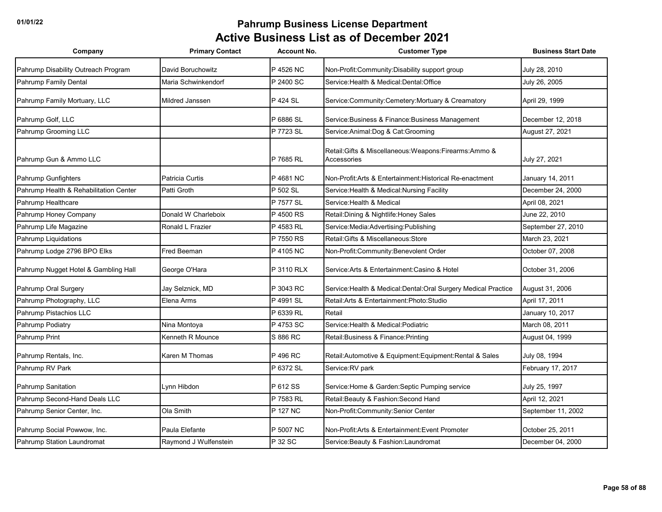| Company                                | <b>Primary Contact</b> | <b>Account No.</b> | <b>Customer Type</b>                                                    | <b>Business Start Date</b> |
|----------------------------------------|------------------------|--------------------|-------------------------------------------------------------------------|----------------------------|
| Pahrump Disability Outreach Program    | David Boruchowitz      | P 4526 NC          | Non-Profit:Community:Disability support group                           | July 28, 2010              |
| Pahrump Family Dental                  | Maria Schwinkendorf    | P 2400 SC          | Service: Health & Medical: Dental: Office                               | July 26, 2005              |
| Pahrump Family Mortuary, LLC           | Mildred Janssen        | P 424 SL           | Service:Community:Cemetery:Mortuary & Creamatory                        | April 29, 1999             |
| Pahrump Golf, LLC                      |                        | P 6886 SL          | Service: Business & Finance: Business Management                        | December 12, 2018          |
| Pahrump Grooming LLC                   |                        | P 7723 SL          | Service: Animal: Dog & Cat: Grooming                                    | August 27, 2021            |
| Pahrump Gun & Ammo LLC                 |                        | P 7685 RL          | Retail: Gifts & Miscellaneous: Weapons: Firearms: Ammo &<br>Accessories | July 27, 2021              |
| Pahrump Gunfighters                    | Patricia Curtis        | P 4681 NC          | Non-Profit: Arts & Entertainment: Historical Re-enactment               | January 14, 2011           |
| Pahrump Health & Rehabilitation Center | Patti Groth            | P 502 SL           | Service: Health & Medical: Nursing Facility                             | December 24, 2000          |
| Pahrump Healthcare                     |                        | P 7577 SL          | Service: Health & Medical                                               | April 08, 2021             |
| Pahrump Honey Company                  | Donald W Charleboix    | P 4500 RS          | Retail: Dining & Nightlife: Honey Sales                                 | June 22, 2010              |
| Pahrump Life Magazine                  | Ronald L Frazier       | P 4583 RL          | Service:Media:Advertising:Publishing                                    | September 27, 2010         |
| Pahrump Liquidations                   |                        | P 7550 RS          | Retail: Gifts & Miscellaneous: Store                                    | March 23, 2021             |
| Pahrump Lodge 2796 BPO Elks            | Fred Beeman            | P 4105 NC          | Non-Profit:Community:Benevolent Order                                   | October 07, 2008           |
| Pahrump Nugget Hotel & Gambling Hall   | George O'Hara          | P 3110 RLX         | Service: Arts & Entertainment: Casino & Hotel                           | October 31, 2006           |
| Pahrump Oral Surgery                   | Jay Selznick, MD       | P 3043 RC          | Service: Health & Medical: Dental: Oral Surgery Medical Practice        | August 31, 2006            |
| Pahrump Photography, LLC               | Elena Arms             | P 4991 SL          | Retail: Arts & Entertainment: Photo: Studio                             | April 17, 2011             |
| Pahrump Pistachios LLC                 |                        | P 6339 RL          | Retail                                                                  | January 10, 2017           |
| Pahrump Podiatry                       | Nina Montoya           | P 4753 SC          | Service: Health & Medical: Podiatric                                    | March 08, 2011             |
| Pahrump Print                          | Kenneth R Mounce       | S 886 RC           | Retail: Business & Finance: Printing                                    | August 04, 1999            |
| Pahrump Rentals, Inc.                  | Karen M Thomas         | P 496 RC           | Retail: Automotive & Equipment: Equipment: Rental & Sales               | July 08, 1994              |
| Pahrump RV Park                        |                        | P 6372 SL          | Service:RV park                                                         | February 17, 2017          |
| Pahrump Sanitation                     | Lynn Hibdon            | P 612 SS           | Service: Home & Garden: Septic Pumping service                          | July 25, 1997              |
| Pahrump Second-Hand Deals LLC          |                        | P 7583 RL          | Retail: Beauty & Fashion: Second Hand                                   | April 12, 2021             |
| Pahrump Senior Center, Inc.            | Ola Smith              | P 127 NC           | Non-Profit:Community:Senior Center                                      | September 11, 2002         |
| Pahrump Social Powwow, Inc.            | Paula Elefante         | P 5007 NC          | Non-Profit: Arts & Entertainment: Event Promoter                        | October 25, 2011           |
| Pahrump Station Laundromat             | Raymond J Wulfenstein  | P 32 SC            | Service: Beauty & Fashion: Laundromat                                   | December 04, 2000          |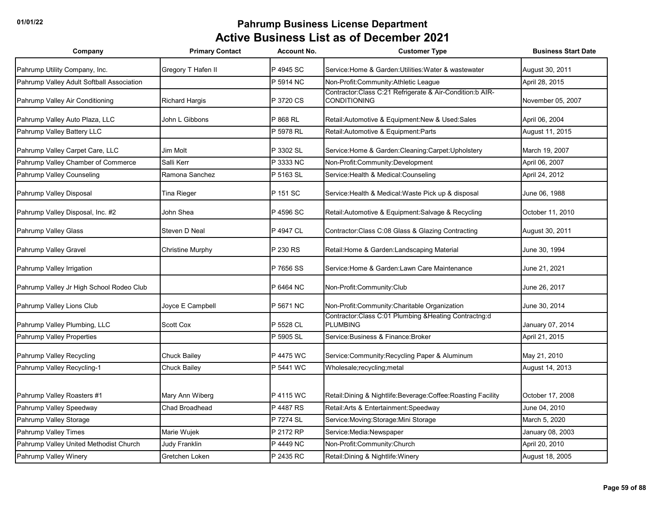| Company                                   | <b>Primary Contact</b> | <b>Account No.</b> | <b>Customer Type</b>                                                            | <b>Business Start Date</b> |
|-------------------------------------------|------------------------|--------------------|---------------------------------------------------------------------------------|----------------------------|
| Pahrump Utility Company, Inc.             | Gregory T Hafen II     | P 4945 SC          | Service: Home & Garden: Utilities: Water & wastewater                           | August 30, 2011            |
| Pahrump Valley Adult Softball Association |                        | P 5914 NC          | Non-Profit:Community:Athletic League                                            | April 28, 2015             |
| Pahrump Valley Air Conditioning           | <b>Richard Hargis</b>  | P 3720 CS          | Contractor:Class C:21 Refrigerate & Air-Condition:b AIR-<br><b>CONDITIONING</b> | November 05, 2007          |
| Pahrump Valley Auto Plaza, LLC            | John L Gibbons         | P 868 RL           | Retail: Automotive & Equipment: New & Used: Sales                               | April 06, 2004             |
| Pahrump Valley Battery LLC                |                        | P 5978 RL          | Retail:Automotive & Equipment:Parts                                             | August 11, 2015            |
| Pahrump Valley Carpet Care, LLC           | Jim Molt               | P 3302 SL          | Service: Home & Garden: Cleaning: Carpet: Upholstery                            | March 19, 2007             |
| Pahrump Valley Chamber of Commerce        | Salli Kerr             | P 3333 NC          | Non-Profit:Community:Development                                                | April 06, 2007             |
| Pahrump Valley Counseling                 | Ramona Sanchez         | P 5163 SL          | Service: Health & Medical: Counseling                                           | April 24, 2012             |
| Pahrump Valley Disposal                   | Tina Rieger            | P 151 SC           | Service: Health & Medical: Waste Pick up & disposal                             | June 06, 1988              |
| Pahrump Valley Disposal, Inc. #2          | John Shea              | P 4596 SC          | Retail: Automotive & Equipment: Salvage & Recycling                             | October 11, 2010           |
| Pahrump Valley Glass                      | Steven D Neal          | P 4947 CL          | Contractor: Class C:08 Glass & Glazing Contracting                              | August 30, 2011            |
| Pahrump Valley Gravel                     | Christine Murphy       | P 230 RS           | Retail: Home & Garden: Landscaping Material                                     | June 30, 1994              |
| Pahrump Valley Irrigation                 |                        | P 7656 SS          | Service: Home & Garden: Lawn Care Maintenance                                   | June 21, 2021              |
| Pahrump Valley Jr High School Rodeo Club  |                        | P 6464 NC          | Non-Profit:Community:Club                                                       | June 26, 2017              |
| Pahrump Valley Lions Club                 | Joyce E Campbell       | P 5671 NC          | Non-Profit:Community:Charitable Organization                                    | June 30, 2014              |
| Pahrump Valley Plumbing, LLC              | Scott Cox              | P 5528 CL          | Contractor:Class C:01 Plumbing &Heating Contractng:d<br><b>PLUMBING</b>         | January 07, 2014           |
| Pahrump Valley Properties                 |                        | P 5905 SL          | Service: Business & Finance: Broker                                             | April 21, 2015             |
| Pahrump Valley Recycling                  | Chuck Bailey           | P 4475 WC          | Service: Community: Recycling Paper & Aluminum                                  | May 21, 2010               |
| Pahrump Valley Recycling-1                | Chuck Bailey           | P 5441 WC          | Wholesale;recycling;metal                                                       | August 14, 2013            |
|                                           |                        |                    |                                                                                 |                            |
| Pahrump Valley Roasters #1                | Mary Ann Wiberg        | P 4115 WC          | Retail:Dining & Nightlife:Beverage:Coffee:Roasting Facility                     | October 17, 2008           |
| Pahrump Valley Speedway                   | <b>Chad Broadhead</b>  | P 4487 RS          | Retail: Arts & Entertainment: Speedway                                          | June 04, 2010              |
| Pahrump Valley Storage                    |                        | P 7274 SL          | Service: Moving: Storage: Mini Storage                                          | March 5, 2020              |
| Pahrump Valley Times                      | Marie Wujek            | P 2172 RP          | Service:Media:Newspaper                                                         | January 08, 2003           |
| Pahrump Valley United Methodist Church    | Judy Franklin          | P 4449 NC          | Non-Profit:Community:Church                                                     | April 20, 2010             |
| Pahrump Valley Winery                     | Gretchen Loken         | P 2435 RC          | Retail: Dining & Nightlife: Winery                                              | August 18, 2005            |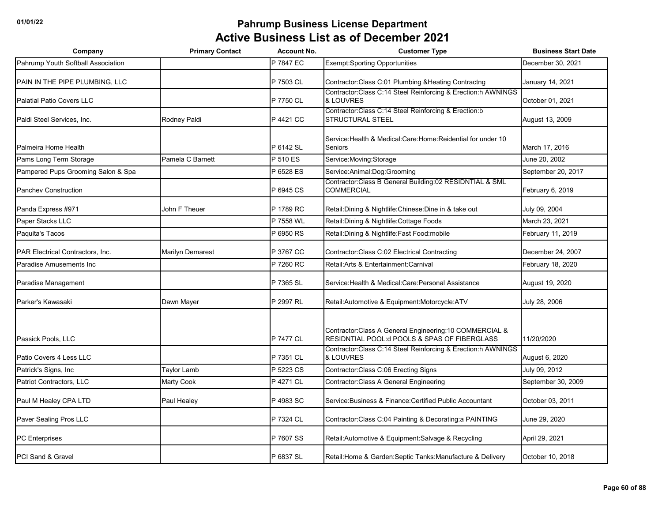| Company                                 | <b>Primary Contact</b>  | <b>Account No.</b> | <b>Customer Type</b>                                                                                     | <b>Business Start Date</b> |
|-----------------------------------------|-------------------------|--------------------|----------------------------------------------------------------------------------------------------------|----------------------------|
| Pahrump Youth Softball Association      |                         | P 7847 EC          | <b>Exempt:Sporting Opportunities</b>                                                                     | December 30, 2021          |
| PAIN IN THE PIPE PLUMBING, LLC          |                         | P 7503 CL          | Contractor: Class C:01 Plumbing & Heating Contractng                                                     | January 14, 2021           |
| <b>Palatial Patio Covers LLC</b>        |                         | P 7750 CL          | Contractor:Class C:14 Steel Reinforcing & Erection:h AWNINGS<br>& LOUVRES                                | October 01, 2021           |
| Paldi Steel Services, Inc.              | Rodney Paldi            | P 4421 CC          | Contractor:Class C:14 Steel Reinforcing & Erection:b<br><b>STRUCTURAL STEEL</b>                          | August 13, 2009            |
| Palmeira Home Health                    |                         | P 6142 SL          | Service: Health & Medical: Care: Home: Reidential for under 10<br>Seniors                                | March 17, 2016             |
| Pams Long Term Storage                  | Pamela C Barnett        | P 510 ES           | Service: Moving: Storage                                                                                 | June 20, 2002              |
| Pampered Pups Grooming Salon & Spa      |                         | P 6528 ES          | Service:Animal:Dog:Grooming                                                                              | September 20, 2017         |
| <b>Panchev Construction</b>             |                         | P 6945 CS          | Contractor:Class B General Building:02 RESIDNTIAL & SML<br><b>COMMERCIAL</b>                             | February 6, 2019           |
| Panda Express #971                      | John F Theuer           | P 1789 RC          | Retail: Dining & Nightlife: Chinese: Dine in & take out                                                  | July 09, 2004              |
| Paper Stacks LLC                        |                         | P 7558 WL          | Retail: Dining & Nightlife: Cottage Foods                                                                | March 23, 2021             |
| Paquita's Tacos                         |                         | P 6950 RS          | Retail: Dining & Nightlife: Fast Food: mobile                                                            | February 11, 2019          |
| <b>PAR Electrical Contractors, Inc.</b> | <b>Marilyn Demarest</b> | P 3767 CC          | Contractor: Class C:02 Electrical Contracting                                                            | December 24, 2007          |
| <b>Paradise Amusements Inc</b>          |                         | P 7260 RC          | Retail: Arts & Entertainment: Carnival                                                                   | February 18, 2020          |
| Paradise Management                     |                         | P 7365 SL          | Service: Health & Medical: Care: Personal Assistance                                                     | August 19, 2020            |
| Parker's Kawasaki                       | Dawn Mayer              | P 2997 RL          | Retail: Automotive & Equipment: Motorcycle: ATV                                                          | July 28, 2006              |
| Passick Pools, LLC                      |                         | P 7477 CL          | Contractor: Class A General Engineering: 10 COMMERCIAL &<br>RESIDNTIAL POOL:d POOLS & SPAS OF FIBERGLASS | 11/20/2020                 |
| Patio Covers 4 Less LLC                 |                         | P 7351 CL          | Contractor:Class C:14 Steel Reinforcing & Erection:h AWNINGS<br>& LOUVRES                                | August 6, 2020             |
| Patrick's Signs, Inc                    | Taylor Lamb             | P 5223 CS          | Contractor: Class C:06 Erecting Signs                                                                    | July 09, 2012              |
| Patriot Contractors, LLC                | Marty Cook              | P 4271 CL          | Contractor: Class A General Engineering                                                                  | September 30, 2009         |
| Paul M Healey CPA LTD                   | Paul Healey             | P 4983 SC          | Service: Business & Finance: Certified Public Accountant                                                 | October 03, 2011           |
| Paver Sealing Pros LLC                  |                         | P 7324 CL          | Contractor: Class C:04 Painting & Decorating: a PAINTING                                                 | June 29, 2020              |
| <b>PC</b> Enterprises                   |                         | P 7607 SS          | Retail: Automotive & Equipment: Salvage & Recycling                                                      | April 29, 2021             |
| PCI Sand & Gravel                       |                         | P 6837 SL          | Retail: Home & Garden: Septic Tanks: Manufacture & Delivery                                              | October 10, 2018           |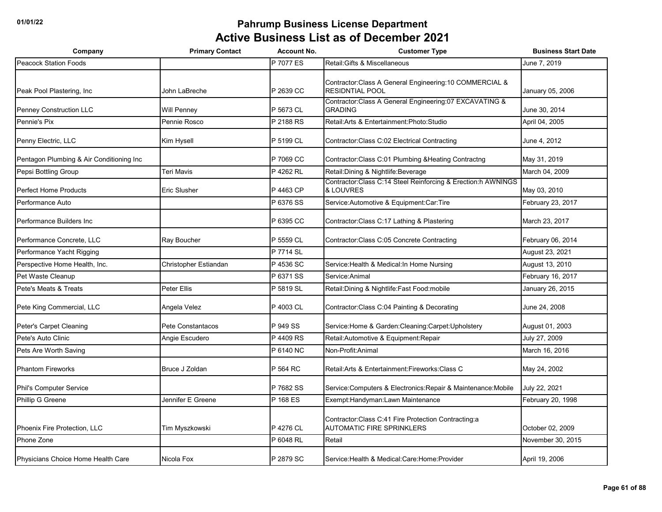| Company                                   | <b>Primary Contact</b> | <b>Account No.</b> | <b>Customer Type</b>                                                                     | <b>Business Start Date</b> |
|-------------------------------------------|------------------------|--------------------|------------------------------------------------------------------------------------------|----------------------------|
| <b>Peacock Station Foods</b>              |                        | P 7077 ES          | Retail: Gifts & Miscellaneous                                                            | June 7, 2019               |
| Peak Pool Plastering, Inc.                | John LaBreche          | P 2639 CC          | Contractor: Class A General Engineering: 10 COMMERCIAL &<br><b>RESIDNTIAL POOL</b>       | January 05, 2006           |
| <b>Penney Construction LLC</b>            | <b>Will Penney</b>     | P 5673 CL          | Contractor: Class A General Engineering: 07 EXCAVATING &<br><b>GRADING</b>               | June 30, 2014              |
| Pennie's Pix                              | Pennie Rosco           | P 2188 RS          | Retail: Arts & Entertainment: Photo: Studio                                              | April 04, 2005             |
| Penny Electric, LLC                       | Kim Hysell             | P 5199 CL          | Contractor: Class C:02 Electrical Contracting                                            | June 4, 2012               |
| Pentagon Plumbing & Air Conditioning Inc. |                        | P 7069 CC          | Contractor: Class C:01 Plumbing & Heating Contractng                                     | May 31, 2019               |
| Pepsi Bottling Group                      | Teri Mavis             | P 4262 RL          | Retail: Dining & Nightlife: Beverage                                                     | March 04, 2009             |
| Perfect Home Products                     | <b>Eric Slusher</b>    | P 4463 CP          | Contractor:Class C:14 Steel Reinforcing & Erection:h AWNINGS<br>& LOUVRES                | May 03, 2010               |
| Performance Auto                          |                        | P 6376 SS          | Service: Automotive & Equipment: Car: Tire                                               | February 23, 2017          |
| Performance Builders Inc                  |                        | P 6395 CC          | Contractor: Class C:17 Lathing & Plastering                                              | March 23, 2017             |
| Performance Concrete, LLC                 | Ray Boucher            | P 5559 CL          | Contractor: Class C:05 Concrete Contracting                                              | February 06, 2014          |
| Performance Yacht Rigging                 |                        | P 7714 SL          |                                                                                          | August 23, 2021            |
| Perspective Home Health, Inc.             | Christopher Estiandan  | P 4536 SC          | Service: Health & Medical: In Home Nursing                                               | August 13, 2010            |
| Pet Waste Cleanup                         |                        | P 6371 SS          | Service: Animal                                                                          | February 16, 2017          |
| Pete's Meats & Treats                     | Peter Ellis            | P 5819 SL          | Retail: Dining & Nightlife: Fast Food: mobile                                            | January 26, 2015           |
| Pete King Commercial, LLC                 | Angela Velez           | P 4003 CL          | Contractor: Class C:04 Painting & Decorating                                             | June 24, 2008              |
| Peter's Carpet Cleaning                   | Pete Constantacos      | P 949 SS           | Service: Home & Garden: Cleaning: Carpet: Upholstery                                     | August 01, 2003            |
| Pete's Auto Clinic                        | Angie Escudero         | P 4409 RS          | Retail: Automotive & Equipment: Repair                                                   | July 27, 2009              |
| Pets Are Worth Saving                     |                        | P 6140 NC          | Non-Profit:Animal                                                                        | March 16, 2016             |
| <b>Phantom Fireworks</b>                  | Bruce J Zoldan         | P 564 RC           | Retail: Arts & Entertainment: Fireworks: Class C                                         | May 24, 2002               |
| Phil's Computer Service                   |                        | P 7682 SS          | Service: Computers & Electronics: Repair & Maintenance: Mobile                           | July 22, 2021              |
| Phillip G Greene                          | Jennifer E Greene      | P 168 ES           | Exempt: Handyman: Lawn Maintenance                                                       | February 20, 1998          |
| Phoenix Fire Protection, LLC              | Tim Myszkowski         | P 4276 CL          | Contractor: Class C:41 Fire Protection Contracting:a<br><b>AUTOMATIC FIRE SPRINKLERS</b> | October 02, 2009           |
| Phone Zone                                |                        | P 6048 RL          | Retail                                                                                   | November 30, 2015          |
| Physicians Choice Home Health Care        | Nicola Fox             | P 2879 SC          | Service: Health & Medical: Care: Home: Provider                                          | April 19, 2006             |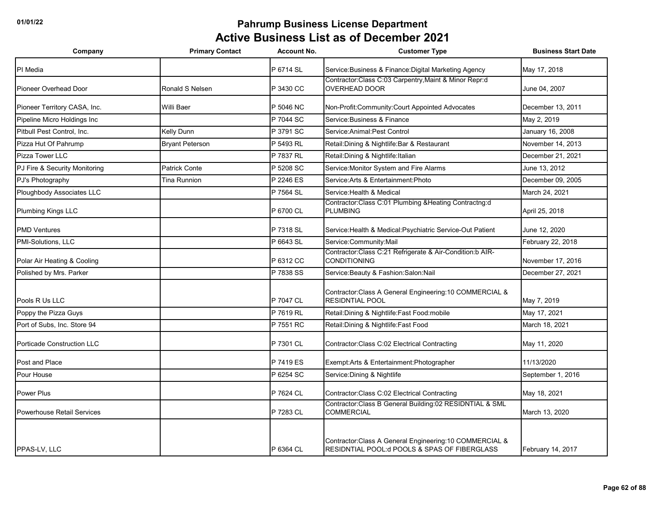| Company                           | <b>Primary Contact</b> | <b>Account No.</b> | <b>Customer Type</b>                                                                                                 | <b>Business Start Date</b> |
|-----------------------------------|------------------------|--------------------|----------------------------------------------------------------------------------------------------------------------|----------------------------|
| PI Media                          |                        | P 6714 SL          | Service: Business & Finance: Digital Marketing Agency                                                                | May 17, 2018               |
| Pioneer Overhead Door             | Ronald S Nelsen        | P 3430 CC          | Contractor:Class C:03 Carpentry, Maint & Minor Repr:d<br><b>OVERHEAD DOOR</b>                                        | June 04, 2007              |
| Pioneer Territory CASA, Inc.      | Willi Baer             | P 5046 NC          | Non-Profit:Community:Court Appointed Advocates                                                                       | December 13, 2011          |
| Pipeline Micro Holdings Inc       |                        | P 7044 SC          | Service: Business & Finance                                                                                          | May 2, 2019                |
| Pitbull Pest Control. Inc.        | Kelly Dunn             | P 3791 SC          | Service: Animal: Pest Control                                                                                        | January 16, 2008           |
| Pizza Hut Of Pahrump              | <b>Bryant Peterson</b> | P 5493 RL          | Retail: Dining & Nightlife: Bar & Restaurant                                                                         | November 14, 2013          |
| Pizza Tower LLC                   |                        | P 7837 RL          | Retail: Dining & Nightlife: Italian                                                                                  | December 21, 2021          |
| PJ Fire & Security Monitoring     | <b>Patrick Conte</b>   | P 5208 SC          | Service: Monitor System and Fire Alarms                                                                              | June 13, 2012              |
| PJ's Photography                  | Tina Runnion           | P 2246 ES          | Service: Arts & Entertainment: Photo                                                                                 | December 09, 2005          |
| Ploughbody Associates LLC         |                        | P 7564 SL          | Service: Health & Medical                                                                                            | March 24, 2021             |
| Plumbing Kings LLC                |                        | P 6700 CL          | Contractor:Class C:01 Plumbing &Heating Contractng:d<br><b>PLUMBING</b>                                              | April 25, 2018             |
| <b>PMD Ventures</b>               |                        | P 7318 SL          | Service: Health & Medical: Psychiatric Service-Out Patient                                                           | June 12, 2020              |
| PMI-Solutions, LLC                |                        | P 6643 SL          | Service:Community:Mail                                                                                               | February 22, 2018          |
| Polar Air Heating & Cooling       |                        | P 6312 CC          | Contractor:Class C:21 Refrigerate & Air-Condition:b AIR-<br><b>CONDITIONING</b>                                      | November 17, 2016          |
| Polished by Mrs. Parker           |                        | P 7838 SS          | Service: Beauty & Fashion: Salon: Nail                                                                               | December 27, 2021          |
| Pools R Us LLC                    |                        | P 7047 CL          | Contractor: Class A General Engineering: 10 COMMERCIAL &<br><b>RESIDNTIAL POOL</b>                                   | May 7, 2019                |
| Poppy the Pizza Guys              |                        | P 7619 RL          | Retail: Dining & Nightlife: Fast Food: mobile                                                                        | May 17, 2021               |
| Port of Subs, Inc. Store 94       |                        | P 7551 RC          | Retail: Dining & Nightlife: Fast Food                                                                                | March 18, 2021             |
| Porticade Construction LLC        |                        | P 7301 CL          | Contractor: Class C:02 Electrical Contracting                                                                        | May 11, 2020               |
| Post and Place                    |                        | P 7419 ES          | Exempt: Arts & Entertainment: Photographer                                                                           | 11/13/2020                 |
| Pour House                        |                        | P 6254 SC          | Service: Dining & Nightlife                                                                                          | September 1, 2016          |
| Power Plus                        |                        | P 7624 CL          | Contractor: Class C:02 Electrical Contracting                                                                        | May 18, 2021               |
| <b>Powerhouse Retail Services</b> |                        | P 7283 CL          | Contractor:Class B General Building:02 RESIDNTIAL & SML<br><b>COMMERCIAL</b>                                         | March 13, 2020             |
| <b>PPAS-LV. LLC</b>               |                        | P 6364 CL          | Contractor: Class A General Engineering: 10 COMMERCIAL &<br><b>RESIDNTIAL POOL: d POOLS &amp; SPAS OF FIBERGLASS</b> | February 14, 2017          |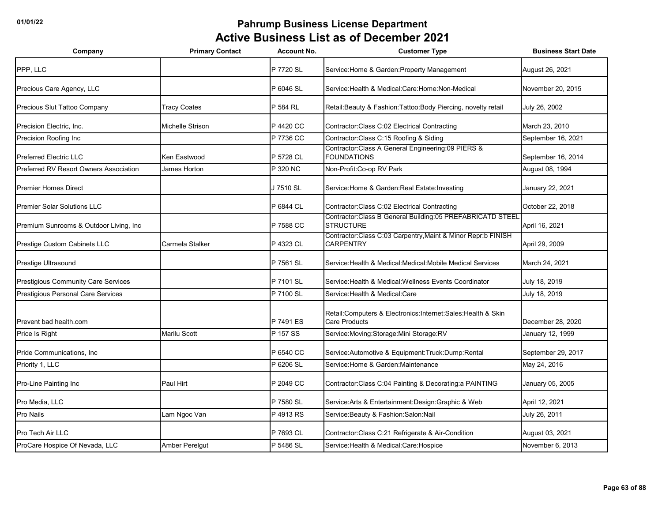| Company                                 | <b>Primary Contact</b>  | <b>Account No.</b> | <b>Customer Type</b>                                                                    | <b>Business Start Date</b> |
|-----------------------------------------|-------------------------|--------------------|-----------------------------------------------------------------------------------------|----------------------------|
| PPP, LLC                                |                         | P 7720 SL          | Service: Home & Garden: Property Management                                             | August 26, 2021            |
| Precious Care Agency, LLC               |                         | P 6046 SL          | Service: Health & Medical: Care: Home: Non-Medical                                      | November 20, 2015          |
| Precious Slut Tattoo Company            | Tracy Coates            | P 584 RL           | Retail: Beauty & Fashion: Tattoo: Body Piercing, novelty retail                         | July 26, 2002              |
| Precision Electric, Inc.                | <b>Michelle Strison</b> | P 4420 CC          | Contractor: Class C:02 Electrical Contracting                                           | March 23, 2010             |
| Precision Roofing Inc                   |                         | P 7736 CC          | Contractor: Class C: 15 Roofing & Siding                                                | September 16, 2021         |
| <b>Preferred Electric LLC</b>           | Ken Eastwood            | P 5728 CL          | Contractor: Class A General Engineering: 09 PIERS &<br><b>FOUNDATIONS</b>               | September 16, 2014         |
| Preferred RV Resort Owners Association  | James Horton            | P 320 NC           | Non-Profit: Co-op RV Park                                                               | August 08, 1994            |
| <b>Premier Homes Direct</b>             |                         | J 7510 SL          | Service:Home & Garden:Real Estate:Investing                                             | January 22, 2021           |
| <b>Premier Solar Solutions LLC</b>      |                         | P 6844 CL          | Contractor: Class C:02 Electrical Contracting                                           | October 22, 2018           |
| Premium Sunrooms & Outdoor Living, Inc. |                         | P 7588 CC          | Contractor: Class B General Building: 05 PREFABRICATD STEEL<br><b>STRUCTURE</b>         | April 16, 2021             |
| Prestige Custom Cabinets LLC            | Carmela Stalker         | P 4323 CL          | Contractor:Class C:03 Carpentry, Maint & Minor Repr:b FINISH<br><b>CARPENTRY</b>        | April 29, 2009             |
| Prestige Ultrasound                     |                         | P 7561 SL          | Service: Health & Medical: Medical: Mobile Medical Services                             | March 24, 2021             |
| Prestigious Community Care Services     |                         | P 7101 SL          | Service: Health & Medical: Wellness Events Coordinator                                  | July 18, 2019              |
| Prestigious Personal Care Services      |                         | P 7100 SL          | Service: Health & Medical: Care                                                         | July 18, 2019              |
| Prevent bad health.com                  |                         | P 7491 ES          | Retail: Computers & Electronics: Internet: Sales: Health & Skin<br><b>Care Products</b> | December 28, 2020          |
| Price Is Right                          | Marilu Scott            | P 157 SS           | Service: Moving: Storage: Mini Storage: RV                                              | January 12, 1999           |
| Pride Communications, Inc.              |                         | P 6540 CC          | Service: Automotive & Equipment: Truck: Dump: Rental                                    | September 29, 2017         |
| Priority 1, LLC                         |                         | P 6206 SL          | Service: Home & Garden: Maintenance                                                     | May 24, 2016               |
| Pro-Line Painting Inc                   | Paul Hirt               | P 2049 CC          | Contractor: Class C:04 Painting & Decorating: a PAINTING                                | January 05, 2005           |
| Pro Media, LLC                          |                         | P 7580 SL          | Service: Arts & Entertainment: Design: Graphic & Web                                    | April 12, 2021             |
| Pro Nails                               | Lam Ngoc Van            | P 4913 RS          | Service: Beauty & Fashion: Salon: Nail                                                  | July 26, 2011              |
| <b>Pro Tech Air LLC</b>                 |                         | P 7693 CL          | Contractor: Class C:21 Refrigerate & Air-Condition                                      | August 03, 2021            |
| ProCare Hospice Of Nevada, LLC          | Amber Perelgut          | P 5486 SL          | Service: Health & Medical: Care: Hospice                                                | November 6, 2013           |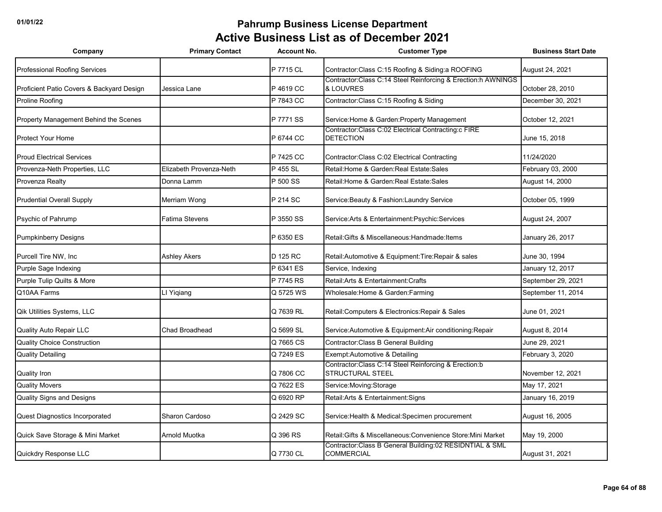| Company                                   | <b>Primary Contact</b>  | <b>Account No.</b> | <b>Customer Type</b>                                                         | <b>Business Start Date</b> |
|-------------------------------------------|-------------------------|--------------------|------------------------------------------------------------------------------|----------------------------|
| Professional Roofing Services             |                         | P 7715 CL          | Contractor: Class C:15 Roofing & Siding: a ROOFING                           | August 24, 2021            |
| Proficient Patio Covers & Backyard Design | Jessica Lane            | P 4619 CC          | Contractor:Class C:14 Steel Reinforcing & Erection:h AWNINGS<br>& LOUVRES    | October 28, 2010           |
| Proline Roofing                           |                         | P 7843 CC          | Contractor: Class C:15 Roofing & Siding                                      | December 30, 2021          |
| Property Management Behind the Scenes     |                         | P 7771 SS          | Service: Home & Garden: Property Management                                  | October 12, 2021           |
| <b>Protect Your Home</b>                  |                         | P 6744 CC          | Contractor:Class C:02 Electrical Contracting:c FIRE<br><b>DETECTION</b>      | June 15, 2018              |
| <b>Proud Electrical Services</b>          |                         | P 7425 CC          | Contractor: Class C:02 Electrical Contracting                                | 11/24/2020                 |
| Provenza-Neth Properties, LLC             | Elizabeth Provenza-Neth | P 455 SL           | Retail: Home & Garden: Real Estate: Sales                                    | February 03, 2000          |
| Provenza Realty                           | Donna Lamm              | P 500 SS           | Retail: Home & Garden: Real Estate: Sales                                    | August 14, 2000            |
| <b>Prudential Overall Supply</b>          | Merriam Wong            | P 214 SC           | Service: Beauty & Fashion: Laundry Service                                   | October 05, 1999           |
| Psychic of Pahrump                        | Fatima Stevens          | P 3550 SS          | Service: Arts & Entertainment: Psychic: Services                             | August 24, 2007            |
| <b>Pumpkinberry Designs</b>               |                         | P 6350 ES          | Retail: Gifts & Miscellaneous: Handmade: Items                               | January 26, 2017           |
| Purcell Tire NW, Inc                      | <b>Ashley Akers</b>     | D 125 RC           | Retail: Automotive & Equipment: Tire: Repair & sales                         | June 30, 1994              |
| Purple Sage Indexing                      |                         | P 6341 ES          | Service, Indexing                                                            | January 12, 2017           |
| Purple Tulip Quilts & More                |                         | P 7745 RS          | Retail: Arts & Entertainment: Crafts                                         | September 29, 2021         |
| Q10AA Farms                               | LI Yiqiang              | Q 5725 WS          | Wholesale: Home & Garden: Farming                                            | September 11, 2014         |
| Qik Utilities Systems, LLC                |                         | Q 7639 RL          | Retail: Computers & Electronics: Repair & Sales                              | June 01, 2021              |
| Quality Auto Repair LLC                   | Chad Broadhead          | Q 5699 SL          | Service: Automotive & Equipment: Air conditioning: Repair                    | August 8, 2014             |
| <b>Quality Choice Construction</b>        |                         | Q 7665 CS          | Contractor: Class B General Building                                         | June 29, 2021              |
| <b>Quality Detailing</b>                  |                         | Q 7249 ES          | Exempt: Automotive & Detailing                                               | February 3, 2020           |
| <b>Quality Iron</b>                       |                         | Q 7806 CC          | Contractor: Class C:14 Steel Reinforcing & Erection:b<br>STRUCTURAL STEEL    | November 12, 2021          |
| <b>Quality Movers</b>                     |                         | Q 7622 ES          | Service: Moving: Storage                                                     | May 17, 2021               |
| <b>Quality Signs and Designs</b>          |                         | Q 6920 RP          | Retail: Arts & Entertainment: Signs                                          | January 16, 2019           |
| Quest Diagnostics Incorporated            | Sharon Cardoso          | Q 2429 SC          | Service: Health & Medical: Specimen procurement                              | August 16, 2005            |
| Quick Save Storage & Mini Market          | Arnold Muotka           | Q 396 RS           | Retail: Gifts & Miscellaneous: Convenience Store: Mini Market                | May 19, 2000               |
| Quickdry Response LLC                     |                         | Q 7730 CL          | Contractor:Class B General Building:02 RESIDNTIAL & SML<br><b>COMMERCIAL</b> | August 31, 2021            |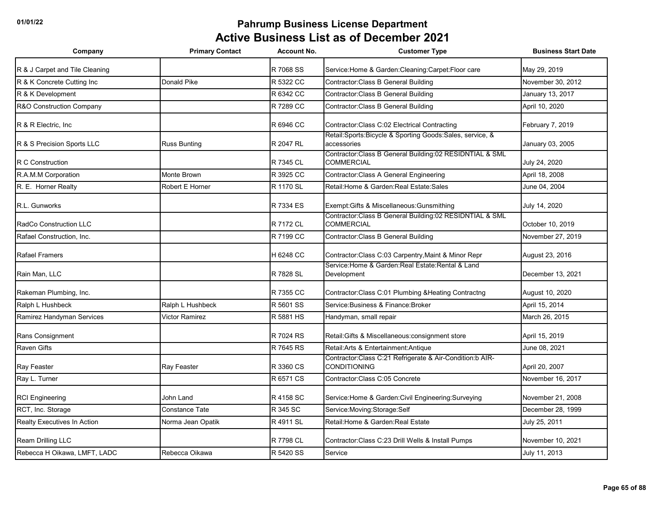| Company                        | <b>Primary Contact</b> | <b>Account No.</b> | <b>Customer Type</b>                                                              | <b>Business Start Date</b> |
|--------------------------------|------------------------|--------------------|-----------------------------------------------------------------------------------|----------------------------|
| R & J Carpet and Tile Cleaning |                        | R 7068 SS          | Service: Home & Garden: Cleaning: Carpet: Floor care                              | May 29, 2019               |
| R & K Concrete Cutting Inc     | Donald Pike            | R 5322 CC          | Contractor: Class B General Building                                              | November 30, 2012          |
| R & K Development              |                        | R 6342 CC          | Contractor: Class B General Building                                              | January 13, 2017           |
| R&O Construction Company       |                        | R 7289 CC          | Contractor: Class B General Building                                              | April 10, 2020             |
| R & R Electric, Inc.           |                        | R 6946 CC          | Contractor: Class C:02 Electrical Contracting                                     | February 7, 2019           |
| R & S Precision Sports LLC     | <b>Russ Bunting</b>    | R 2047 RL          | Retail:Sports:Bicycle & Sporting Goods:Sales, service, &<br>accessories           | January 03, 2005           |
| R C Construction               |                        | R 7345 CL          | Contractor: Class B General Building: 02 RESIDNTIAL & SML<br>COMMERCIAL           | July 24, 2020              |
| R.A.M.M Corporation            | Monte Brown            | R 3925 CC          | <b>Contractor:Class A General Engineering</b>                                     | April 18, 2008             |
| R. E. Horner Realty            | Robert E Horner        | R 1170 SL          | Retail: Home & Garden: Real Estate: Sales                                         | June 04, 2004              |
| R.L. Gunworks                  |                        | R 7334 ES          | Exempt: Gifts & Miscellaneous: Gunsmithing                                        | July 14, 2020              |
| RadCo Construction LLC         |                        | R 7172 CL          | Contractor:Class B General Building:02 RESIDNTIAL & SML<br><b>COMMERCIAL</b>      | October 10, 2019           |
| Rafael Construction, Inc.      |                        | R 7199 CC          | Contractor: Class B General Building                                              | November 27, 2019          |
| <b>Rafael Framers</b>          |                        | H 6248 CC          | Contractor: Class C:03 Carpentry, Maint & Minor Repr                              | August 23, 2016            |
| Rain Man, LLC                  |                        | R 7828 SL          | Service: Home & Garden: Real Estate: Rental & Land<br>Development                 | December 13, 2021          |
| Rakeman Plumbing, Inc.         |                        | R 7355 CC          | Contractor: Class C:01 Plumbing & Heating Contractng                              | August 10, 2020            |
| Ralph L Hushbeck               | Ralph L Hushbeck       | R 5601 SS          | Service: Business & Finance: Broker                                               | April 15, 2014             |
| Ramirez Handyman Services      | Victor Ramirez         | R 5881 HS          | Handyman, small repair                                                            | March 26, 2015             |
| Rans Consignment               |                        | R 7024 RS          | Retail: Gifts & Miscellaneous: consignment store                                  | April 15, 2019             |
| <b>Raven Gifts</b>             |                        | R 7645 RS          | Retail: Arts & Entertainment: Antique                                             | June 08, 2021              |
| Ray Feaster                    | Ray Feaster            | R 3360 CS          | Contractor: Class C:21 Refrigerate & Air-Condition: b AIR-<br><b>CONDITIONING</b> | April 20, 2007             |
| Ray L. Turner                  |                        | R 6571 CS          | Contractor: Class C:05 Concrete                                                   | November 16, 2017          |
| <b>RCI Engineering</b>         | John Land              | R 4158 SC          | Service: Home & Garden: Civil Engineering: Surveying                              | November 21, 2008          |
| RCT, Inc. Storage              | <b>Constance Tate</b>  | R 345 SC           | Service: Moving: Storage: Self                                                    | December 28, 1999          |
| Realty Executives In Action    | Norma Jean Opatik      | R 4911 SL          | Retail: Home & Garden: Real Estate                                                | July 25, 2011              |
| Ream Drilling LLC              |                        | R 7798 CL          | Contractor:Class C:23 Drill Wells & Install Pumps                                 | November 10, 2021          |
| Rebecca H Oikawa, LMFT, LADC   | Rebecca Oikawa         | R 5420 SS          | Service                                                                           | July 11, 2013              |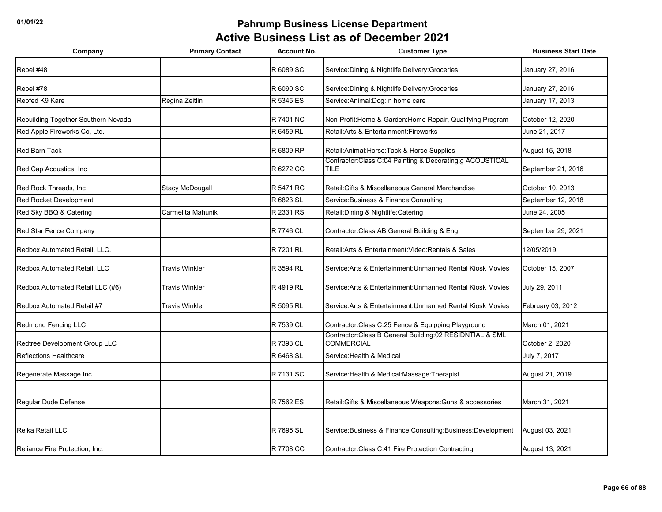| Company                             | <b>Primary Contact</b> | <b>Account No.</b> | <b>Customer Type</b>                                                         | <b>Business Start Date</b> |
|-------------------------------------|------------------------|--------------------|------------------------------------------------------------------------------|----------------------------|
| Rebel #48                           |                        | R 6089 SC          | Service: Dining & Nightlife: Delivery: Groceries                             | January 27, 2016           |
| Rebel #78                           |                        | R 6090 SC          | Service: Dining & Nightlife: Delivery: Groceries                             | January 27, 2016           |
| Rebfed K9 Kare                      | Regina Zeitlin         | R 5345 ES          | Service: Animal: Dog: In home care                                           | January 17, 2013           |
| Rebuilding Together Southern Nevada |                        | R 7401 NC          | Non-Profit: Home & Garden: Home Repair, Qualifying Program                   | October 12, 2020           |
| Red Apple Fireworks Co, Ltd.        |                        | R 6459 RL          | Retail: Arts & Entertainment: Fireworks                                      | June 21, 2017              |
| <b>Red Barn Tack</b>                |                        | R 6809 RP          | Retail: Animal: Horse: Tack & Horse Supplies                                 | August 15, 2018            |
| Red Cap Acoustics, Inc.             |                        | R 6272 CC          | Contractor:Class C:04 Painting & Decorating:g ACOUSTICAL<br>TILE.            | September 21, 2016         |
| Red Rock Threads, Inc.              | <b>Stacy McDougall</b> | R 5471 RC          | Retail: Gifts & Miscellaneous: General Merchandise                           | October 10, 2013           |
| <b>Red Rocket Development</b>       |                        | R 6823 SL          | Service: Business & Finance: Consulting                                      | September 12, 2018         |
| Red Sky BBQ & Catering              | Carmelita Mahunik      | R 2331 RS          | Retail: Dining & Nightlife: Catering                                         | June 24, 2005              |
| Red Star Fence Company              |                        | R 7746 CL          | Contractor: Class AB General Building & Eng                                  | September 29, 2021         |
| Redbox Automated Retail, LLC.       |                        | R 7201 RL          | Retail: Arts & Entertainment: Video: Rentals & Sales                         | 12/05/2019                 |
| Redbox Automated Retail, LLC        | <b>Travis Winkler</b>  | R 3594 RL          | Service: Arts & Entertainment: Unmanned Rental Kiosk Movies                  | October 15, 2007           |
| Redbox Automated Retail LLC (#6)    | <b>Travis Winkler</b>  | R 4919 RL          | Service: Arts & Entertainment: Unmanned Rental Kiosk Movies                  | July 29, 2011              |
| Redbox Automated Retail #7          | <b>Travis Winkler</b>  | R 5095 RL          | Service: Arts & Entertainment: Unmanned Rental Kiosk Movies                  | February 03, 2012          |
| <b>Redmond Fencing LLC</b>          |                        | R 7539 CL          | Contractor: Class C:25 Fence & Equipping Playground                          | March 01, 2021             |
| Redtree Development Group LLC       |                        | R 7393 CL          | Contractor:Class B General Building:02 RESIDNTIAL & SML<br><b>COMMERCIAL</b> | October 2, 2020            |
| <b>Reflections Healthcare</b>       |                        | R 6468 SL          | Service: Health & Medical                                                    | July 7, 2017               |
| Regenerate Massage Inc              |                        | R 7131 SC          | Service: Health & Medical: Massage: Therapist                                | August 21, 2019            |
|                                     |                        |                    |                                                                              |                            |
| Regular Dude Defense                |                        | R 7562 ES          | Retail: Gifts & Miscellaneous: Weapons: Guns & accessories                   | March 31, 2021             |
| Reika Retail LLC                    |                        | R 7695 SL          | Service: Business & Finance: Consulting: Business: Development               | August 03, 2021            |
| Reliance Fire Protection, Inc.      |                        | R 7708 CC          | Contractor: Class C:41 Fire Protection Contracting                           | August 13, 2021            |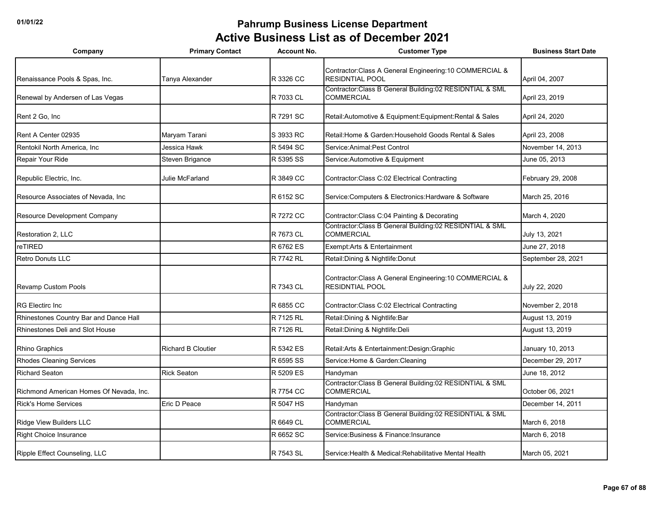| Company                                 | <b>Primary Contact</b>    | <b>Account No.</b> | <b>Customer Type</b>                                                               | <b>Business Start Date</b> |
|-----------------------------------------|---------------------------|--------------------|------------------------------------------------------------------------------------|----------------------------|
| Renaissance Pools & Spas, Inc.          | Tanya Alexander           | R 3326 CC          | Contractor: Class A General Engineering: 10 COMMERCIAL &<br><b>RESIDNTIAL POOL</b> | April 04, 2007             |
| Renewal by Andersen of Las Vegas        |                           | R 7033 CL          | Contractor: Class B General Building: 02 RESIDNTIAL & SML<br><b>COMMERCIAL</b>     | April 23, 2019             |
| Rent 2 Go, Inc.                         |                           | R 7291 SC          | Retail: Automotive & Equipment: Equipment: Rental & Sales                          | April 24, 2020             |
| Rent A Center 02935                     | Maryam Tarani             | S 3933 RC          | Retail: Home & Garden: Household Goods Rental & Sales                              | April 23, 2008             |
| Rentokil North America, Inc.            | Jessica Hawk              | R 5494 SC          | Service: Animal: Pest Control                                                      | November 14, 2013          |
| Repair Your Ride                        | Steven Brigance           | R 5395 SS          | Service: Automotive & Equipment                                                    | June 05, 2013              |
| Republic Electric, Inc.                 | <b>Julie McFarland</b>    | R 3849 CC          | Contractor: Class C:02 Electrical Contracting                                      | February 29, 2008          |
| Resource Associates of Nevada. Inc.     |                           | R 6152 SC          | Service: Computers & Electronics: Hardware & Software                              | March 25, 2016             |
| Resource Development Company            |                           | R 7272 CC          | Contractor: Class C:04 Painting & Decorating                                       | March 4, 2020              |
| Restoration 2, LLC                      |                           | R 7673 CL          | Contractor: Class B General Building: 02 RESIDNTIAL & SML<br><b>COMMERCIAL</b>     | July 13, 2021              |
| reTIRED                                 |                           | R 6762 ES          | Exempt: Arts & Entertainment                                                       | June 27, 2018              |
| <b>Retro Donuts LLC</b>                 |                           | R 7742 RL          | Retail: Dining & Nightlife: Donut                                                  | September 28, 2021         |
| Revamp Custom Pools                     |                           | R 7343 CL          | Contractor: Class A General Engineering: 10 COMMERCIAL &<br><b>RESIDNTIAL POOL</b> | July 22, 2020              |
| <b>RG Electirc Inc.</b>                 |                           | R 6855 CC          | Contractor: Class C:02 Electrical Contracting                                      | November 2, 2018           |
| Rhinestones Country Bar and Dance Hall  |                           | R 7125 RL          | Retail: Dining & Nightlife: Bar                                                    | August 13, 2019            |
| Rhinestones Deli and Slot House         |                           | R 7126 RL          | Retail: Dining & Nightlife: Deli                                                   | August 13, 2019            |
| Rhino Graphics                          | <b>Richard B Cloutier</b> | R 5342 ES          | Retail: Arts & Entertainment: Design: Graphic                                      | January 10, 2013           |
| <b>Rhodes Cleaning Services</b>         |                           | R 6595 SS          | Service: Home & Garden: Cleaning                                                   | December 29, 2017          |
| <b>Richard Seaton</b>                   | <b>Rick Seaton</b>        | R 5209 ES          | Handyman                                                                           | June 18, 2012              |
| Richmond American Homes Of Nevada, Inc. |                           | R 7754 CC          | Contractor: Class B General Building: 02 RESIDNTIAL & SML<br><b>COMMERCIAL</b>     | October 06, 2021           |
| <b>Rick's Home Services</b>             | Eric D Peace              | R 5047 HS          | Handyman                                                                           | December 14, 2011          |
| Ridge View Builders LLC                 |                           | R 6649 CL          | Contractor: Class B General Building: 02 RESIDNTIAL & SML<br><b>COMMERCIAL</b>     | March 6, 2018              |
| Right Choice Insurance                  |                           | R 6652 SC          | Service: Business & Finance: Insurance                                             | March 6, 2018              |
| Ripple Effect Counseling, LLC           |                           | R 7543 SL          | Service: Health & Medical: Rehabilitative Mental Health                            | March 05, 2021             |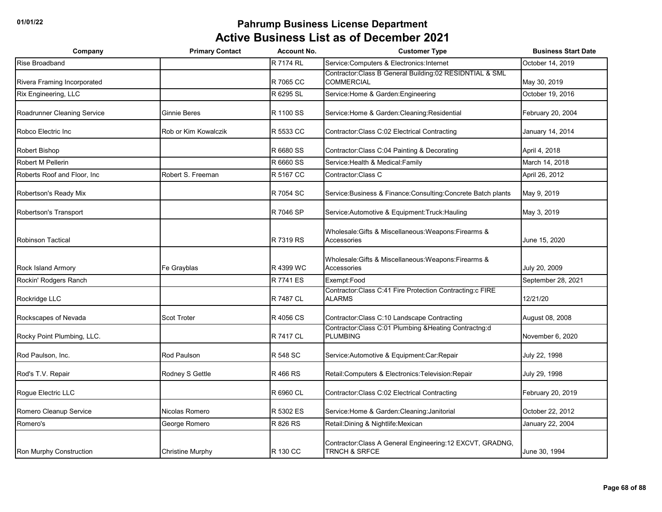| Company                     | <b>Primary Contact</b>  | <b>Account No.</b> | <b>Customer Type</b>                                                           | <b>Business Start Date</b> |
|-----------------------------|-------------------------|--------------------|--------------------------------------------------------------------------------|----------------------------|
| Rise Broadband              |                         | R 7174 RL          | Service:Computers & Electronics:Internet                                       | October 14, 2019           |
| Rivera Framing Incorporated |                         | R 7065 CC          | Contractor: Class B General Building: 02 RESIDNTIAL & SML<br><b>COMMERCIAL</b> | May 30, 2019               |
| Rix Engineering, LLC        |                         | R 6295 SL          | Service: Home & Garden: Engineering                                            | October 19, 2016           |
| Roadrunner Cleaning Service | <b>Ginnie Beres</b>     | R 1100 SS          | Service: Home & Garden: Cleaning: Residential                                  | February 20, 2004          |
| Robco Electric Inc          | Rob or Kim Kowalczik    | R 5533 CC          | Contractor: Class C:02 Electrical Contracting                                  | January 14, 2014           |
| Robert Bishop               |                         | R 6680 SS          | Contractor: Class C:04 Painting & Decorating                                   | April 4, 2018              |
| Robert M Pellerin           |                         | R 6660 SS          | Service: Health & Medical: Family                                              | March 14, 2018             |
| Roberts Roof and Floor, Inc | Robert S. Freeman       | R 5167 CC          | Contractor:Class C                                                             | April 26, 2012             |
| Robertson's Ready Mix       |                         | R 7054 SC          | Service: Business & Finance: Consulting: Concrete Batch plants                 | May 9, 2019                |
| Robertson's Transport       |                         | R 7046 SP          | Service: Automotive & Equipment: Truck: Hauling                                | May 3, 2019                |
| <b>Robinson Tactical</b>    |                         | R 7319 RS          | Wholesale: Gifts & Miscellaneous: Weapons: Firearms &<br>Accessories           | June 15, 2020              |
| Rock Island Armory          | Fe Grayblas             | R 4399 WC          | Wholesale: Gifts & Miscellaneous: Weapons: Firearms &<br>Accessories           | July 20, 2009              |
| Rockin' Rodgers Ranch       |                         | R 7741 ES          | Exempt:Food                                                                    | September 28, 2021         |
| Rockridge LLC               |                         | R 7487 CL          | Contractor: Class C:41 Fire Protection Contracting: c FIRE<br><b>ALARMS</b>    | 12/21/20                   |
| Rockscapes of Nevada        | <b>Scot Troter</b>      | R 4056 CS          | Contractor: Class C:10 Landscape Contracting                                   | August 08, 2008            |
| Rocky Point Plumbing, LLC.  |                         | R 7417 CL          | Contractor:Class C:01 Plumbing &Heating Contractng:d<br><b>PLUMBING</b>        | November 6, 2020           |
| Rod Paulson, Inc.           | Rod Paulson             | R 548 SC           | Service: Automotive & Equipment: Car: Repair                                   | July 22, 1998              |
| Rod's T.V. Repair           | Rodney S Gettle         | R 466 RS           | Retail:Computers & Electronics:Television:Repair                               | July 29, 1998              |
| Rogue Electric LLC          |                         | R 6960 CL          | Contractor: Class C:02 Electrical Contracting                                  | February 20, 2019          |
| Romero Cleanup Service      | Nicolas Romero          | R 5302 ES          | Service: Home & Garden: Cleaning: Janitorial                                   | October 22, 2012           |
| Romero's                    | George Romero           | R 826 RS           | Retail: Dining & Nightlife: Mexican                                            | January 22, 2004           |
| Ron Murphy Construction     | <b>Christine Murphy</b> | R 130 CC           | Contractor: Class A General Engineering: 12 EXCVT, GRADNG,<br>TRNCH & SRFCE    | June 30, 1994              |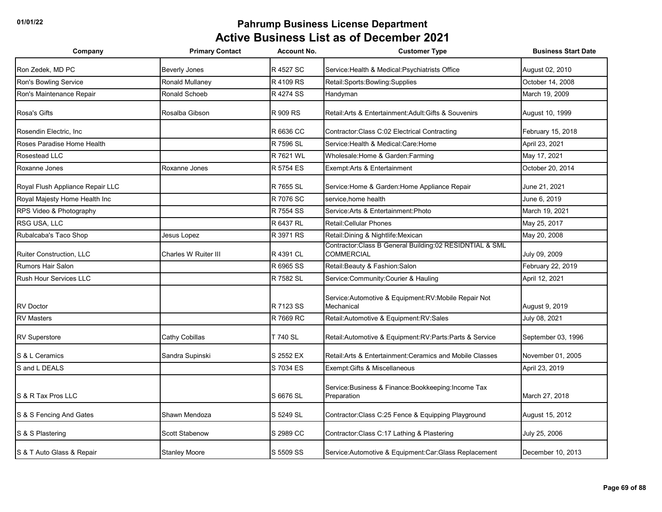| Company                          | <b>Primary Contact</b> | <b>Account No.</b> | <b>Customer Type</b>                                                           | <b>Business Start Date</b> |
|----------------------------------|------------------------|--------------------|--------------------------------------------------------------------------------|----------------------------|
| Ron Zedek, MD PC                 | <b>Beverly Jones</b>   | R 4527 SC          | Service: Health & Medical: Psychiatrists Office                                | August 02, 2010            |
| Ron's Bowling Service            | Ronald Mullaney        | R 4109 RS          | Retail:Sports:Bowling:Supplies                                                 | October 14, 2008           |
| Ron's Maintenance Repair         | Ronald Schoeb          | R 4274 SS          | Handyman                                                                       | March 19, 2009             |
| Rosa's Gifts                     | Rosalba Gibson         | R 909 RS           | Retail: Arts & Entertainment: Adult: Gifts & Souvenirs                         | August 10, 1999            |
| Rosendin Electric, Inc.          |                        | R 6636 CC          | Contractor: Class C:02 Electrical Contracting                                  | February 15, 2018          |
| Roses Paradise Home Health       |                        | R 7596 SL          | Service:Health & Medical:Care:Home                                             | April 23, 2021             |
| Rosestead LLC                    |                        | R 7621 WL          | Wholesale: Home & Garden: Farming                                              | May 17, 2021               |
| Roxanne Jones                    | Roxanne Jones          | R 5754 ES          | Exempt:Arts & Entertainment                                                    | October 20, 2014           |
| Royal Flush Appliance Repair LLC |                        | R 7655 SL          | Service: Home & Garden: Home Appliance Repair                                  | June 21, 2021              |
| Royal Majesty Home Health Inc    |                        | R 7076 SC          | service.home health                                                            | June 6, 2019               |
| RPS Video & Photography          |                        | R 7554 SS          | Service: Arts & Entertainment: Photo                                           | March 19, 2021             |
| RSG USA, LLC                     |                        | R 6437 RL          | Retail: Cellular Phones                                                        | May 25, 2017               |
| Rubalcaba's Taco Shop            | Jesus Lopez            | R 3971 RS          | Retail: Dining & Nightlife: Mexican                                            | May 20, 2008               |
| Ruiter Construction, LLC         | Charles W Ruiter III   | R 4391 CL          | Contractor: Class B General Building: 02 RESIDNTIAL & SML<br><b>COMMERCIAL</b> | July 09, 2009              |
| <b>Rumors Hair Salon</b>         |                        | R 6965 SS          | Retail: Beauty & Fashion: Salon                                                | February 22, 2019          |
| <b>Rush Hour Services LLC</b>    |                        | R 7582 SL          | Service: Community: Courier & Hauling                                          | April 12, 2021             |
| <b>RV Doctor</b>                 |                        | R 7123 SS          | Service: Automotive & Equipment: RV: Mobile Repair Not<br>Mechanical           | August 9, 2019             |
| <b>RV Masters</b>                |                        | R 7669 RC          | Retail:Automotive & Equipment:RV:Sales                                         | July 08, 2021              |
| <b>RV Superstore</b>             | Cathy Cobillas         | T 740 SL           | Retail: Automotive & Equipment: RV: Parts: Parts & Service                     | September 03, 1996         |
| S & L Ceramics                   | Sandra Supinski        | S 2552 EX          | Retail: Arts & Entertainment: Ceramics and Mobile Classes                      | November 01, 2005          |
| S and L DEALS                    |                        | S 7034 ES          | Exempt: Gifts & Miscellaneous                                                  | April 23, 2019             |
| S & R Tax Pros LLC               |                        | S 6676 SL          | Service: Business & Finance: Bookkeeping: Income Tax<br>Preparation            | March 27, 2018             |
| S & S Fencing And Gates          | Shawn Mendoza          | S 5249 SL          | Contractor: Class C:25 Fence & Equipping Playground                            | August 15, 2012            |
| S & S Plastering                 | Scott Stabenow         | S 2989 CC          | Contractor: Class C: 17 Lathing & Plastering                                   | July 25, 2006              |
| S & T Auto Glass & Repair        | <b>Stanley Moore</b>   | S 5509 SS          | Service: Automotive & Equipment: Car: Glass Replacement                        | December 10, 2013          |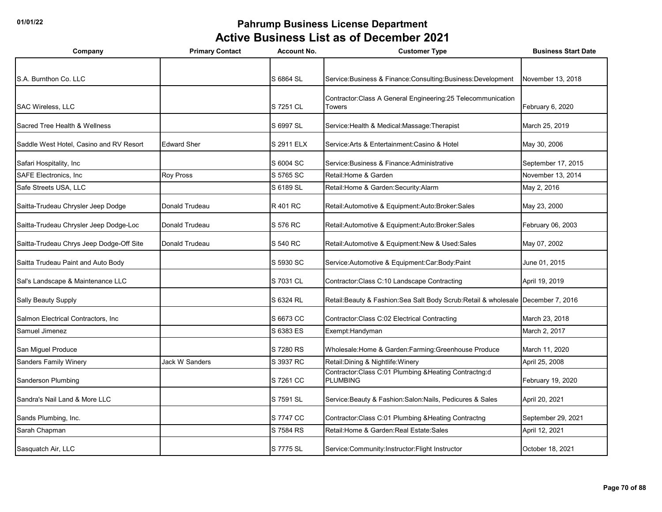| Company                                  | <b>Primary Contact</b> | <b>Account No.</b> | <b>Customer Type</b>                                                            | <b>Business Start Date</b> |
|------------------------------------------|------------------------|--------------------|---------------------------------------------------------------------------------|----------------------------|
|                                          |                        |                    |                                                                                 |                            |
| S.A. Burnthon Co. LLC                    |                        | S 6864 SL          | Service: Business & Finance: Consulting: Business: Development                  | November 13, 2018          |
|                                          |                        |                    | Contractor: Class A General Engineering: 25 Telecommunication                   |                            |
| SAC Wireless, LLC                        |                        | S 7251 CL          | Towers                                                                          | February 6, 2020           |
| Sacred Tree Health & Wellness            |                        | S 6997 SL          | Service: Health & Medical: Massage: Therapist                                   | March 25, 2019             |
| Saddle West Hotel, Casino and RV Resort  | <b>Edward Sher</b>     | S 2911 ELX         | Service: Arts & Entertainment: Casino & Hotel                                   | May 30, 2006               |
| Safari Hospitality, Inc                  |                        | S 6004 SC          | Service: Business & Finance: Administrative                                     | September 17, 2015         |
| <b>SAFE Electronics. Inc.</b>            | Roy Pross              | S 5765 SC          | Retail: Home & Garden                                                           | November 13, 2014          |
| Safe Streets USA, LLC                    |                        | S 6189 SL          | Retail: Home & Garden: Security: Alarm                                          | May 2, 2016                |
| Saitta-Trudeau Chrysler Jeep Dodge       | Donald Trudeau         | R 401 RC           | Retail:Automotive & Equipment:Auto:Broker:Sales                                 | May 23, 2000               |
| Saitta-Trudeau Chrysler Jeep Dodge-Loc   | Donald Trudeau         | S 576 RC           | Retail:Automotive & Equipment:Auto:Broker:Sales                                 | February 06, 2003          |
| Saitta-Trudeau Chrys Jeep Dodge-Off Site | Donald Trudeau         | S 540 RC           | Retail: Automotive & Equipment: New & Used: Sales                               | May 07, 2002               |
| Saitta Trudeau Paint and Auto Body       |                        | S 5930 SC          | Service:Automotive & Equipment:Car:Body:Paint                                   | June 01, 2015              |
| Sal's Landscape & Maintenance LLC        |                        | S 7031 CL          | Contractor: Class C:10 Landscape Contracting                                    | April 19, 2019             |
| Sally Beauty Supply                      |                        | S 6324 RL          | Retail:Beauty & Fashion:Sea Salt Body Scrub:Retail & wholesale December 7, 2016 |                            |
| Salmon Electrical Contractors, Inc.      |                        | S 6673 CC          | Contractor: Class C:02 Electrical Contracting                                   | March 23, 2018             |
| Samuel Jimenez                           |                        | S 6383 ES          | Exempt: Handyman                                                                | March 2, 2017              |
| San Miguel Produce                       |                        | S 7280 RS          | Wholesale: Home & Garden: Farming: Greenhouse Produce                           | March 11, 2020             |
| <b>Sanders Family Winery</b>             | <b>Jack W Sanders</b>  | S 3937 RC          | Retail: Dining & Nightlife: Winery                                              | April 25, 2008             |
| Sanderson Plumbing                       |                        | S 7261 CC          | Contractor:Class C:01 Plumbing &Heating Contractng:d<br><b>PLUMBING</b>         | February 19, 2020          |
| Sandra's Nail Land & More LLC            |                        | S 7591 SL          | Service: Beauty & Fashion: Salon: Nails, Pedicures & Sales                      | April 20, 2021             |
| Sands Plumbing, Inc.                     |                        | S 7747 CC          | Contractor:Class C:01 Plumbing & Heating Contractng                             | September 29, 2021         |
| Sarah Chapman                            |                        | S 7584 RS          | Retail: Home & Garden: Real Estate: Sales                                       | April 12, 2021             |
| Sasquatch Air, LLC                       |                        | S 7775 SL          | Service:Community:Instructor:Flight Instructor                                  | October 18, 2021           |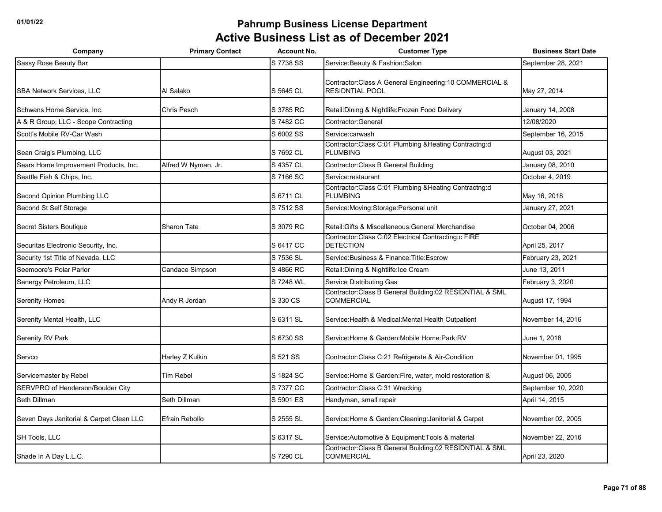| Company                                  | <b>Primary Contact</b> | <b>Account No.</b> | <b>Customer Type</b>                                                               | <b>Business Start Date</b> |
|------------------------------------------|------------------------|--------------------|------------------------------------------------------------------------------------|----------------------------|
| Sassy Rose Beauty Bar                    |                        | S 7738 SS          | Service: Beauty & Fashion: Salon                                                   | September 28, 2021         |
| <b>SBA Network Services, LLC</b>         | Al Salako              | S 5645 CL          | Contractor: Class A General Engineering: 10 COMMERCIAL &<br><b>RESIDNTIAL POOL</b> | May 27, 2014               |
| Schwans Home Service, Inc.               | <b>Chris Pesch</b>     | S 3785 RC          | Retail: Dining & Nightlife: Frozen Food Delivery                                   | January 14, 2008           |
| A & R Group, LLC - Scope Contracting     |                        | S 7482 CC          | Contractor: General                                                                | 12/08/2020                 |
| Scott's Mobile RV-Car Wash               |                        | S 6002 SS          | Service:carwash                                                                    | September 16, 2015         |
| Sean Craig's Plumbing, LLC               |                        | S 7692 CL          | Contractor:Class C:01 Plumbing & Heating Contractng:d<br><b>PLUMBING</b>           | August 03, 2021            |
| Sears Home Improvement Products, Inc.    | Alfred W Nyman, Jr.    | S 4357 CL          | Contractor: Class B General Building                                               | January 08, 2010           |
| Seattle Fish & Chips, Inc.               |                        | S 7166 SC          | Service:restaurant                                                                 | October 4, 2019            |
| Second Opinion Plumbing LLC              |                        | S 6711 CL          | Contractor: Class C:01 Plumbing & Heating Contractng:d<br><b>PLUMBING</b>          | May 16, 2018               |
| Second St Self Storage                   |                        | S 7512 SS          | Service: Moving: Storage: Personal unit                                            | January 27, 2021           |
| Secret Sisters Boutique                  | <b>Sharon Tate</b>     | S 3079 RC          | Retail: Gifts & Miscellaneous: General Merchandise                                 | October 04, 2006           |
| Securitas Electronic Security, Inc.      |                        | S 6417 CC          | Contractor:Class C:02 Electrical Contracting:c FIRE<br><b>DETECTION</b>            | April 25, 2017             |
| Security 1st Title of Nevada, LLC        |                        | S 7536 SL          | Service: Business & Finance: Title: Escrow                                         | February 23, 2021          |
| Seemoore's Polar Parlor                  | Candace Simpson        | S 4866 RC          | Retail: Dining & Nightlife: Ice Cream                                              | June 13, 2011              |
| Senergy Petroleum, LLC                   |                        | S 7248 WL          | Service Distributing Gas                                                           | February 3, 2020           |
| <b>Serenity Homes</b>                    | Andy R Jordan          | S 330 CS           | Contractor: Class B General Building: 02 RESIDNTIAL & SML<br><b>COMMERCIAL</b>     | August 17, 1994            |
| Serenity Mental Health, LLC              |                        | S 6311 SL          | Service: Health & Medical: Mental Health Outpatient                                | November 14, 2016          |
| Serenity RV Park                         |                        | S 6730 SS          | Service: Home & Garden: Mobile Home: Park: RV                                      | June 1, 2018               |
| Servco                                   | Harley Z Kulkin        | S 521 SS           | Contractor: Class C:21 Refrigerate & Air-Condition                                 | November 01, 1995          |
| Servicemaster by Rebel                   | <b>Tim Rebel</b>       | S 1824 SC          | Service: Home & Garden: Fire, water, mold restoration &                            | August 06, 2005            |
| SERVPRO of Henderson/Boulder City        |                        | S 7377 CC          | Contractor: Class C:31 Wrecking                                                    | September 10, 2020         |
| Seth Dillman                             | Seth Dillman           | S 5901 ES          | Handyman, small repair                                                             | April 14, 2015             |
| Seven Days Janitorial & Carpet Clean LLC | Efrain Rebollo         | S 2555 SL          | Service: Home & Garden: Cleaning: Janitorial & Carpet                              | November 02, 2005          |
| SH Tools, LLC                            |                        | S 6317 SL          | Service: Automotive & Equipment: Tools & material                                  | November 22, 2016          |
| Shade In A Day L.L.C.                    |                        | S 7290 CL          | Contractor: Class B General Building: 02 RESIDNTIAL & SML<br><b>COMMERCIAL</b>     | April 23, 2020             |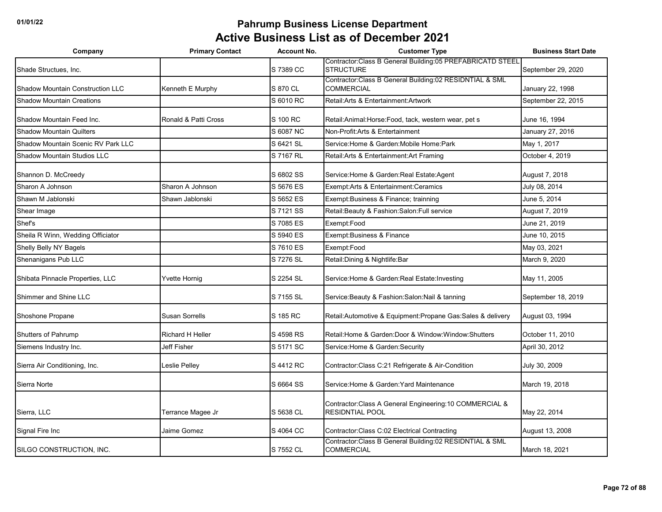| Company                                 | <b>Primary Contact</b>  | <b>Account No.</b> | <b>Customer Type</b>                                                               | <b>Business Start Date</b> |
|-----------------------------------------|-------------------------|--------------------|------------------------------------------------------------------------------------|----------------------------|
| Shade Structues, Inc.                   |                         | S 7389 CC          | Contractor: Class B General Building: 05 PREFABRICATD STEEL<br><b>STRUCTURE</b>    | September 29, 2020         |
| <b>Shadow Mountain Construction LLC</b> | Kenneth E Murphy        | S 870 CL           | Contractor:Class B General Building:02 RESIDNTIAL & SML<br><b>COMMERCIAL</b>       | January 22, 1998           |
| <b>Shadow Mountain Creations</b>        |                         | S 6010 RC          | Retail: Arts & Entertainment: Artwork                                              | September 22, 2015         |
| Shadow Mountain Feed Inc.               | Ronald & Patti Cross    | S 100 RC           | Retail: Animal: Horse: Food, tack, western wear, pet s                             | June 16, 1994              |
| <b>Shadow Mountain Quilters</b>         |                         | S 6087 NC          | Non-Profit: Arts & Entertainment                                                   | January 27, 2016           |
| Shadow Mountain Scenic RV Park LLC      |                         | S 6421 SL          | Service: Home & Garden: Mobile Home: Park                                          | May 1, 2017                |
| Shadow Mountain Studios LLC             |                         | S 7167 RL          | Retail: Arts & Entertainment: Art Framing                                          | October 4, 2019            |
| Shannon D. McCreedy                     |                         | S 6802 SS          | Service: Home & Garden: Real Estate: Agent                                         | August 7, 2018             |
| Sharon A Johnson                        | Sharon A Johnson        | S 5676 ES          | Exempt:Arts & Entertainment:Ceramics                                               | July 08, 2014              |
| Shawn M Jablonski                       | Shawn Jablonski         | S 5652 ES          | Exempt: Business & Finance; trainning                                              | June 5, 2014               |
| Shear Image                             |                         | S 7121 SS          | Retail: Beauty & Fashion: Salon: Full service                                      | August 7, 2019             |
| Shef's                                  |                         | S 7085 ES          | Exempt:Food                                                                        | June 21, 2019              |
| Sheila R Winn, Wedding Officiator       |                         | S 5940 ES          | Exempt: Business & Finance                                                         | June 10, 2015              |
| Shelly Belly NY Bagels                  |                         | S 7610 ES          | Exempt:Food                                                                        | May 03, 2021               |
| Shenanigans Pub LLC                     |                         | S 7276 SL          | Retail: Dining & Nightlife: Bar                                                    | March 9, 2020              |
| Shibata Pinnacle Properties, LLC        | Yvette Hornig           | S 2254 SL          | Service: Home & Garden: Real Estate: Investing                                     | May 11, 2005               |
| Shimmer and Shine LLC                   |                         | S 7155 SL          | Service: Beauty & Fashion: Salon: Nail & tanning                                   | September 18, 2019         |
| Shoshone Propane                        | Susan Sorrells          | S 185 RC           | Retail: Automotive & Equipment: Propane Gas: Sales & delivery                      | August 03, 1994            |
| Shutters of Pahrump                     | <b>Richard H Heller</b> | S 4598 RS          | Retail: Home & Garden: Door & Window: Window: Shutters                             | October 11, 2010           |
| Siemens Industry Inc.                   | Jeff Fisher             | S 5171 SC          | Service: Home & Garden: Security                                                   | April 30, 2012             |
| Sierra Air Conditioning, Inc.           | Leslie Pelley           | S 4412 RC          | Contractor: Class C:21 Refrigerate & Air-Condition                                 | July 30, 2009              |
| Sierra Norte                            |                         | S 6664 SS          | Service: Home & Garden: Yard Maintenance                                           | March 19, 2018             |
| Sierra, LLC                             | Terrance Magee Jr       | S 5638 CL          | Contractor: Class A General Engineering: 10 COMMERCIAL &<br><b>RESIDNTIAL POOL</b> | May 22, 2014               |
| Signal Fire Inc                         | Jaime Gomez             | S 4064 CC          | Contractor: Class C:02 Electrical Contracting                                      | August 13, 2008            |
| SILGO CONSTRUCTION, INC.                |                         | S 7552 CL          | Contractor:Class B General Building:02 RESIDNTIAL & SML<br><b>COMMERCIAL</b>       | March 18, 2021             |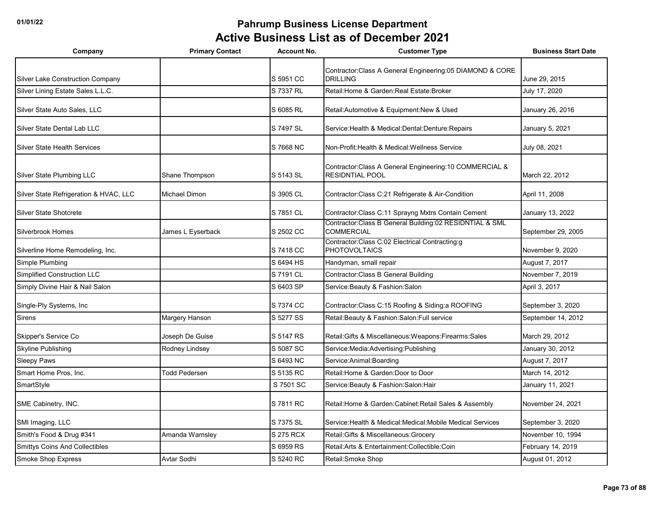| Company                                 | <b>Primary Contact</b> | <b>Account No.</b> | <b>Customer Type</b>                                                               | <b>Business Start Date</b> |
|-----------------------------------------|------------------------|--------------------|------------------------------------------------------------------------------------|----------------------------|
| <b>Silver Lake Construction Company</b> |                        | S 5951 CC          | Contractor:Class A General Engineering:05 DIAMOND & CORE<br><b>DRILLING</b>        | June 29, 2015              |
| Silver Lining Estate Sales L.L.C.       |                        | S 7337 RL          | Retail: Home & Garden: Real Estate: Broker                                         | July 17, 2020              |
| Silver State Auto Sales, LLC            |                        | S 6085 RL          | Retail: Automotive & Equipment: New & Used                                         | January 26, 2016           |
| Silver State Dental Lab LLC             |                        | S 7497 SL          | Service: Health & Medical: Dental: Denture: Repairs                                | January 5, 2021            |
| <b>Silver State Health Services</b>     |                        | S 7668 NC          | Non-Profit: Health & Medical: Wellness Service                                     | July 08, 2021              |
| Silver State Plumbing LLC               | Shane Thompson         | S 5143 SL          | Contractor: Class A General Engineering: 10 COMMERCIAL &<br><b>RESIDNTIAL POOL</b> | March 22, 2012             |
| Silver State Refrigeration & HVAC, LLC  | Michael Dimon          | S 3905 CL          | Contractor: Class C:21 Refrigerate & Air-Condition                                 | April 11, 2008             |
| Silver State Shotcrete                  |                        | S 7851 CL          | Contractor: Class C:11 Sprayng Mxtrs Contain Cement                                | January 13, 2022           |
| Silverbrook Homes                       | James L Eyserback      | S 2502 CC          | Contractor: Class B General Building: 02 RESIDNTIAL & SML<br><b>COMMERCIAL</b>     | September 29, 2005         |
| Silverline Home Remodeling, Inc.        |                        | S 7418 CC          | Contractor:Class C:02 Electrical Contracting:g<br><b>PHOTOVOLTAICS</b>             | November 9, 2020           |
| Simple Plumbing                         |                        | S 6494 HS          | Handyman, small repair                                                             | August 7, 2017             |
| Simplified Construction LLC             |                        | S 7191 CL          | Contractor: Class B General Building                                               | November 7, 2019           |
| Simply Divine Hair & Nail Salon         |                        | S 6403 SP          | Service: Beauty & Fashion: Salon                                                   | April 3, 2017              |
| Single-Ply Systems, Inc.                |                        | S 7374 CC          | Contractor: Class C: 15 Roofing & Siding: a ROOFING                                | September 3, 2020          |
| <b>Sirens</b>                           | Margery Hanson         | S 5277 SS          | Retail: Beauty & Fashion: Salon: Full service                                      | September 14, 2012         |
| Skipper's Service Co                    | Joseph De Guise        | S 5147 RS          | Retail: Gifts & Miscellaneous: Weapons: Firearms: Sales                            | March 29, 2012             |
| <b>Skyline Publishing</b>               | Rodney Lindsey         | S 5087 SC          | Service:Media:Advertising:Publishing                                               | January 30, 2012           |
| <b>Sleepy Paws</b>                      |                        | S 6493 NC          | Service:Animal:Boarding                                                            | August 7, 2017             |
| Smart Home Pros, Inc.                   | <b>Todd Pedersen</b>   | S 5135 RC          | Retail: Home & Garden: Door to Door                                                | March 14, 2012             |
| SmartStyle                              |                        | S 7501 SC          | Service: Beauty & Fashion: Salon: Hair                                             | January 11, 2021           |
| SME Cabinetry, INC.                     |                        | S 7811 RC          | Retail: Home & Garden: Cabinet: Retail Sales & Assembly                            | November 24, 2021          |
| SMI Imaging, LLC                        |                        | S 7375 SL          | Service: Health & Medical: Medical: Mobile Medical Services                        | September 3, 2020          |
| Smith's Food & Drug #341                | Amanda Wamsley         | S 275 RCX          | Retail: Gifts & Miscellaneous: Grocery                                             | November 10, 1994          |
| <b>Smittys Coins And Collectibles</b>   |                        | S 6959 RS          | Retail: Arts & Entertainment: Collectible: Coin                                    | February 14, 2019          |
| <b>Smoke Shop Express</b>               | Avtar Sodhi            | S 5240 RC          | Retail: Smoke Shop                                                                 | August 01, 2012            |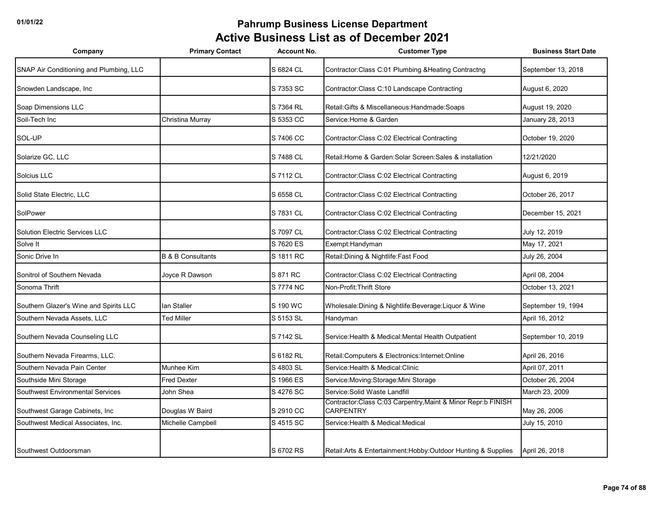| Company                                 | <b>Primary Contact</b>       | <b>Account No.</b> | <b>Customer Type</b>                                                             | <b>Business Start Date</b> |
|-----------------------------------------|------------------------------|--------------------|----------------------------------------------------------------------------------|----------------------------|
| SNAP Air Conditioning and Plumbing, LLC |                              | S 6824 CL          | Contractor: Class C:01 Plumbing & Heating Contractng                             | September 13, 2018         |
| Snowden Landscape, Inc.                 |                              | S 7353 SC          | Contractor: Class C:10 Landscape Contracting                                     | August 6, 2020             |
| Soap Dimensions LLC                     |                              | S 7364 RL          | Retail: Gifts & Miscellaneous: Handmade: Soaps                                   | August 19, 2020            |
| Soil-Tech Inc                           | Christina Murray             | S 5353 CC          | Service: Home & Garden                                                           | January 28, 2013           |
| SOL-UP                                  |                              | S 7406 CC          | Contractor: Class C:02 Electrical Contracting                                    | October 19, 2020           |
| Solarize GC, LLC                        |                              | S 7488 CL          | Retail: Home & Garden: Solar Screen: Sales & installation                        | 12/21/2020                 |
| Solcius LLC                             |                              | S 7112 CL          | Contractor: Class C:02 Electrical Contracting                                    | August 6, 2019             |
| Solid State Electric, LLC               |                              | S 6558 CL          | Contractor: Class C:02 Electrical Contracting                                    | October 26, 2017           |
| SolPower                                |                              | S 7831 CL          | Contractor: Class C:02 Electrical Contracting                                    | December 15, 2021          |
| <b>Solution Electric Services LLC</b>   |                              | S 7097 CL          | Contractor: Class C:02 Electrical Contracting                                    | July 12, 2019              |
| Solve It                                |                              | S 7620 ES          | Exempt: Handyman                                                                 | May 17, 2021               |
| Sonic Drive In                          | <b>B &amp; B Consultants</b> | S 1811 RC          | Retail: Dining & Nightlife: Fast Food                                            | July 26, 2004              |
| Sonitrol of Southern Nevada             | Joyce R Dawson               | S 871 RC           | Contractor: Class C:02 Electrical Contracting                                    | April 08, 2004             |
| Sonoma Thrift                           |                              | S 7774 NC          | Non-Profit: Thrift Store                                                         | October 13, 2021           |
| Southern Glazer's Wine and Spirits LLC  | lan Staller                  | S 190 WC           | Wholesale: Dining & Nightlife: Beverage: Liquor & Wine                           | September 19, 1994         |
| Southern Nevada Assets, LLC             | <b>Ted Miller</b>            | S 5153 SL          | Handyman                                                                         | April 16, 2012             |
| Southern Nevada Counseling LLC          |                              | S 7142 SL          | Service: Health & Medical: Mental Health Outpatient                              | September 10, 2019         |
| Southern Nevada Firearms, LLC.          |                              | S 6182 RL          | Retail: Computers & Electronics: Internet: Online                                | April 26, 2016             |
| Southern Nevada Pain Center             | Munhee Kim                   | S 4803 SL          | Service: Health & Medical: Clinic                                                | April 07, 2011             |
| Southside Mini Storage                  | <b>Fred Dexter</b>           | S 1966 ES          | Service: Moving: Storage: Mini Storage                                           | October 26, 2004           |
| <b>Southwest Environmental Services</b> | John Shea                    | S 4276 SC          | Service: Solid Waste Landfill                                                    | March 23, 2009             |
| Southwest Garage Cabinets, Inc          | Douglas W Baird              | S 2910 CC          | Contractor:Class C:03 Carpentry, Maint & Minor Repr:b FINISH<br><b>CARPENTRY</b> | May 26, 2006               |
| Southwest Medical Associates, Inc.      | Michelle Campbell            | S 4515 SC          | Service: Health & Medical: Medical                                               | July 15, 2010              |
|                                         |                              |                    |                                                                                  |                            |
| Southwest Outdoorsman                   |                              | S 6702 RS          | Retail: Arts & Entertainment: Hobby: Outdoor Hunting & Supplies                  | April 26, 2018             |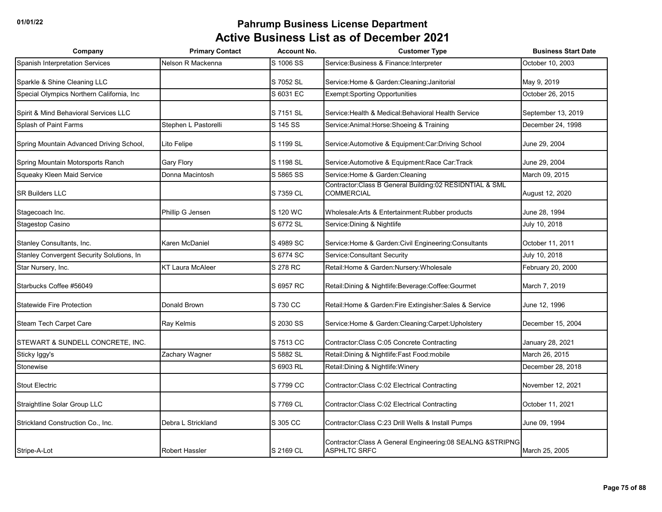| Company                                   | <b>Primary Contact</b>  | <b>Account No.</b> | <b>Customer Type</b>                                                                | <b>Business Start Date</b> |
|-------------------------------------------|-------------------------|--------------------|-------------------------------------------------------------------------------------|----------------------------|
| <b>Spanish Interpretation Services</b>    | Nelson R Mackenna       | S 1006 SS          | Service: Business & Finance: Interpreter                                            | October 10, 2003           |
| Sparkle & Shine Cleaning LLC              |                         | S 7052 SL          | Service: Home & Garden: Cleaning: Janitorial                                        | May 9, 2019                |
| Special Olympics Northern California, Inc |                         | S 6031 EC          | <b>Exempt:Sporting Opportunities</b>                                                | October 26, 2015           |
| Spirit & Mind Behavioral Services LLC     |                         | S 7151 SL          | Service: Health & Medical: Behavioral Health Service                                | September 13, 2019         |
| Splash of Paint Farms                     | Stephen L Pastorelli    | S 145 SS           | Service: Animal: Horse: Shoeing & Training                                          | December 24, 1998          |
| Spring Mountain Advanced Driving School,  | Lito Felipe             | S 1199 SL          | Service: Automotive & Equipment: Car: Driving School                                | June 29, 2004              |
| Spring Mountain Motorsports Ranch         | <b>Gary Flory</b>       | S 1198 SL          | Service: Automotive & Equipment: Race Car: Track                                    | June 29, 2004              |
| Squeaky Kleen Maid Service                | Donna Macintosh         | S 5865 SS          | Service: Home & Garden: Cleaning                                                    | March 09, 2015             |
| <b>SR Builders LLC</b>                    |                         | S 7359 CL          | Contractor: Class B General Building: 02 RESIDNTIAL & SML<br><b>COMMERCIAL</b>      | August 12, 2020            |
| Stagecoach Inc.                           | Phillip G Jensen        | S 120 WC           | Wholesale: Arts & Entertainment: Rubber products                                    | June 28, 1994              |
| Stagestop Casino                          |                         | S 6772 SL          | Service: Dining & Nightlife                                                         | July 10, 2018              |
| Stanley Consultants, Inc.                 | Karen McDaniel          | S 4989 SC          | Service: Home & Garden: Civil Engineering: Consultants                              | October 11, 2011           |
| Stanley Convergent Security Solutions, In |                         | S 6774 SC          | Service: Consultant Security                                                        | July 10, 2018              |
| Star Nursery, Inc.                        | <b>KT Laura McAleer</b> | S 278 RC           | Retail: Home & Garden: Nursery: Wholesale                                           | February 20, 2000          |
| Starbucks Coffee #56049                   |                         | S 6957 RC          | Retail: Dining & Nightlife: Beverage: Coffee: Gourmet                               | March 7, 2019              |
| <b>Statewide Fire Protection</b>          | Donald Brown            | S 730 CC           | Retail: Home & Garden: Fire Extingisher: Sales & Service                            | June 12, 1996              |
| Steam Tech Carpet Care                    | Ray Kelmis              | S 2030 SS          | Service: Home & Garden: Cleaning: Carpet: Upholstery                                | December 15, 2004          |
| STEWART & SUNDELL CONCRETE, INC.          |                         | S 7513 CC          | Contractor: Class C:05 Concrete Contracting                                         | January 28, 2021           |
| Sticky Iggy's                             | Zachary Wagner          | S 5882 SL          | Retail: Dining & Nightlife: Fast Food: mobile                                       | March 26, 2015             |
| Stonewise                                 |                         | S 6903 RL          | Retail: Dining & Nightlife: Winery                                                  | December 28, 2018          |
| <b>Stout Electric</b>                     |                         | S 7799 CC          | Contractor: Class C:02 Electrical Contracting                                       | November 12, 2021          |
| Straightline Solar Group LLC              |                         | S 7769 CL          | Contractor: Class C:02 Electrical Contracting                                       | October 11, 2021           |
| Strickland Construction Co., Inc.         | Debra L Strickland      | S 305 CC           | Contractor: Class C:23 Drill Wells & Install Pumps                                  | June 09, 1994              |
| Stripe-A-Lot                              | Robert Hassler          | S 2169 CL          | Contractor: Class A General Engineering: 08 SEALNG & STRIPNG<br><b>ASPHLTC SRFC</b> | March 25, 2005             |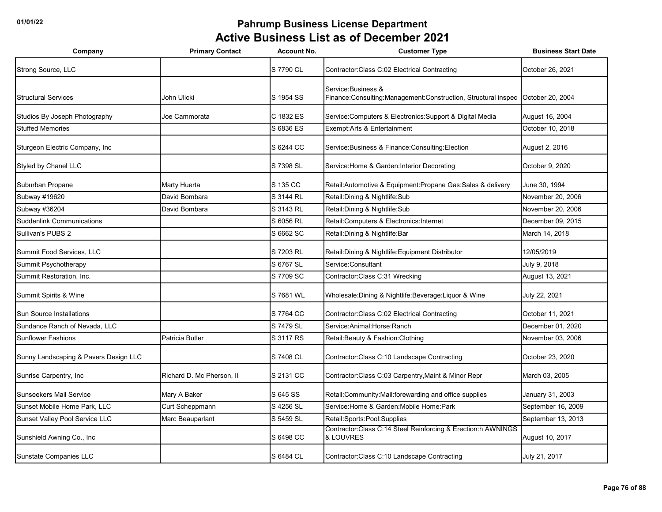| Company                               | <b>Primary Contact</b>    | <b>Account No.</b> | <b>Customer Type</b>                                                                                  | <b>Business Start Date</b> |
|---------------------------------------|---------------------------|--------------------|-------------------------------------------------------------------------------------------------------|----------------------------|
| Strong Source, LLC                    |                           | S 7790 CL          | Contractor: Class C:02 Electrical Contracting                                                         | October 26, 2021           |
| <b>Structural Services</b>            | John Ulicki               | S 1954 SS          | Service: Business &<br>Finance:Consulting:Management:Construction, Structural inspec October 20, 2004 |                            |
| Studios By Joseph Photography         | Joe Cammorata             | C 1832 ES          | Service: Computers & Electronics: Support & Digital Media                                             | August 16, 2004            |
| <b>Stuffed Memories</b>               |                           | S 6836 ES          | Exempt: Arts & Entertainment                                                                          | October 10, 2018           |
| Sturgeon Electric Company, Inc.       |                           | S 6244 CC          | Service: Business & Finance: Consulting: Election                                                     | August 2, 2016             |
| Styled by Chanel LLC                  |                           | S 7398 SL          | Service: Home & Garden: Interior Decorating                                                           | October 9, 2020            |
| Suburban Propane                      | Marty Huerta              | S 135 CC           | Retail: Automotive & Equipment: Propane Gas: Sales & delivery                                         | June 30, 1994              |
| Subway #19620                         | David Bombara             | S 3144 RL          | Retail: Dining & Nightlife: Sub                                                                       | November 20, 2006          |
| Subway #36204                         | David Bombara             | S 3143 RL          | Retail: Dining & Nightlife: Sub                                                                       | November 20, 2006          |
| <b>Suddenlink Communications</b>      |                           | S 6056 RL          | Retail:Computers & Electronics:Internet                                                               | December 09, 2015          |
| Sullivan's PUBS 2                     |                           | S 6662 SC          | Retail: Dining & Nightlife: Bar                                                                       | March 14, 2018             |
| Summit Food Services, LLC             |                           | S 7203 RL          | Retail: Dining & Nightlife: Equipment Distributor                                                     | 12/05/2019                 |
| Summit Psychotherapy                  |                           | S 6767 SL          | Service:Consultant                                                                                    | July 9, 2018               |
| Summit Restoration, Inc.              |                           | S 7709 SC          | Contractor:Class C:31 Wrecking                                                                        | August 13, 2021            |
| Summit Spirits & Wine                 |                           | S 7681 WL          | Wholesale: Dining & Nightlife: Beverage: Liquor & Wine                                                | July 22, 2021              |
| Sun Source Installations              |                           | S 7764 CC          | Contractor: Class C:02 Electrical Contracting                                                         | October 11, 2021           |
| Sundance Ranch of Nevada, LLC         |                           | S 7479 SL          | Service: Animal: Horse: Ranch                                                                         | December 01, 2020          |
| <b>Sunflower Fashions</b>             | Patricia Butler           | S 3117 RS          | Retail: Beauty & Fashion: Clothing                                                                    | November 03, 2006          |
| Sunny Landscaping & Pavers Design LLC |                           | S 7408 CL          | Contractor: Class C:10 Landscape Contracting                                                          | October 23, 2020           |
| Sunrise Carpentry, Inc                | Richard D. Mc Pherson, II | S 2131 CC          | Contractor: Class C:03 Carpentry, Maint & Minor Repr                                                  | March 03, 2005             |
| <b>Sunseekers Mail Service</b>        | Mary A Baker              | S 645 SS           | Retail: Community: Mail: forewarding and office supplies                                              | January 31, 2003           |
| Sunset Mobile Home Park, LLC          | Curt Scheppmann           | S 4256 SL          | Service: Home & Garden: Mobile Home: Park                                                             | September 16, 2009         |
| Sunset Valley Pool Service LLC        | Marc Beauparlant          | S 5459 SL          | Retail:Sports:Pool:Supplies                                                                           | September 13, 2013         |
| Sunshield Awning Co., Inc             |                           | S 6498 CC          | Contractor:Class C:14 Steel Reinforcing & Erection:h AWNINGS<br>& LOUVRES                             | August 10, 2017            |
| Sunstate Companies LLC                |                           | S 6484 CL          | Contractor: Class C:10 Landscape Contracting                                                          | July 21, 2017              |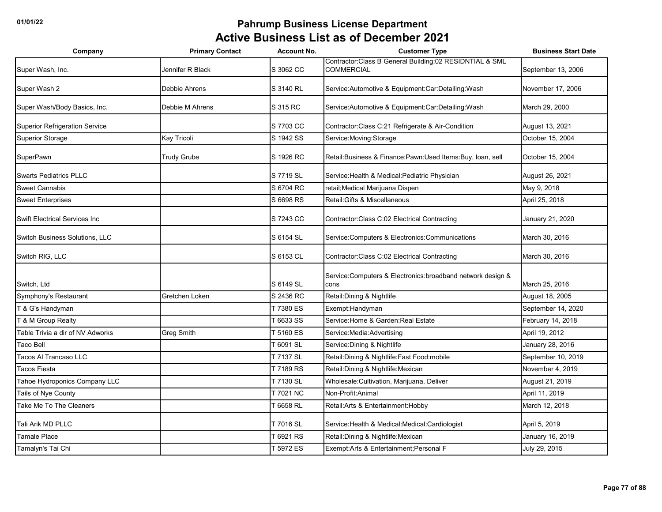| Company                               | <b>Primary Contact</b> | <b>Account No.</b> | <b>Customer Type</b>                                                         | <b>Business Start Date</b> |
|---------------------------------------|------------------------|--------------------|------------------------------------------------------------------------------|----------------------------|
| Super Wash, Inc.                      | Jennifer R Black       | S 3062 CC          | Contractor:Class B General Building:02 RESIDNTIAL & SML<br><b>COMMERCIAL</b> | September 13, 2006         |
| Super Wash 2                          | Debbie Ahrens          | S 3140 RL          | Service: Automotive & Equipment: Car: Detailing: Wash                        | November 17, 2006          |
| Super Wash/Body Basics, Inc.          | Debbie M Ahrens        | S 315 RC           | Service: Automotive & Equipment: Car: Detailing: Wash                        | March 29, 2000             |
| <b>Superior Refrigeration Service</b> |                        | S 7703 CC          | Contractor: Class C:21 Refrigerate & Air-Condition                           | August 13, 2021            |
| <b>Superior Storage</b>               | Kay Tricoli            | S 1942 SS          | Service: Moving: Storage                                                     | October 15, 2004           |
| SuperPawn                             | <b>Trudy Grube</b>     | S 1926 RC          | Retail: Business & Finance: Pawn: Used Items: Buy, Ioan, sell                | October 15, 2004           |
| <b>Swarts Pediatrics PLLC</b>         |                        | S 7719 SL          | Service: Health & Medical: Pediatric Physician                               | August 26, 2021            |
| <b>Sweet Cannabis</b>                 |                        | S 6704 RC          | retail; Medical Marijuana Dispen                                             | May 9, 2018                |
| <b>Sweet Enterprises</b>              |                        | S 6698 RS          | Retail: Gifts & Miscellaneous                                                | April 25, 2018             |
| <b>Swift Electrical Services Inc</b>  |                        | S 7243 CC          | Contractor: Class C:02 Electrical Contracting                                | January 21, 2020           |
| Switch Business Solutions, LLC        |                        | S 6154 SL          | Service: Computers & Electronics: Communications                             | March 30, 2016             |
| Switch RIG, LLC                       |                        | S 6153 CL          | Contractor: Class C:02 Electrical Contracting                                | March 30, 2016             |
| Switch, Ltd                           |                        | S 6149 SL          | Service: Computers & Electronics: broadband network design &<br>cons         | March 25, 2016             |
| Symphony's Restaurant                 | Gretchen Loken         | S 2436 RC          | Retail: Dining & Nightlife                                                   | August 18, 2005            |
| T & G's Handyman                      |                        | T 7380 ES          | Exempt: Handyman                                                             | September 14, 2020         |
| T & M Group Realty                    |                        | 6633 SS            | Service: Home & Garden: Real Estate                                          | February 14, 2018          |
| Table Trivia a dir of NV Adworks      | Greg Smith             | T 5160 ES          | Service: Media: Advertising                                                  | April 19, 2012             |
| Taco Bell                             |                        | T 6091 SL          | Service: Dining & Nightlife                                                  | January 28, 2016           |
| Tacos Al Trancaso LLC                 |                        | T 7137 SL          | Retail: Dining & Nightlife: Fast Food: mobile                                | September 10, 2019         |
| Tacos Fiesta                          |                        | T 7189 RS          | Retail: Dining & Nightlife: Mexican                                          | November 4, 2019           |
| Tahoe Hydroponics Company LLC         |                        | T 7130 SL          | Wholesale: Cultivation, Marijuana, Deliver                                   | August 21, 2019            |
| Tails of Nye County                   |                        | T 7021 NC          | Non-Profit:Animal                                                            | April 11, 2019             |
| Take Me To The Cleaners               |                        | $-6658$ RL         | Retail: Arts & Entertainment: Hobby                                          | March 12, 2018             |
| Tali Arik MD PLLC                     |                        | T 7016 SL          | Service: Health & Medical: Medical: Cardiologist                             | April 5, 2019              |
| Tamale Place                          |                        | Г 6921 RS          | Retail: Dining & Nightlife: Mexican                                          | January 16, 2019           |
| Tamalyn's Tai Chi                     |                        | T 5972 ES          | Exempt: Arts & Entertainment; Personal F                                     | July 29, 2015              |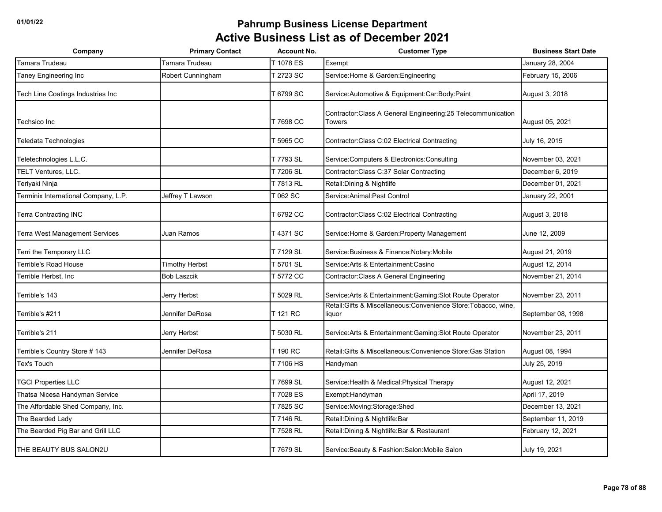| Company                              | <b>Primary Contact</b> | <b>Account No.</b> | <b>Customer Type</b>                                                           | <b>Business Start Date</b> |
|--------------------------------------|------------------------|--------------------|--------------------------------------------------------------------------------|----------------------------|
| Tamara Trudeau                       | Tamara Trudeau         | [1078 ES           | Exempt                                                                         | January 28, 2004           |
| Taney Engineering Inc                | Robert Cunningham      | T 2723 SC          | Service: Home & Garden: Engineering                                            | February 15, 2006          |
| Tech Line Coatings Industries Inc    |                        | T 6799 SC          | Service: Automotive & Equipment: Car: Body: Paint                              | August 3, 2018             |
| Techsico Inc                         |                        | T 7698 CC          | Contractor: Class A General Engineering: 25 Telecommunication<br><b>Towers</b> | August 05, 2021            |
| Teledata Technologies                |                        | Г 5965 CC          | Contractor: Class C:02 Electrical Contracting                                  | July 16, 2015              |
| Teletechnologies L.L.C.              |                        | T 7793 SL          | Service: Computers & Electronics: Consulting                                   | November 03, 2021          |
| TELT Ventures, LLC.                  |                        | T 7206 SL          | Contractor: Class C:37 Solar Contracting                                       | December 6, 2019           |
| Teriyaki Ninja                       |                        | T 7813 RL          | Retail: Dining & Nightlife                                                     | December 01, 2021          |
| Terminix International Company, L.P. | Jeffrey T Lawson       | T 062 SC           | Service: Animal: Pest Control                                                  | January 22, 2001           |
| <b>Terra Contracting INC</b>         |                        | T 6792 CC          | Contractor: Class C:02 Electrical Contracting                                  | August 3, 2018             |
| Terra West Management Services       | Juan Ramos             | T 4371 SC          | Service: Home & Garden: Property Management                                    | June 12, 2009              |
| Terri the Temporary LLC              |                        | T 7129 SL          | Service: Business & Finance: Notary: Mobile                                    | August 21, 2019            |
| Terrible's Road House                | <b>Timothy Herbst</b>  | T 5701 SL          | Service: Arts & Entertainment: Casino                                          | August 12, 2014            |
| Terrible Herbst, Inc                 | <b>Bob Laszcik</b>     | T 5772 CC          | Contractor: Class A General Engineering                                        | November 21, 2014          |
| Terrible's 143                       | Jerry Herbst           | [ 5029 RL          | Service: Arts & Entertainment: Gaming: Slot Route Operator                     | November 23, 2011          |
| Terrible's #211                      | Jennifer DeRosa        | T 121 RC           | Retail: Gifts & Miscellaneous: Convenience Store: Tobacco, wine,<br>liquor     | September 08, 1998         |
| Terrible's 211                       | Jerry Herbst           | T 5030 RL          | Service: Arts & Entertainment: Gaming: Slot Route Operator                     | November 23, 2011          |
| Terrible's Country Store # 143       | Jennifer DeRosa        | T 190 RC           | Retail: Gifts & Miscellaneous: Convenience Store: Gas Station                  | August 08, 1994            |
| Tex's Touch                          |                        | T 7106 HS          | Handyman                                                                       | July 25, 2019              |
| <b>TGCI Properties LLC</b>           |                        | T 7699 SL          | Service: Health & Medical: Physical Therapy                                    | August 12, 2021            |
| Thatsa Nicesa Handyman Service       |                        | T 7028 ES          | Exempt: Handyman                                                               | April 17, 2019             |
| The Affordable Shed Company, Inc.    |                        | T 7825 SC          | Service: Moving: Storage: Shed                                                 | December 13, 2021          |
| The Bearded Lady                     |                        | T 7146 RL          | Retail: Dining & Nightlife: Bar                                                | September 11, 2019         |
| The Bearded Pig Bar and Grill LLC    |                        | T 7528 RL          | Retail: Dining & Nightlife: Bar & Restaurant                                   | February 12, 2021          |
| THE BEAUTY BUS SALON2U               |                        | T 7679 SL          | Service: Beauty & Fashion: Salon: Mobile Salon                                 | July 19, 2021              |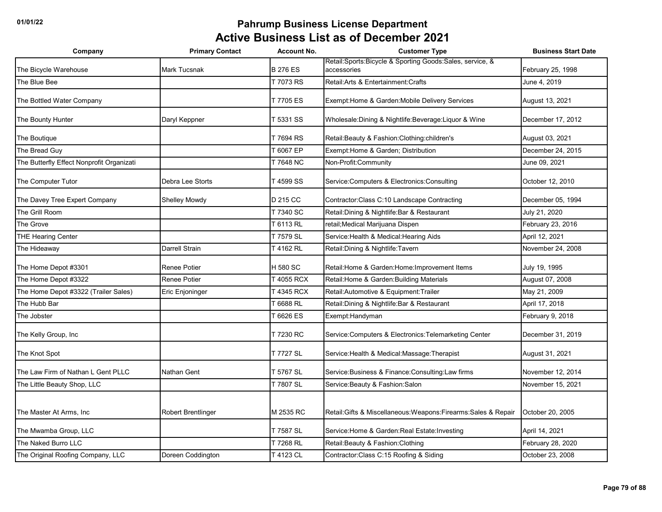| Company                                   | <b>Primary Contact</b>    | <b>Account No.</b>           | <b>Customer Type</b>                                             | <b>Business Start Date</b>        |
|-------------------------------------------|---------------------------|------------------------------|------------------------------------------------------------------|-----------------------------------|
|                                           |                           |                              | Retail:Sports:Bicycle & Sporting Goods:Sales, service, &         |                                   |
| The Bicycle Warehouse<br>The Blue Bee     | <b>Mark Tucsnak</b>       | <b>B 276 ES</b><br>T 7073 RS | accessories<br>Retail: Arts & Entertainment: Crafts              | February 25, 1998<br>June 4, 2019 |
|                                           |                           |                              |                                                                  |                                   |
| The Bottled Water Company                 |                           | T 7705 ES                    | Exempt: Home & Garden: Mobile Delivery Services                  | August 13, 2021                   |
| The Bounty Hunter                         | Daryl Keppner             | T 5331 SS                    | Wholesale: Dining & Nightlife: Beverage: Liquor & Wine           | December 17, 2012                 |
| The Boutique                              |                           | T 7694 RS                    | Retail: Beauty & Fashion: Clothing: children's                   | August 03, 2021                   |
| The Bread Guy                             |                           | T 6067 EP                    | Exempt: Home & Garden; Distribution                              | December 24, 2015                 |
| The Butterfly Effect Nonprofit Organizati |                           | T 7648 NC                    | Non-Profit:Community                                             | June 09, 2021                     |
| The Computer Tutor                        | Debra Lee Storts          | T 4599 SS                    | Service: Computers & Electronics: Consulting                     | October 12, 2010                  |
| The Davey Tree Expert Company             | Shelley Mowdy             | D 215 CC                     | Contractor: Class C: 10 Landscape Contracting                    | December 05, 1994                 |
| The Grill Room                            |                           | T 7340 SC                    | Retail: Dining & Nightlife: Bar & Restaurant                     | July 21, 2020                     |
| The Grove                                 |                           | T 6113 RL                    | retail; Medical Marijuana Dispen                                 | February 23, 2016                 |
| <b>THE Hearing Center</b>                 |                           | T 7579 SL                    | Service: Health & Medical: Hearing Aids                          | April 12, 2021                    |
| The Hideaway                              | Darrell Strain            | T 4162 RL                    | Retail: Dining & Nightlife: Tavern                               | November 24, 2008                 |
| The Home Depot #3301                      | Renee Potier              | H 580 SC                     | Retail: Home & Garden: Home: Improvement Items                   | July 19, 1995                     |
| The Home Depot #3322                      | Renee Potier              | T 4055 RCX                   | Retail: Home & Garden: Building Materials                        | August 07, 2008                   |
| The Home Depot #3322 (Trailer Sales)      | Eric Enjoninger           | T 4345 RCX                   | Retail: Automotive & Equipment: Trailer                          | May 21, 2009                      |
| The Hubb Bar                              |                           | T 6688 RL                    | Retail: Dining & Nightlife: Bar & Restaurant                     | April 17, 2018                    |
| The Jobster                               |                           | T 6626 ES                    | Exempt: Handyman                                                 | February 9, 2018                  |
| The Kelly Group, Inc                      |                           | T 7230 RC                    | Service: Computers & Electronics: Telemarketing Center           | December 31, 2019                 |
| The Knot Spot                             |                           | T 7727 SL                    | Service: Health & Medical: Massage: Therapist                    | August 31, 2021                   |
| The Law Firm of Nathan L Gent PLLC        | Nathan Gent               | T 5767 SL                    | Service: Business & Finance: Consulting: Law firms               | November 12, 2014                 |
| The Little Beauty Shop, LLC               |                           | T 7807 SL                    | Service: Beauty & Fashion: Salon                                 | November 15, 2021                 |
|                                           |                           |                              |                                                                  |                                   |
| The Master At Arms, Inc.                  | <b>Robert Brentlinger</b> | M 2535 RC                    | Retail: Gifts & Miscellaneous: Weapons: Firearms: Sales & Repair | October 20, 2005                  |
| The Mwamba Group, LLC                     |                           | T 7587 SL                    | Service: Home & Garden: Real Estate: Investing                   | April 14, 2021                    |
| The Naked Burro LLC                       |                           | T 7268 RL                    | Retail: Beauty & Fashion: Clothing                               | February 28, 2020                 |
| The Original Roofing Company, LLC         | Doreen Coddington         | T 4123 CL                    | Contractor: Class C: 15 Roofing & Siding                         | October 23, 2008                  |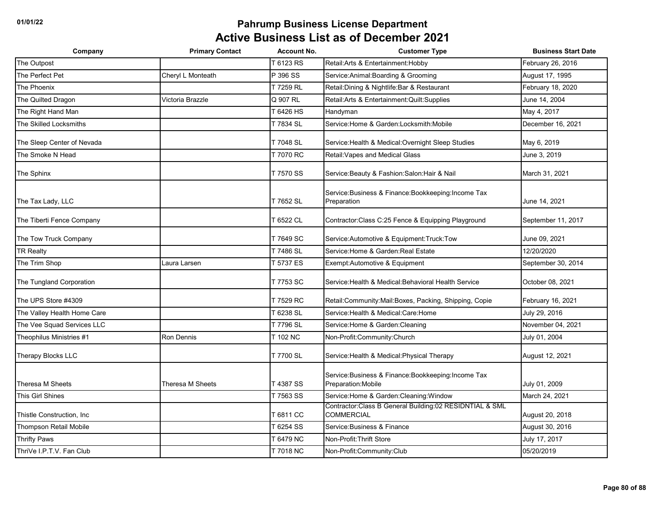| Company                     | <b>Primary Contact</b> | <b>Account No.</b> | <b>Customer Type</b>                                                        | <b>Business Start Date</b> |
|-----------------------------|------------------------|--------------------|-----------------------------------------------------------------------------|----------------------------|
| The Outpost                 |                        | T 6123 RS          | Retail: Arts & Entertainment: Hobby                                         | February 26, 2016          |
| The Perfect Pet             | Cheryl L Monteath      | P 396 SS           | Service: Animal: Boarding & Grooming                                        | August 17, 1995            |
| The Phoenix                 |                        | T 7259 RL          | Retail: Dining & Nightlife: Bar & Restaurant                                | February 18, 2020          |
| The Quilted Dragon          | Victoria Brazzle       | Q 907 RL           | Retail: Arts & Entertainment: Quilt: Supplies                               | June 14, 2004              |
| The Right Hand Man          |                        | T 6426 HS          | Handyman                                                                    | May 4, 2017                |
| The Skilled Locksmiths      |                        | T 7834 SL          | Service:Home & Garden:Locksmith:Mobile                                      | December 16, 2021          |
| The Sleep Center of Nevada  |                        | T 7048 SL          | Service: Health & Medical: Overnight Sleep Studies                          | May 6, 2019                |
| The Smoke N Head            |                        | T 7070 RC          | Retail: Vapes and Medical Glass                                             | June 3, 2019               |
| The Sphinx                  |                        | T 7570 SS          | Service: Beauty & Fashion: Salon: Hair & Nail                               | March 31, 2021             |
| The Tax Lady, LLC           |                        | T 7652 SL          | Service: Business & Finance: Bookkeeping: Income Tax<br>Preparation         | June 14, 2021              |
| The Tiberti Fence Company   |                        | T 6522 CL          | Contractor: Class C:25 Fence & Equipping Playground                         | September 11, 2017         |
| The Tow Truck Company       |                        | T 7649 SC          | Service: Automotive & Equipment: Truck: Tow                                 | June 09, 2021              |
| <b>TR Realty</b>            |                        | T 7486 SL          | Service: Home & Garden: Real Estate                                         | 12/20/2020                 |
| The Trim Shop               | Laura Larsen           | T 5737 ES          | Exempt:Automotive & Equipment                                               | September 30, 2014         |
| The Tungland Corporation    |                        | T 7753 SC          | Service: Health & Medical: Behavioral Health Service                        | October 08, 2021           |
| The UPS Store #4309         |                        | T 7529 RC          | Retail:Community:Mail:Boxes, Packing, Shipping, Copie                       | February 16, 2021          |
| The Valley Health Home Care |                        | T 6238 SL          | Service: Health & Medical: Care: Home                                       | July 29, 2016              |
| The Vee Squad Services LLC  |                        | T 7796 SL          | Service: Home & Garden: Cleaning                                            | November 04, 2021          |
| Theophilus Ministries #1    | <b>Ron Dennis</b>      | T 102 NC           | Non-Profit:Community:Church                                                 | July 01, 2004              |
| Therapy Blocks LLC          |                        | T 7700 SL          | Service: Health & Medical: Physical Therapy                                 | August 12, 2021            |
| Theresa M Sheets            | Theresa M Sheets       | T 4387 SS          | Service: Business & Finance: Bookkeeping: Income Tax<br>Preparation: Mobile | July 01, 2009              |
| This Girl Shines            |                        | T 7563 SS          | Service: Home & Garden: Cleaning: Window                                    | March 24, 2021             |
| Thistle Construction, Inc.  |                        | T 6811 CC          | Contractor: Class B General Building: 02 RESIDNTIAL & SML<br>COMMERCIAL     | August 20, 2018            |
| Thompson Retail Mobile      |                        | T 6254 SS          | Service: Business & Finance                                                 | August 30, 2016            |
| <b>Thrifty Paws</b>         |                        | T 6479 NC          | Non-Profit: Thrift Store                                                    | July 17, 2017              |
| ThriVe I.P.T.V. Fan Club    |                        | T 7018 NC          | Non-Profit:Community:Club                                                   | 05/20/2019                 |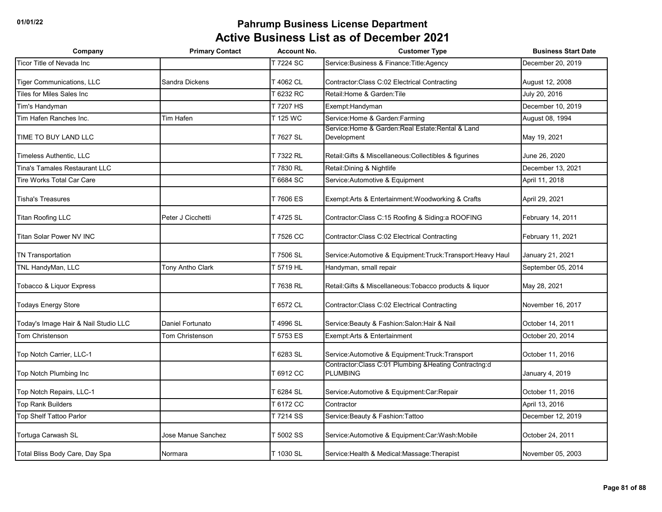| Company                              | <b>Primary Contact</b> | <b>Account No.</b> | <b>Customer Type</b>                                                    | <b>Business Start Date</b> |
|--------------------------------------|------------------------|--------------------|-------------------------------------------------------------------------|----------------------------|
| Ticor Title of Nevada Inc            |                        | T 7224 SC          | Service: Business & Finance: Title: Agency                              | December 20, 2019          |
| <b>Tiger Communications, LLC</b>     | Sandra Dickens         | T 4062 CL          | Contractor: Class C:02 Electrical Contracting                           | August 12, 2008            |
| Tiles for Miles Sales Inc.           |                        | [6232 RC           | Retail: Home & Garden: Tile                                             | July 20, 2016              |
| Tim's Handyman                       |                        | T 7207 HS          | Exempt:Handyman                                                         | December 10, 2019          |
| Tim Hafen Ranches Inc.               | Tim Hafen              | T 125 WC           | Service: Home & Garden: Farming                                         | August 08, 1994            |
| TIME TO BUY LAND LLC                 |                        | T 7627 SL          | Service: Home & Garden: Real Estate: Rental & Land<br>Development       | May 19, 2021               |
| Timeless Authentic, LLC              |                        | T 7322 RL          | Retail: Gifts & Miscellaneous: Collectibles & figurines                 | June 26, 2020              |
| <b>Tina's Tamales Restaurant LLC</b> |                        | T 7830 RL          | Retail: Dining & Nightlife                                              | December 13, 2021          |
| Tire Works Total Car Care            |                        | 6684 SC            | Service: Automotive & Equipment                                         | April 11, 2018             |
| <b>Tisha's Treasures</b>             |                        | T 7606 ES          | Exempt: Arts & Entertainment: Woodworking & Crafts                      | April 29, 2021             |
| <b>Titan Roofing LLC</b>             | Peter J Cicchetti      | T 4725 SL          | Contractor: Class C:15 Roofing & Siding: a ROOFING                      | February 14, 2011          |
| <b>Titan Solar Power NV INC</b>      |                        | T 7526 CC          | Contractor: Class C:02 Electrical Contracting                           | February 11, 2021          |
| <b>TN Transportation</b>             |                        | T 7506 SL          | Service:Automotive & Equipment:Truck:Transport:Heavy Haul               | January 21, 2021           |
| TNL HandyMan, LLC                    | Tony Antho Clark       | T 5719 HL          | Handyman, small repair                                                  | September 05, 2014         |
| Tobacco & Liquor Express             |                        | T 7638 RL          | Retail: Gifts & Miscellaneous: Tobacco products & liquor                | May 28, 2021               |
| <b>Todays Energy Store</b>           |                        | [6572 CL           | Contractor: Class C:02 Electrical Contracting                           | November 16, 2017          |
| Today's Image Hair & Nail Studio LLC | Daniel Fortunato       | T 4996 SL          | Service: Beauty & Fashion: Salon: Hair & Nail                           | October 14, 2011           |
| <b>Tom Christenson</b>               | Tom Christenson        | 5753 ES            | Exempt: Arts & Entertainment                                            | October 20, 2014           |
| Top Notch Carrier, LLC-1             |                        | 6283 SL            | Service: Automotive & Equipment: Truck: Transport                       | October 11, 2016           |
| Top Notch Plumbing Inc               |                        | Г 6912 CC          | Contractor:Class C:01 Plumbing &Heating Contractng:d<br><b>PLUMBING</b> | January 4, 2019            |
| Top Notch Repairs, LLC-1             |                        | T 6284 SL          | Service: Automotive & Equipment: Car: Repair                            | October 11, 2016           |
| <b>Top Rank Builders</b>             |                        | T 6172 CC          | Contractor                                                              | April 13, 2016             |
| <b>Top Shelf Tattoo Parlor</b>       |                        | T 7214 SS          | Service: Beauty & Fashion: Tattoo                                       | December 12, 2019          |
| Tortuga Carwash SL                   | Jose Manue Sanchez     | T 5002 SS          | Service: Automotive & Equipment: Car: Wash: Mobile                      | October 24, 2011           |
| Total Bliss Body Care, Day Spa       | Normara                | T 1030 SL          | Service: Health & Medical: Massage: Therapist                           | November 05, 2003          |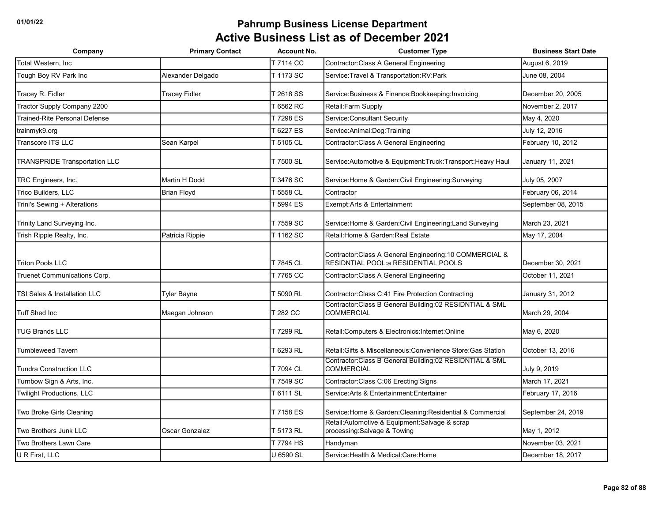| Company                              | <b>Primary Contact</b> | <b>Account No.</b> | <b>Customer Type</b>                                                                             | <b>Business Start Date</b> |
|--------------------------------------|------------------------|--------------------|--------------------------------------------------------------------------------------------------|----------------------------|
| Total Western, Inc.                  |                        | T 7114 CC          | Contractor: Class A General Engineering                                                          | August 6, 2019             |
| Tough Boy RV Park Inc                | Alexander Delgado      | T 1173 SC          | Service: Travel & Transportation: RV: Park                                                       | June 08, 2004              |
| Tracey R. Fidler                     | <b>Tracey Fidler</b>   | T 2618 SS          | Service: Business & Finance: Bookkeeping: Invoicing                                              | December 20, 2005          |
| Tractor Supply Company 2200          |                        | 6562 RC            | Retail: Farm Supply                                                                              | November 2, 2017           |
| <b>Trained-Rite Personal Defense</b> |                        | T 7298 ES          | Service: Consultant Security                                                                     | May 4, 2020                |
| trainmyk9.org                        |                        | 6227 ES            | Service: Animal: Dog: Training                                                                   | July 12, 2016              |
| <b>Transcore ITS LLC</b>             | Sean Karpel            | T 5105 CL          | <b>Contractor:Class A General Engineering</b>                                                    | February 10, 2012          |
| <b>TRANSPRIDE Transportation LLC</b> |                        | T 7500 SL          | Service:Automotive & Equipment:Truck:Transport:Heavy Haul                                        | January 11, 2021           |
| TRC Engineers, Inc.                  | Martin H Dodd          | T 3476 SC          | Service: Home & Garden: Civil Engineering: Surveying                                             | July 05, 2007              |
| Trico Builders, LLC                  | <b>Brian Floyd</b>     | <b>F5558 CL</b>    | Contractor                                                                                       | February 06, 2014          |
| Trini's Sewing + Alterations         |                        | T 5994 ES          | Exempt: Arts & Entertainment                                                                     | September 08, 2015         |
| Trinity Land Surveying Inc.          |                        | T 7559 SC          | Service: Home & Garden: Civil Engineering: Land Surveying                                        | March 23, 2021             |
| Trish Rippie Realty, Inc.            | Patricia Rippie        | T 1162 SC          | Retail: Home & Garden: Real Estate                                                               | May 17, 2004               |
| <b>Triton Pools LLC</b>              |                        | T 7845 CL          | Contractor: Class A General Engineering: 10 COMMERCIAL &<br>RESIDNTIAL POOL: a RESIDENTIAL POOLS | December 30, 2021          |
| Truenet Communications Corp.         |                        | T 7765 CC          | Contractor: Class A General Engineering                                                          | October 11, 2021           |
| TSI Sales & Installation LLC         | <b>Tyler Bayne</b>     | T 5090 RL          | Contractor: Class C:41 Fire Protection Contracting                                               | January 31, 2012           |
| <b>Tuff Shed Inc</b>                 | Maegan Johnson         | T 282 CC           | Contractor: Class B General Building: 02 RESIDNTIAL & SML<br><b>COMMERCIAL</b>                   | March 29, 2004             |
| <b>TUG Brands LLC</b>                |                        | T 7299 RL          | Retail: Computers & Electronics: Internet: Online                                                | May 6, 2020                |
| <b>Tumbleweed Tavern</b>             |                        | Г 6293 RL          | Retail: Gifts & Miscellaneous: Convenience Store: Gas Station                                    | October 13, 2016           |
| <b>Tundra Construction LLC</b>       |                        | T 7094 CL          | Contractor: Class B General Building: 02 RESIDNTIAL & SML<br><b>COMMERCIAL</b>                   | July 9, 2019               |
| Turnbow Sign & Arts, Inc.            |                        | T 7549 SC          | Contractor: Class C:06 Erecting Signs                                                            | March 17, 2021             |
| <b>Twilight Productions, LLC</b>     |                        | T 6111 SL          | Service: Arts & Entertainment: Entertainer                                                       | February 17, 2016          |
| Two Broke Girls Cleaning             |                        | T 7158 ES          | Service: Home & Garden: Cleaning: Residential & Commercial                                       | September 24, 2019         |
| Two Brothers Junk LLC                | Oscar Gonzalez         | T 5173 RL          | Retail: Automotive & Equipment: Salvage & scrap<br>processing:Salvage & Towing                   | May 1, 2012                |
| Two Brothers Lawn Care               |                        | T 7794 HS          | Handyman                                                                                         | November 03, 2021          |
| U R First, LLC                       |                        | <b>U 6590 SL</b>   | Service: Health & Medical: Care: Home                                                            | December 18, 2017          |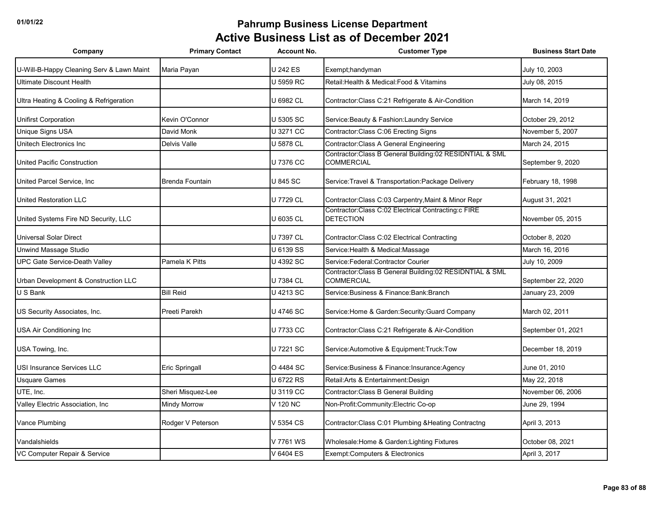| Company                                   | <b>Primary Contact</b> | <b>Account No.</b> | <b>Customer Type</b>                                                         | <b>Business Start Date</b> |
|-------------------------------------------|------------------------|--------------------|------------------------------------------------------------------------------|----------------------------|
| U-Will-B-Happy Cleaning Serv & Lawn Maint | Maria Payan            | <b>U242 ES</b>     | Exempt;handyman                                                              | July 10, 2003              |
| Ultimate Discount Health                  |                        | U 5959 RC          | Retail: Health & Medical: Food & Vitamins                                    | July 08, 2015              |
| Ultra Heating & Cooling & Refrigeration   |                        | U 6982 CL          | Contractor: Class C:21 Refrigerate & Air-Condition                           | March 14, 2019             |
| Unifirst Corporation                      | Kevin O'Connor         | U 5305 SC          | Service: Beauty & Fashion: Laundry Service                                   | October 29, 2012           |
| Unique Signs USA                          | David Monk             | U 3271 CC          | Contractor: Class C:06 Erecting Signs                                        | November 5, 2007           |
| Unitech Electronics Inc                   | Delvis Valle           | U 5878 CL          | Contractor: Class A General Engineering                                      | March 24, 2015             |
| United Pacific Construction               |                        | U 7376 CC          | Contractor:Class B General Building:02 RESIDNTIAL & SML<br><b>COMMERCIAL</b> | September 9, 2020          |
| United Parcel Service, Inc                | <b>Brenda Fountain</b> | <b>U 845 SC</b>    | Service: Travel & Transportation: Package Delivery                           | February 18, 1998          |
| United Restoration LLC                    |                        | U 7729 CL          | Contractor:Class C:03 Carpentry, Maint & Minor Repr                          | August 31, 2021            |
| United Systems Fire ND Security, LLC      |                        | U 6035 CL          | Contractor:Class C:02 Electrical Contracting:c FIRE<br><b>DETECTION</b>      | November 05, 2015          |
| Universal Solar Direct                    |                        | U 7397 CL          | Contractor: Class C:02 Electrical Contracting                                | October 8, 2020            |
| Unwind Massage Studio                     |                        | U 6139 SS          | Service: Health & Medical: Massage                                           | March 16, 2016             |
| <b>UPC Gate Service-Death Valley</b>      | Pamela K Pitts         | U 4392 SC          | Service:Federal:Contractor Courier                                           | July 10, 2009              |
| Urban Development & Construction LLC      |                        | U 7384 CL          | Contractor:Class B General Building:02 RESIDNTIAL & SML<br><b>COMMERCIAL</b> | September 22, 2020         |
| U S Bank                                  | <b>Bill Reid</b>       | U 4213 SC          | Service: Business & Finance: Bank: Branch                                    | January 23, 2009           |
| US Security Associates, Inc.              | Preeti Parekh          | U 4746 SC          | Service: Home & Garden: Security: Guard Company                              | March 02, 2011             |
| USA Air Conditioning Inc                  |                        | U 7733 CC          | Contractor: Class C:21 Refrigerate & Air-Condition                           | September 01, 2021         |
| USA Towing, Inc.                          |                        | U 7221 SC          | Service: Automotive & Equipment: Truck: Tow                                  | December 18, 2019          |
| <b>JSI Insurance Services LLC</b>         | Eric Springall         | O 4484 SC          | Service: Business & Finance: Insurance: Agency                               | June 01, 2010              |
| Usquare Games                             |                        | U 6722 RS          | Retail: Arts & Entertainment: Design                                         | May 22, 2018               |
| UTE, Inc.                                 | Sheri Misquez-Lee      | U 3119 CC          | Contractor: Class B General Building                                         | November 06, 2006          |
| Valley Electric Association, Inc          | Mindy Morrow           | V 120 NC           | Non-Profit:Community:Electric Co-op                                          | June 29, 1994              |
| Vance Plumbing                            | Rodger V Peterson      | V 5354 CS          | Contractor: Class C:01 Plumbing & Heating Contractng                         | April 3, 2013              |
| Vandalshields                             |                        | V 7761 WS          | Wholesale: Home & Garden: Lighting Fixtures                                  | October 08, 2021           |
| VC Computer Repair & Service              |                        | V 6404 ES          | Exempt: Computers & Electronics                                              | April 3, 2017              |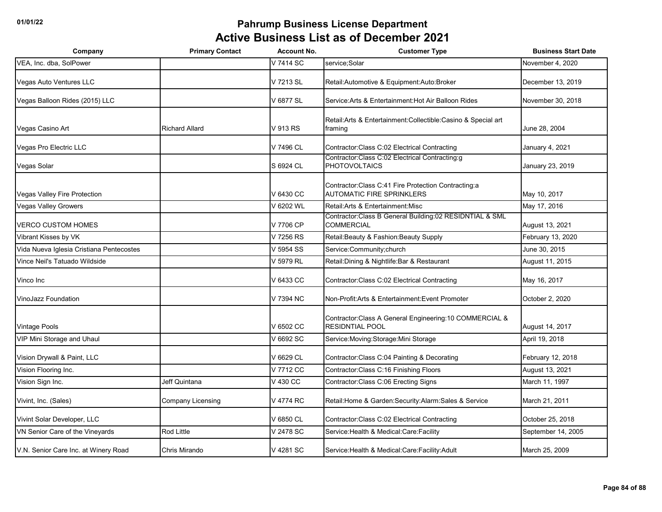| Company                                  | <b>Primary Contact</b> | <b>Account No.</b> | <b>Customer Type</b>                                                                     | <b>Business Start Date</b> |
|------------------------------------------|------------------------|--------------------|------------------------------------------------------------------------------------------|----------------------------|
| VEA, Inc. dba, SolPower                  |                        | V 7414 SC          | service;Solar                                                                            | November 4, 2020           |
| Vegas Auto Ventures LLC                  |                        | V 7213 SL          | Retail: Automotive & Equipment: Auto: Broker                                             | December 13, 2019          |
| Vegas Balloon Rides (2015) LLC           |                        | V 6877 SL          | Service: Arts & Entertainment: Hot Air Balloon Rides                                     | November 30, 2018          |
| Vegas Casino Art                         | <b>Richard Allard</b>  | V 913 RS           | Retail: Arts & Entertainment: Collectible: Casino & Special art<br>framing               | June 28, 2004              |
| Vegas Pro Electric LLC                   |                        | V 7496 CL          | Contractor: Class C:02 Electrical Contracting                                            | January 4, 2021            |
| Vegas Solar                              |                        | S 6924 CL          | Contractor:Class C:02 Electrical Contracting:g<br><b>PHOTOVOLTAICS</b>                   | January 23, 2019           |
| Vegas Valley Fire Protection             |                        | V 6430 CC          | Contractor: Class C:41 Fire Protection Contracting:a<br><b>AUTOMATIC FIRE SPRINKLERS</b> | May 10, 2017               |
| <b>Vegas Valley Growers</b>              |                        | V 6202 WL          | Retail: Arts & Entertainment: Misc                                                       | May 17, 2016               |
| <b>VERCO CUSTOM HOMES</b>                |                        | V 7706 CP          | Contractor: Class B General Building: 02 RESIDNTIAL & SML<br><b>COMMERCIAL</b>           | August 13, 2021            |
| Vibrant Kisses by VK                     |                        | V 7256 RS          | Retail: Beauty & Fashion: Beauty Supply                                                  | February 13, 2020          |
| Vida Nueva Iglesia Cristiana Pentecostes |                        | V 5954 SS          | Service:Community;church                                                                 | June 30, 2015              |
| Vince Neil's Tatuado Wildside            |                        | V 5979 RL          | Retail: Dining & Nightlife: Bar & Restaurant                                             | August 11, 2015            |
| Vinco Inc                                |                        | V 6433 CC          | Contractor: Class C:02 Electrical Contracting                                            | May 16, 2017               |
| <b>VinoJazz Foundation</b>               |                        | V 7394 NC          | Non-Profit: Arts & Entertainment: Event Promoter                                         | October 2, 2020            |
| <b>Vintage Pools</b>                     |                        | V 6502 CC          | Contractor: Class A General Engineering: 10 COMMERCIAL &<br><b>RESIDNTIAL POOL</b>       | August 14, 2017            |
| VIP Mini Storage and Uhaul               |                        | V 6692 SC          | Service: Moving: Storage: Mini Storage                                                   | April 19, 2018             |
| Vision Drywall & Paint, LLC              |                        | V 6629 CL          | Contractor: Class C:04 Painting & Decorating                                             | February 12, 2018          |
| Vision Flooring Inc.                     |                        | V 7712 CC          | Contractor: Class C: 16 Finishing Floors                                                 | August 13, 2021            |
| Vision Sign Inc.                         | Jeff Quintana          | V 430 CC           | Contractor: Class C:06 Erecting Signs                                                    | March 11, 1997             |
| Vivint, Inc. (Sales)                     | Company Licensing      | V 4774 RC          | Retail: Home & Garden: Security: Alarm: Sales & Service                                  | March 21, 2011             |
| Vivint Solar Developer, LLC              |                        | V 6850 CL          | Contractor: Class C:02 Electrical Contracting                                            | October 25, 2018           |
| VN Senior Care of the Vineyards          | Rod Little             | V 2478 SC          | Service: Health & Medical: Care: Facility                                                | September 14, 2005         |
| V.N. Senior Care Inc. at Winery Road     | Chris Mirando          | V 4281 SC          | Service: Health & Medical: Care: Facility: Adult                                         | March 25, 2009             |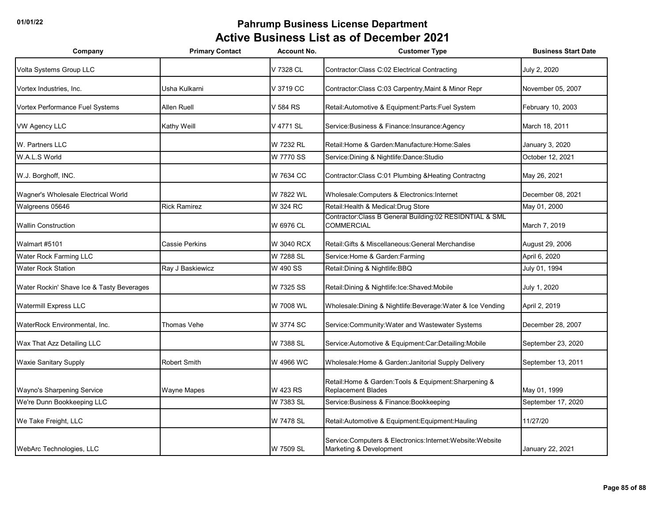| Company                                   | <b>Primary Contact</b> | <b>Account No.</b> | <b>Customer Type</b>                                                                    | <b>Business Start Date</b> |
|-------------------------------------------|------------------------|--------------------|-----------------------------------------------------------------------------------------|----------------------------|
| Volta Systems Group LLC                   |                        | V 7328 CL          | Contractor: Class C:02 Electrical Contracting                                           | July 2, 2020               |
| Vortex Industries, Inc.                   | Usha Kulkarni          | V 3719 CC          | Contractor: Class C:03 Carpentry, Maint & Minor Repr                                    | November 05, 2007          |
| Vortex Performance Fuel Systems           | Allen Ruell            | V 584 RS           | Retail: Automotive & Equipment: Parts: Fuel System                                      | February 10, 2003          |
| <b>VW Agency LLC</b>                      | Kathy Weill            | V 4771 SL          | Service: Business & Finance: Insurance: Agency                                          | March 18, 2011             |
| W. Partners LLC                           |                        | W 7232 RL          | Retail: Home & Garden: Manufacture: Home: Sales                                         | January 3, 2020            |
| W.A.L.S World                             |                        | W 7770 SS          | Service: Dining & Nightlife: Dance: Studio                                              | October 12, 2021           |
| W.J. Borghoff, INC.                       |                        | W 7634 CC          | Contractor:Class C:01 Plumbing & Heating Contractng                                     | May 26, 2021               |
| Wagner's Wholesale Electrical World       |                        | W 7822 WL          | Wholesale:Computers & Electronics:Internet                                              | December 08, 2021          |
| Walgreens 05646                           | <b>Rick Ramirez</b>    | W 324 RC           | Retail: Health & Medical: Drug Store                                                    | May 01, 2000               |
| <b>Wallin Construction</b>                |                        | W 6976 CL          | Contractor: Class B General Building: 02 RESIDNTIAL & SML<br><b>COMMERCIAL</b>          | March 7, 2019              |
| Walmart #5101                             | <b>Cassie Perkins</b>  | W 3040 RCX         | Retail: Gifts & Miscellaneous: General Merchandise                                      | August 29, 2006            |
| Water Rock Farming LLC                    |                        | W 7288 SL          | Service: Home & Garden: Farming                                                         | April 6, 2020              |
| <b>Water Rock Station</b>                 | Ray J Baskiewicz       | W 490 SS           | Retail: Dining & Nightlife: BBQ                                                         | July 01, 1994              |
| Water Rockin' Shave Ice & Tasty Beverages |                        | W 7325 SS          | Retail: Dining & Nightlife: Ice: Shaved: Mobile                                         | July 1, 2020               |
| Watermill Express LLC                     |                        | W 7008 WL          | Wholesale: Dining & Nightlife: Beverage: Water & Ice Vending                            | April 2, 2019              |
| WaterRock Environmental, Inc.             | Thomas Vehe            | W 3774 SC          | Service: Community: Water and Wastewater Systems                                        | December 28, 2007          |
| Wax That Azz Detailing LLC                |                        | W 7388 SL          | Service: Automotive & Equipment: Car: Detailing: Mobile                                 | September 23, 2020         |
| Waxie Sanitary Supply                     | <b>Robert Smith</b>    | W 4966 WC          | Wholesale: Home & Garden: Janitorial Supply Delivery                                    | September 13, 2011         |
| Wayno's Sharpening Service                | Wayne Mapes            | W 423 RS           | Retail: Home & Garden: Tools & Equipment: Sharpening &<br><b>Replacement Blades</b>     | May 01, 1999               |
| We're Dunn Bookkeeping LLC                |                        | W 7383 SL          | Service: Business & Finance: Bookkeeping                                                | September 17, 2020         |
| We Take Freight, LLC                      |                        | W 7478 SL          | Retail: Automotive & Equipment: Equipment: Hauling                                      | 11/27/20                   |
| WebArc Technologies, LLC                  |                        | W 7509 SL          | Service: Computers & Electronics: Internet: Website: Website<br>Marketing & Development | January 22, 2021           |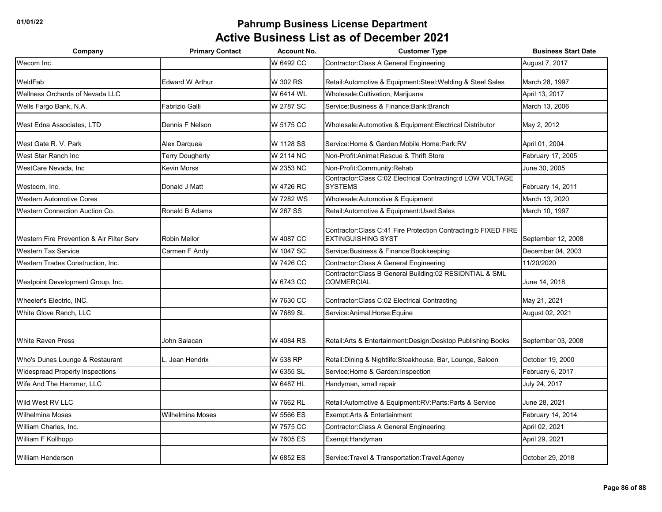| Company                                   | <b>Primary Contact</b>  | <b>Account No.</b> | <b>Customer Type</b>                                                                          | <b>Business Start Date</b> |
|-------------------------------------------|-------------------------|--------------------|-----------------------------------------------------------------------------------------------|----------------------------|
| Wecom Inc                                 |                         | W 6492 CC          | Contractor: Class A General Engineering                                                       | August 7, 2017             |
| WeldFab                                   | <b>Edward W Arthur</b>  | W 302 RS           | Retail: Automotive & Equipment: Steel: Welding & Steel Sales                                  | March 28, 1997             |
| Wellness Orchards of Nevada LLC           |                         | W 6414 WL          | Wholesale: Cultivation, Marijuana                                                             | April 13, 2017             |
| Wells Fargo Bank, N.A.                    | Fabrizio Galli          | W 2787 SC          | Service: Business & Finance: Bank: Branch                                                     | March 13, 2006             |
| West Edna Associates, LTD                 | Dennis F Nelson         | W 5175 CC          | Wholesale:Automotive & Equipment:Electrical Distributor                                       | May 2, 2012                |
| West Gate R. V. Park                      | Alex Darquea            | W 1128 SS          | Service: Home & Garden: Mobile Home: Park: RV                                                 | April 01, 2004             |
| West Star Ranch Inc.                      | <b>Terry Dougherty</b>  | W 2114 NC          | Non-Profit: Animal: Rescue & Thrift Store                                                     | February 17, 2005          |
| WestCare Nevada, Inc                      | Kevin Morss             | W 2353 NC          | Non-Profit:Community:Rehab                                                                    | June 30, 2005              |
| Westcom, Inc.                             | Donald J Matt           | W 4726 RC          | Contractor:Class C:02 Electrical Contracting:d LOW VOLTAGE<br><b>SYSTEMS</b>                  | February 14, 2011          |
| <b>Western Automotive Cores</b>           |                         | W 7282 WS          | Wholesale: Automotive & Equipment                                                             | March 13, 2020             |
| Western Connection Auction Co.            | Ronald B Adams          | W 267 SS           | Retail:Automotive & Equipment:Used:Sales                                                      | March 10, 1997             |
| Western Fire Prevention & Air Filter Serv | Robin Mellor            | W 4087 CC          | Contractor: Class C:41 Fire Protection Contracting: b FIXED FIRE<br><b>EXTINGUISHING SYST</b> | September 12, 2008         |
| <b>Western Tax Service</b>                | Carmen F Andy           | W 1047 SC          | Service: Business & Finance: Bookkeeping                                                      | December 04, 2003          |
| Western Trades Construction, Inc.         |                         | W 7426 CC          | Contractor: Class A General Engineering                                                       | 11/20/2020                 |
| Westpoint Development Group, Inc.         |                         | W 6743 CC          | Contractor: Class B General Building: 02 RESIDNTIAL & SML<br><b>COMMERCIAL</b>                | June 14, 2018              |
| Wheeler's Electric, INC.                  |                         | W 7630 CC          | Contractor: Class C:02 Electrical Contracting                                                 | May 21, 2021               |
| White Glove Ranch, LLC                    |                         | W 7689 SL          | Service: Animal: Horse: Equine                                                                | August 02, 2021            |
| <b>White Raven Press</b>                  | John Salacan            | W 4084 RS          | Retail: Arts & Entertainment: Design: Desktop Publishing Books                                | September 03, 2008         |
| Who's Dunes Lounge & Restaurant           | L. Jean Hendrix         | W 538 RP           | Retail:Dining & Nightlife:Steakhouse, Bar, Lounge, Saloon                                     | October 19, 2000           |
| Widespread Property Inspections           |                         | W 6355 SL          | Service: Home & Garden: Inspection                                                            | February 6, 2017           |
| Wife And The Hammer, LLC                  |                         | W 6487 HL          | Handyman, small repair                                                                        | July 24, 2017              |
| Wild West RV LLC                          |                         | W 7662 RL          | Retail: Automotive & Equipment: RV: Parts: Parts & Service                                    | June 28, 2021              |
| <b>Wilhelmina Moses</b>                   | <b>Wilhelmina Moses</b> | W 5566 ES          | Exempt:Arts & Entertainment                                                                   | February 14, 2014          |
| William Charles, Inc.                     |                         | W 7575 CC          | Contractor: Class A General Engineering                                                       | April 02, 2021             |
| William F Kollhopp                        |                         | W 7605 ES          | Exempt:Handyman                                                                               | April 29, 2021             |
| <b>William Henderson</b>                  |                         | W 6852 ES          | Service: Travel & Transportation: Travel: Agency                                              | October 29, 2018           |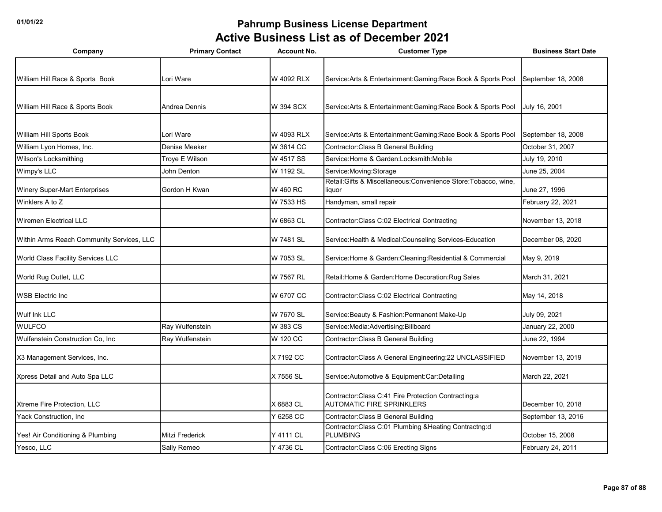| Company                                   | <b>Primary Contact</b> | <b>Account No.</b> | <b>Customer Type</b>                                                                     | <b>Business Start Date</b> |
|-------------------------------------------|------------------------|--------------------|------------------------------------------------------------------------------------------|----------------------------|
|                                           |                        |                    |                                                                                          |                            |
| William Hill Race & Sports Book           | Lori Ware              | W 4092 RLX         | Service: Arts & Entertainment: Gaming: Race Book & Sports Pool                           | September 18, 2008         |
|                                           |                        |                    |                                                                                          |                            |
| William Hill Race & Sports Book           | Andrea Dennis          | W 394 SCX          | Service: Arts & Entertainment: Gaming: Race Book & Sports Pool                           | July 16, 2001              |
|                                           |                        |                    |                                                                                          |                            |
| William Hill Sports Book                  | Lori Ware              | W 4093 RLX         | Service: Arts & Entertainment: Gaming: Race Book & Sports Pool                           | September 18, 2008         |
| William Lyon Homes, Inc.                  | Denise Meeker          | W 3614 CC          | Contractor: Class B General Building                                                     | October 31, 2007           |
| Wilson's Locksmithing                     | Troye E Wilson         | W 4517 SS          | Service: Home & Garden: Locksmith: Mobile                                                | July 19, 2010              |
| Wimpy's LLC                               | John Denton            | W 1192 SL          | Service: Moving: Storage                                                                 | June 25, 2004              |
| Winery Super-Mart Enterprises             | Gordon H Kwan          | W 460 RC           | Retail:Gifts & Miscellaneous:Convenience Store:Tobacco, wine,<br>liquor                  | June 27, 1996              |
| Winklers A to Z                           |                        | W 7533 HS          | Handyman, small repair                                                                   | February 22, 2021          |
| <b>Wiremen Electrical LLC</b>             |                        | W 6863 CL          | Contractor: Class C:02 Electrical Contracting                                            | November 13, 2018          |
| Within Arms Reach Community Services, LLC |                        | W 7481 SL          | Service: Health & Medical: Counseling Services-Education                                 | December 08, 2020          |
| World Class Facility Services LLC         |                        | W 7053 SL          | Service: Home & Garden: Cleaning: Residential & Commercial                               | May 9, 2019                |
| World Rug Outlet, LLC                     |                        | W 7567 RL          | Retail: Home & Garden: Home Decoration: Rug Sales                                        | March 31, 2021             |
| <b>WSB Electric Inc.</b>                  |                        | W 6707 CC          | Contractor: Class C:02 Electrical Contracting                                            | May 14, 2018               |
| Wulf Ink LLC                              |                        | W 7670 SL          | Service: Beauty & Fashion: Permanent Make-Up                                             | July 09, 2021              |
| <b>WULFCO</b>                             | Ray Wulfenstein        | W 383 CS           | Service: Media: Advertising: Billboard                                                   | January 22, 2000           |
| Wulfenstein Construction Co, Inc          | Ray Wulfenstein        | W 120 CC           | Contractor: Class B General Building                                                     | June 22, 1994              |
| X3 Management Services, Inc.              |                        | X 7192 CC          | Contractor: Class A General Engineering: 22 UNCLASSIFIED                                 | November 13, 2019          |
| Xpress Detail and Auto Spa LLC            |                        | X 7556 SL          | Service: Automotive & Equipment: Car: Detailing                                          | March 22, 2021             |
| Xtreme Fire Protection, LLC               |                        | X 6883 CL          | Contractor: Class C:41 Fire Protection Contracting:a<br><b>AUTOMATIC FIRE SPRINKLERS</b> | December 10, 2018          |
| Yack Construction, Inc.                   |                        | Y 6258 CC          | Contractor: Class B General Building                                                     | September 13, 2016         |
| Yes! Air Conditioning & Plumbing          | Mitzi Frederick        | Y 4111 CL          | Contractor:Class C:01 Plumbing & Heating Contractng:d<br><b>PLUMBING</b>                 | October 15, 2008           |
| Yesco, LLC                                | Sally Remeo            | Y 4736 CL          | Contractor: Class C:06 Erecting Signs                                                    | February 24, 2011          |